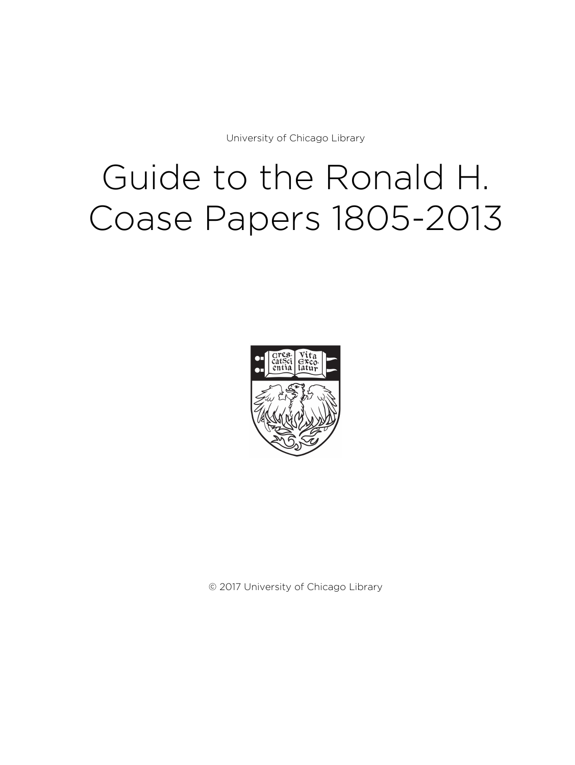University of Chicago Library

# Guide to the Ronald H. Coase Papers 1805-2013



© 2017 University of Chicago Library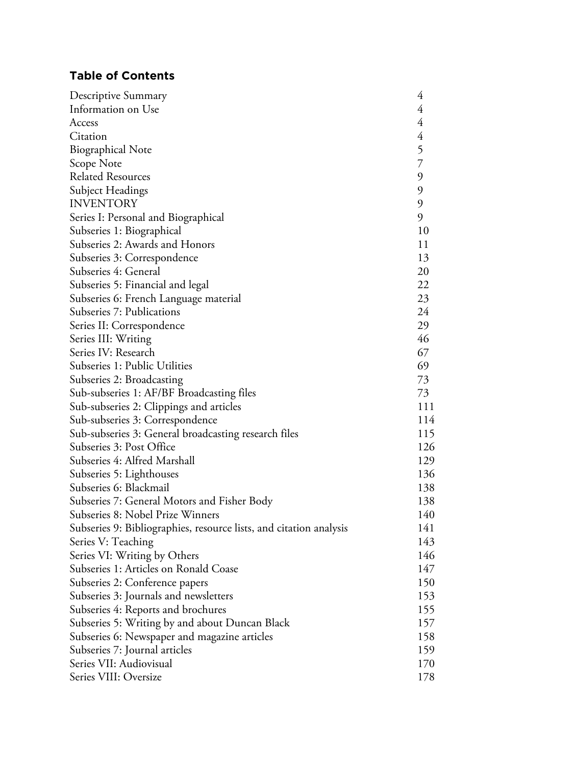# **Table of Contents**

| Descriptive Summary                                                | 4              |
|--------------------------------------------------------------------|----------------|
| Information on Use                                                 | $\overline{4}$ |
| Access                                                             | $\overline{4}$ |
| Citation                                                           | $\overline{4}$ |
| <b>Biographical Note</b>                                           |                |
| Scope Note                                                         | $\frac{5}{7}$  |
| <b>Related Resources</b>                                           | 9              |
| Subject Headings                                                   | 9              |
| <b>INVENTORY</b>                                                   | 9              |
| Series I: Personal and Biographical                                | 9              |
| Subseries 1: Biographical                                          | 10             |
| Subseries 2: Awards and Honors                                     | 11             |
| Subseries 3: Correspondence                                        | 13             |
| Subseries 4: General                                               | 20             |
| Subseries 5: Financial and legal                                   | 22             |
| Subseries 6: French Language material                              | 23             |
| Subseries 7: Publications                                          | 24             |
| Series II: Correspondence                                          | 29             |
| Series III: Writing                                                | 46             |
| Series IV: Research                                                | 67             |
| Subseries 1: Public Utilities                                      | 69             |
| Subseries 2: Broadcasting                                          | 73             |
| Sub-subseries 1: AF/BF Broadcasting files                          | 73             |
| Sub-subseries 2: Clippings and articles                            | 111            |
| Sub-subseries 3: Correspondence                                    | 114            |
| Sub-subseries 3: General broadcasting research files               | 115            |
| Subseries 3: Post Office                                           | 126            |
| Subseries 4: Alfred Marshall                                       | 129            |
| Subseries 5: Lighthouses                                           | 136            |
| Subseries 6: Blackmail                                             | 138            |
| Subseries 7: General Motors and Fisher Body                        | 138            |
| Subseries 8: Nobel Prize Winners                                   | 140            |
| Subseries 9: Bibliographies, resource lists, and citation analysis | 141            |
| Series V: Teaching                                                 | 143            |
| Series VI: Writing by Others                                       | 146            |
| Subseries 1: Articles on Ronald Coase                              | 147            |
| Subseries 2: Conference papers                                     | 150            |
| Subseries 3: Journals and newsletters                              | 153            |
| Subseries 4: Reports and brochures                                 | 155            |
| Subseries 5: Writing by and about Duncan Black                     | 157            |
| Subseries 6: Newspaper and magazine articles                       | 158            |
| Subseries 7: Journal articles                                      | 159            |
| Series VII: Audiovisual                                            | 170            |
| Series VIII: Oversize                                              |                |
|                                                                    |                |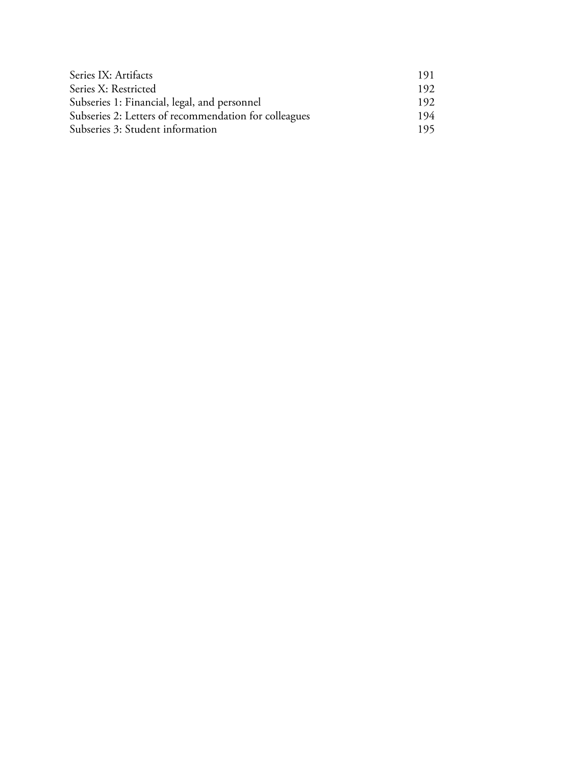| Series IX: Artifacts                                  | 191  |
|-------------------------------------------------------|------|
| Series X: Restricted                                  | 192  |
| Subseries 1: Financial, legal, and personnel          | 192. |
| Subseries 2: Letters of recommendation for colleagues | 194  |
| Subseries 3: Student information                      | 195. |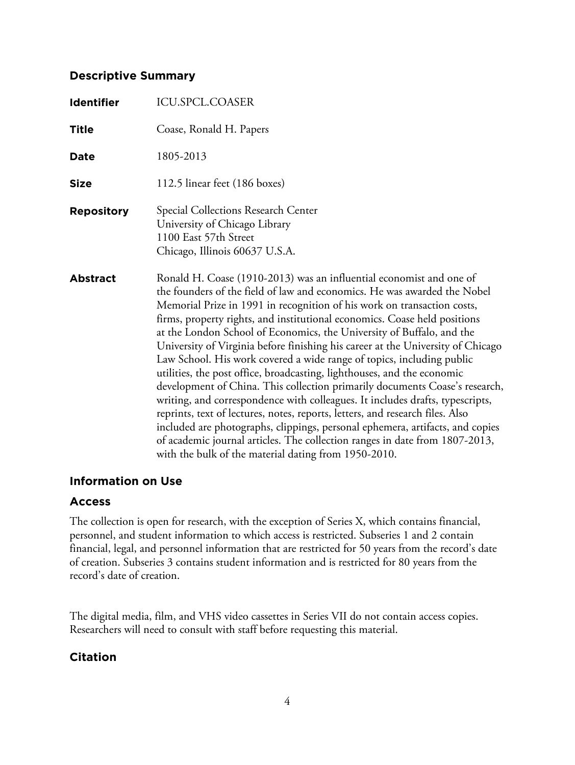## **Descriptive Summary**

| <b>Identifier</b> | ICU.SPCL.COASER                                                                                                                                                                                                                                                                                                                                                                                                                                                                                                                                                                                                                                                                                                                                                                                                                                                                                                                                                                                                                                                                                  |
|-------------------|--------------------------------------------------------------------------------------------------------------------------------------------------------------------------------------------------------------------------------------------------------------------------------------------------------------------------------------------------------------------------------------------------------------------------------------------------------------------------------------------------------------------------------------------------------------------------------------------------------------------------------------------------------------------------------------------------------------------------------------------------------------------------------------------------------------------------------------------------------------------------------------------------------------------------------------------------------------------------------------------------------------------------------------------------------------------------------------------------|
| <b>Title</b>      | Coase, Ronald H. Papers                                                                                                                                                                                                                                                                                                                                                                                                                                                                                                                                                                                                                                                                                                                                                                                                                                                                                                                                                                                                                                                                          |
| <b>Date</b>       | 1805-2013                                                                                                                                                                                                                                                                                                                                                                                                                                                                                                                                                                                                                                                                                                                                                                                                                                                                                                                                                                                                                                                                                        |
| <b>Size</b>       | 112.5 linear feet (186 boxes)                                                                                                                                                                                                                                                                                                                                                                                                                                                                                                                                                                                                                                                                                                                                                                                                                                                                                                                                                                                                                                                                    |
| <b>Repository</b> | Special Collections Research Center<br>University of Chicago Library<br>1100 East 57th Street<br>Chicago, Illinois 60637 U.S.A.                                                                                                                                                                                                                                                                                                                                                                                                                                                                                                                                                                                                                                                                                                                                                                                                                                                                                                                                                                  |
| <b>Abstract</b>   | Ronald H. Coase (1910-2013) was an influential economist and one of<br>the founders of the field of law and economics. He was awarded the Nobel<br>Memorial Prize in 1991 in recognition of his work on transaction costs,<br>firms, property rights, and institutional economics. Coase held positions<br>at the London School of Economics, the University of Buffalo, and the<br>University of Virginia before finishing his career at the University of Chicago<br>Law School. His work covered a wide range of topics, including public<br>utilities, the post office, broadcasting, lighthouses, and the economic<br>development of China. This collection primarily documents Coase's research,<br>writing, and correspondence with colleagues. It includes drafts, typescripts,<br>reprints, text of lectures, notes, reports, letters, and research files. Also<br>included are photographs, clippings, personal ephemera, artifacts, and copies<br>of academic journal articles. The collection ranges in date from 1807-2013,<br>with the bulk of the material dating from 1950-2010. |

## **Information on Use**

## **Access**

The collection is open for research, with the exception of Series X, which contains financial, personnel, and student information to which access is restricted. Subseries 1 and 2 contain financial, legal, and personnel information that are restricted for 50 years from the record's date of creation. Subseries 3 contains student information and is restricted for 80 years from the record's date of creation.

The digital media, film, and VHS video cassettes in Series VII do not contain access copies. Researchers will need to consult with staff before requesting this material.

## **Citation**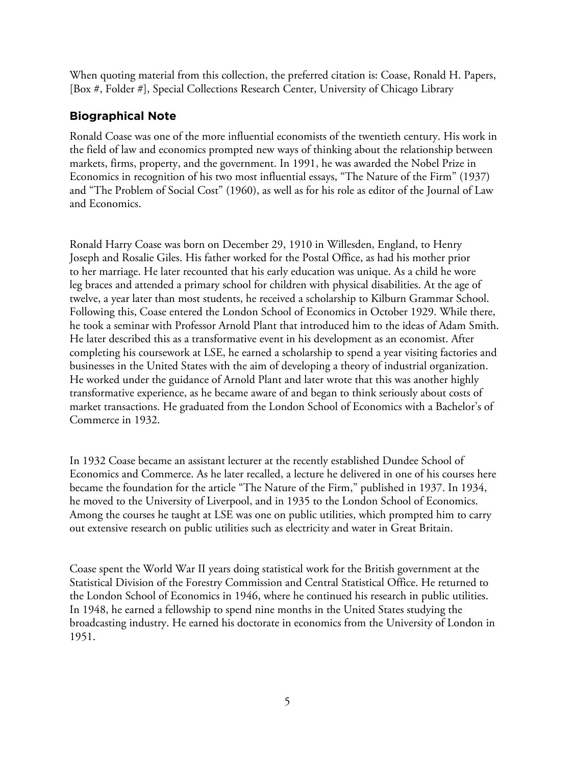When quoting material from this collection, the preferred citation is: Coase, Ronald H. Papers, [Box #, Folder #], Special Collections Research Center, University of Chicago Library

# **Biographical Note**

Ronald Coase was one of the more influential economists of the twentieth century. His work in the field of law and economics prompted new ways of thinking about the relationship between markets, firms, property, and the government. In 1991, he was awarded the Nobel Prize in Economics in recognition of his two most influential essays, "The Nature of the Firm" (1937) and "The Problem of Social Cost" (1960), as well as for his role as editor of the Journal of Law and Economics.

Ronald Harry Coase was born on December 29, 1910 in Willesden, England, to Henry Joseph and Rosalie Giles. His father worked for the Postal Office, as had his mother prior to her marriage. He later recounted that his early education was unique. As a child he wore leg braces and attended a primary school for children with physical disabilities. At the age of twelve, a year later than most students, he received a scholarship to Kilburn Grammar School. Following this, Coase entered the London School of Economics in October 1929. While there, he took a seminar with Professor Arnold Plant that introduced him to the ideas of Adam Smith. He later described this as a transformative event in his development as an economist. After completing his coursework at LSE, he earned a scholarship to spend a year visiting factories and businesses in the United States with the aim of developing a theory of industrial organization. He worked under the guidance of Arnold Plant and later wrote that this was another highly transformative experience, as he became aware of and began to think seriously about costs of market transactions. He graduated from the London School of Economics with a Bachelor's of Commerce in 1932.

In 1932 Coase became an assistant lecturer at the recently established Dundee School of Economics and Commerce. As he later recalled, a lecture he delivered in one of his courses here became the foundation for the article "The Nature of the Firm," published in 1937. In 1934, he moved to the University of Liverpool, and in 1935 to the London School of Economics. Among the courses he taught at LSE was one on public utilities, which prompted him to carry out extensive research on public utilities such as electricity and water in Great Britain.

Coase spent the World War II years doing statistical work for the British government at the Statistical Division of the Forestry Commission and Central Statistical Office. He returned to the London School of Economics in 1946, where he continued his research in public utilities. In 1948, he earned a fellowship to spend nine months in the United States studying the broadcasting industry. He earned his doctorate in economics from the University of London in 1951.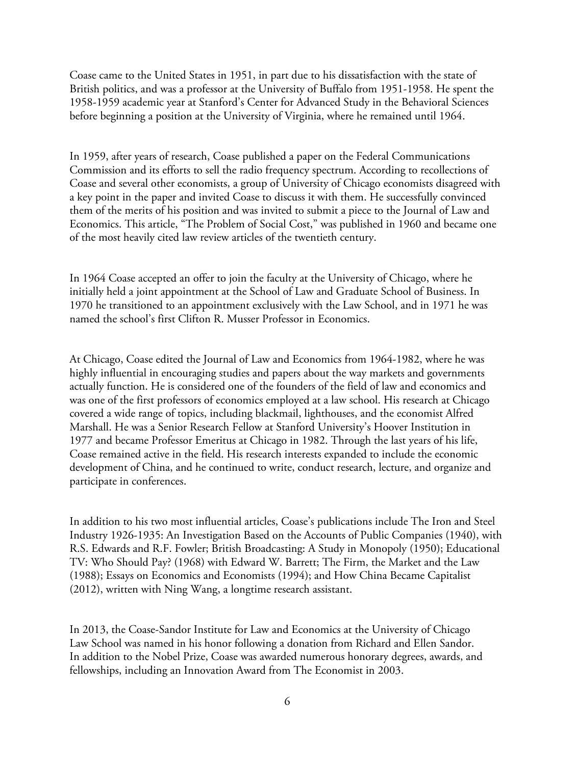Coase came to the United States in 1951, in part due to his dissatisfaction with the state of British politics, and was a professor at the University of Buffalo from 1951-1958. He spent the 1958-1959 academic year at Stanford's Center for Advanced Study in the Behavioral Sciences before beginning a position at the University of Virginia, where he remained until 1964.

In 1959, after years of research, Coase published a paper on the Federal Communications Commission and its efforts to sell the radio frequency spectrum. According to recollections of Coase and several other economists, a group of University of Chicago economists disagreed with a key point in the paper and invited Coase to discuss it with them. He successfully convinced them of the merits of his position and was invited to submit a piece to the Journal of Law and Economics. This article, "The Problem of Social Cost," was published in 1960 and became one of the most heavily cited law review articles of the twentieth century.

In 1964 Coase accepted an offer to join the faculty at the University of Chicago, where he initially held a joint appointment at the School of Law and Graduate School of Business. In 1970 he transitioned to an appointment exclusively with the Law School, and in 1971 he was named the school's first Clifton R. Musser Professor in Economics.

At Chicago, Coase edited the Journal of Law and Economics from 1964-1982, where he was highly influential in encouraging studies and papers about the way markets and governments actually function. He is considered one of the founders of the field of law and economics and was one of the first professors of economics employed at a law school. His research at Chicago covered a wide range of topics, including blackmail, lighthouses, and the economist Alfred Marshall. He was a Senior Research Fellow at Stanford University's Hoover Institution in 1977 and became Professor Emeritus at Chicago in 1982. Through the last years of his life, Coase remained active in the field. His research interests expanded to include the economic development of China, and he continued to write, conduct research, lecture, and organize and participate in conferences.

In addition to his two most influential articles, Coase's publications include The Iron and Steel Industry 1926-1935: An Investigation Based on the Accounts of Public Companies (1940), with R.S. Edwards and R.F. Fowler; British Broadcasting: A Study in Monopoly (1950); Educational TV: Who Should Pay? (1968) with Edward W. Barrett; The Firm, the Market and the Law (1988); Essays on Economics and Economists (1994); and How China Became Capitalist (2012), written with Ning Wang, a longtime research assistant.

In 2013, the Coase-Sandor Institute for Law and Economics at the University of Chicago Law School was named in his honor following a donation from Richard and Ellen Sandor. In addition to the Nobel Prize, Coase was awarded numerous honorary degrees, awards, and fellowships, including an Innovation Award from The Economist in 2003.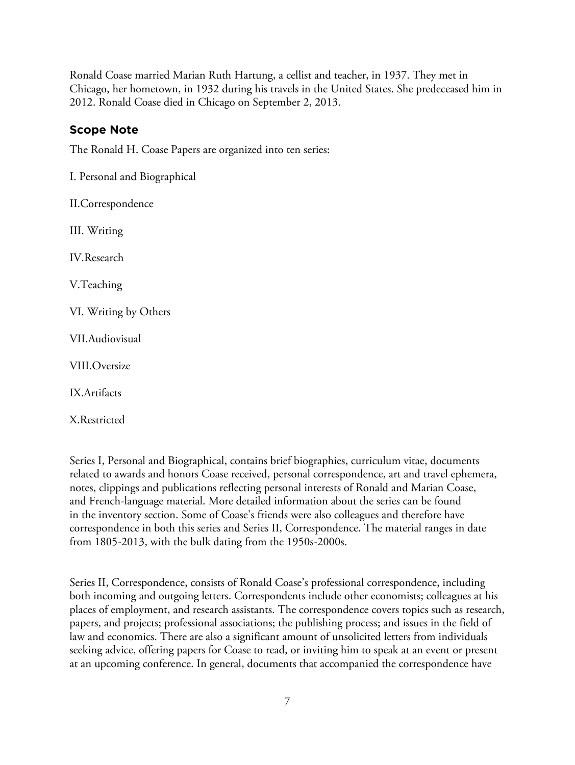Ronald Coase married Marian Ruth Hartung, a cellist and teacher, in 1937. They met in Chicago, her hometown, in 1932 during his travels in the United States. She predeceased him in 2012. Ronald Coase died in Chicago on September 2, 2013.

# **Scope Note**

The Ronald H. Coase Papers are organized into ten series:

I. Personal and Biographical

II.Correspondence

III. Writing

IV.Research

V.Teaching

VI. Writing by Others

VII.Audiovisual

VIII.Oversize

IX.Artifacts

X.Restricted

Series I, Personal and Biographical, contains brief biographies, curriculum vitae, documents related to awards and honors Coase received, personal correspondence, art and travel ephemera, notes, clippings and publications reflecting personal interests of Ronald and Marian Coase, and French-language material. More detailed information about the series can be found in the inventory section. Some of Coase's friends were also colleagues and therefore have correspondence in both this series and Series II, Correspondence. The material ranges in date from 1805-2013, with the bulk dating from the 1950s-2000s.

Series II, Correspondence, consists of Ronald Coase's professional correspondence, including both incoming and outgoing letters. Correspondents include other economists; colleagues at his places of employment, and research assistants. The correspondence covers topics such as research, papers, and projects; professional associations; the publishing process; and issues in the field of law and economics. There are also a significant amount of unsolicited letters from individuals seeking advice, offering papers for Coase to read, or inviting him to speak at an event or present at an upcoming conference. In general, documents that accompanied the correspondence have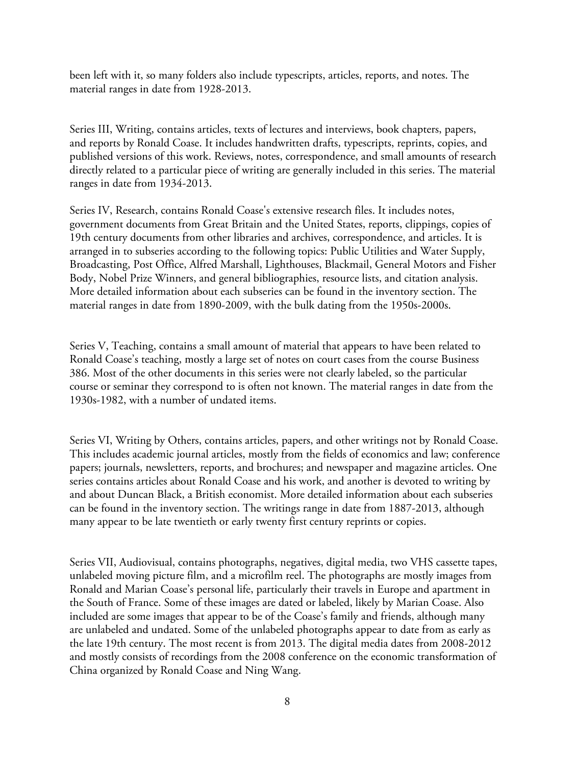been left with it, so many folders also include typescripts, articles, reports, and notes. The material ranges in date from 1928-2013.

Series III, Writing, contains articles, texts of lectures and interviews, book chapters, papers, and reports by Ronald Coase. It includes handwritten drafts, typescripts, reprints, copies, and published versions of this work. Reviews, notes, correspondence, and small amounts of research directly related to a particular piece of writing are generally included in this series. The material ranges in date from 1934-2013.

Series IV, Research, contains Ronald Coase's extensive research files. It includes notes, government documents from Great Britain and the United States, reports, clippings, copies of 19th century documents from other libraries and archives, correspondence, and articles. It is arranged in to subseries according to the following topics: Public Utilities and Water Supply, Broadcasting, Post Office, Alfred Marshall, Lighthouses, Blackmail, General Motors and Fisher Body, Nobel Prize Winners, and general bibliographies, resource lists, and citation analysis. More detailed information about each subseries can be found in the inventory section. The material ranges in date from 1890-2009, with the bulk dating from the 1950s-2000s.

Series V, Teaching, contains a small amount of material that appears to have been related to Ronald Coase's teaching, mostly a large set of notes on court cases from the course Business 386. Most of the other documents in this series were not clearly labeled, so the particular course or seminar they correspond to is often not known. The material ranges in date from the 1930s-1982, with a number of undated items.

Series VI, Writing by Others, contains articles, papers, and other writings not by Ronald Coase. This includes academic journal articles, mostly from the fields of economics and law; conference papers; journals, newsletters, reports, and brochures; and newspaper and magazine articles. One series contains articles about Ronald Coase and his work, and another is devoted to writing by and about Duncan Black, a British economist. More detailed information about each subseries can be found in the inventory section. The writings range in date from 1887-2013, although many appear to be late twentieth or early twenty first century reprints or copies.

Series VII, Audiovisual, contains photographs, negatives, digital media, two VHS cassette tapes, unlabeled moving picture film, and a microfilm reel. The photographs are mostly images from Ronald and Marian Coase's personal life, particularly their travels in Europe and apartment in the South of France. Some of these images are dated or labeled, likely by Marian Coase. Also included are some images that appear to be of the Coase's family and friends, although many are unlabeled and undated. Some of the unlabeled photographs appear to date from as early as the late 19th century. The most recent is from 2013. The digital media dates from 2008-2012 and mostly consists of recordings from the 2008 conference on the economic transformation of China organized by Ronald Coase and Ning Wang.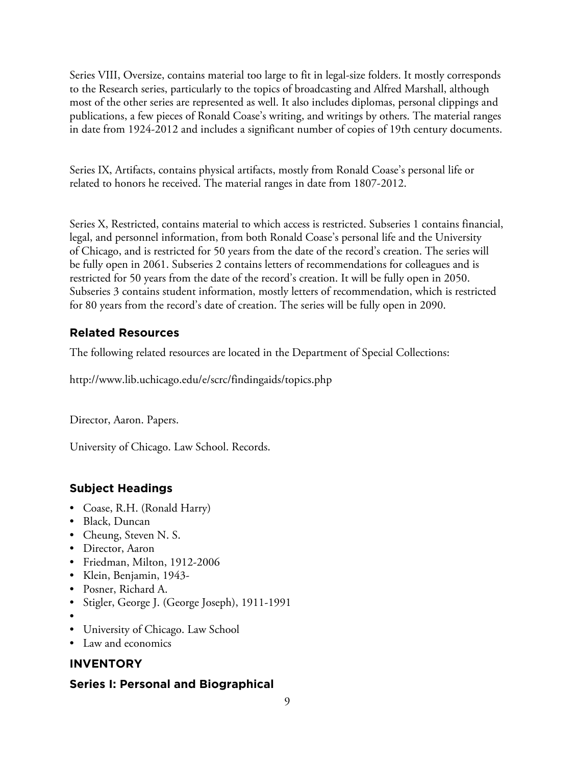Series VIII, Oversize, contains material too large to fit in legal-size folders. It mostly corresponds to the Research series, particularly to the topics of broadcasting and Alfred Marshall, although most of the other series are represented as well. It also includes diplomas, personal clippings and publications, a few pieces of Ronald Coase's writing, and writings by others. The material ranges in date from 1924-2012 and includes a significant number of copies of 19th century documents.

Series IX, Artifacts, contains physical artifacts, mostly from Ronald Coase's personal life or related to honors he received. The material ranges in date from 1807-2012.

Series X, Restricted, contains material to which access is restricted. Subseries 1 contains financial, legal, and personnel information, from both Ronald Coase's personal life and the University of Chicago, and is restricted for 50 years from the date of the record's creation. The series will be fully open in 2061. Subseries 2 contains letters of recommendations for colleagues and is restricted for 50 years from the date of the record's creation. It will be fully open in 2050. Subseries 3 contains student information, mostly letters of recommendation, which is restricted for 80 years from the record's date of creation. The series will be fully open in 2090.

# **Related Resources**

The following related resources are located in the Department of Special Collections:

http://www.lib.uchicago.edu/e/scrc/findingaids/topics.php

Director, Aaron. Papers.

University of Chicago. Law School. Records.

# **Subject Headings**

- Coase, R.H. (Ronald Harry)
- Black, Duncan
- Cheung, Steven N. S.
- Director, Aaron
- Friedman, Milton, 1912-2006
- Klein, Benjamin, 1943-
- Posner, Richard A.
- Stigler, George J. (George Joseph), 1911-1991
- •
- University of Chicago. Law School
- Law and economics

# **INVENTORY**

# **Series I: Personal and Biographical**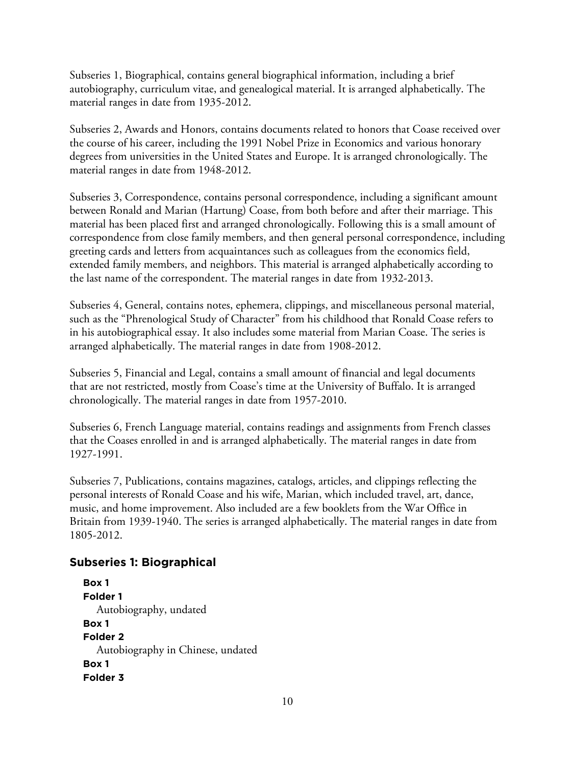Subseries 1, Biographical, contains general biographical information, including a brief autobiography, curriculum vitae, and genealogical material. It is arranged alphabetically. The material ranges in date from 1935-2012.

Subseries 2, Awards and Honors, contains documents related to honors that Coase received over the course of his career, including the 1991 Nobel Prize in Economics and various honorary degrees from universities in the United States and Europe. It is arranged chronologically. The material ranges in date from 1948-2012.

Subseries 3, Correspondence, contains personal correspondence, including a significant amount between Ronald and Marian (Hartung) Coase, from both before and after their marriage. This material has been placed first and arranged chronologically. Following this is a small amount of correspondence from close family members, and then general personal correspondence, including greeting cards and letters from acquaintances such as colleagues from the economics field, extended family members, and neighbors. This material is arranged alphabetically according to the last name of the correspondent. The material ranges in date from 1932-2013.

Subseries 4, General, contains notes, ephemera, clippings, and miscellaneous personal material, such as the "Phrenological Study of Character" from his childhood that Ronald Coase refers to in his autobiographical essay. It also includes some material from Marian Coase. The series is arranged alphabetically. The material ranges in date from 1908-2012.

Subseries 5, Financial and Legal, contains a small amount of financial and legal documents that are not restricted, mostly from Coase's time at the University of Buffalo. It is arranged chronologically. The material ranges in date from 1957-2010.

Subseries 6, French Language material, contains readings and assignments from French classes that the Coases enrolled in and is arranged alphabetically. The material ranges in date from 1927-1991.

Subseries 7, Publications, contains magazines, catalogs, articles, and clippings reflecting the personal interests of Ronald Coase and his wife, Marian, which included travel, art, dance, music, and home improvement. Also included are a few booklets from the War Office in Britain from 1939-1940. The series is arranged alphabetically. The material ranges in date from 1805-2012.

## **Subseries 1: Biographical**

```
Box 1
Folder 1
  Autobiography, undated
Box 1
Folder 2
  Autobiography in Chinese, undated
Box 1
Folder 3
```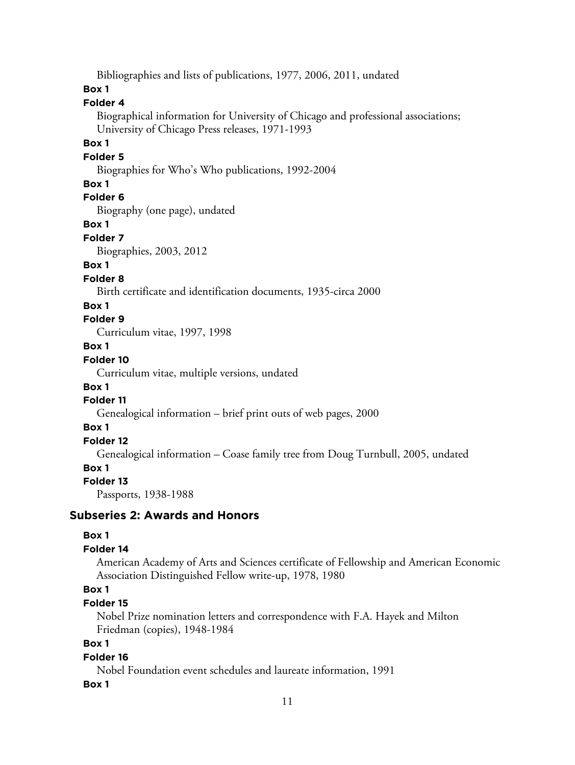Bibliographies and lists of publications, 1977, 2006, 2011, undated

#### **Box 1**

#### **Folder 4**

Biographical information for University of Chicago and professional associations; University of Chicago Press releases, 1971-1993

#### **Box 1**

#### **Folder 5**

Biographies for Who's Who publications, 1992-2004

#### **Box 1**

## **Folder 6**

Biography (one page), undated

#### **Box 1**

**Folder 7**

Biographies, 2003, 2012

#### **Box 1**

#### **Folder 8**

Birth certificate and identification documents, 1935-circa 2000

#### **Box 1**

**Folder 9**

Curriculum vitae, 1997, 1998

#### **Box 1**

#### **Folder 10**

Curriculum vitae, multiple versions, undated

#### **Box 1**

#### **Folder 11**

Genealogical information – brief print outs of web pages, 2000

#### **Box 1**

## **Folder 12**

Genealogical information – Coase family tree from Doug Turnbull, 2005, undated

#### **Box 1**

#### **Folder 13**

Passports, 1938-1988

#### **Subseries 2: Awards and Honors**

#### **Box 1**

#### **Folder 14**

American Academy of Arts and Sciences certificate of Fellowship and American Economic Association Distinguished Fellow write-up, 1978, 1980

## **Box 1**

#### **Folder 15**

Nobel Prize nomination letters and correspondence with F.A. Hayek and Milton Friedman (copies), 1948-1984

#### **Box 1**

#### **Folder 16**

Nobel Foundation event schedules and laureate information, 1991

#### **Box 1**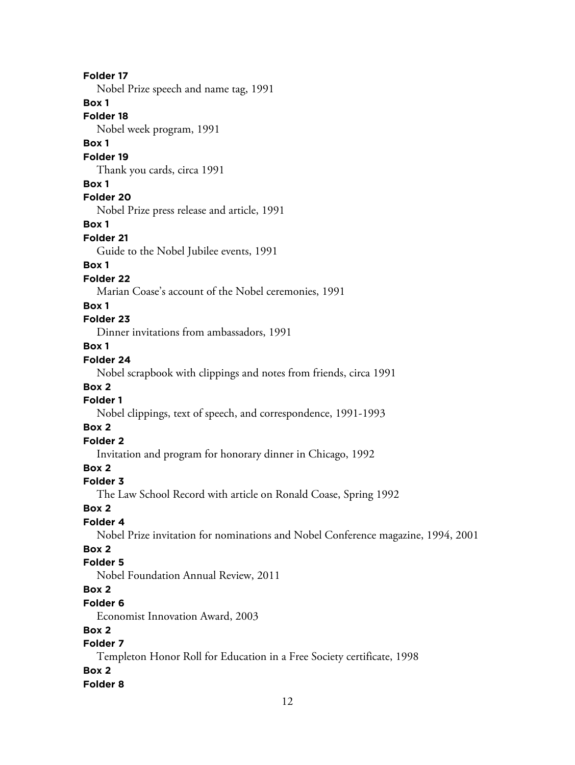#### **Folder 17**

Nobel Prize speech and name tag, 1991

#### **Box 1**

**Folder 18**

Nobel week program, 1991

#### **Box 1**

**Folder 19**

Thank you cards, circa 1991

## **Box 1**

**Folder 20**

Nobel Prize press release and article, 1991

#### **Box 1**

**Folder 21**

Guide to the Nobel Jubilee events, 1991

# **Box 1**

**Folder 22**

Marian Coase's account of the Nobel ceremonies, 1991

## **Box 1**

## **Folder 23**

Dinner invitations from ambassadors, 1991

## **Box 1**

## **Folder 24**

Nobel scrapbook with clippings and notes from friends, circa 1991

## **Box 2**

# **Folder 1**

Nobel clippings, text of speech, and correspondence, 1991-1993

# **Box 2**

# **Folder 2**

Invitation and program for honorary dinner in Chicago, 1992

# **Box 2**

## **Folder 3**

The Law School Record with article on Ronald Coase, Spring 1992

## **Box 2**

# **Folder 4**

Nobel Prize invitation for nominations and Nobel Conference magazine, 1994, 2001

# **Box 2**

## **Folder 5**

Nobel Foundation Annual Review, 2011

# **Box 2**

#### **Folder 6**

Economist Innovation Award, 2003

# **Box 2**

# **Folder 7**

Templeton Honor Roll for Education in a Free Society certificate, 1998

## **Box 2**

## **Folder 8**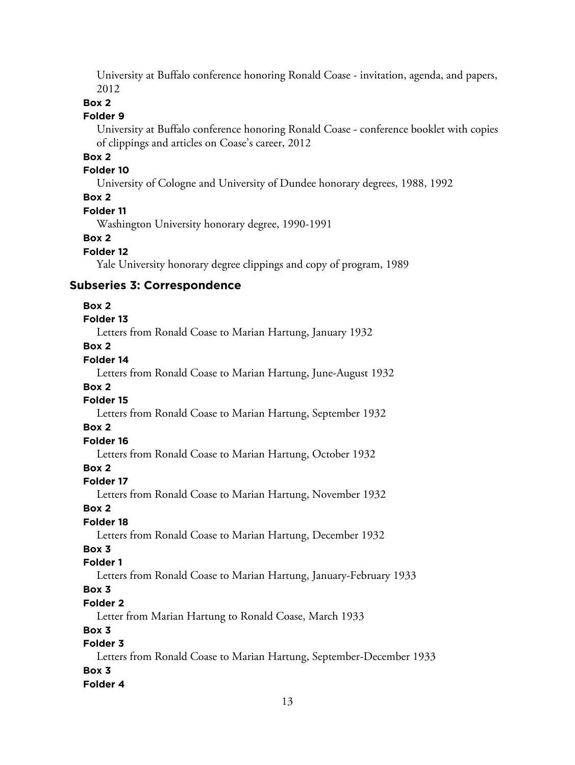University at Buffalo conference honoring Ronald Coase - invitation, agenda, and papers, 2012

#### **Box 2**

#### **Folder 9**

University at Buffalo conference honoring Ronald Coase - conference booklet with copies of clippings and articles on Coase's career, 2012

# **Box 2**

### **Folder 10**

University of Cologne and University of Dundee honorary degrees, 1988, 1992

## **Box 2**

#### **Folder 11**

Washington University honorary degree, 1990-1991

#### **Box 2**

#### **Folder 12**

Yale University honorary degree clippings and copy of program, 1989

#### **Subseries 3: Correspondence**

#### **Box 2**

#### **Folder 13**

Letters from Ronald Coase to Marian Hartung, January 1932

## **Box 2**

## **Folder 14**

Letters from Ronald Coase to Marian Hartung, June-August 1932

#### **Box 2**

# **Folder 15**

Letters from Ronald Coase to Marian Hartung, September 1932

#### **Box 2**

# **Folder 16**

Letters from Ronald Coase to Marian Hartung, October 1932

# **Box 2**

#### **Folder 17**

Letters from Ronald Coase to Marian Hartung, November 1932

#### **Box 2**

## **Folder 18**

Letters from Ronald Coase to Marian Hartung, December 1932

# **Box 3**

## **Folder 1**

Letters from Ronald Coase to Marian Hartung, January-February 1933

# **Box 3**

## **Folder 2**

Letter from Marian Hartung to Ronald Coase, March 1933

### **Box 3**

# **Folder 3**

Letters from Ronald Coase to Marian Hartung, September-December 1933 **Box 3**

#### **Folder 4**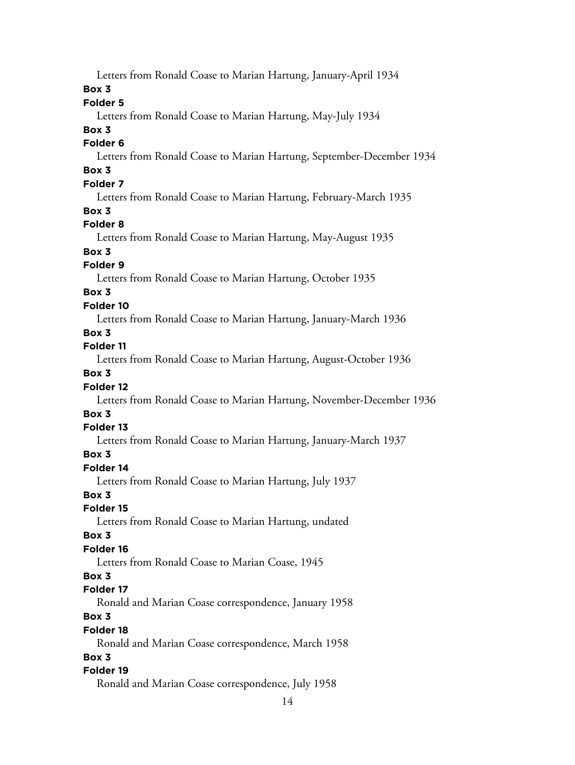Letters from Ronald Coase to Marian Hartung, January-April 1934

#### **Box 3**

## **Folder 5**

Letters from Ronald Coase to Marian Hartung, May-July 1934

#### **Box 3**

#### **Folder 6**

Letters from Ronald Coase to Marian Hartung, September-December 1934

# **Box 3**

# **Folder 7**

Letters from Ronald Coase to Marian Hartung, February-March 1935

#### **Box 3**

#### **Folder 8**

Letters from Ronald Coase to Marian Hartung, May-August 1935

#### **Box 3**

## **Folder 9**

Letters from Ronald Coase to Marian Hartung, October 1935

## **Box 3**

## **Folder 10**

Letters from Ronald Coase to Marian Hartung, January-March 1936

## **Box 3**

## **Folder 11**

Letters from Ronald Coase to Marian Hartung, August-October 1936

## **Box 3**

## **Folder 12**

Letters from Ronald Coase to Marian Hartung, November-December 1936

#### **Box 3**

## **Folder 13**

Letters from Ronald Coase to Marian Hartung, January-March 1937

## **Box 3**

#### **Folder 14**

Letters from Ronald Coase to Marian Hartung, July 1937

#### **Box 3**

#### **Folder 15**

Letters from Ronald Coase to Marian Hartung, undated

#### **Box 3**

## **Folder 16**

Letters from Ronald Coase to Marian Coase, 1945

#### **Box 3**

#### **Folder 17**

Ronald and Marian Coase correspondence, January 1958

# **Box 3**

#### **Folder 18**

Ronald and Marian Coase correspondence, March 1958

## **Box 3**

## **Folder 19**

Ronald and Marian Coase correspondence, July 1958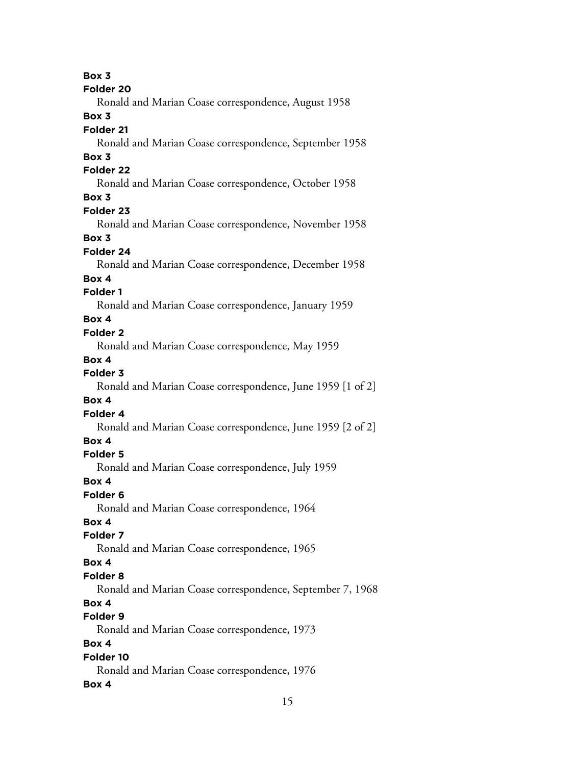**Box 3 Folder 20** Ronald and Marian Coase correspondence, August 1958 **Box 3 Folder 21** Ronald and Marian Coase correspondence, September 1958 **Box 3 Folder 22** Ronald and Marian Coase correspondence, October 1958 **Box 3 Folder 23** Ronald and Marian Coase correspondence, November 1958 **Box 3 Folder 24** Ronald and Marian Coase correspondence, December 1958 **Box 4 Folder 1** Ronald and Marian Coase correspondence, January 1959 **Box 4 Folder 2** Ronald and Marian Coase correspondence, May 1959 **Box 4 Folder 3** Ronald and Marian Coase correspondence, June 1959 [1 of 2] **Box 4 Folder 4** Ronald and Marian Coase correspondence, June 1959 [2 of 2] **Box 4 Folder 5** Ronald and Marian Coase correspondence, July 1959 **Box 4 Folder 6** Ronald and Marian Coase correspondence, 1964 **Box 4 Folder 7** Ronald and Marian Coase correspondence, 1965 **Box 4 Folder 8** Ronald and Marian Coase correspondence, September 7, 1968 **Box 4 Folder 9** Ronald and Marian Coase correspondence, 1973 **Box 4 Folder 10** Ronald and Marian Coase correspondence, 1976 **Box 4**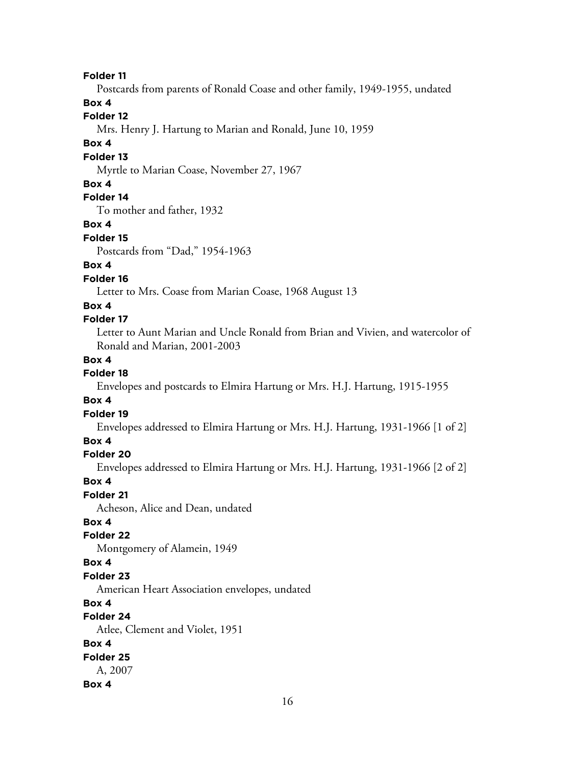**Folder 11**

Postcards from parents of Ronald Coase and other family, 1949-1955, undated

#### **Box 4**

## **Folder 12**

Mrs. Henry J. Hartung to Marian and Ronald, June 10, 1959

## **Box 4**

#### **Folder 13**

Myrtle to Marian Coase, November 27, 1967

#### **Box 4**

# **Folder 14**

To mother and father, 1932

### **Box 4**

#### **Folder 15**

Postcards from "Dad," 1954-1963

# **Box 4**

### **Folder 16**

Letter to Mrs. Coase from Marian Coase, 1968 August 13

#### **Box 4**

#### **Folder 17**

Letter to Aunt Marian and Uncle Ronald from Brian and Vivien, and watercolor of Ronald and Marian, 2001-2003

#### **Box 4**

## **Folder 18**

Envelopes and postcards to Elmira Hartung or Mrs. H.J. Hartung, 1915-1955

#### **Box 4**

#### **Folder 19**

Envelopes addressed to Elmira Hartung or Mrs. H.J. Hartung, 1931-1966 [1 of 2]

## **Box 4**

#### **Folder 20**

Envelopes addressed to Elmira Hartung or Mrs. H.J. Hartung, 1931-1966 [2 of 2]

#### **Box 4**

## **Folder 21**

Acheson, Alice and Dean, undated

## **Box 4**

#### **Folder 22**

Montgomery of Alamein, 1949

#### **Box 4**

#### **Folder 23**

American Heart Association envelopes, undated

#### **Box 4**

## **Folder 24**

Atlee, Clement and Violet, 1951

# **Box 4**

#### **Folder 25**

A, 2007

#### **Box 4**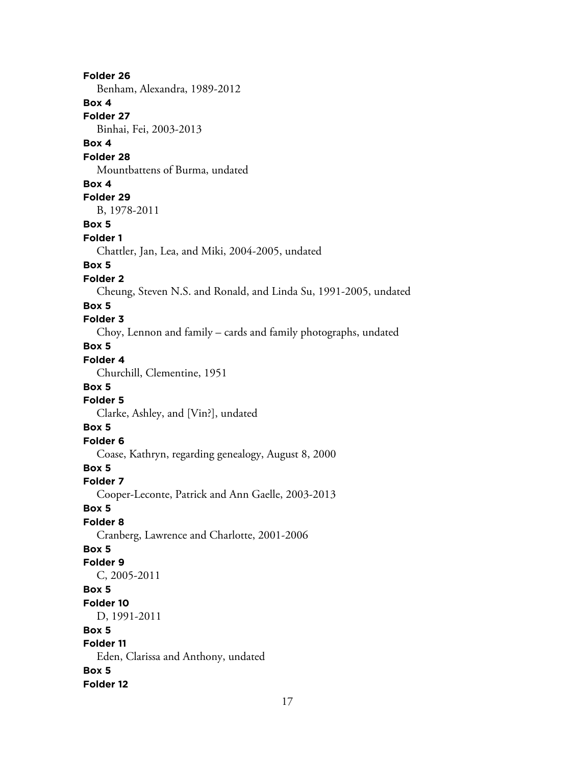**Folder 26** Benham, Alexandra, 1989-2012 **Box 4 Folder 27** Binhai, Fei, 2003-2013 **Box 4 Folder 28** Mountbattens of Burma, undated **Box 4 Folder 29** B, 1978-2011 **Box 5 Folder 1** Chattler, Jan, Lea, and Miki, 2004-2005, undated **Box 5 Folder 2** Cheung, Steven N.S. and Ronald, and Linda Su, 1991-2005, undated **Box 5 Folder 3** Choy, Lennon and family – cards and family photographs, undated **Box 5 Folder 4** Churchill, Clementine, 1951 **Box 5 Folder 5** Clarke, Ashley, and [Vin?], undated **Box 5 Folder 6** Coase, Kathryn, regarding genealogy, August 8, 2000 **Box 5 Folder 7** Cooper-Leconte, Patrick and Ann Gaelle, 2003-2013 **Box 5 Folder 8** Cranberg, Lawrence and Charlotte, 2001-2006 **Box 5 Folder 9** C, 2005-2011 **Box 5 Folder 10** D, 1991-2011 **Box 5 Folder 11** Eden, Clarissa and Anthony, undated **Box 5 Folder 12**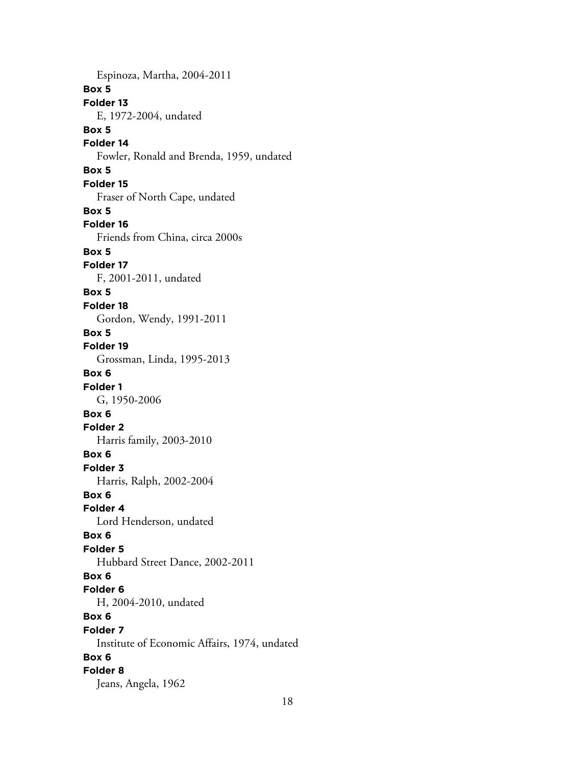Espinoza, Martha, 2004-2011 **Box 5 Folder 13** E, 1972-2004, undated **Box 5 Folder 14** Fowler, Ronald and Brenda, 1959, undated **Box 5 Folder 15** Fraser of North Cape, undated **Box 5 Folder 16** Friends from China, circa 2000s **Box 5 Folder 17** F, 2001-2011, undated **Box 5 Folder 18** Gordon, Wendy, 1991-2011 **Box 5 Folder 19** Grossman, Linda, 1995-2013 **Box 6 Folder 1** G, 1950-2006 **Box 6 Folder 2** Harris family, 2003-2010 **Box 6 Folder 3** Harris, Ralph, 2002-2004 **Box 6 Folder 4** Lord Henderson, undated **Box 6 Folder 5** Hubbard Street Dance, 2002-2011 **Box 6 Folder 6** H, 2004-2010, undated **Box 6 Folder 7** Institute of Economic Affairs, 1974, undated **Box 6 Folder 8** Jeans, Angela, 1962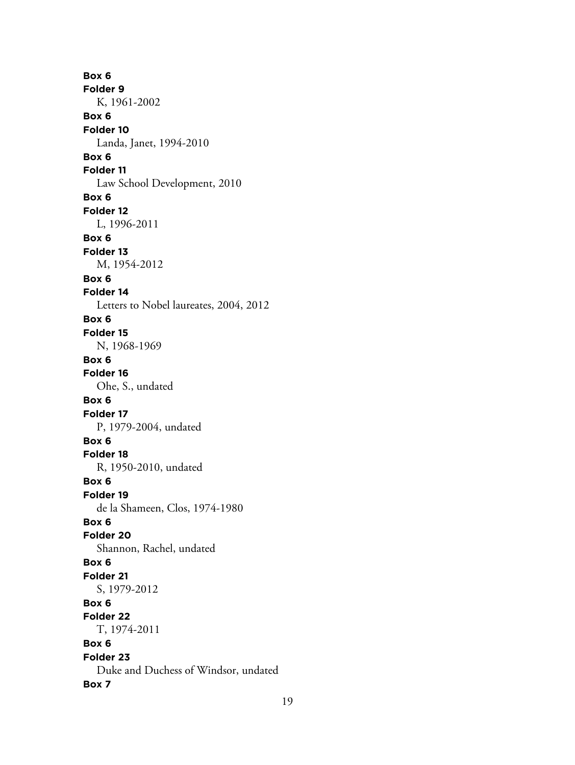**Box 6 Folder 9** K, 1961-2002 **Box 6 Folder 10** Landa, Janet, 1994-2010 **Box 6 Folder 11** Law School Development, 2010 **Box 6 Folder 12** L, 1996-2011 **Box 6 Folder 13** M, 1954-2012 **Box 6 Folder 14** Letters to Nobel laureates, 2004, 2012 **Box 6 Folder 15** N, 1968-1969 **Box 6 Folder 16** Ohe, S., undated **Box 6 Folder 17** P, 1979-2004, undated **Box 6 Folder 18** R, 1950-2010, undated **Box 6 Folder 19** de la Shameen, Clos, 1974-1980 **Box 6 Folder 20** Shannon, Rachel, undated **Box 6 Folder 21** S, 1979-2012 **Box 6 Folder 22** T, 1974-2011 **Box 6 Folder 23** Duke and Duchess of Windsor, undated **Box 7**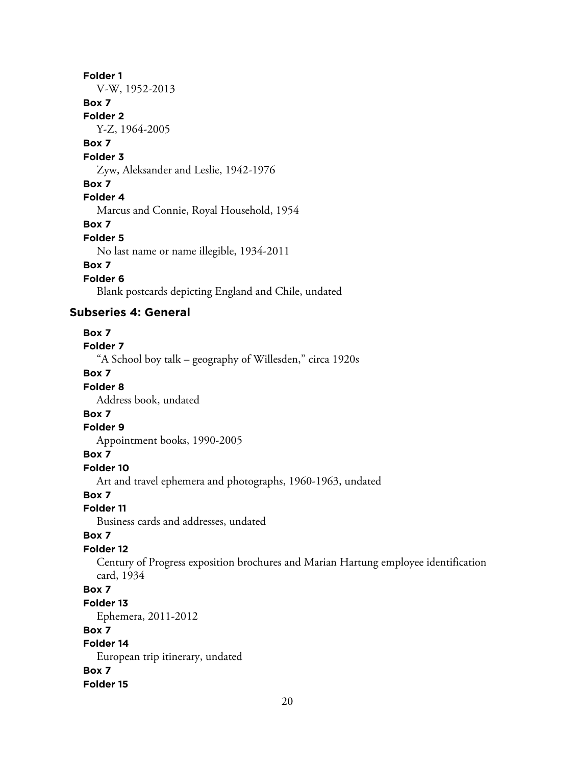#### **Folder 1**

V-W, 1952-2013

## **Box 7**

**Folder 2**

Y-Z, 1964-2005

# **Box 7**

**Folder 3**

Zyw, Aleksander and Leslie, 1942-1976

#### **Box 7**

#### **Folder 4**

Marcus and Connie, Royal Household, 1954

#### **Box 7**

#### **Folder 5**

No last name or name illegible, 1934-2011

## **Box 7**

**Folder 6**

Blank postcards depicting England and Chile, undated

## **Subseries 4: General**

#### **Box 7**

**Folder 7**

"A School boy talk – geography of Willesden," circa 1920s

## **Box 7**

## **Folder 8**

Address book, undated

# **Box 7**

### **Folder 9**

Appointment books, 1990-2005

#### **Box 7**

#### **Folder 10**

Art and travel ephemera and photographs, 1960-1963, undated

## **Box 7**

#### **Folder 11**

Business cards and addresses, undated

## **Box 7**

## **Folder 12**

Century of Progress exposition brochures and Marian Hartung employee identification card, 1934

## **Box 7**

#### **Folder 13**

Ephemera, 2011-2012

#### **Box 7**

# **Folder 14**

European trip itinerary, undated **Box 7 Folder 15**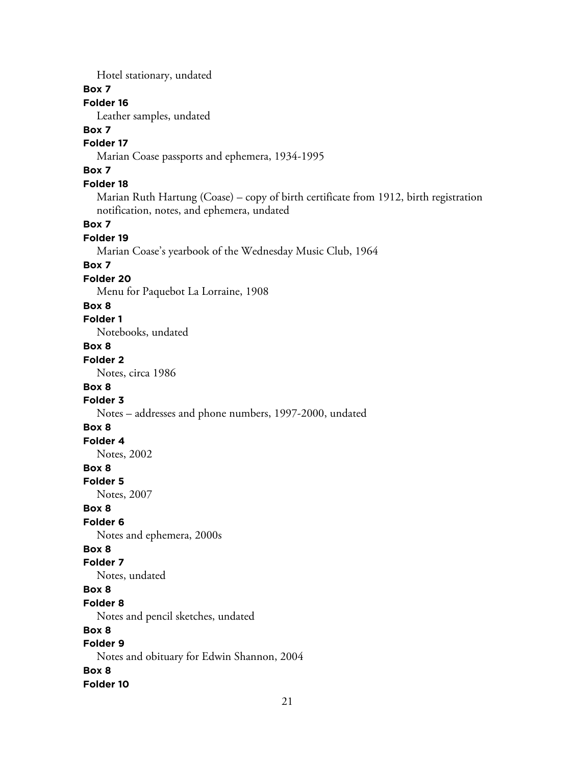Hotel stationary, undated

#### **Box 7**

## **Folder 16**

Leather samples, undated

## **Box 7**

## **Folder 17**

Marian Coase passports and ephemera, 1934-1995

# **Box 7**

## **Folder 18**

Marian Ruth Hartung (Coase) – copy of birth certificate from 1912, birth registration notification, notes, and ephemera, undated

#### **Box 7**

#### **Folder 19**

Marian Coase's yearbook of the Wednesday Music Club, 1964

#### **Box 7**

#### **Folder 20**

Menu for Paquebot La Lorraine, 1908

#### **Box 8**

#### **Folder 1**

Notebooks, undated

## **Box 8**

## **Folder 2**

Notes, circa 1986

#### **Box 8**

## **Folder 3**

#### Notes – addresses and phone numbers, 1997-2000, undated

## **Box 8**

# **Folder 4**

Notes, 2002

## **Box 8**

#### **Folder 5**

Notes, 2007

#### **Box 8**

#### **Folder 6**

Notes and ephemera, 2000s

## **Box 8**

## **Folder 7**

Notes, undated

# **Box 8**

#### **Folder 8**

Notes and pencil sketches, undated

## **Box 8**

# **Folder 9**

Notes and obituary for Edwin Shannon, 2004

## **Box 8**

**Folder 10**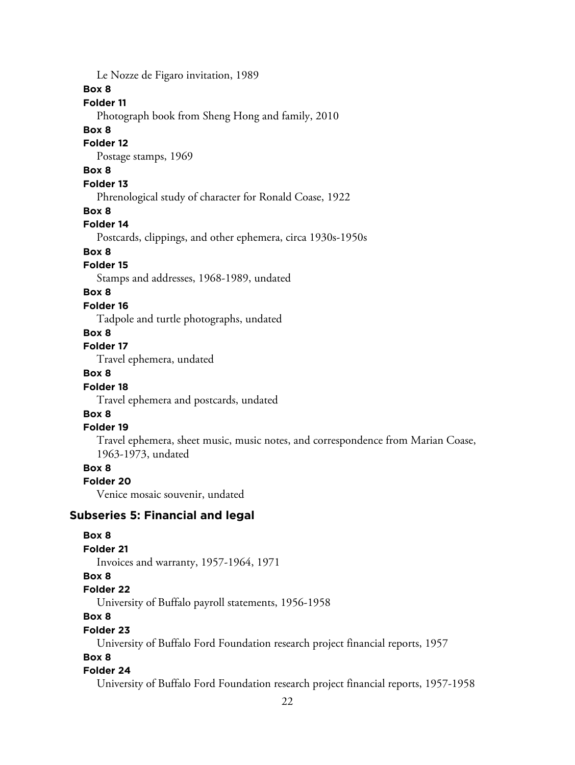Le Nozze de Figaro invitation, 1989

#### **Box 8**

# **Folder 11**

Photograph book from Sheng Hong and family, 2010

#### **Box 8**

#### **Folder 12**

Postage stamps, 1969

# **Box 8**

# **Folder 13**

Phrenological study of character for Ronald Coase, 1922

#### **Box 8**

#### **Folder 14**

Postcards, clippings, and other ephemera, circa 1930s-1950s

## **Box 8**

## **Folder 15**

Stamps and addresses, 1968-1989, undated

## **Box 8**

#### **Folder 16**

Tadpole and turtle photographs, undated

#### **Box 8**

# **Folder 17**

Travel ephemera, undated

## **Box 8**

#### **Folder 18**

Travel ephemera and postcards, undated

## **Box 8**

#### **Folder 19**

Travel ephemera, sheet music, music notes, and correspondence from Marian Coase, 1963-1973, undated

## **Box 8**

#### **Folder 20**

Venice mosaic souvenir, undated

#### **Subseries 5: Financial and legal**

## **Box 8 Folder 21** Invoices and warranty, 1957-1964, 1971 **Box 8 Folder 22** University of Buffalo payroll statements, 1956-1958 **Box 8 Folder 23** University of Buffalo Ford Foundation research project financial reports, 1957

#### **Box 8**

#### **Folder 24**

University of Buffalo Ford Foundation research project financial reports, 1957-1958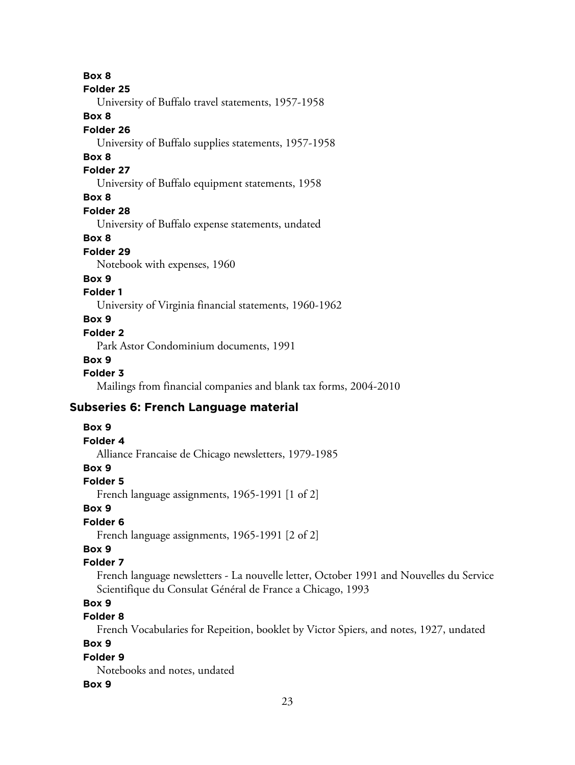**Box 8**

#### **Folder 25**

University of Buffalo travel statements, 1957-1958

#### **Box 8**

#### **Folder 26**

University of Buffalo supplies statements, 1957-1958

#### **Box 8**

#### **Folder 27**

University of Buffalo equipment statements, 1958

## **Box 8**

## **Folder 28**

University of Buffalo expense statements, undated

#### **Box 8**

#### **Folder 29**

Notebook with expenses, 1960

#### **Box 9**

## **Folder 1**

University of Virginia financial statements, 1960-1962

#### **Box 9**

#### **Folder 2**

Park Astor Condominium documents, 1991

#### **Box 9**

#### **Folder 3**

Mailings from financial companies and blank tax forms, 2004-2010

## **Subseries 6: French Language material**

#### **Box 9**

#### **Folder 4**

Alliance Francaise de Chicago newsletters, 1979-1985

## **Box 9**

#### **Folder 5**

French language assignments, 1965-1991 [1 of 2]

#### **Box 9**

## **Folder 6**

French language assignments, 1965-1991 [2 of 2]

# **Box 9**

#### **Folder 7**

French language newsletters - La nouvelle letter, October 1991 and Nouvelles du Service Scientifique du Consulat Général de France a Chicago, 1993

## **Box 9**

# **Folder 8**

French Vocabularies for Repeition, booklet by Victor Spiers, and notes, 1927, undated

## **Box 9**

## **Folder 9**

Notebooks and notes, undated

#### **Box 9**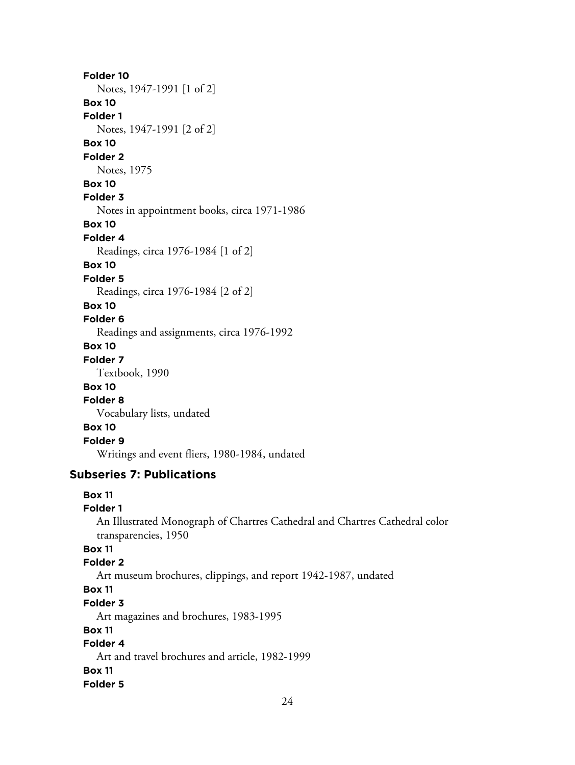# **Folder 10** Notes, 1947-1991 [1 of 2] **Box 10 Folder 1** Notes, 1947-1991 [2 of 2] **Box 10 Folder 2** Notes, 1975 **Box 10 Folder 3** Notes in appointment books, circa 1971-1986 **Box 10 Folder 4** Readings, circa 1976-1984 [1 of 2] **Box 10 Folder 5** Readings, circa 1976-1984 [2 of 2] **Box 10 Folder 6** Readings and assignments, circa 1976-1992 **Box 10 Folder 7** Textbook, 1990 **Box 10 Folder 8** Vocabulary lists, undated **Box 10 Folder 9** Writings and event fliers, 1980-1984, undated

# **Subseries 7: Publications**

## **Box 11**

#### **Folder 1**

An Illustrated Monograph of Chartres Cathedral and Chartres Cathedral color transparencies, 1950

## **Box 11**

#### **Folder 2**

Art museum brochures, clippings, and report 1942-1987, undated

## **Box 11**

#### **Folder 3**

Art magazines and brochures, 1983-1995

#### **Box 11**

# **Folder 4**

Art and travel brochures and article, 1982-1999

#### **Box 11**

**Folder 5**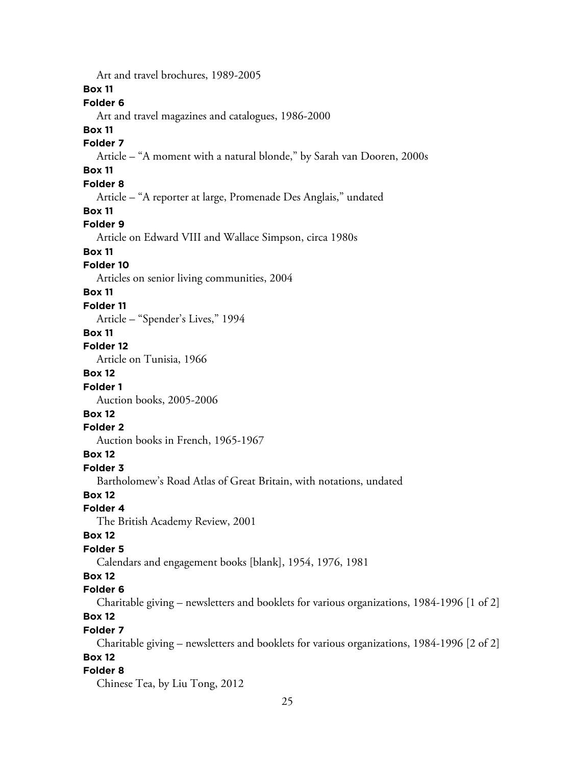Art and travel brochures, 1989-2005 **Box 11 Folder 6** Art and travel magazines and catalogues, 1986-2000 **Box 11 Folder 7** Article – "A moment with a natural blonde," by Sarah van Dooren, 2000s **Box 11 Folder 8** Article – "A reporter at large, Promenade Des Anglais," undated **Box 11 Folder 9** Article on Edward VIII and Wallace Simpson, circa 1980s **Box 11 Folder 10** Articles on senior living communities, 2004 **Box 11 Folder 11** Article – "Spender's Lives," 1994 **Box 11 Folder 12** Article on Tunisia, 1966 **Box 12 Folder 1** Auction books, 2005-2006 **Box 12 Folder 2** Auction books in French, 1965-1967 **Box 12 Folder 3** Bartholomew's Road Atlas of Great Britain, with notations, undated **Box 12 Folder 4** The British Academy Review, 2001 **Box 12 Folder 5** Calendars and engagement books [blank], 1954, 1976, 1981 **Box 12 Folder 6** Charitable giving – newsletters and booklets for various organizations, 1984-1996 [1 of 2] **Box 12 Folder 7** Charitable giving – newsletters and booklets for various organizations, 1984-1996 [2 of 2] **Box 12 Folder 8** Chinese Tea, by Liu Tong, 2012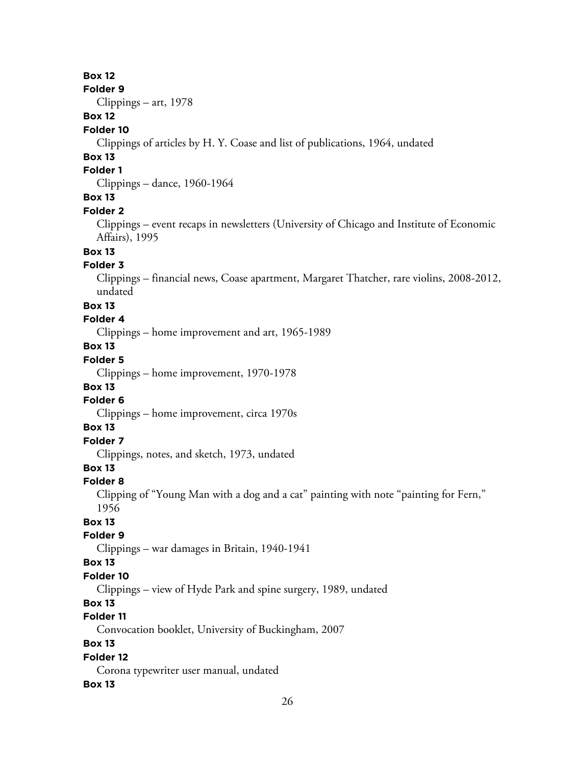## **Box 12**

**Folder 9**

Clippings – art, 1978

# **Box 12**

#### **Folder 10**

Clippings of articles by H. Y. Coase and list of publications, 1964, undated

#### **Box 13**

#### **Folder 1**

Clippings – dance, 1960-1964

#### **Box 13**

#### **Folder 2**

Clippings – event recaps in newsletters (University of Chicago and Institute of Economic Affairs), 1995

# **Box 13**

#### **Folder 3**

Clippings – financial news, Coase apartment, Margaret Thatcher, rare violins, 2008-2012, undated

#### **Box 13**

## **Folder 4**

Clippings – home improvement and art, 1965-1989

# **Box 13**

# **Folder 5**

Clippings – home improvement, 1970-1978

## **Box 13**

## **Folder 6**

Clippings – home improvement, circa 1970s

#### **Box 13**

# **Folder 7**

Clippings, notes, and sketch, 1973, undated

# **Box 13**

#### **Folder 8**

Clipping of "Young Man with a dog and a cat" painting with note "painting for Fern," 1956

#### **Box 13**

#### **Folder 9**

Clippings – war damages in Britain, 1940-1941

#### **Box 13**

#### **Folder 10**

Clippings – view of Hyde Park and spine surgery, 1989, undated

#### **Box 13**

## **Folder 11**

Convocation booklet, University of Buckingham, 2007

# **Box 13**

## **Folder 12**

Corona typewriter user manual, undated

#### **Box 13**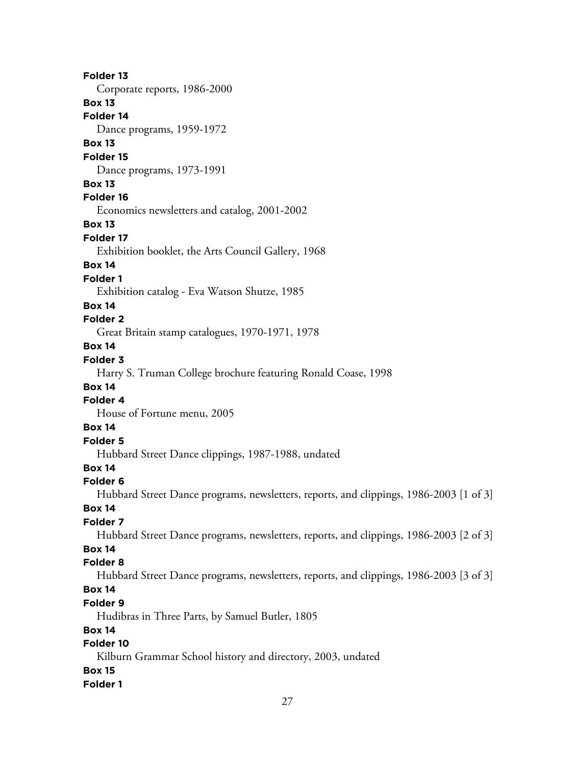**Folder 13** Corporate reports, 1986-2000 **Box 13 Folder 14** Dance programs, 1959-1972 **Box 13 Folder 15** Dance programs, 1973-1991 **Box 13 Folder 16** Economics newsletters and catalog, 2001-2002 **Box 13 Folder 17** Exhibition booklet, the Arts Council Gallery, 1968 **Box 14 Folder 1** Exhibition catalog - Eva Watson Shutze, 1985 **Box 14 Folder 2** Great Britain stamp catalogues, 1970-1971, 1978 **Box 14 Folder 3** Harry S. Truman College brochure featuring Ronald Coase, 1998 **Box 14 Folder 4** House of Fortune menu, 2005 **Box 14 Folder 5** Hubbard Street Dance clippings, 1987-1988, undated **Box 14 Folder 6** Hubbard Street Dance programs, newsletters, reports, and clippings, 1986-2003 [1 of 3] **Box 14 Folder 7** Hubbard Street Dance programs, newsletters, reports, and clippings, 1986-2003 [2 of 3] **Box 14 Folder 8** Hubbard Street Dance programs, newsletters, reports, and clippings, 1986-2003 [3 of 3] **Box 14 Folder 9** Hudibras in Three Parts, by Samuel Butler, 1805 **Box 14 Folder 10** Kilburn Grammar School history and directory, 2003, undated **Box 15 Folder 1**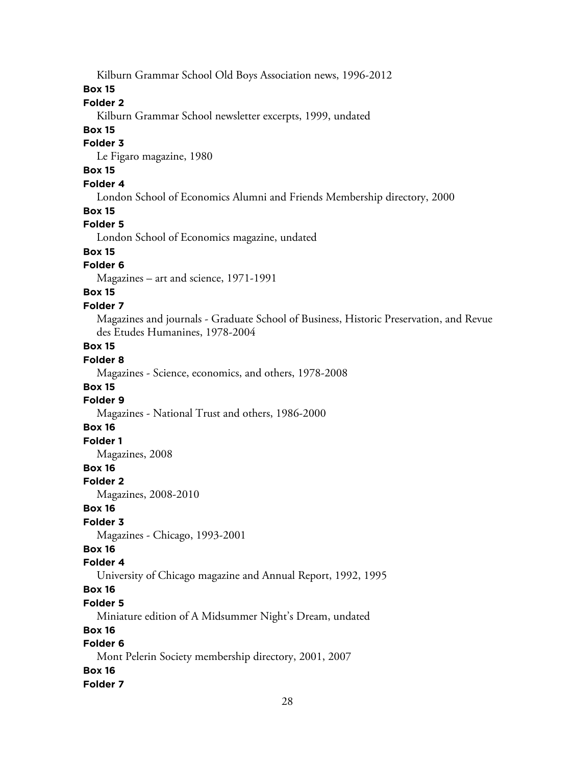Kilburn Grammar School Old Boys Association news, 1996-2012

#### **Box 15**

# **Folder 2**

Kilburn Grammar School newsletter excerpts, 1999, undated

#### **Box 15**

#### **Folder 3**

Le Figaro magazine, 1980

## **Box 15**

## **Folder 4**

London School of Economics Alumni and Friends Membership directory, 2000

#### **Box 15**

## **Folder 5**

London School of Economics magazine, undated

# **Box 15**

## **Folder 6**

Magazines – art and science, 1971-1991

# **Box 15**

## **Folder 7**

Magazines and journals - Graduate School of Business, Historic Preservation, and Revue des Etudes Humanines, 1978-2004

## **Box 15**

# **Folder 8**

Magazines - Science, economics, and others, 1978-2008

#### **Box 15**

## **Folder 9**

Magazines - National Trust and others, 1986-2000

## **Box 16**

## **Folder 1**

Magazines, 2008

## **Box 16**

#### **Folder 2**

Magazines, 2008-2010

## **Box 16**

## **Folder 3**

Magazines - Chicago, 1993-2001

## **Box 16**

## **Folder 4**

University of Chicago magazine and Annual Report, 1992, 1995

# **Box 16**

## **Folder 5**

Miniature edition of A Midsummer Night's Dream, undated

## **Box 16**

# **Folder 6**

Mont Pelerin Society membership directory, 2001, 2007

## **Box 16**

#### **Folder 7**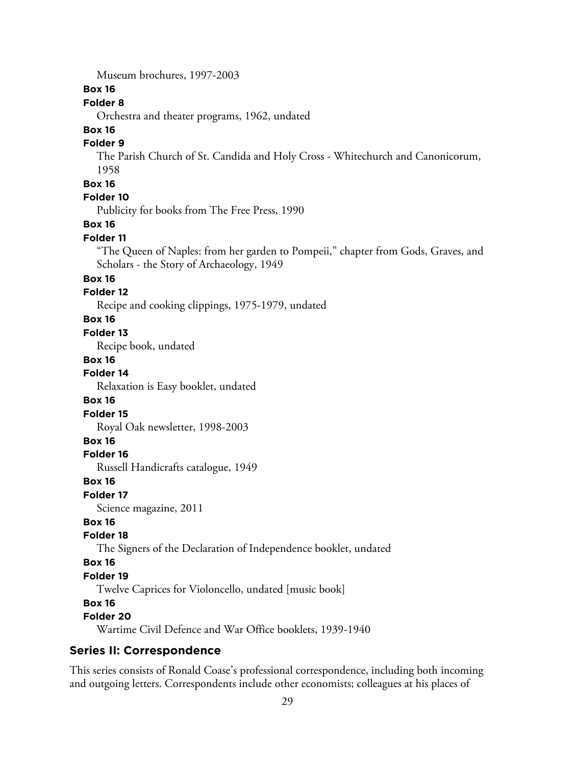Museum brochures, 1997-2003

## **Box 16**

# **Folder 8**

Orchestra and theater programs, 1962, undated

# **Box 16**

## **Folder 9**

The Parish Church of St. Candida and Holy Cross - Whitechurch and Canonicorum, 1958

## **Box 16**

# **Folder 10**

Publicity for books from The Free Press, 1990

#### **Box 16**

#### **Folder 11**

"The Queen of Naples: from her garden to Pompeii," chapter from Gods, Graves, and Scholars - the Story of Archaeology, 1949

#### **Box 16**

## **Folder 12**

Recipe and cooking clippings, 1975-1979, undated

#### **Box 16**

#### **Folder 13**

Recipe book, undated

#### **Box 16**

**Folder 14**

Relaxation is Easy booklet, undated

#### **Box 16**

**Folder 15**

Royal Oak newsletter, 1998-2003

#### **Box 16**

#### **Folder 16**

Russell Handicrafts catalogue, 1949

#### **Box 16**

#### **Folder 17**

Science magazine, 2011

#### **Box 16**

#### **Folder 18**

The Signers of the Declaration of Independence booklet, undated

#### **Box 16**

#### **Folder 19**

Twelve Caprices for Violoncello, undated [music book]

## **Box 16**

## **Folder 20**

Wartime Civil Defence and War Office booklets, 1939-1940

#### **Series II: Correspondence**

This series consists of Ronald Coase's professional correspondence, including both incoming and outgoing letters. Correspondents include other economists; colleagues at his places of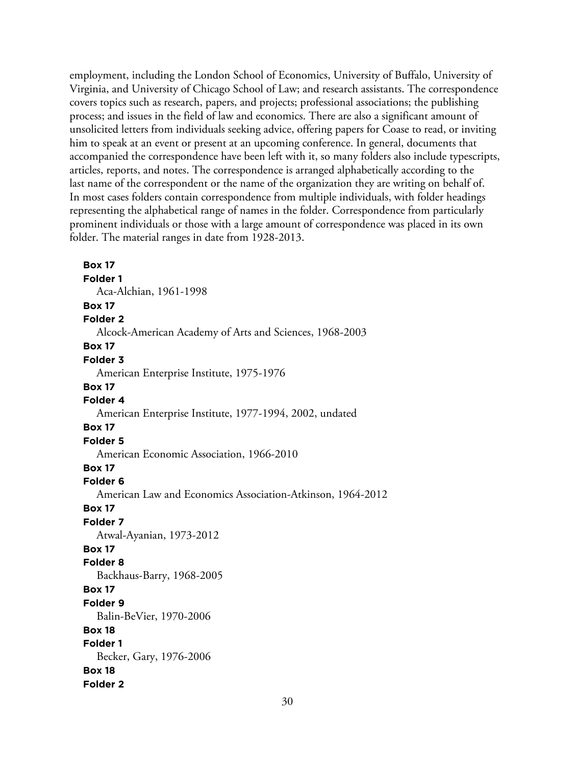employment, including the London School of Economics, University of Buffalo, University of Virginia, and University of Chicago School of Law; and research assistants. The correspondence covers topics such as research, papers, and projects; professional associations; the publishing process; and issues in the field of law and economics. There are also a significant amount of unsolicited letters from individuals seeking advice, offering papers for Coase to read, or inviting him to speak at an event or present at an upcoming conference. In general, documents that accompanied the correspondence have been left with it, so many folders also include typescripts, articles, reports, and notes. The correspondence is arranged alphabetically according to the last name of the correspondent or the name of the organization they are writing on behalf of. In most cases folders contain correspondence from multiple individuals, with folder headings representing the alphabetical range of names in the folder. Correspondence from particularly prominent individuals or those with a large amount of correspondence was placed in its own folder. The material ranges in date from 1928-2013.

**Box 17 Folder 1** Aca-Alchian, 1961-1998 **Box 17 Folder 2** Alcock-American Academy of Arts and Sciences, 1968-2003 **Box 17 Folder 3** American Enterprise Institute, 1975-1976 **Box 17 Folder 4** American Enterprise Institute, 1977-1994, 2002, undated **Box 17 Folder 5** American Economic Association, 1966-2010 **Box 17 Folder 6** American Law and Economics Association-Atkinson, 1964-2012 **Box 17 Folder 7** Atwal-Ayanian, 1973-2012 **Box 17 Folder 8** Backhaus-Barry, 1968-2005 **Box 17 Folder 9** Balin-BeVier, 1970-2006 **Box 18 Folder 1** Becker, Gary, 1976-2006 **Box 18 Folder 2**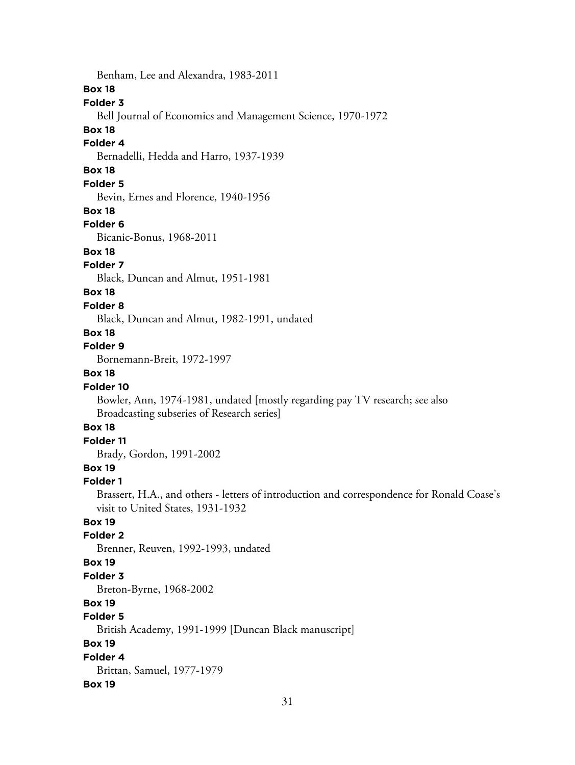Benham, Lee and Alexandra, 1983-2011

#### **Box 18**

#### **Folder 3**

Bell Journal of Economics and Management Science, 1970-1972

## **Box 18**

#### **Folder 4**

Bernadelli, Hedda and Harro, 1937-1939

## **Box 18**

#### **Folder 5**

Bevin, Ernes and Florence, 1940-1956

#### **Box 18**

#### **Folder 6**

Bicanic-Bonus, 1968-2011

#### **Box 18**

## **Folder 7**

Black, Duncan and Almut, 1951-1981

## **Box 18**

## **Folder 8**

Black, Duncan and Almut, 1982-1991, undated

## **Box 18**

# **Folder 9**

Bornemann-Breit, 1972-1997

# **Box 18**

## **Folder 10**

Bowler, Ann, 1974-1981, undated [mostly regarding pay TV research; see also Broadcasting subseries of Research series]

## **Box 18**

# **Folder 11**

Brady, Gordon, 1991-2002

# **Box 19**

## **Folder 1**

Brassert, H.A., and others - letters of introduction and correspondence for Ronald Coase's visit to United States, 1931-1932

## **Box 19**

## **Folder 2**

Brenner, Reuven, 1992-1993, undated

#### **Box 19**

## **Folder 3**

Breton-Byrne, 1968-2002

# **Box 19**

# **Folder 5**

British Academy, 1991-1999 [Duncan Black manuscript]

## **Box 19**

**Folder 4** Brittan, Samuel, 1977-1979

## **Box 19**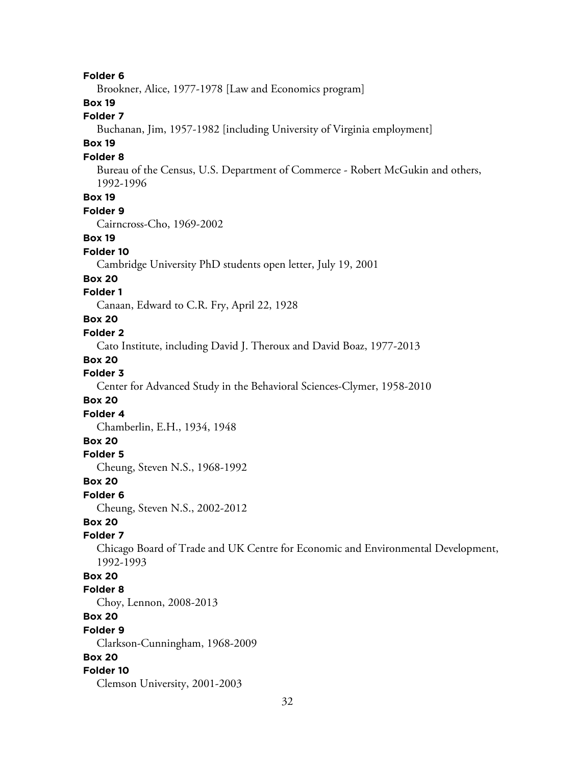**Folder 6**

Brookner, Alice, 1977-1978 [Law and Economics program]

**Box 19**

## **Folder 7**

Buchanan, Jim, 1957-1982 [including University of Virginia employment]

## **Box 19**

#### **Folder 8**

Bureau of the Census, U.S. Department of Commerce - Robert McGukin and others, 1992-1996

# **Box 19**

#### **Folder 9**

Cairncross-Cho, 1969-2002

#### **Box 19**

#### **Folder 10**

Cambridge University PhD students open letter, July 19, 2001

#### **Box 20**

#### **Folder 1**

Canaan, Edward to C.R. Fry, April 22, 1928

## **Box 20**

#### **Folder 2**

Cato Institute, including David J. Theroux and David Boaz, 1977-2013

#### **Box 20**

#### **Folder 3**

Center for Advanced Study in the Behavioral Sciences-Clymer, 1958-2010

#### **Box 20**

**Folder 4**

Chamberlin, E.H., 1934, 1948

## **Box 20**

**Folder 5**

Cheung, Steven N.S., 1968-1992

#### **Box 20**

**Folder 6**

Cheung, Steven N.S., 2002-2012

## **Box 20**

#### **Folder 7**

Chicago Board of Trade and UK Centre for Economic and Environmental Development, 1992-1993

#### **Box 20**

#### **Folder 8**

Choy, Lennon, 2008-2013

#### **Box 20**

#### **Folder 9**

Clarkson-Cunningham, 1968-2009

#### **Box 20**

#### **Folder 10**

Clemson University, 2001-2003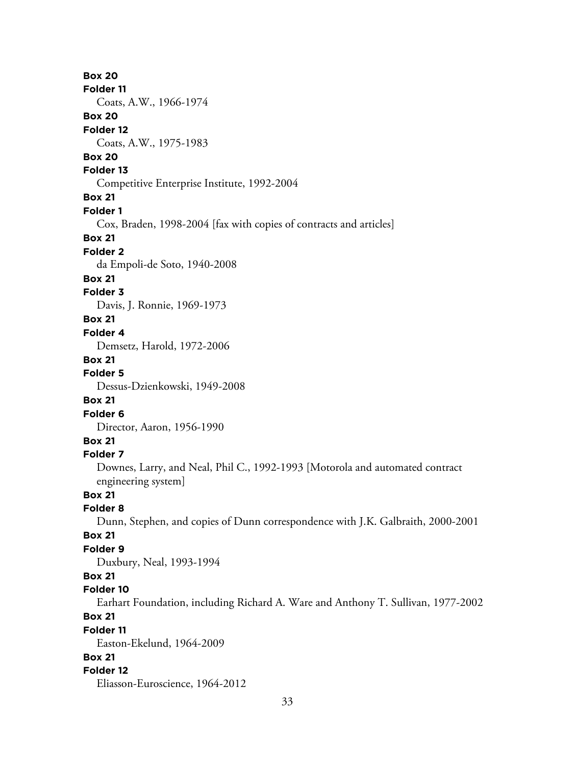**Box 20 Folder 11** Coats, A.W., 1966-1974 **Box 20 Folder 12** Coats, A.W., 1975-1983 **Box 20 Folder 13** Competitive Enterprise Institute, 1992-2004 **Box 21 Folder 1** Cox, Braden, 1998-2004 [fax with copies of contracts and articles] **Box 21 Folder 2** da Empoli-de Soto, 1940-2008 **Box 21 Folder 3** Davis, J. Ronnie, 1969-1973 **Box 21 Folder 4** Demsetz, Harold, 1972-2006 **Box 21 Folder 5** Dessus-Dzienkowski, 1949-2008 **Box 21 Folder 6** Director, Aaron, 1956-1990 **Box 21 Folder 7** Downes, Larry, and Neal, Phil C., 1992-1993 [Motorola and automated contract engineering system] **Box 21 Folder 8** Dunn, Stephen, and copies of Dunn correspondence with J.K. Galbraith, 2000-2001 **Box 21 Folder 9** Duxbury, Neal, 1993-1994 **Box 21 Folder 10** Earhart Foundation, including Richard A. Ware and Anthony T. Sullivan, 1977-2002 **Box 21 Folder 11** Easton-Ekelund, 1964-2009 **Box 21 Folder 12** Eliasson-Euroscience, 1964-2012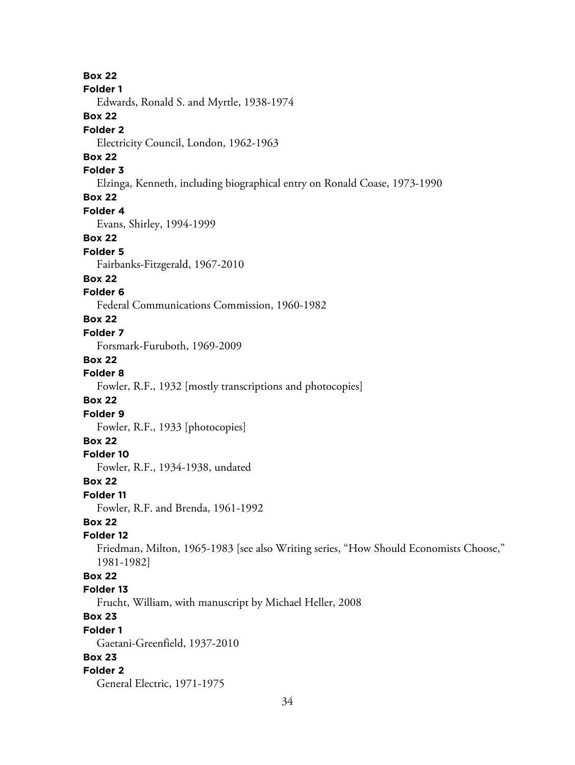**Box 22 Folder 1** Edwards, Ronald S. and Myrtle, 1938-1974 **Box 22 Folder 2** Electricity Council, London, 1962-1963 **Box 22 Folder 3** Elzinga, Kenneth, including biographical entry on Ronald Coase, 1973-1990 **Box 22 Folder 4** Evans, Shirley, 1994-1999 **Box 22 Folder 5** Fairbanks-Fitzgerald, 1967-2010 **Box 22 Folder 6** Federal Communications Commission, 1960-1982 **Box 22 Folder 7** Forsmark-Furuboth, 1969-2009 **Box 22 Folder 8** Fowler, R.F., 1932 [mostly transcriptions and photocopies] **Box 22 Folder 9** Fowler, R.F., 1933 [photocopies] **Box 22 Folder 10** Fowler, R.F., 1934-1938, undated **Box 22 Folder 11** Fowler, R.F. and Brenda, 1961-1992 **Box 22 Folder 12** Friedman, Milton, 1965-1983 [see also Writing series, "How Should Economists Choose," 1981-1982] **Box 22 Folder 13** Frucht, William, with manuscript by Michael Heller, 2008 **Box 23 Folder 1** Gaetani-Greenfield, 1937-2010 **Box 23 Folder 2** General Electric, 1971-1975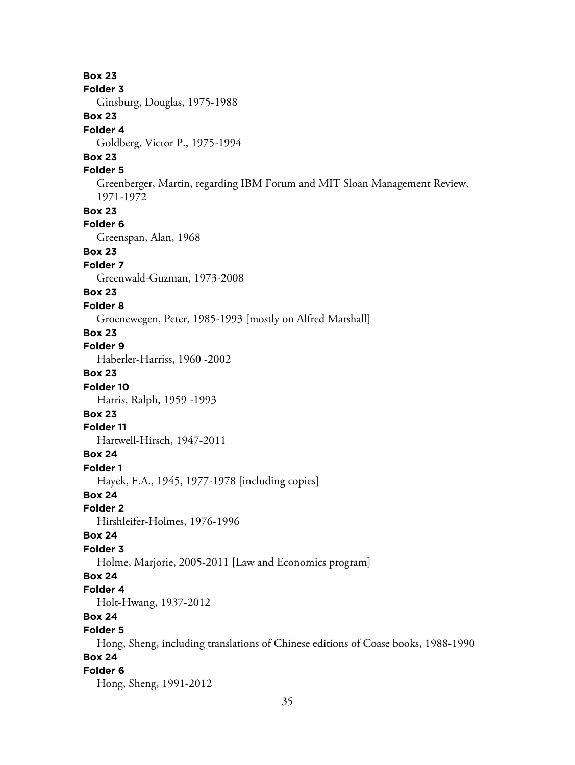**Box 23 Folder 3** Ginsburg, Douglas, 1975-1988 **Box 23 Folder 4** Goldberg, Victor P., 1975-1994 **Box 23 Folder 5** Greenberger, Martin, regarding IBM Forum and MIT Sloan Management Review, 1971-1972 **Box 23 Folder 6** Greenspan, Alan, 1968 **Box 23 Folder 7** Greenwald-Guzman, 1973-2008 **Box 23 Folder 8** Groenewegen, Peter, 1985-1993 [mostly on Alfred Marshall] **Box 23 Folder 9** Haberler-Harriss, 1960 -2002 **Box 23 Folder 10** Harris, Ralph, 1959 -1993 **Box 23 Folder 11** Hartwell-Hirsch, 1947-2011 **Box 24 Folder 1** Hayek, F.A., 1945, 1977-1978 [including copies] **Box 24 Folder 2** Hirshleifer-Holmes, 1976-1996 **Box 24 Folder 3** Holme, Marjorie, 2005-2011 [Law and Economics program] **Box 24 Folder 4** Holt-Hwang, 1937-2012 **Box 24 Folder 5** Hong, Sheng, including translations of Chinese editions of Coase books, 1988-1990 **Box 24 Folder 6** Hong, Sheng, 1991-2012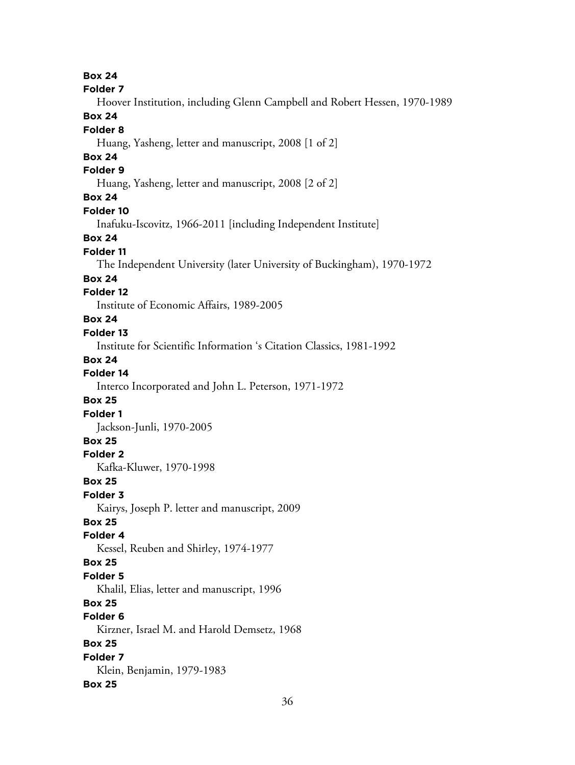**Box 24 Folder 7** Hoover Institution, including Glenn Campbell and Robert Hessen, 1970-1989 **Box 24 Folder 8** Huang, Yasheng, letter and manuscript, 2008 [1 of 2] **Box 24 Folder 9** Huang, Yasheng, letter and manuscript, 2008 [2 of 2] **Box 24 Folder 10** Inafuku-Iscovitz, 1966-2011 [including Independent Institute] **Box 24 Folder 11** The Independent University (later University of Buckingham), 1970-1972 **Box 24 Folder 12** Institute of Economic Affairs, 1989-2005 **Box 24 Folder 13** Institute for Scientific Information 's Citation Classics, 1981-1992 **Box 24 Folder 14** Interco Incorporated and John L. Peterson, 1971-1972 **Box 25 Folder 1** Jackson-Junli, 1970-2005 **Box 25 Folder 2** Kafka-Kluwer, 1970-1998 **Box 25 Folder 3** Kairys, Joseph P. letter and manuscript, 2009 **Box 25 Folder 4** Kessel, Reuben and Shirley, 1974-1977 **Box 25 Folder 5** Khalil, Elias, letter and manuscript, 1996 **Box 25 Folder 6** Kirzner, Israel M. and Harold Demsetz, 1968 **Box 25 Folder 7** Klein, Benjamin, 1979-1983 **Box 25**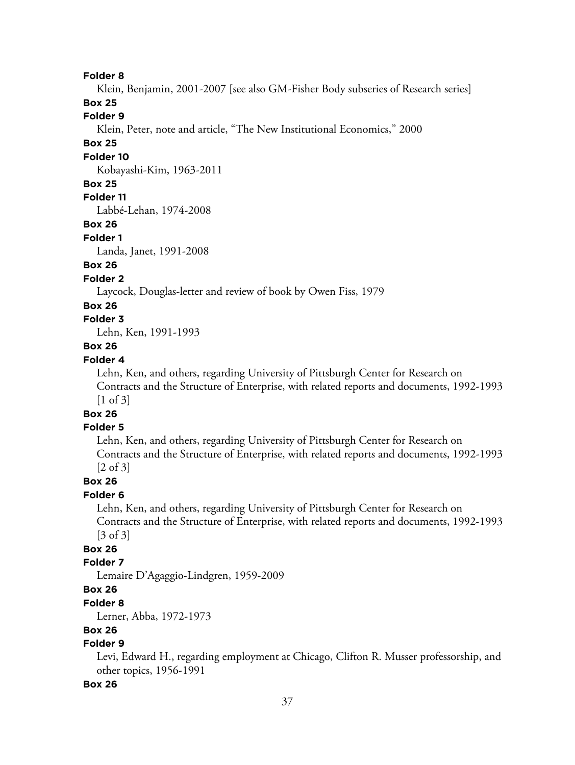Klein, Benjamin, 2001-2007 [see also GM-Fisher Body subseries of Research series]

# **Box 25**

# **Folder 9**

Klein, Peter, note and article, "The New Institutional Economics," 2000

## **Box 25**

#### **Folder 10**

Kobayashi-Kim, 1963-2011

### **Box 25**

## **Folder 11**

Labbé-Lehan, 1974-2008

## **Box 26**

#### **Folder 1**

Landa, Janet, 1991-2008

# **Box 26**

## **Folder 2**

Laycock, Douglas-letter and review of book by Owen Fiss, 1979

### **Box 26**

# **Folder 3**

Lehn, Ken, 1991-1993

## **Box 26**

## **Folder 4**

Lehn, Ken, and others, regarding University of Pittsburgh Center for Research on Contracts and the Structure of Enterprise, with related reports and documents, 1992-1993 [1 of 3]

#### **Box 26**

#### **Folder 5**

Lehn, Ken, and others, regarding University of Pittsburgh Center for Research on Contracts and the Structure of Enterprise, with related reports and documents, 1992-1993 [2 of 3]

## **Box 26**

### **Folder 6**

Lehn, Ken, and others, regarding University of Pittsburgh Center for Research on Contracts and the Structure of Enterprise, with related reports and documents, 1992-1993 [3 of 3]

## **Box 26**

### **Folder 7**

Lemaire D'Agaggio-Lindgren, 1959-2009

# **Box 26**

#### **Folder 8**

Lerner, Abba, 1972-1973

## **Box 26**

## **Folder 9**

Levi, Edward H., regarding employment at Chicago, Clifton R. Musser professorship, and other topics, 1956-1991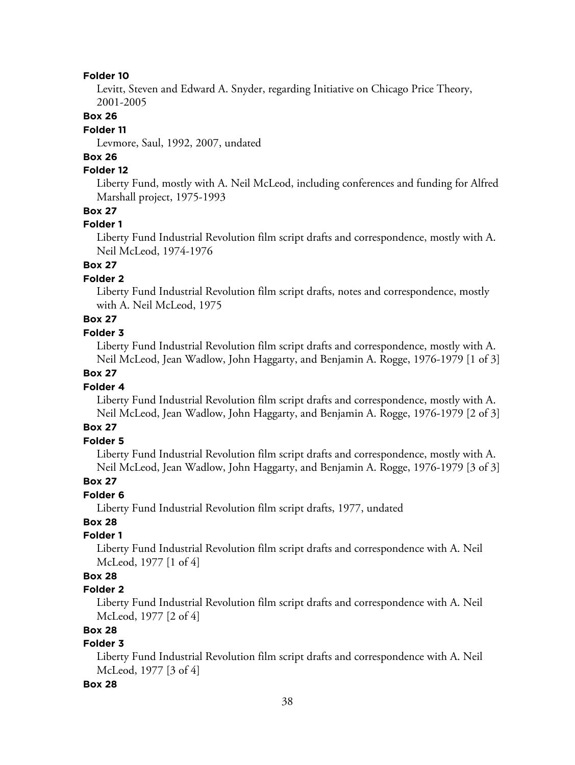Levitt, Steven and Edward A. Snyder, regarding Initiative on Chicago Price Theory, 2001-2005

# **Box 26**

## **Folder 11**

Levmore, Saul, 1992, 2007, undated

# **Box 26**

## **Folder 12**

Liberty Fund, mostly with A. Neil McLeod, including conferences and funding for Alfred Marshall project, 1975-1993

## **Box 27**

### **Folder 1**

Liberty Fund Industrial Revolution film script drafts and correspondence, mostly with A. Neil McLeod, 1974-1976

# **Box 27**

## **Folder 2**

Liberty Fund Industrial Revolution film script drafts, notes and correspondence, mostly with A. Neil McLeod, 1975

# **Box 27**

## **Folder 3**

Liberty Fund Industrial Revolution film script drafts and correspondence, mostly with A. Neil McLeod, Jean Wadlow, John Haggarty, and Benjamin A. Rogge, 1976-1979 [1 of 3]

# **Box 27**

### **Folder 4**

Liberty Fund Industrial Revolution film script drafts and correspondence, mostly with A. Neil McLeod, Jean Wadlow, John Haggarty, and Benjamin A. Rogge, 1976-1979 [2 of 3]

# **Box 27**

## **Folder 5**

Liberty Fund Industrial Revolution film script drafts and correspondence, mostly with A. Neil McLeod, Jean Wadlow, John Haggarty, and Benjamin A. Rogge, 1976-1979 [3 of 3]

## **Box 27**

## **Folder 6**

Liberty Fund Industrial Revolution film script drafts, 1977, undated

# **Box 28**

# **Folder 1**

Liberty Fund Industrial Revolution film script drafts and correspondence with A. Neil McLeod, 1977 [1 of 4]

# **Box 28**

### **Folder 2**

Liberty Fund Industrial Revolution film script drafts and correspondence with A. Neil McLeod, 1977 [2 of 4]

# **Box 28**

## **Folder 3**

Liberty Fund Industrial Revolution film script drafts and correspondence with A. Neil McLeod, 1977 [3 of 4]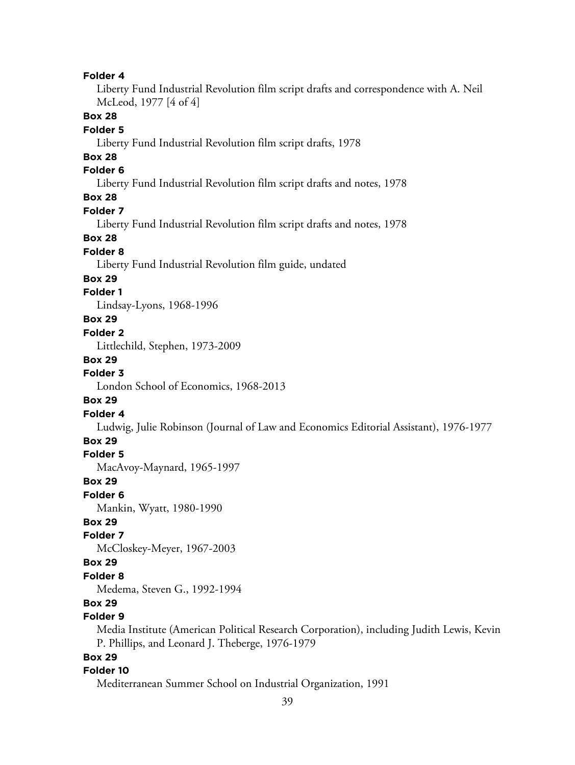Liberty Fund Industrial Revolution film script drafts and correspondence with A. Neil McLeod, 1977 [4 of 4]

# **Box 28**

## **Folder 5**

Liberty Fund Industrial Revolution film script drafts, 1978

# **Box 28**

## **Folder 6**

Liberty Fund Industrial Revolution film script drafts and notes, 1978

## **Box 28**

#### **Folder 7**

Liberty Fund Industrial Revolution film script drafts and notes, 1978

### **Box 28**

## **Folder 8**

Liberty Fund Industrial Revolution film guide, undated

#### **Box 29**

## **Folder 1**

Lindsay-Lyons, 1968-1996

## **Box 29**

## **Folder 2**

Littlechild, Stephen, 1973-2009

#### **Box 29**

## **Folder 3**

London School of Economics, 1968-2013

#### **Box 29**

#### **Folder 4**

Ludwig, Julie Robinson (Journal of Law and Economics Editorial Assistant), 1976-1977

#### **Box 29**

#### **Folder 5**

MacAvoy-Maynard, 1965-1997

#### **Box 29**

#### **Folder 6**

Mankin, Wyatt, 1980-1990

### **Box 29**

## **Folder 7**

McCloskey-Meyer, 1967-2003

## **Box 29**

# **Folder 8**

Medema, Steven G., 1992-1994

# **Box 29**

# **Folder 9**

Media Institute (American Political Research Corporation), including Judith Lewis, Kevin P. Phillips, and Leonard J. Theberge, 1976-1979

## **Box 29**

## **Folder 10**

Mediterranean Summer School on Industrial Organization, 1991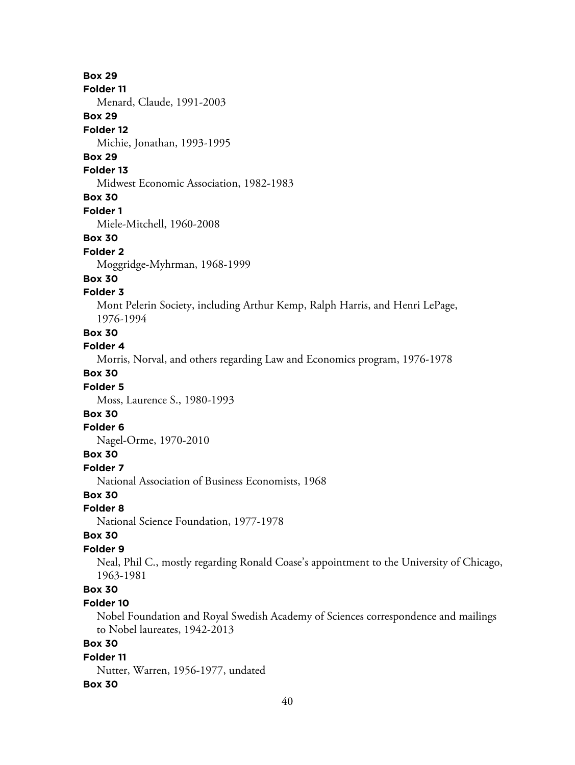#### **Folder 11**

Menard, Claude, 1991-2003

### **Box 29**

#### **Folder 12**

Michie, Jonathan, 1993-1995

# **Box 29**

### **Folder 13**

Midwest Economic Association, 1982-1983

## **Box 30**

#### **Folder 1**

Miele-Mitchell, 1960-2008

#### **Box 30**

#### **Folder 2**

Moggridge-Myhrman, 1968-1999

#### **Box 30**

#### **Folder 3**

Mont Pelerin Society, including Arthur Kemp, Ralph Harris, and Henri LePage, 1976-1994

## **Box 30**

## **Folder 4**

Morris, Norval, and others regarding Law and Economics program, 1976-1978

# **Box 30**

## **Folder 5**

Moss, Laurence S., 1980-1993

# **Box 30**

### **Folder 6**

Nagel-Orme, 1970-2010

## **Box 30**

**Folder 7**

National Association of Business Economists, 1968

# **Box 30**

# **Folder 8**

National Science Foundation, 1977-1978

#### **Box 30**

#### **Folder 9**

Neal, Phil C., mostly regarding Ronald Coase's appointment to the University of Chicago, 1963-1981

# **Box 30**

## **Folder 10**

Nobel Foundation and Royal Swedish Academy of Sciences correspondence and mailings to Nobel laureates, 1942-2013

# **Box 30**

# **Folder 11**

Nutter, Warren, 1956-1977, undated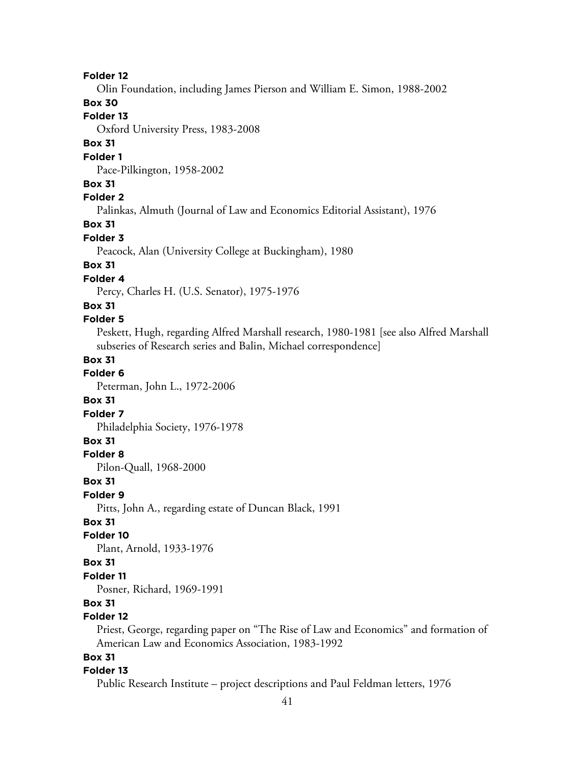Olin Foundation, including James Pierson and William E. Simon, 1988-2002

# **Box 30**

# **Folder 13**

Oxford University Press, 1983-2008

## **Box 31**

#### **Folder 1**

Pace-Pilkington, 1958-2002

## **Box 31**

## **Folder 2**

Palinkas, Almuth (Journal of Law and Economics Editorial Assistant), 1976

## **Box 31**

## **Folder 3**

Peacock, Alan (University College at Buckingham), 1980

## **Box 31**

## **Folder 4**

Percy, Charles H. (U.S. Senator), 1975-1976

### **Box 31**

## **Folder 5**

Peskett, Hugh, regarding Alfred Marshall research, 1980-1981 [see also Alfred Marshall subseries of Research series and Balin, Michael correspondence]

## **Box 31**

## **Folder 6**

Peterman, John L., 1972-2006

### **Box 31**

### **Folder 7**

Philadelphia Society, 1976-1978

## **Box 31**

## **Folder 8**

Pilon-Quall, 1968-2000

#### **Box 31**

#### **Folder 9**

Pitts, John A., regarding estate of Duncan Black, 1991

## **Box 31**

### **Folder 10**

Plant, Arnold, 1933-1976

## **Box 31**

## **Folder 11**

Posner, Richard, 1969-1991

## **Box 31**

## **Folder 12**

Priest, George, regarding paper on "The Rise of Law and Economics" and formation of American Law and Economics Association, 1983-1992

## **Box 31**

#### **Folder 13**

Public Research Institute – project descriptions and Paul Feldman letters, 1976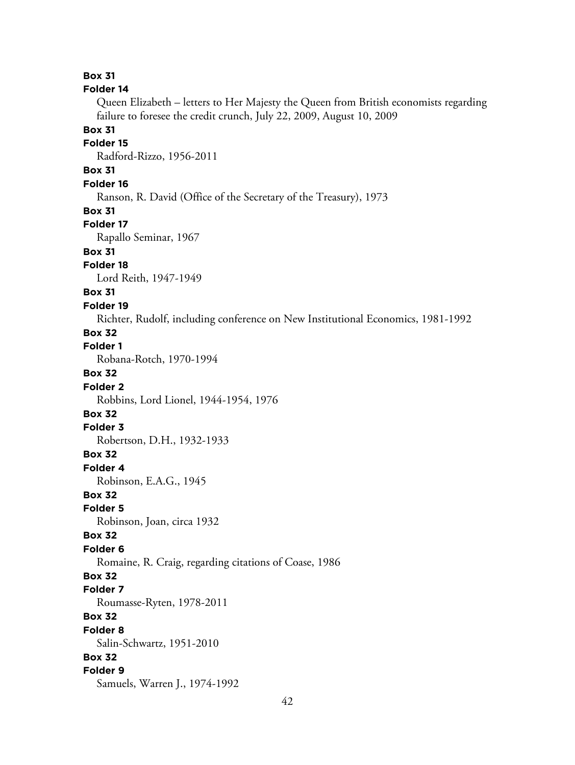**Box 31 Folder 14** Queen Elizabeth – letters to Her Majesty the Queen from British economists regarding failure to foresee the credit crunch, July 22, 2009, August 10, 2009 **Box 31 Folder 15** Radford-Rizzo, 1956-2011 **Box 31 Folder 16** Ranson, R. David (Office of the Secretary of the Treasury), 1973 **Box 31 Folder 17** Rapallo Seminar, 1967 **Box 31 Folder 18** Lord Reith, 1947-1949 **Box 31 Folder 19** Richter, Rudolf, including conference on New Institutional Economics, 1981-1992 **Box 32 Folder 1** Robana-Rotch, 1970-1994 **Box 32 Folder 2** Robbins, Lord Lionel, 1944-1954, 1976 **Box 32 Folder 3** Robertson, D.H., 1932-1933 **Box 32 Folder 4** Robinson, E.A.G., 1945 **Box 32 Folder 5** Robinson, Joan, circa 1932 **Box 32 Folder 6** Romaine, R. Craig, regarding citations of Coase, 1986 **Box 32 Folder 7** Roumasse-Ryten, 1978-2011 **Box 32 Folder 8** Salin-Schwartz, 1951-2010 **Box 32 Folder 9** Samuels, Warren J., 1974-1992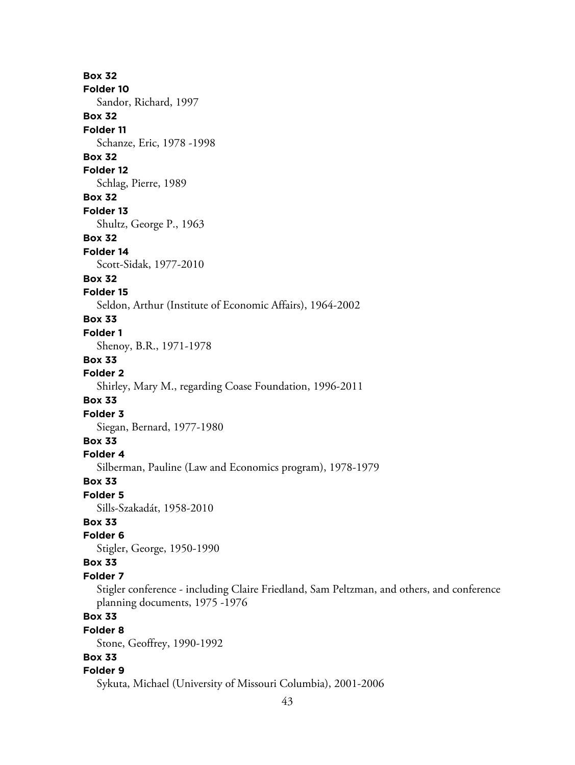**Box 32 Folder 10** Sandor, Richard, 1997 **Box 32 Folder 11** Schanze, Eric, 1978 -1998 **Box 32 Folder 12** Schlag, Pierre, 1989 **Box 32 Folder 13** Shultz, George P., 1963 **Box 32 Folder 14** Scott-Sidak, 1977-2010 **Box 32 Folder 15** Seldon, Arthur (Institute of Economic Affairs), 1964-2002 **Box 33 Folder 1** Shenoy, B.R., 1971-1978 **Box 33 Folder 2** Shirley, Mary M., regarding Coase Foundation, 1996-2011 **Box 33 Folder 3** Siegan, Bernard, 1977-1980 **Box 33 Folder 4** Silberman, Pauline (Law and Economics program), 1978-1979 **Box 33 Folder 5** Sills-Szakadát, 1958-2010 **Box 33 Folder 6** Stigler, George, 1950-1990 **Box 33 Folder 7** Stigler conference - including Claire Friedland, Sam Peltzman, and others, and conference planning documents, 1975 -1976 **Box 33 Folder 8** Stone, Geoffrey, 1990-1992 **Box 33 Folder 9** Sykuta, Michael (University of Missouri Columbia), 2001-2006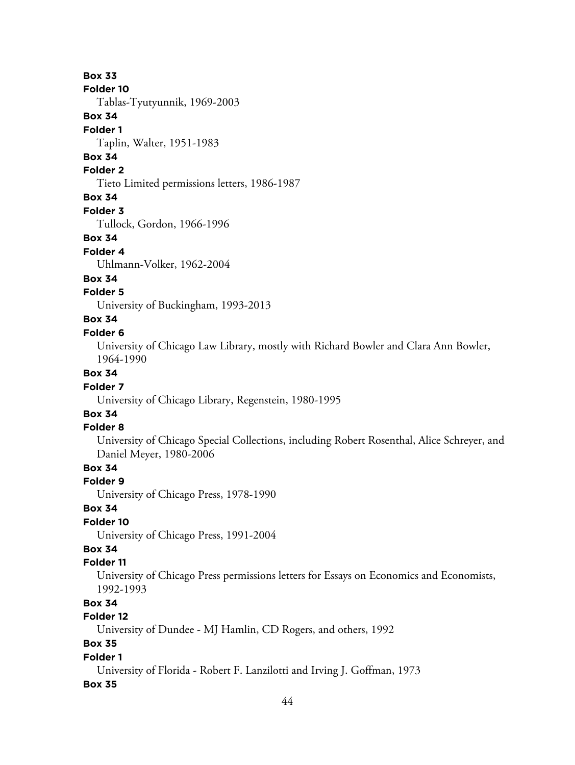#### **Folder 10**

Tablas-Tyutyunnik, 1969-2003

#### **Box 34**

#### **Folder 1**

Taplin, Walter, 1951-1983

# **Box 34**

# **Folder 2**

Tieto Limited permissions letters, 1986-1987

## **Box 34**

#### **Folder 3**

Tullock, Gordon, 1966-1996

#### **Box 34**

#### **Folder 4**

Uhlmann-Volker, 1962-2004

#### **Box 34**

#### **Folder 5**

University of Buckingham, 1993-2013

# **Box 34**

### **Folder 6**

University of Chicago Law Library, mostly with Richard Bowler and Clara Ann Bowler, 1964-1990

## **Box 34**

## **Folder 7**

University of Chicago Library, Regenstein, 1980-1995

# **Box 34**

# **Folder 8**

University of Chicago Special Collections, including Robert Rosenthal, Alice Schreyer, and Daniel Meyer, 1980-2006

# **Box 34**

### **Folder 9**

University of Chicago Press, 1978-1990

## **Box 34**

# **Folder 10**

University of Chicago Press, 1991-2004

# **Box 34**

## **Folder 11**

University of Chicago Press permissions letters for Essays on Economics and Economists, 1992-1993

# **Box 34**

# **Folder 12**

University of Dundee - MJ Hamlin, CD Rogers, and others, 1992

# **Box 35**

## **Folder 1**

University of Florida - Robert F. Lanzilotti and Irving J. Goffman, 1973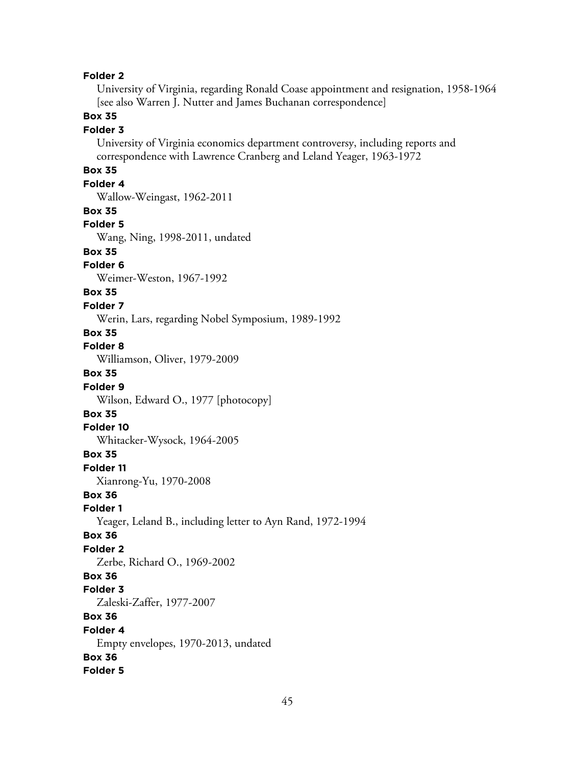University of Virginia, regarding Ronald Coase appointment and resignation, 1958-1964 [see also Warren J. Nutter and James Buchanan correspondence]

# **Box 35**

#### **Folder 3**

University of Virginia economics department controversy, including reports and correspondence with Lawrence Cranberg and Leland Yeager, 1963-1972

# **Box 35**

## **Folder 4**

Wallow-Weingast, 1962-2011

#### **Box 35**

#### **Folder 5**

Wang, Ning, 1998-2011, undated

# **Box 35**

## **Folder 6**

Weimer-Weston, 1967-1992

#### **Box 35**

#### **Folder 7**

Werin, Lars, regarding Nobel Symposium, 1989-1992

# **Box 35**

## **Folder 8**

Williamson, Oliver, 1979-2009

# **Box 35**

**Folder 9** Wilson, Edward O., 1977 [photocopy]

#### **Box 35**

#### **Folder 10**

Whitacker-Wysock, 1964-2005

### **Box 35**

**Folder 11**

Xianrong-Yu, 1970-2008

## **Box 36**

**Folder 1**

Yeager, Leland B., including letter to Ayn Rand, 1972-1994

### **Box 36**

### **Folder 2**

Zerbe, Richard O., 1969-2002

#### **Box 36**

#### **Folder 3**

Zaleski-Zaffer, 1977-2007

### **Box 36**

### **Folder 4**

Empty envelopes, 1970-2013, undated

# **Box 36**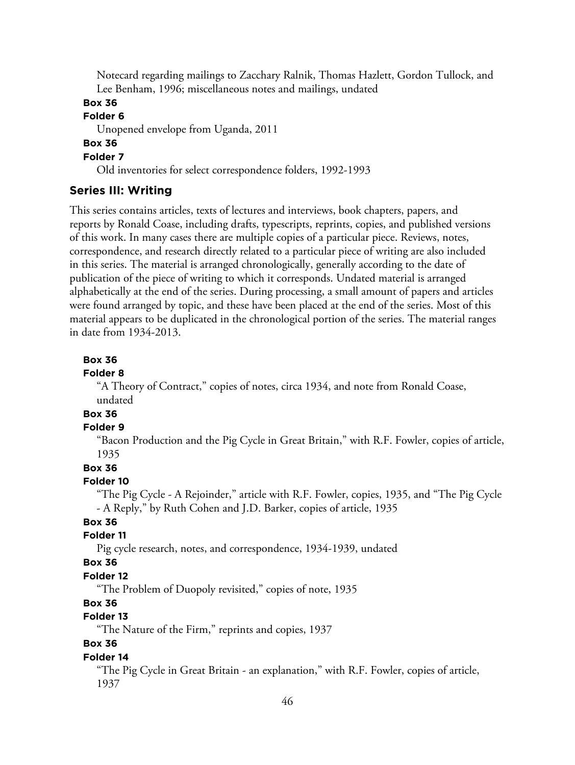Notecard regarding mailings to Zacchary Ralnik, Thomas Hazlett, Gordon Tullock, and Lee Benham, 1996; miscellaneous notes and mailings, undated

# **Box 36**

# **Folder 6**

Unopened envelope from Uganda, 2011

# **Box 36**

# **Folder 7**

Old inventories for select correspondence folders, 1992-1993

## **Series III: Writing**

This series contains articles, texts of lectures and interviews, book chapters, papers, and reports by Ronald Coase, including drafts, typescripts, reprints, copies, and published versions of this work. In many cases there are multiple copies of a particular piece. Reviews, notes, correspondence, and research directly related to a particular piece of writing are also included in this series. The material is arranged chronologically, generally according to the date of publication of the piece of writing to which it corresponds. Undated material is arranged alphabetically at the end of the series. During processing, a small amount of papers and articles were found arranged by topic, and these have been placed at the end of the series. Most of this material appears to be duplicated in the chronological portion of the series. The material ranges in date from 1934-2013.

#### **Box 36**

### **Folder 8**

"A Theory of Contract," copies of notes, circa 1934, and note from Ronald Coase, undated

# **Box 36**

## **Folder 9**

"Bacon Production and the Pig Cycle in Great Britain," with R.F. Fowler, copies of article, 1935

## **Box 36**

#### **Folder 10**

"The Pig Cycle - A Rejoinder," article with R.F. Fowler, copies, 1935, and "The Pig Cycle - A Reply," by Ruth Cohen and J.D. Barker, copies of article, 1935

## **Box 36**

## **Folder 11**

Pig cycle research, notes, and correspondence, 1934-1939, undated

#### **Box 36**

### **Folder 12**

"The Problem of Duopoly revisited," copies of note, 1935

# **Box 36**

# **Folder 13**

"The Nature of the Firm," reprints and copies, 1937

## **Box 36**

### **Folder 14**

"The Pig Cycle in Great Britain - an explanation," with R.F. Fowler, copies of article, 1937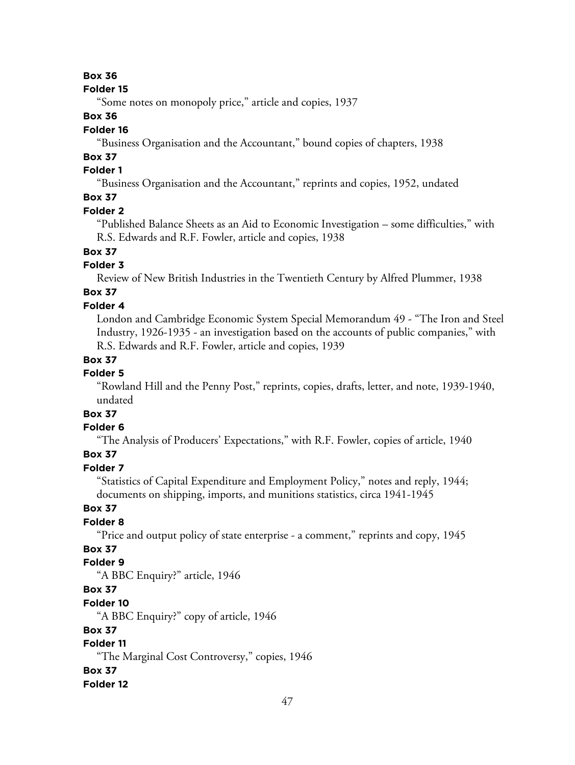### **Folder 15**

"Some notes on monopoly price," article and copies, 1937

## **Box 36**

## **Folder 16**

"Business Organisation and the Accountant," bound copies of chapters, 1938

# **Box 37**

# **Folder 1**

"Business Organisation and the Accountant," reprints and copies, 1952, undated

# **Box 37**

## **Folder 2**

"Published Balance Sheets as an Aid to Economic Investigation – some difficulties," with R.S. Edwards and R.F. Fowler, article and copies, 1938

# **Box 37**

# **Folder 3**

Review of New British Industries in the Twentieth Century by Alfred Plummer, 1938

# **Box 37**

# **Folder 4**

London and Cambridge Economic System Special Memorandum 49 - "The Iron and Steel Industry, 1926-1935 - an investigation based on the accounts of public companies," with R.S. Edwards and R.F. Fowler, article and copies, 1939

# **Box 37**

## **Folder 5**

"Rowland Hill and the Penny Post," reprints, copies, drafts, letter, and note, 1939-1940, undated

# **Box 37**

# **Folder 6**

"The Analysis of Producers' Expectations," with R.F. Fowler, copies of article, 1940

# **Box 37**

## **Folder 7**

"Statistics of Capital Expenditure and Employment Policy," notes and reply, 1944; documents on shipping, imports, and munitions statistics, circa 1941-1945

# **Box 37**

## **Folder 8**

"Price and output policy of state enterprise - a comment," reprints and copy, 1945

# **Box 37**

# **Folder 9**

"A BBC Enquiry?" article, 1946

# **Box 37**

### **Folder 10**

"A BBC Enquiry?" copy of article, 1946

## **Box 37**

# **Folder 11**

"The Marginal Cost Controversy," copies, 1946

### **Box 37**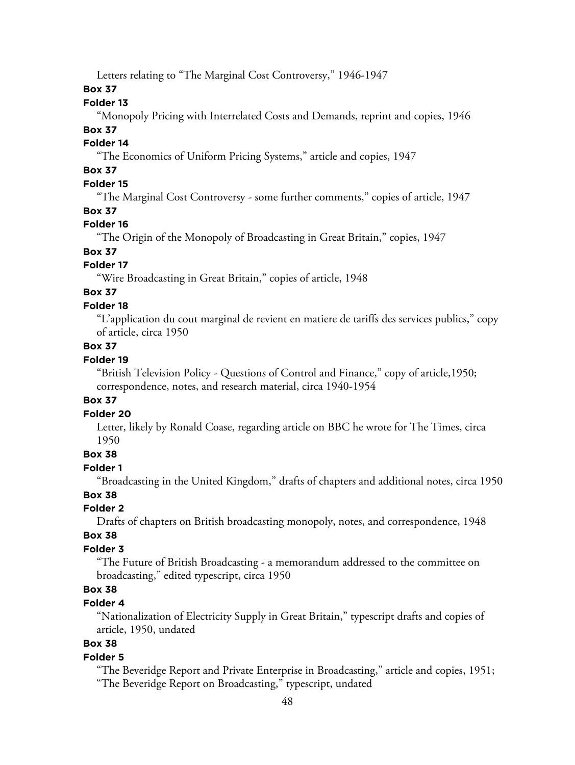Letters relating to "The Marginal Cost Controversy," 1946-1947

## **Box 37**

## **Folder 13**

"Monopoly Pricing with Interrelated Costs and Demands, reprint and copies, 1946

## **Box 37**

# **Folder 14**

"The Economics of Uniform Pricing Systems," article and copies, 1947

# **Box 37**

# **Folder 15**

"The Marginal Cost Controversy - some further comments," copies of article, 1947

## **Box 37**

## **Folder 16**

"The Origin of the Monopoly of Broadcasting in Great Britain," copies, 1947

# **Box 37**

## **Folder 17**

"Wire Broadcasting in Great Britain," copies of article, 1948

# **Box 37**

# **Folder 18**

"L'application du cout marginal de revient en matiere de tariffs des services publics," copy of article, circa 1950

# **Box 37**

# **Folder 19**

"British Television Policy - Questions of Control and Finance," copy of article,1950; correspondence, notes, and research material, circa 1940-1954

# **Box 37**

## **Folder 20**

Letter, likely by Ronald Coase, regarding article on BBC he wrote for The Times, circa 1950

## **Box 38**

## **Folder 1**

"Broadcasting in the United Kingdom," drafts of chapters and additional notes, circa 1950

# **Box 38**

# **Folder 2**

Drafts of chapters on British broadcasting monopoly, notes, and correspondence, 1948

# **Box 38**

# **Folder 3**

"The Future of British Broadcasting - a memorandum addressed to the committee on broadcasting," edited typescript, circa 1950

# **Box 38**

## **Folder 4**

"Nationalization of Electricity Supply in Great Britain," typescript drafts and copies of article, 1950, undated

# **Box 38**

## **Folder 5**

"The Beveridge Report and Private Enterprise in Broadcasting," article and copies, 1951; "The Beveridge Report on Broadcasting," typescript, undated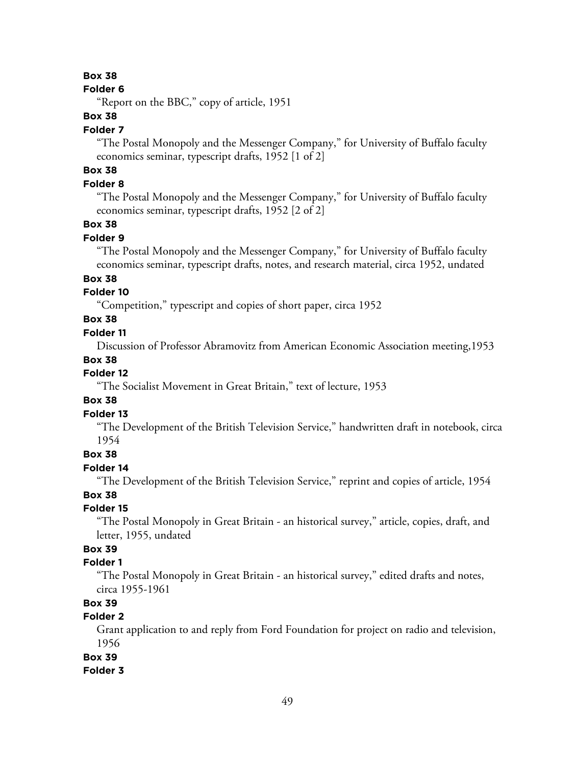#### **Folder 6**

"Report on the BBC," copy of article, 1951

## **Box 38**

#### **Folder 7**

"The Postal Monopoly and the Messenger Company," for University of Buffalo faculty economics seminar, typescript drafts, 1952 [1 of 2]

# **Box 38**

## **Folder 8**

"The Postal Monopoly and the Messenger Company," for University of Buffalo faculty economics seminar, typescript drafts, 1952 [2 of 2]

## **Box 38**

## **Folder 9**

"The Postal Monopoly and the Messenger Company," for University of Buffalo faculty economics seminar, typescript drafts, notes, and research material, circa 1952, undated

## **Box 38**

## **Folder 10**

"Competition," typescript and copies of short paper, circa 1952

# **Box 38**

## **Folder 11**

Discussion of Professor Abramovitz from American Economic Association meeting,1953

### **Box 38**

## **Folder 12**

"The Socialist Movement in Great Britain," text of lecture, 1953

## **Box 38**

### **Folder 13**

"The Development of the British Television Service," handwritten draft in notebook, circa 1954

### **Box 38**

### **Folder 14**

"The Development of the British Television Service," reprint and copies of article, 1954

## **Box 38**

### **Folder 15**

"The Postal Monopoly in Great Britain - an historical survey," article, copies, draft, and letter, 1955, undated

# **Box 39**

## **Folder 1**

"The Postal Monopoly in Great Britain - an historical survey," edited drafts and notes, circa 1955-1961

# **Box 39**

# **Folder 2**

Grant application to and reply from Ford Foundation for project on radio and television, 1956

## **Box 39**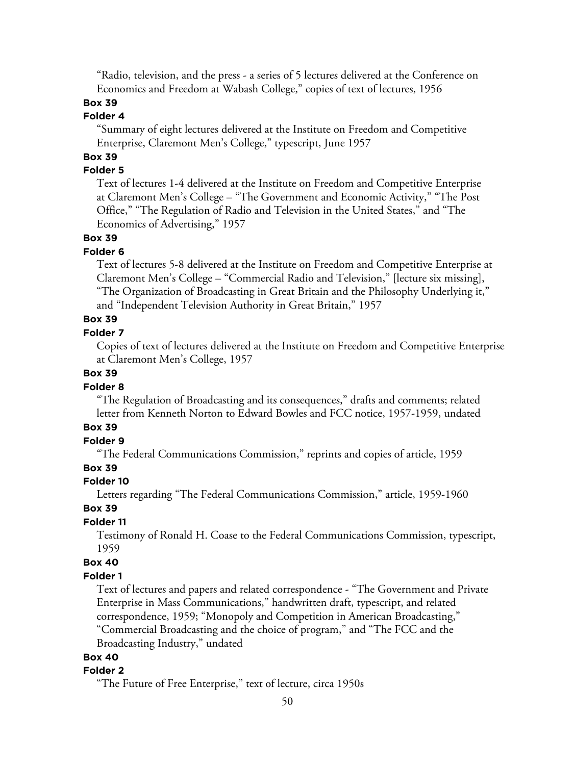"Radio, television, and the press - a series of 5 lectures delivered at the Conference on Economics and Freedom at Wabash College," copies of text of lectures, 1956

## **Box 39**

# **Folder 4**

"Summary of eight lectures delivered at the Institute on Freedom and Competitive Enterprise, Claremont Men's College," typescript, June 1957

# **Box 39**

# **Folder 5**

Text of lectures 1-4 delivered at the Institute on Freedom and Competitive Enterprise at Claremont Men's College – "The Government and Economic Activity," "The Post Office," "The Regulation of Radio and Television in the United States," and "The Economics of Advertising," 1957

## **Box 39**

### **Folder 6**

Text of lectures 5-8 delivered at the Institute on Freedom and Competitive Enterprise at Claremont Men's College – "Commercial Radio and Television," [lecture six missing], "The Organization of Broadcasting in Great Britain and the Philosophy Underlying it," and "Independent Television Authority in Great Britain," 1957

# **Box 39**

## **Folder 7**

Copies of text of lectures delivered at the Institute on Freedom and Competitive Enterprise at Claremont Men's College, 1957

## **Box 39**

### **Folder 8**

"The Regulation of Broadcasting and its consequences," drafts and comments; related letter from Kenneth Norton to Edward Bowles and FCC notice, 1957-1959, undated

# **Box 39**

# **Folder 9**

"The Federal Communications Commission," reprints and copies of article, 1959

## **Box 39**

#### **Folder 10**

Letters regarding "The Federal Communications Commission," article, 1959-1960

## **Box 39**

### **Folder 11**

Testimony of Ronald H. Coase to the Federal Communications Commission, typescript, 1959

## **Box 40**

#### **Folder 1**

Text of lectures and papers and related correspondence - "The Government and Private Enterprise in Mass Communications," handwritten draft, typescript, and related correspondence, 1959; "Monopoly and Competition in American Broadcasting," "Commercial Broadcasting and the choice of program," and "The FCC and the Broadcasting Industry," undated

### **Box 40**

#### **Folder 2**

"The Future of Free Enterprise," text of lecture, circa 1950s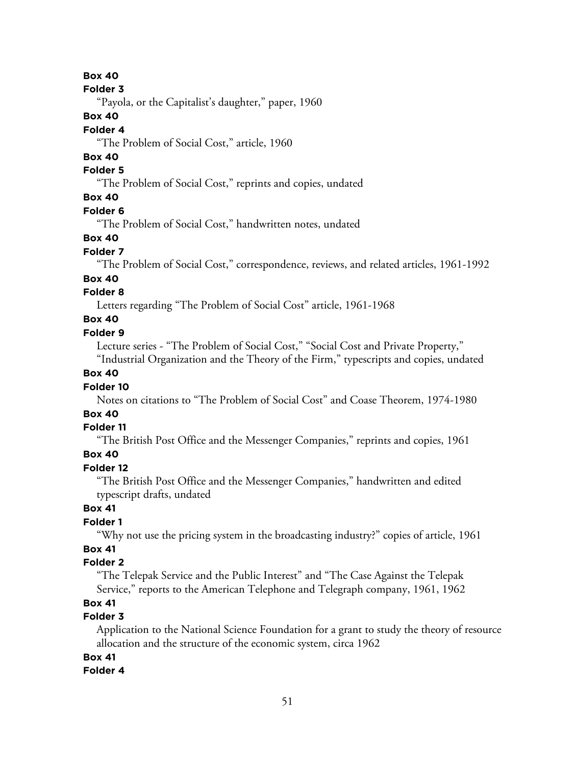### **Folder 3**

"Payola, or the Capitalist's daughter," paper, 1960

## **Box 40**

# **Folder 4**

"The Problem of Social Cost," article, 1960

# **Box 40**

# **Folder 5**

"The Problem of Social Cost," reprints and copies, undated

# **Box 40**

### **Folder 6**

"The Problem of Social Cost," handwritten notes, undated

## **Box 40**

### **Folder 7**

"The Problem of Social Cost," correspondence, reviews, and related articles, 1961-1992

## **Box 40**

## **Folder 8**

Letters regarding "The Problem of Social Cost" article, 1961-1968

# **Box 40**

## **Folder 9**

Lecture series - "The Problem of Social Cost," "Social Cost and Private Property," "Industrial Organization and the Theory of the Firm," typescripts and copies, undated

## **Box 40**

## **Folder 10**

Notes on citations to "The Problem of Social Cost" and Coase Theorem, 1974-1980

# **Box 40**

## **Folder 11**

"The British Post Office and the Messenger Companies," reprints and copies, 1961

## **Box 40**

## **Folder 12**

"The British Post Office and the Messenger Companies," handwritten and edited typescript drafts, undated

## **Box 41**

## **Folder 1**

"Why not use the pricing system in the broadcasting industry?" copies of article, 1961

# **Box 41**

## **Folder 2**

"The Telepak Service and the Public Interest" and "The Case Against the Telepak Service," reports to the American Telephone and Telegraph company, 1961, 1962

# **Box 41**

# **Folder 3**

Application to the National Science Foundation for a grant to study the theory of resource allocation and the structure of the economic system, circa 1962

# **Box 41**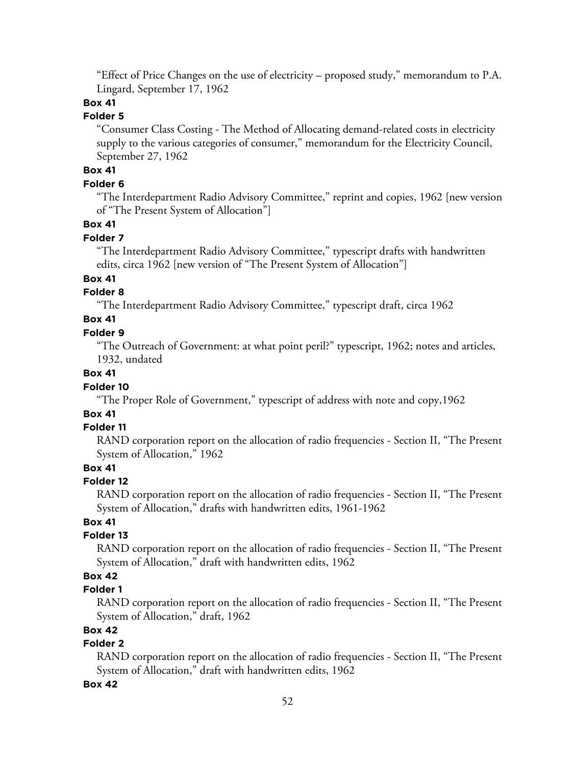"Effect of Price Changes on the use of electricity – proposed study," memorandum to P.A. Lingard, September 17, 1962

# **Box 41**

# **Folder 5**

"Consumer Class Costing - The Method of Allocating demand-related costs in electricity supply to the various categories of consumer," memorandum for the Electricity Council, September 27, 1962

# **Box 41**

## **Folder 6**

"The Interdepartment Radio Advisory Committee," reprint and copies, 1962 [new version of "The Present System of Allocation"]

## **Box 41**

### **Folder 7**

"The Interdepartment Radio Advisory Committee," typescript drafts with handwritten edits, circa 1962 [new version of "The Present System of Allocation"]

## **Box 41**

## **Folder 8**

"The Interdepartment Radio Advisory Committee," typescript draft, circa 1962

## **Box 41**

## **Folder 9**

"The Outreach of Government: at what point peril?" typescript, 1962; notes and articles, 1932, undated

## **Box 41**

## **Folder 10**

"The Proper Role of Government," typescript of address with note and copy,1962

# **Box 41**

### **Folder 11**

RAND corporation report on the allocation of radio frequencies - Section II, "The Present System of Allocation," 1962

# **Box 41**

## **Folder 12**

RAND corporation report on the allocation of radio frequencies - Section II, "The Present System of Allocation," drafts with handwritten edits, 1961-1962

# **Box 41**

## **Folder 13**

RAND corporation report on the allocation of radio frequencies - Section II, "The Present System of Allocation," draft with handwritten edits, 1962

# **Box 42**

# **Folder 1**

RAND corporation report on the allocation of radio frequencies - Section II, "The Present System of Allocation," draft, 1962

## **Box 42**

# **Folder 2**

RAND corporation report on the allocation of radio frequencies - Section II, "The Present System of Allocation," draft with handwritten edits, 1962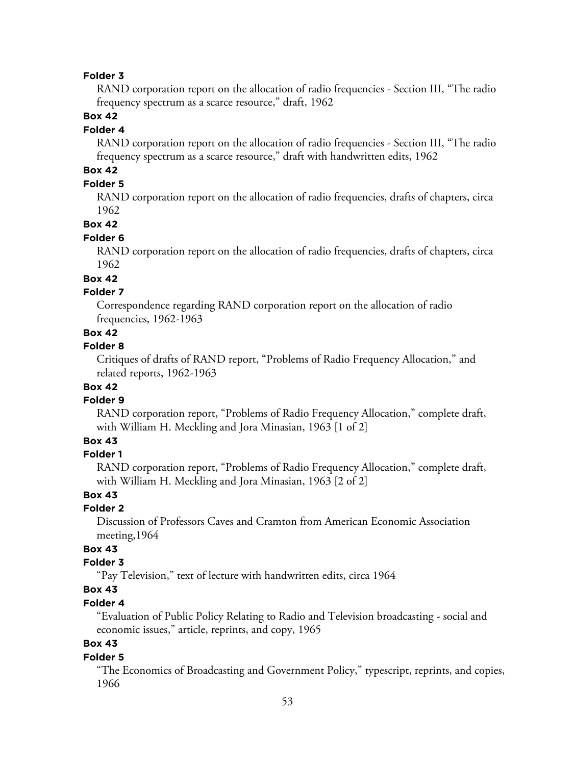RAND corporation report on the allocation of radio frequencies - Section III, "The radio frequency spectrum as a scarce resource," draft, 1962

# **Box 42**

## **Folder 4**

RAND corporation report on the allocation of radio frequencies - Section III, "The radio frequency spectrum as a scarce resource," draft with handwritten edits, 1962

# **Box 42**

# **Folder 5**

RAND corporation report on the allocation of radio frequencies, drafts of chapters, circa 1962

## **Box 42**

## **Folder 6**

RAND corporation report on the allocation of radio frequencies, drafts of chapters, circa 1962

# **Box 42**

# **Folder 7**

Correspondence regarding RAND corporation report on the allocation of radio frequencies, 1962-1963

## **Box 42**

#### **Folder 8**

Critiques of drafts of RAND report, "Problems of Radio Frequency Allocation," and related reports, 1962-1963

# **Box 42**

#### **Folder 9**

RAND corporation report, "Problems of Radio Frequency Allocation," complete draft, with William H. Meckling and Jora Minasian, 1963 [1 of 2]

# **Box 43**

## **Folder 1**

RAND corporation report, "Problems of Radio Frequency Allocation," complete draft, with William H. Meckling and Jora Minasian, 1963 [2 of 2]

## **Box 43**

### **Folder 2**

Discussion of Professors Caves and Cramton from American Economic Association meeting,1964

# **Box 43**

## **Folder 3**

"Pay Television," text of lecture with handwritten edits, circa 1964

# **Box 43**

## **Folder 4**

"Evaluation of Public Policy Relating to Radio and Television broadcasting - social and economic issues," article, reprints, and copy, 1965

# **Box 43**

### **Folder 5**

"The Economics of Broadcasting and Government Policy," typescript, reprints, and copies, 1966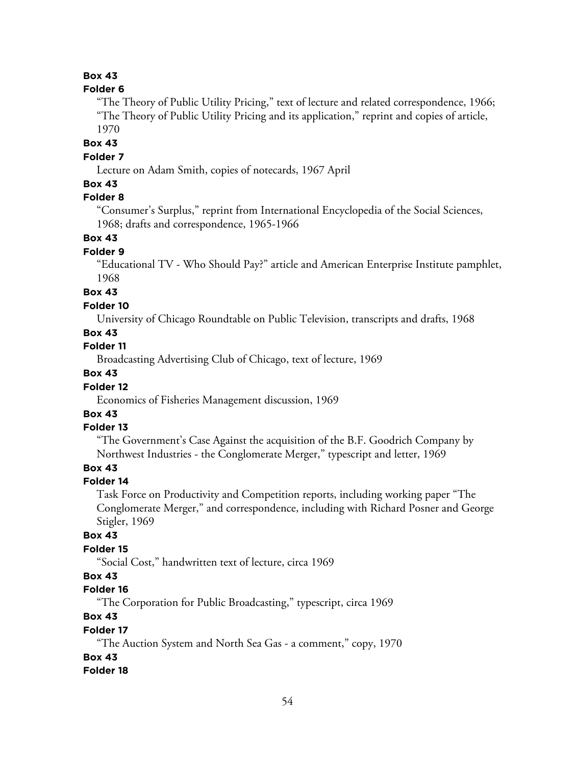## **Folder 6**

"The Theory of Public Utility Pricing," text of lecture and related correspondence, 1966; "The Theory of Public Utility Pricing and its application," reprint and copies of article, 1970

**Box 43**

## **Folder 7**

Lecture on Adam Smith, copies of notecards, 1967 April

## **Box 43**

## **Folder 8**

"Consumer's Surplus," reprint from International Encyclopedia of the Social Sciences, 1968; drafts and correspondence, 1965-1966

## **Box 43**

## **Folder 9**

"Educational TV - Who Should Pay?" article and American Enterprise Institute pamphlet, 1968

## **Box 43**

## **Folder 10**

University of Chicago Roundtable on Public Television, transcripts and drafts, 1968

## **Box 43**

## **Folder 11**

Broadcasting Advertising Club of Chicago, text of lecture, 1969

# **Box 43**

## **Folder 12**

Economics of Fisheries Management discussion, 1969

# **Box 43**

## **Folder 13**

"The Government's Case Against the acquisition of the B.F. Goodrich Company by Northwest Industries - the Conglomerate Merger," typescript and letter, 1969

## **Box 43**

## **Folder 14**

Task Force on Productivity and Competition reports, including working paper "The Conglomerate Merger," and correspondence, including with Richard Posner and George Stigler, 1969

## **Box 43**

## **Folder 15**

"Social Cost," handwritten text of lecture, circa 1969

# **Box 43**

# **Folder 16**

"The Corporation for Public Broadcasting," typescript, circa 1969

# **Box 43**

### **Folder 17**

"The Auction System and North Sea Gas - a comment," copy, 1970

# **Box 43**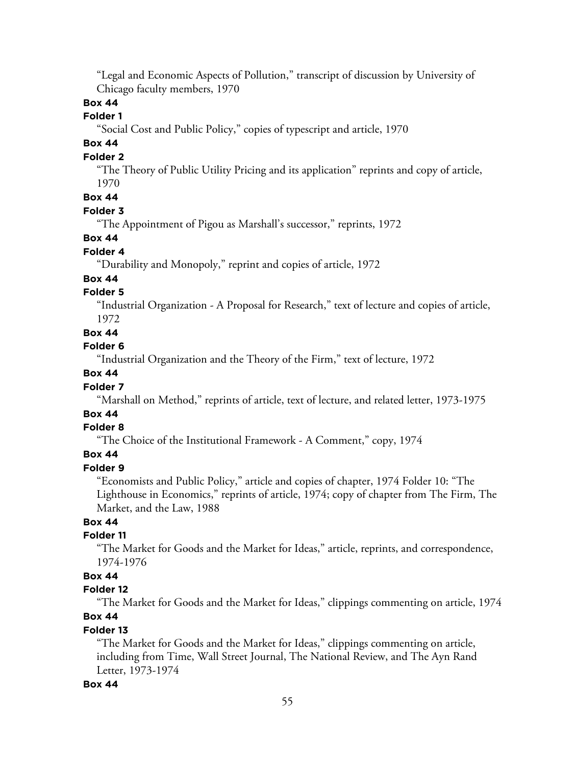"Legal and Economic Aspects of Pollution," transcript of discussion by University of Chicago faculty members, 1970

# **Box 44**

# **Folder 1**

"Social Cost and Public Policy," copies of typescript and article, 1970

# **Box 44**

#### **Folder 2**

"The Theory of Public Utility Pricing and its application" reprints and copy of article, 1970

# **Box 44**

## **Folder 3**

"The Appointment of Pigou as Marshall's successor," reprints, 1972

## **Box 44**

# **Folder 4**

"Durability and Monopoly," reprint and copies of article, 1972

# **Box 44**

# **Folder 5**

"Industrial Organization - A Proposal for Research," text of lecture and copies of article, 1972

#### **Box 44**

#### **Folder 6**

"Industrial Organization and the Theory of the Firm," text of lecture, 1972

## **Box 44**

## **Folder 7**

"Marshall on Method," reprints of article, text of lecture, and related letter, 1973-1975

# **Box 44**

# **Folder 8**

"The Choice of the Institutional Framework - A Comment," copy, 1974

# **Box 44**

# **Folder 9**

"Economists and Public Policy," article and copies of chapter, 1974 Folder 10: "The Lighthouse in Economics," reprints of article, 1974; copy of chapter from The Firm, The Market, and the Law, 1988

# **Box 44**

## **Folder 11**

"The Market for Goods and the Market for Ideas," article, reprints, and correspondence, 1974-1976

# **Box 44**

## **Folder 12**

"The Market for Goods and the Market for Ideas," clippings commenting on article, 1974 **Box 44**

#### **Folder 13**

"The Market for Goods and the Market for Ideas," clippings commenting on article, including from Time, Wall Street Journal, The National Review, and The Ayn Rand Letter, 1973-1974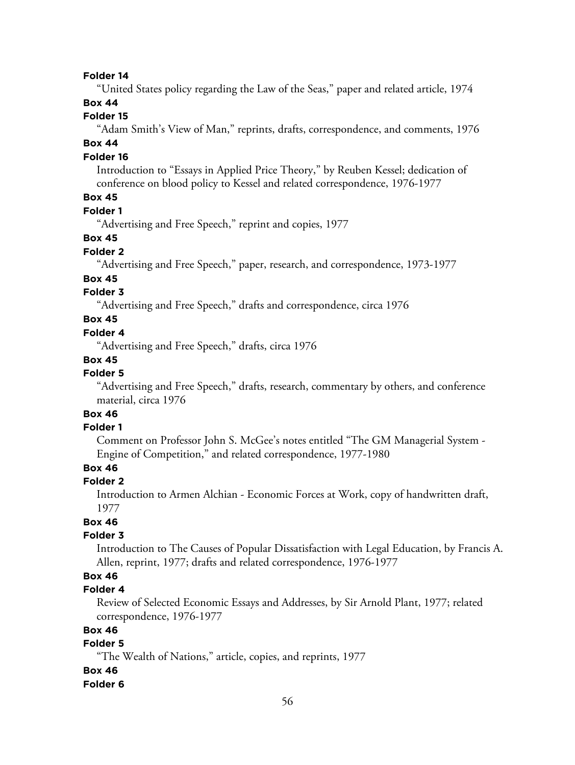"United States policy regarding the Law of the Seas," paper and related article, 1974

# **Box 44**

# **Folder 15**

"Adam Smith's View of Man," reprints, drafts, correspondence, and comments, 1976

# **Box 44**

### **Folder 16**

Introduction to "Essays in Applied Price Theory," by Reuben Kessel; dedication of conference on blood policy to Kessel and related correspondence, 1976-1977

# **Box 45**

## **Folder 1**

"Advertising and Free Speech," reprint and copies, 1977

## **Box 45**

# **Folder 2**

"Advertising and Free Speech," paper, research, and correspondence, 1973-1977

## **Box 45**

# **Folder 3**

"Advertising and Free Speech," drafts and correspondence, circa 1976

# **Box 45**

## **Folder 4**

"Advertising and Free Speech," drafts, circa 1976

### **Box 45**

## **Folder 5**

"Advertising and Free Speech," drafts, research, commentary by others, and conference material, circa 1976

# **Box 46**

## **Folder 1**

Comment on Professor John S. McGee's notes entitled "The GM Managerial System - Engine of Competition," and related correspondence, 1977-1980

# **Box 46**

#### **Folder 2**

Introduction to Armen Alchian - Economic Forces at Work, copy of handwritten draft, 1977

## **Box 46**

#### **Folder 3**

Introduction to The Causes of Popular Dissatisfaction with Legal Education, by Francis A. Allen, reprint, 1977; drafts and related correspondence, 1976-1977

# **Box 46**

## **Folder 4**

Review of Selected Economic Essays and Addresses, by Sir Arnold Plant, 1977; related correspondence, 1976-1977

## **Box 46**

# **Folder 5**

"The Wealth of Nations," article, copies, and reprints, 1977

### **Box 46**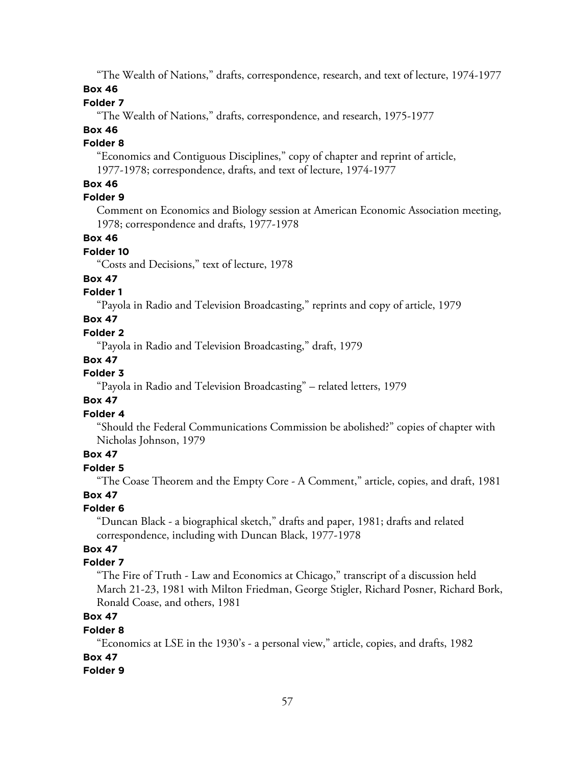"The Wealth of Nations," drafts, correspondence, research, and text of lecture, 1974-1977

# **Box 46**

# **Folder 7**

"The Wealth of Nations," drafts, correspondence, and research, 1975-1977

# **Box 46**

# **Folder 8**

"Economics and Contiguous Disciplines," copy of chapter and reprint of article, 1977-1978; correspondence, drafts, and text of lecture, 1974-1977

# **Box 46**

# **Folder 9**

Comment on Economics and Biology session at American Economic Association meeting, 1978; correspondence and drafts, 1977-1978

# **Box 46**

# **Folder 10**

"Costs and Decisions," text of lecture, 1978

# **Box 47**

# **Folder 1**

"Payola in Radio and Television Broadcasting," reprints and copy of article, 1979

# **Box 47**

# **Folder 2**

"Payola in Radio and Television Broadcasting," draft, 1979

# **Box 47**

# **Folder 3**

"Payola in Radio and Television Broadcasting" – related letters, 1979

# **Box 47**

# **Folder 4**

"Should the Federal Communications Commission be abolished?" copies of chapter with Nicholas Johnson, 1979

# **Box 47**

# **Folder 5**

"The Coase Theorem and the Empty Core - A Comment," article, copies, and draft, 1981

# **Box 47**

# **Folder 6**

"Duncan Black - a biographical sketch," drafts and paper, 1981; drafts and related correspondence, including with Duncan Black, 1977-1978

# **Box 47**

# **Folder 7**

"The Fire of Truth - Law and Economics at Chicago," transcript of a discussion held March 21-23, 1981 with Milton Friedman, George Stigler, Richard Posner, Richard Bork, Ronald Coase, and others, 1981

# **Box 47**

# **Folder 8**

"Economics at LSE in the 1930's - a personal view," article, copies, and drafts, 1982 **Box 47**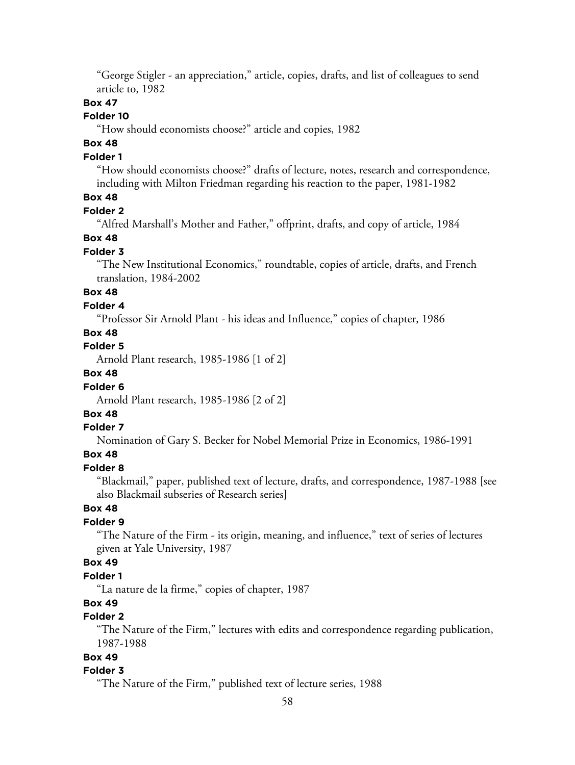"George Stigler - an appreciation," article, copies, drafts, and list of colleagues to send article to, 1982

### **Box 47**

# **Folder 10**

"How should economists choose?" article and copies, 1982

# **Box 48**

## **Folder 1**

"How should economists choose?" drafts of lecture, notes, research and correspondence, including with Milton Friedman regarding his reaction to the paper, 1981-1982

## **Box 48**

### **Folder 2**

"Alfred Marshall's Mother and Father," offprint, drafts, and copy of article, 1984

### **Box 48**

### **Folder 3**

"The New Institutional Economics," roundtable, copies of article, drafts, and French translation, 1984-2002

## **Box 48**

### **Folder 4**

"Professor Sir Arnold Plant - his ideas and Influence," copies of chapter, 1986

## **Box 48**

## **Folder 5**

Arnold Plant research, 1985-1986 [1 of 2]

# **Box 48**

### **Folder 6**

Arnold Plant research, 1985-1986 [2 of 2]

# **Box 48**

### **Folder 7**

Nomination of Gary S. Becker for Nobel Memorial Prize in Economics, 1986-1991

# **Box 48**

## **Folder 8**

"Blackmail," paper, published text of lecture, drafts, and correspondence, 1987-1988 [see also Blackmail subseries of Research series]

## **Box 48**

## **Folder 9**

"The Nature of the Firm - its origin, meaning, and influence," text of series of lectures given at Yale University, 1987

## **Box 49**

# **Folder 1**

"La nature de la firme," copies of chapter, 1987

# **Box 49**

# **Folder 2**

"The Nature of the Firm," lectures with edits and correspondence regarding publication, 1987-1988

# **Box 49**

#### **Folder 3**

"The Nature of the Firm," published text of lecture series, 1988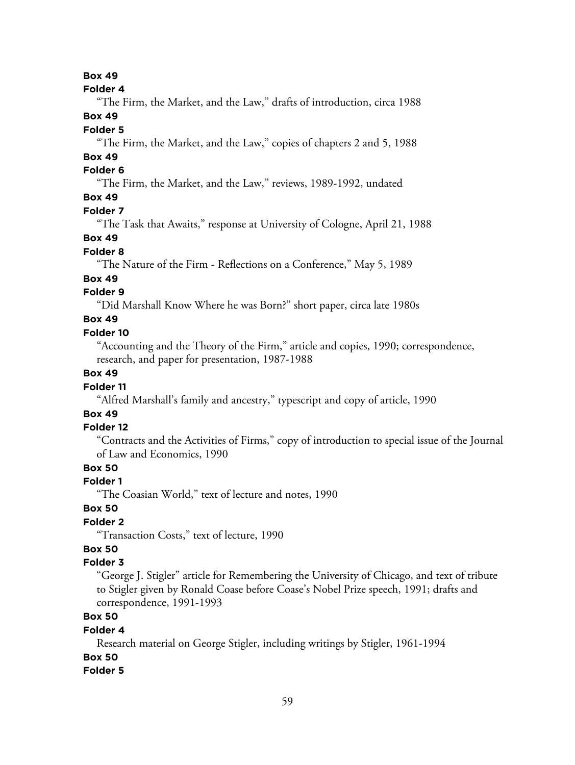#### **Folder 4**

"The Firm, the Market, and the Law," drafts of introduction, circa 1988

## **Box 49**

## **Folder 5**

"The Firm, the Market, and the Law," copies of chapters 2 and 5, 1988

# **Box 49**

# **Folder 6**

"The Firm, the Market, and the Law," reviews, 1989-1992, undated

## **Box 49**

#### **Folder 7**

"The Task that Awaits," response at University of Cologne, April 21, 1988

## **Box 49**

## **Folder 8**

"The Nature of the Firm - Reflections on a Conference," May 5, 1989

## **Box 49**

## **Folder 9**

"Did Marshall Know Where he was Born?" short paper, circa late 1980s

# **Box 49**

### **Folder 10**

"Accounting and the Theory of the Firm," article and copies, 1990; correspondence, research, and paper for presentation, 1987-1988

## **Box 49**

### **Folder 11**

"Alfred Marshall's family and ancestry," typescript and copy of article, 1990

# **Box 49**

### **Folder 12**

"Contracts and the Activities of Firms," copy of introduction to special issue of the Journal of Law and Economics, 1990

# **Box 50**

## **Folder 1**

"The Coasian World," text of lecture and notes, 1990

## **Box 50**

# **Folder 2**

"Transaction Costs," text of lecture, 1990

# **Box 50**

## **Folder 3**

"George J. Stigler" article for Remembering the University of Chicago, and text of tribute to Stigler given by Ronald Coase before Coase's Nobel Prize speech, 1991; drafts and correspondence, 1991-1993

# **Box 50**

### **Folder 4**

Research material on George Stigler, including writings by Stigler, 1961-1994 **Box 50**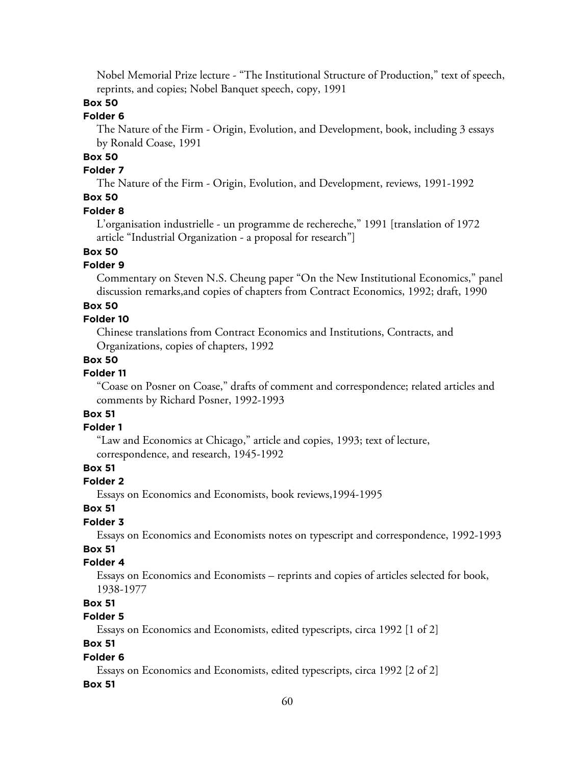Nobel Memorial Prize lecture - "The Institutional Structure of Production," text of speech, reprints, and copies; Nobel Banquet speech, copy, 1991

# **Box 50**

# **Folder 6**

The Nature of the Firm - Origin, Evolution, and Development, book, including 3 essays by Ronald Coase, 1991

# **Box 50**

# **Folder 7**

The Nature of the Firm - Origin, Evolution, and Development, reviews, 1991-1992

## **Box 50**

### **Folder 8**

L'organisation industrielle - un programme de rechereche," 1991 [translation of 1972 article "Industrial Organization - a proposal for research"]

# **Box 50**

# **Folder 9**

Commentary on Steven N.S. Cheung paper "On the New Institutional Economics," panel discussion remarks,and copies of chapters from Contract Economics, 1992; draft, 1990

### **Box 50**

## **Folder 10**

Chinese translations from Contract Economics and Institutions, Contracts, and Organizations, copies of chapters, 1992

## **Box 50**

## **Folder 11**

"Coase on Posner on Coase," drafts of comment and correspondence; related articles and comments by Richard Posner, 1992-1993

# **Box 51**

## **Folder 1**

"Law and Economics at Chicago," article and copies, 1993; text of lecture, correspondence, and research, 1945-1992

## **Box 51**

## **Folder 2**

Essays on Economics and Economists, book reviews,1994-1995

## **Box 51**

# **Folder 3**

Essays on Economics and Economists notes on typescript and correspondence, 1992-1993

# **Box 51**

## **Folder 4**

Essays on Economics and Economists – reprints and copies of articles selected for book, 1938-1977

# **Box 51**

# **Folder 5**

Essays on Economics and Economists, edited typescripts, circa 1992 [1 of 2]

## **Box 51**

### **Folder 6**

Essays on Economics and Economists, edited typescripts, circa 1992 [2 of 2]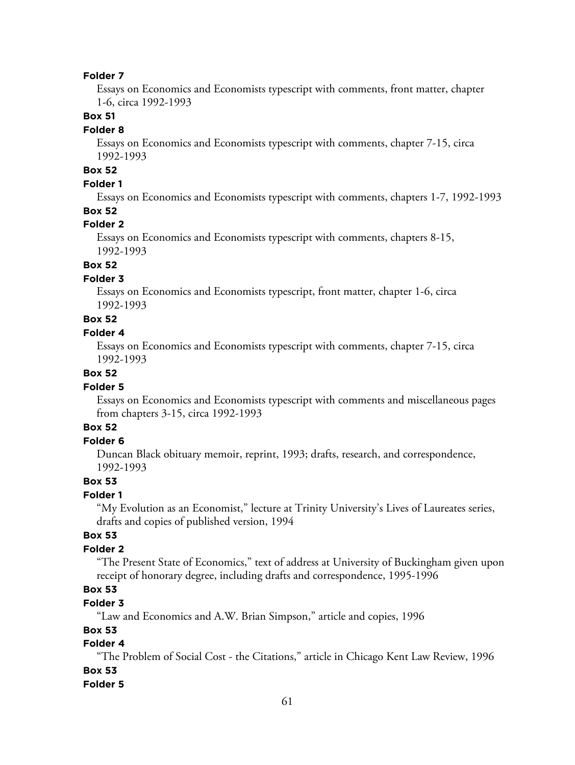Essays on Economics and Economists typescript with comments, front matter, chapter 1-6, circa 1992-1993

## **Box 51**

### **Folder 8**

Essays on Economics and Economists typescript with comments, chapter 7-15, circa 1992-1993

# **Box 52**

# **Folder 1**

Essays on Economics and Economists typescript with comments, chapters 1-7, 1992-1993

# **Box 52**

## **Folder 2**

Essays on Economics and Economists typescript with comments, chapters 8-15, 1992-1993

# **Box 52**

## **Folder 3**

Essays on Economics and Economists typescript, front matter, chapter 1-6, circa 1992-1993

# **Box 52**

## **Folder 4**

Essays on Economics and Economists typescript with comments, chapter 7-15, circa 1992-1993

## **Box 52**

### **Folder 5**

Essays on Economics and Economists typescript with comments and miscellaneous pages from chapters 3-15, circa 1992-1993

# **Box 52**

## **Folder 6**

Duncan Black obituary memoir, reprint, 1993; drafts, research, and correspondence, 1992-1993

## **Box 53**

# **Folder 1**

"My Evolution as an Economist," lecture at Trinity University's Lives of Laureates series, drafts and copies of published version, 1994

## **Box 53**

# **Folder 2**

"The Present State of Economics," text of address at University of Buckingham given upon receipt of honorary degree, including drafts and correspondence, 1995-1996

# **Box 53**

# **Folder 3**

"Law and Economics and A.W. Brian Simpson," article and copies, 1996

## **Box 53**

# **Folder 4**

"The Problem of Social Cost - the Citations," article in Chicago Kent Law Review, 1996 **Box 53**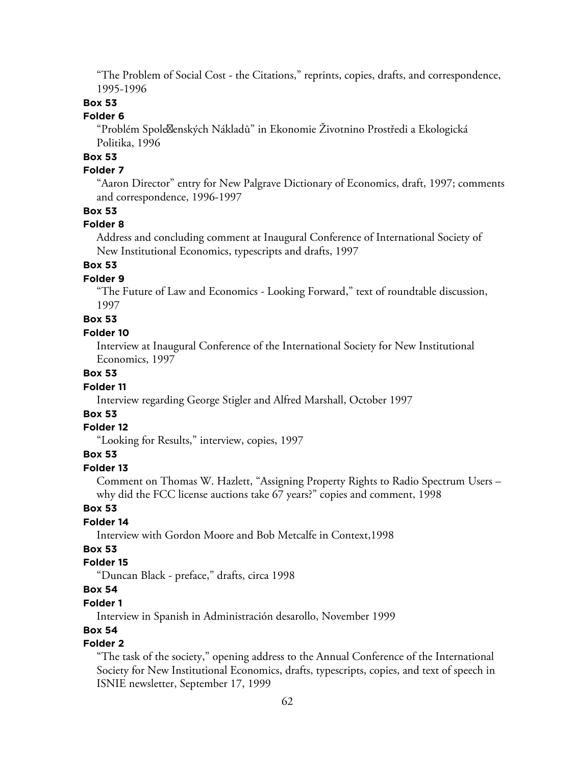"The Problem of Social Cost - the Citations," reprints, copies, drafts, and correspondence, 1995-1996

## **Box 53**

## **Folder 6**

"Problém Spole<sup>g</sup>enských Nákladů" in Ekonomie Životnino Prostředi a Ekologická Politika, 1996

# **Box 53**

## **Folder 7**

"Aaron Director" entry for New Palgrave Dictionary of Economics, draft, 1997; comments and correspondence, 1996-1997

## **Box 53**

## **Folder 8**

Address and concluding comment at Inaugural Conference of International Society of New Institutional Economics, typescripts and drafts, 1997

# **Box 53**

## **Folder 9**

"The Future of Law and Economics - Looking Forward," text of roundtable discussion, 1997

# **Box 53**

#### **Folder 10**

Interview at Inaugural Conference of the International Society for New Institutional Economics, 1997

## **Box 53**

### **Folder 11**

Interview regarding George Stigler and Alfred Marshall, October 1997

## **Box 53**

### **Folder 12**

"Looking for Results," interview, copies, 1997

## **Box 53**

## **Folder 13**

Comment on Thomas W. Hazlett, "Assigning Property Rights to Radio Spectrum Users – why did the FCC license auctions take 67 years?" copies and comment, 1998

### **Box 53**

## **Folder 14**

Interview with Gordon Moore and Bob Metcalfe in Context,1998

# **Box 53**

## **Folder 15**

"Duncan Black - preface," drafts, circa 1998

# **Box 54**

### **Folder 1**

Interview in Spanish in Administración desarollo, November 1999

## **Box 54**

# **Folder 2**

"The task of the society," opening address to the Annual Conference of the International Society for New Institutional Economics, drafts, typescripts, copies, and text of speech in ISNIE newsletter, September 17, 1999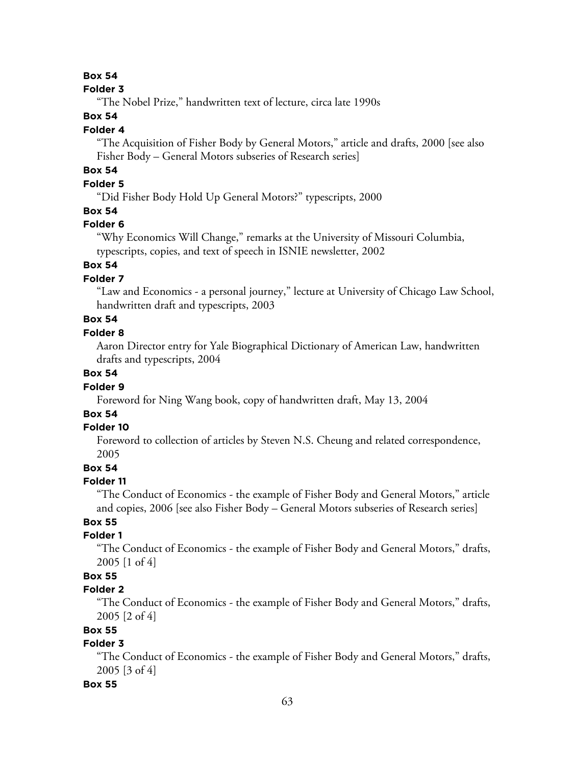#### **Folder 3**

"The Nobel Prize," handwritten text of lecture, circa late 1990s

## **Box 54**

### **Folder 4**

"The Acquisition of Fisher Body by General Motors," article and drafts, 2000 [see also Fisher Body – General Motors subseries of Research series]

# **Box 54**

# **Folder 5**

"Did Fisher Body Hold Up General Motors?" typescripts, 2000

## **Box 54**

### **Folder 6**

"Why Economics Will Change," remarks at the University of Missouri Columbia, typescripts, copies, and text of speech in ISNIE newsletter, 2002

# **Box 54**

## **Folder 7**

"Law and Economics - a personal journey," lecture at University of Chicago Law School, handwritten draft and typescripts, 2003

# **Box 54**

## **Folder 8**

Aaron Director entry for Yale Biographical Dictionary of American Law, handwritten drafts and typescripts, 2004

# **Box 54**

### **Folder 9**

Foreword for Ning Wang book, copy of handwritten draft, May 13, 2004

# **Box 54**

## **Folder 10**

Foreword to collection of articles by Steven N.S. Cheung and related correspondence, 2005

## **Box 54**

### **Folder 11**

"The Conduct of Economics - the example of Fisher Body and General Motors," article and copies, 2006 [see also Fisher Body – General Motors subseries of Research series]

# **Box 55**

## **Folder 1**

"The Conduct of Economics - the example of Fisher Body and General Motors," drafts, 2005 [1 of 4]

# **Box 55**

# **Folder 2**

"The Conduct of Economics - the example of Fisher Body and General Motors," drafts, 2005 [2 of 4]

## **Box 55**

# **Folder 3**

"The Conduct of Economics - the example of Fisher Body and General Motors," drafts, 2005 [3 of 4]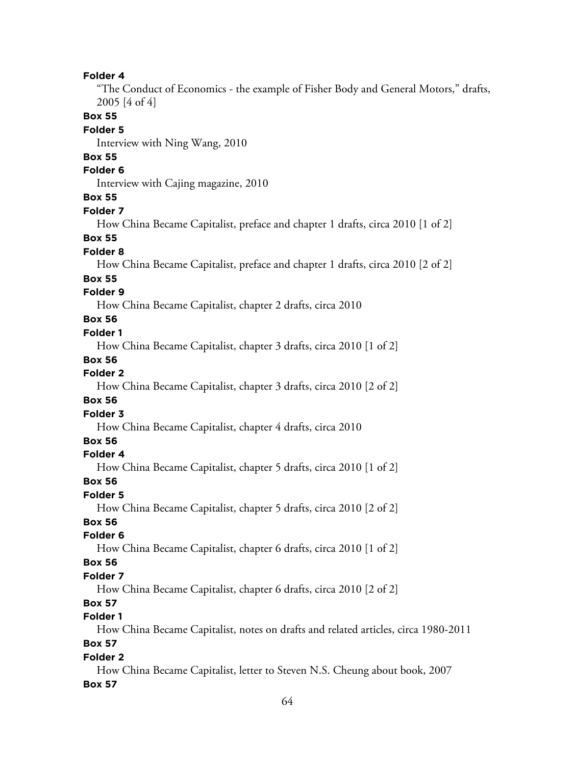"The Conduct of Economics - the example of Fisher Body and General Motors," drafts, 2005 [4 of 4]

**Box 55**

## **Folder 5**

Interview with Ning Wang, 2010

# **Box 55**

## **Folder 6**

Interview with Cajing magazine, 2010

## **Box 55**

#### **Folder 7**

How China Became Capitalist, preface and chapter 1 drafts, circa 2010 [1 of 2]

### **Box 55**

#### **Folder 8**

How China Became Capitalist, preface and chapter 1 drafts, circa 2010 [2 of 2]

#### **Box 55**

## **Folder 9**

How China Became Capitalist, chapter 2 drafts, circa 2010

## **Box 56**

## **Folder 1**

How China Became Capitalist, chapter 3 drafts, circa 2010 [1 of 2]

### **Box 56**

# **Folder 2**

How China Became Capitalist, chapter 3 drafts, circa 2010 [2 of 2]

### **Box 56**

#### **Folder 3**

How China Became Capitalist, chapter 4 drafts, circa 2010

## **Box 56**

### **Folder 4**

How China Became Capitalist, chapter 5 drafts, circa 2010 [1 of 2]

## **Box 56**

# **Folder 5**

How China Became Capitalist, chapter 5 drafts, circa 2010 [2 of 2]

# **Box 56**

## **Folder 6**

How China Became Capitalist, chapter 6 drafts, circa 2010 [1 of 2]

## **Box 56**

## **Folder 7**

How China Became Capitalist, chapter 6 drafts, circa 2010 [2 of 2]

# **Box 57**

# **Folder 1**

How China Became Capitalist, notes on drafts and related articles, circa 1980-2011

# **Box 57**

## **Folder 2**

How China Became Capitalist, letter to Steven N.S. Cheung about book, 2007 **Box 57**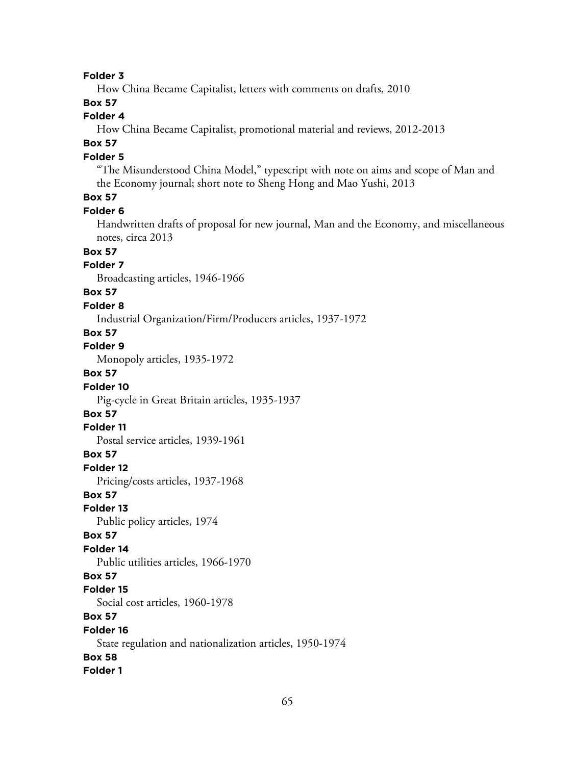How China Became Capitalist, letters with comments on drafts, 2010

## **Box 57**

# **Folder 4**

How China Became Capitalist, promotional material and reviews, 2012-2013

# **Box 57**

## **Folder 5**

"The Misunderstood China Model," typescript with note on aims and scope of Man and the Economy journal; short note to Sheng Hong and Mao Yushi, 2013

## **Box 57**

#### **Folder 6**

Handwritten drafts of proposal for new journal, Man and the Economy, and miscellaneous notes, circa 2013

### **Box 57**

## **Folder 7**

Broadcasting articles, 1946-1966

## **Box 57**

### **Folder 8**

Industrial Organization/Firm/Producers articles, 1937-1972

## **Box 57**

**Folder 9**

Monopoly articles, 1935-1972

# **Box 57**

#### **Folder 10**

Pig-cycle in Great Britain articles, 1935-1937

## **Box 57**

## **Folder 11**

Postal service articles, 1939-1961

#### **Box 57**

**Folder 12**

Pricing/costs articles, 1937-1968

### **Box 57**

**Folder 13**

Public policy articles, 1974

#### **Box 57**

#### **Folder 14**

Public utilities articles, 1966-1970

#### **Box 57**

#### **Folder 15**

Social cost articles, 1960-1978

## **Box 57**

# **Folder 16** State regulation and nationalization articles, 1950-1974 **Box 58**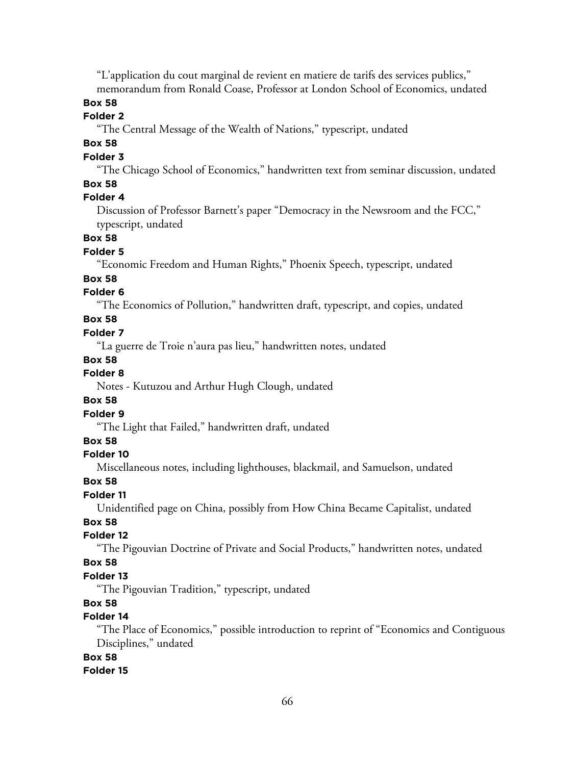"L'application du cout marginal de revient en matiere de tarifs des services publics," memorandum from Ronald Coase, Professor at London School of Economics, undated

# **Box 58**

## **Folder 2**

"The Central Message of the Wealth of Nations," typescript, undated

# **Box 58**

#### **Folder 3**

"The Chicago School of Economics," handwritten text from seminar discussion, undated **Box 58**

## **Folder 4**

Discussion of Professor Barnett's paper "Democracy in the Newsroom and the FCC," typescript, undated

## **Box 58**

#### **Folder 5**

"Economic Freedom and Human Rights," Phoenix Speech, typescript, undated

### **Box 58**

## **Folder 6**

"The Economics of Pollution," handwritten draft, typescript, and copies, undated

## **Box 58**

## **Folder 7**

"La guerre de Troie n'aura pas lieu," handwritten notes, undated

#### **Box 58**

# **Folder 8**

Notes - Kutuzou and Arthur Hugh Clough, undated

## **Box 58**

## **Folder 9**

"The Light that Failed," handwritten draft, undated

# **Box 58**

## **Folder 10**

Miscellaneous notes, including lighthouses, blackmail, and Samuelson, undated

#### **Box 58**

## **Folder 11**

Unidentified page on China, possibly from How China Became Capitalist, undated

# **Box 58**

# **Folder 12**

"The Pigouvian Doctrine of Private and Social Products," handwritten notes, undated

## **Box 58**

## **Folder 13**

"The Pigouvian Tradition," typescript, undated

# **Box 58**

# **Folder 14**

"The Place of Economics," possible introduction to reprint of "Economics and Contiguous Disciplines," undated

# **Box 58**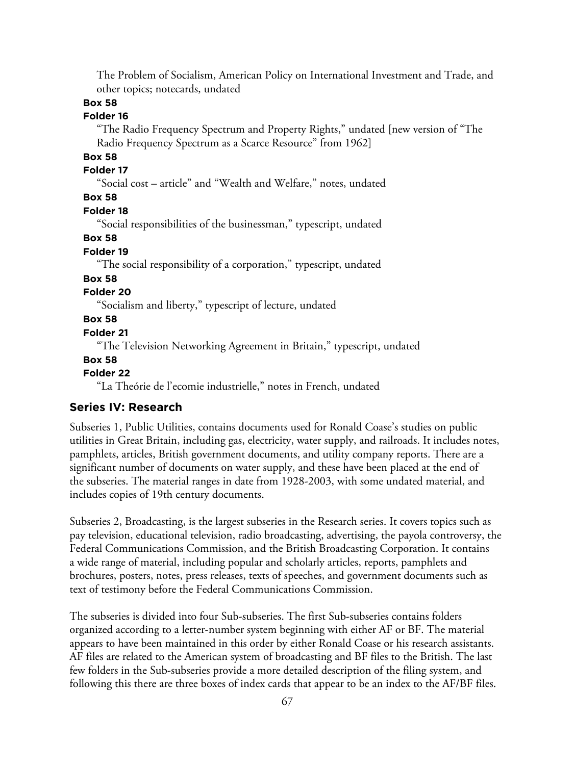The Problem of Socialism, American Policy on International Investment and Trade, and other topics; notecards, undated

# **Box 58**

# **Folder 16**

"The Radio Frequency Spectrum and Property Rights," undated [new version of "The Radio Frequency Spectrum as a Scarce Resource" from 1962]

# **Box 58**

# **Folder 17**

"Social cost – article" and "Wealth and Welfare," notes, undated

## **Box 58**

## **Folder 18**

"Social responsibilities of the businessman," typescript, undated

## **Box 58**

# **Folder 19**

"The social responsibility of a corporation," typescript, undated

## **Box 58**

# **Folder 20**

"Socialism and liberty," typescript of lecture, undated

## **Box 58**

## **Folder 21**

"The Television Networking Agreement in Britain," typescript, undated

#### **Box 58**

#### **Folder 22**

"La Theórie de l'ecomie industrielle," notes in French, undated

### **Series IV: Research**

Subseries 1, Public Utilities, contains documents used for Ronald Coase's studies on public utilities in Great Britain, including gas, electricity, water supply, and railroads. It includes notes, pamphlets, articles, British government documents, and utility company reports. There are a significant number of documents on water supply, and these have been placed at the end of the subseries. The material ranges in date from 1928-2003, with some undated material, and includes copies of 19th century documents.

Subseries 2, Broadcasting, is the largest subseries in the Research series. It covers topics such as pay television, educational television, radio broadcasting, advertising, the payola controversy, the Federal Communications Commission, and the British Broadcasting Corporation. It contains a wide range of material, including popular and scholarly articles, reports, pamphlets and brochures, posters, notes, press releases, texts of speeches, and government documents such as text of testimony before the Federal Communications Commission.

The subseries is divided into four Sub-subseries. The first Sub-subseries contains folders organized according to a letter-number system beginning with either AF or BF. The material appears to have been maintained in this order by either Ronald Coase or his research assistants. AF files are related to the American system of broadcasting and BF files to the British. The last few folders in the Sub-subseries provide a more detailed description of the filing system, and following this there are three boxes of index cards that appear to be an index to the AF/BF files.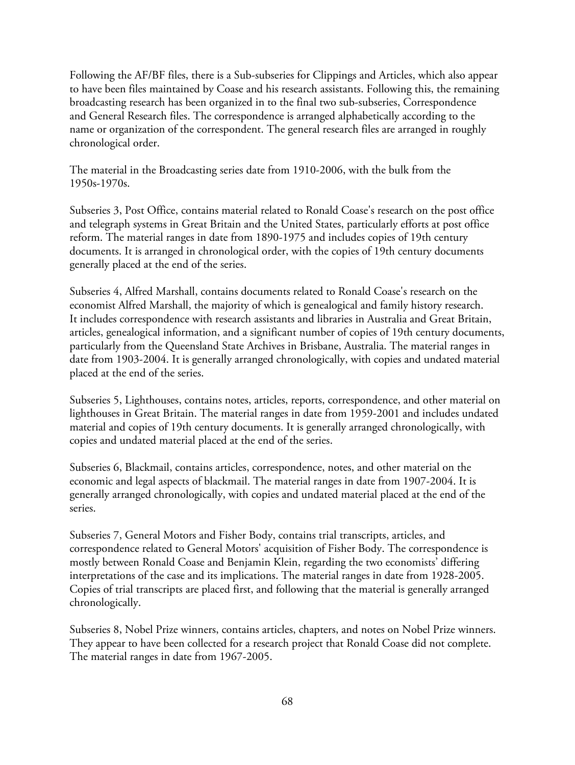Following the AF/BF files, there is a Sub-subseries for Clippings and Articles, which also appear to have been files maintained by Coase and his research assistants. Following this, the remaining broadcasting research has been organized in to the final two sub-subseries, Correspondence and General Research files. The correspondence is arranged alphabetically according to the name or organization of the correspondent. The general research files are arranged in roughly chronological order.

The material in the Broadcasting series date from 1910-2006, with the bulk from the 1950s-1970s.

Subseries 3, Post Office, contains material related to Ronald Coase's research on the post office and telegraph systems in Great Britain and the United States, particularly efforts at post office reform. The material ranges in date from 1890-1975 and includes copies of 19th century documents. It is arranged in chronological order, with the copies of 19th century documents generally placed at the end of the series.

Subseries 4, Alfred Marshall, contains documents related to Ronald Coase's research on the economist Alfred Marshall, the majority of which is genealogical and family history research. It includes correspondence with research assistants and libraries in Australia and Great Britain, articles, genealogical information, and a significant number of copies of 19th century documents, particularly from the Queensland State Archives in Brisbane, Australia. The material ranges in date from 1903-2004. It is generally arranged chronologically, with copies and undated material placed at the end of the series.

Subseries 5, Lighthouses, contains notes, articles, reports, correspondence, and other material on lighthouses in Great Britain. The material ranges in date from 1959-2001 and includes undated material and copies of 19th century documents. It is generally arranged chronologically, with copies and undated material placed at the end of the series.

Subseries 6, Blackmail, contains articles, correspondence, notes, and other material on the economic and legal aspects of blackmail. The material ranges in date from 1907-2004. It is generally arranged chronologically, with copies and undated material placed at the end of the series.

Subseries 7, General Motors and Fisher Body, contains trial transcripts, articles, and correspondence related to General Motors' acquisition of Fisher Body. The correspondence is mostly between Ronald Coase and Benjamin Klein, regarding the two economists' differing interpretations of the case and its implications. The material ranges in date from 1928-2005. Copies of trial transcripts are placed first, and following that the material is generally arranged chronologically.

Subseries 8, Nobel Prize winners, contains articles, chapters, and notes on Nobel Prize winners. They appear to have been collected for a research project that Ronald Coase did not complete. The material ranges in date from 1967-2005.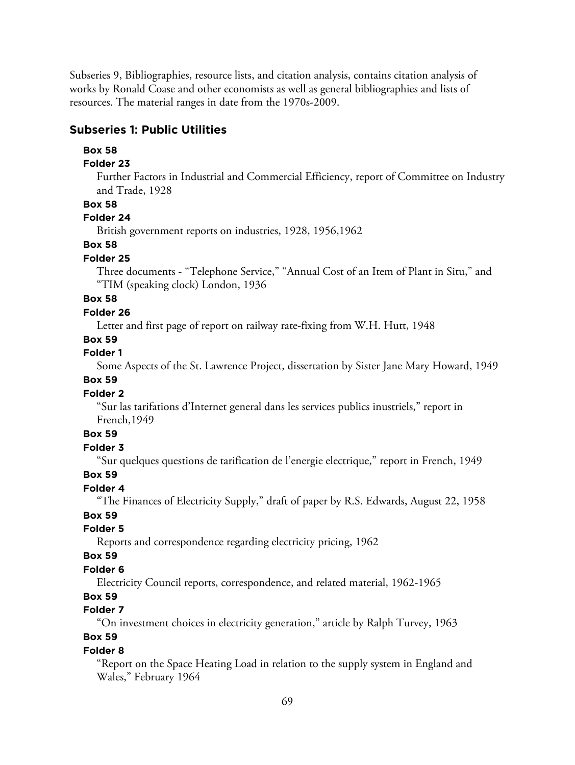Subseries 9, Bibliographies, resource lists, and citation analysis, contains citation analysis of works by Ronald Coase and other economists as well as general bibliographies and lists of resources. The material ranges in date from the 1970s-2009.

## **Subseries 1: Public Utilities**

#### **Box 58**

#### **Folder 23**

Further Factors in Industrial and Commercial Efficiency, report of Committee on Industry and Trade, 1928

## **Box 58**

## **Folder 24**

British government reports on industries, 1928, 1956,1962

## **Box 58**

#### **Folder 25**

Three documents - "Telephone Service," "Annual Cost of an Item of Plant in Situ," and "TIM (speaking clock) London, 1936

# **Box 58**

## **Folder 26**

Letter and first page of report on railway rate-fixing from W.H. Hutt, 1948

## **Box 59**

# **Folder 1**

Some Aspects of the St. Lawrence Project, dissertation by Sister Jane Mary Howard, 1949

## **Box 59**

## **Folder 2**

"Sur las tarifations d'Internet general dans les services publics inustriels," report in French,1949

#### **Box 59**

#### **Folder 3**

"Sur quelques questions de tarification de l'energie electrique," report in French, 1949

## **Box 59**

## **Folder 4**

"The Finances of Electricity Supply," draft of paper by R.S. Edwards, August 22, 1958

# **Box 59**

# **Folder 5**

Reports and correspondence regarding electricity pricing, 1962

# **Box 59**

# **Folder 6**

Electricity Council reports, correspondence, and related material, 1962-1965

# **Box 59**

## **Folder 7**

"On investment choices in electricity generation," article by Ralph Turvey, 1963

# **Box 59**

## **Folder 8**

"Report on the Space Heating Load in relation to the supply system in England and Wales," February 1964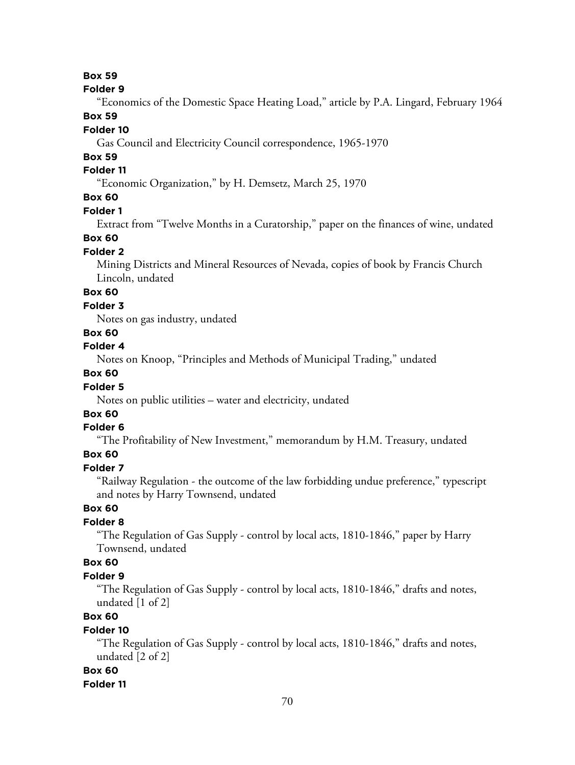#### **Folder 9**

"Economics of the Domestic Space Heating Load," article by P.A. Lingard, February 1964

## **Box 59**

## **Folder 10**

Gas Council and Electricity Council correspondence, 1965-1970

## **Box 59**

# **Folder 11**

"Economic Organization," by H. Demsetz, March 25, 1970

# **Box 60**

### **Folder 1**

Extract from "Twelve Months in a Curatorship," paper on the finances of wine, undated

## **Box 60**

## **Folder 2**

Mining Districts and Mineral Resources of Nevada, copies of book by Francis Church Lincoln, undated

# **Box 60**

### **Folder 3**

Notes on gas industry, undated

# **Box 60**

# **Folder 4**

Notes on Knoop, "Principles and Methods of Municipal Trading," undated

## **Box 60**

## **Folder 5**

Notes on public utilities – water and electricity, undated

# **Box 60**

### **Folder 6**

"The Profitability of New Investment," memorandum by H.M. Treasury, undated

## **Box 60**

### **Folder 7**

"Railway Regulation - the outcome of the law forbidding undue preference," typescript and notes by Harry Townsend, undated

# **Box 60**

# **Folder 8**

"The Regulation of Gas Supply - control by local acts, 1810-1846," paper by Harry Townsend, undated

## **Box 60**

## **Folder 9**

"The Regulation of Gas Supply - control by local acts, 1810-1846," drafts and notes, undated [1 of 2]

# **Box 60**

## **Folder 10**

"The Regulation of Gas Supply - control by local acts, 1810-1846," drafts and notes, undated [2 of 2]

## **Box 60**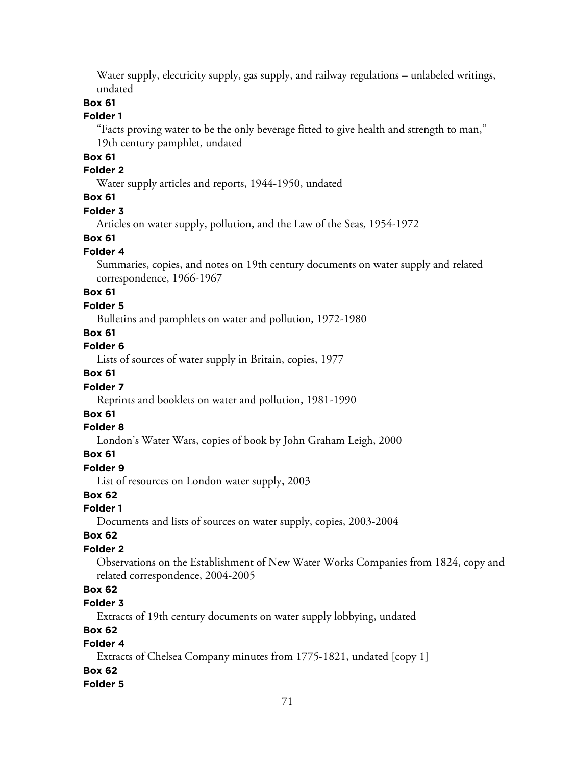Water supply, electricity supply, gas supply, and railway regulations – unlabeled writings, undated

## **Box 61**

### **Folder 1**

"Facts proving water to be the only beverage fitted to give health and strength to man," 19th century pamphlet, undated

# **Box 61**

## **Folder 2**

Water supply articles and reports, 1944-1950, undated

## **Box 61**

## **Folder 3**

Articles on water supply, pollution, and the Law of the Seas, 1954-1972

### **Box 61**

## **Folder 4**

Summaries, copies, and notes on 19th century documents on water supply and related correspondence, 1966-1967

## **Box 61**

## **Folder 5**

Bulletins and pamphlets on water and pollution, 1972-1980

# **Box 61**

# **Folder 6**

Lists of sources of water supply in Britain, copies, 1977

# **Box 61**

## **Folder 7**

Reprints and booklets on water and pollution, 1981-1990

# **Box 61**

### **Folder 8**

London's Water Wars, copies of book by John Graham Leigh, 2000

## **Box 61**

# **Folder 9**

List of resources on London water supply, 2003

## **Box 62**

### **Folder 1**

Documents and lists of sources on water supply, copies, 2003-2004

### **Box 62**

## **Folder 2**

Observations on the Establishment of New Water Works Companies from 1824, copy and related correspondence, 2004-2005

# **Box 62**

## **Folder 3**

Extracts of 19th century documents on water supply lobbying, undated

# **Box 62**

# **Folder 4**

Extracts of Chelsea Company minutes from 1775-1821, undated [copy 1]

# **Box 62**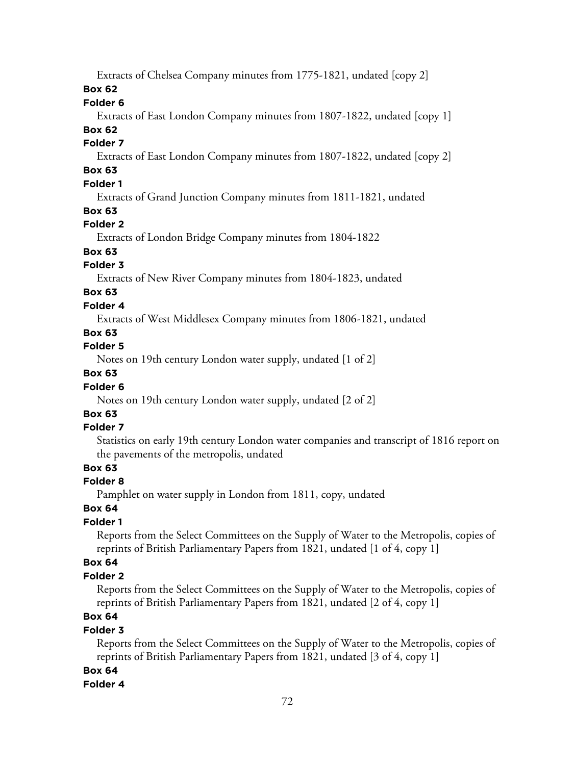Extracts of Chelsea Company minutes from 1775-1821, undated [copy 2]

**Box 62**

**Folder 6**

Extracts of East London Company minutes from 1807-1822, undated [copy 1]

# **Box 62**

# **Folder 7**

Extracts of East London Company minutes from 1807-1822, undated [copy 2]

# **Box 63**

# **Folder 1**

Extracts of Grand Junction Company minutes from 1811-1821, undated

## **Box 63**

# **Folder 2**

Extracts of London Bridge Company minutes from 1804-1822

# **Box 63**

# **Folder 3**

Extracts of New River Company minutes from 1804-1823, undated

# **Box 63**

## **Folder 4**

Extracts of West Middlesex Company minutes from 1806-1821, undated

## **Box 63**

# **Folder 5**

Notes on 19th century London water supply, undated [1 of 2]

# **Box 63**

## **Folder 6**

Notes on 19th century London water supply, undated [2 of 2]

# **Box 63**

## **Folder 7**

Statistics on early 19th century London water companies and transcript of 1816 report on the pavements of the metropolis, undated

# **Box 63**

## **Folder 8**

Pamphlet on water supply in London from 1811, copy, undated

# **Box 64**

# **Folder 1**

Reports from the Select Committees on the Supply of Water to the Metropolis, copies of reprints of British Parliamentary Papers from 1821, undated [1 of 4, copy 1]

## **Box 64**

## **Folder 2**

Reports from the Select Committees on the Supply of Water to the Metropolis, copies of reprints of British Parliamentary Papers from 1821, undated [2 of 4, copy 1]

# **Box 64**

## **Folder 3**

Reports from the Select Committees on the Supply of Water to the Metropolis, copies of reprints of British Parliamentary Papers from 1821, undated [3 of 4, copy 1]

## **Box 64**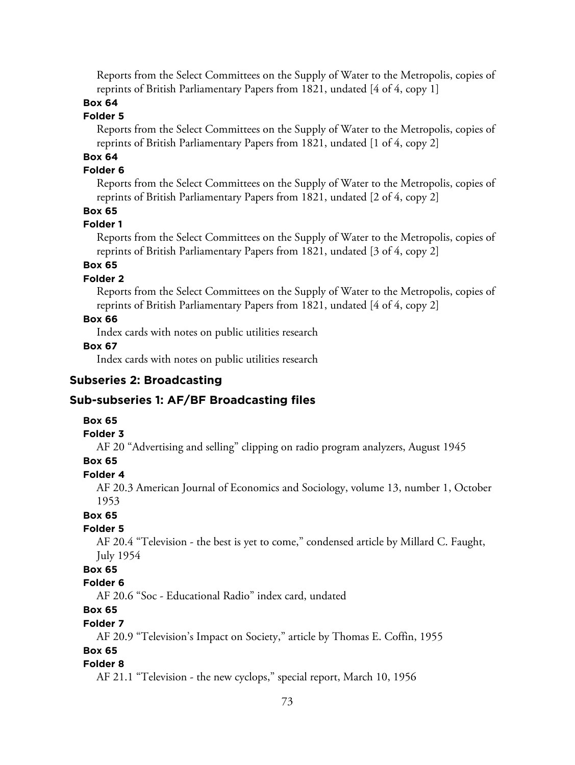Reports from the Select Committees on the Supply of Water to the Metropolis, copies of reprints of British Parliamentary Papers from 1821, undated [4 of 4, copy 1]

### **Box 64**

### **Folder 5**

Reports from the Select Committees on the Supply of Water to the Metropolis, copies of reprints of British Parliamentary Papers from 1821, undated [1 of 4, copy 2]

# **Box 64**

### **Folder 6**

Reports from the Select Committees on the Supply of Water to the Metropolis, copies of reprints of British Parliamentary Papers from 1821, undated [2 of 4, copy 2]

### **Box 65**

### **Folder 1**

Reports from the Select Committees on the Supply of Water to the Metropolis, copies of reprints of British Parliamentary Papers from 1821, undated [3 of 4, copy 2]

### **Box 65**

### **Folder 2**

Reports from the Select Committees on the Supply of Water to the Metropolis, copies of reprints of British Parliamentary Papers from 1821, undated [4 of 4, copy 2]

### **Box 66**

Index cards with notes on public utilities research

### **Box 67**

Index cards with notes on public utilities research

### **Subseries 2: Broadcasting**

#### **Sub-subseries 1: AF/BF Broadcasting files**

### **Box 65**

### **Folder 3**

AF 20 "Advertising and selling" clipping on radio program analyzers, August 1945

### **Box 65**

### **Folder 4**

AF 20.3 American Journal of Economics and Sociology, volume 13, number 1, October 1953

# **Box 65**

### **Folder 5**

AF 20.4 "Television - the best is yet to come," condensed article by Millard C. Faught, July 1954

# **Box 65**

# **Folder 6**

AF 20.6 "Soc - Educational Radio" index card, undated

# **Box 65**

# **Folder 7**

AF 20.9 "Television's Impact on Society," article by Thomas E. Coffin, 1955

# **Box 65**

# **Folder 8**

AF 21.1 "Television - the new cyclops," special report, March 10, 1956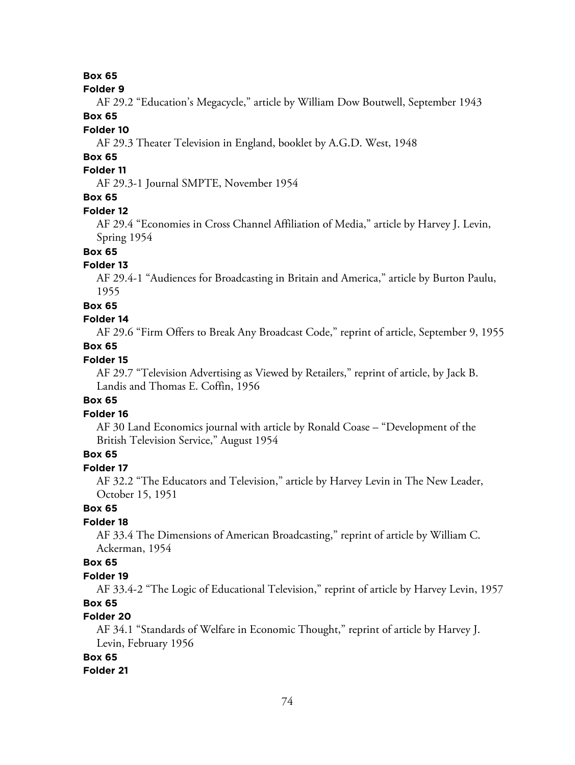**Box 65**

#### **Folder 9**

AF 29.2 "Education's Megacycle," article by William Dow Boutwell, September 1943

# **Box 65**

# **Folder 10**

AF 29.3 Theater Television in England, booklet by A.G.D. West, 1948

# **Box 65**

# **Folder 11**

AF 29.3-1 Journal SMPTE, November 1954

# **Box 65**

### **Folder 12**

AF 29.4 "Economies in Cross Channel Affiliation of Media," article by Harvey J. Levin, Spring 1954

# **Box 65**

### **Folder 13**

AF 29.4-1 "Audiences for Broadcasting in Britain and America," article by Burton Paulu, 1955

#### **Box 65**

#### **Folder 14**

AF 29.6 "Firm Offers to Break Any Broadcast Code," reprint of article, September 9, 1955

### **Box 65**

### **Folder 15**

AF 29.7 "Television Advertising as Viewed by Retailers," reprint of article, by Jack B. Landis and Thomas E. Coffin, 1956

### **Box 65**

### **Folder 16**

AF 30 Land Economics journal with article by Ronald Coase – "Development of the British Television Service," August 1954

### **Box 65**

### **Folder 17**

AF 32.2 "The Educators and Television," article by Harvey Levin in The New Leader, October 15, 1951

### **Box 65**

### **Folder 18**

AF 33.4 The Dimensions of American Broadcasting," reprint of article by William C. Ackerman, 1954

### **Box 65**

#### **Folder 19**

AF 33.4-2 "The Logic of Educational Television," reprint of article by Harvey Levin, 1957 **Box 65**

#### **Folder 20**

AF 34.1 "Standards of Welfare in Economic Thought," reprint of article by Harvey J. Levin, February 1956

# **Box 65**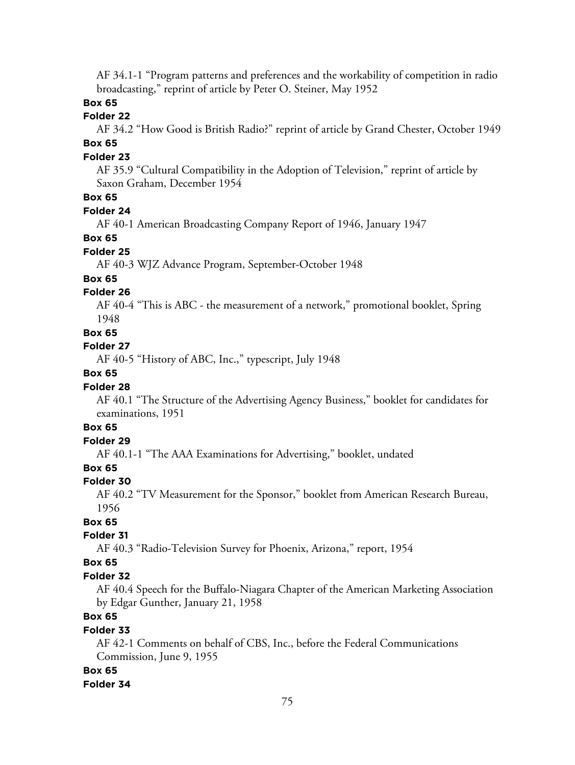AF 34.1-1 "Program patterns and preferences and the workability of competition in radio broadcasting," reprint of article by Peter O. Steiner, May 1952

### **Box 65**

### **Folder 22**

AF 34.2 "How Good is British Radio?" reprint of article by Grand Chester, October 1949 **Box 65**

#### **Folder 23**

AF 35.9 "Cultural Compatibility in the Adoption of Television," reprint of article by Saxon Graham, December 1954

### **Box 65**

#### **Folder 24**

AF 40-1 American Broadcasting Company Report of 1946, January 1947

#### **Box 65**

#### **Folder 25**

AF 40-3 WJZ Advance Program, September-October 1948

### **Box 65**

### **Folder 26**

AF 40-4 "This is ABC - the measurement of a network," promotional booklet, Spring 1948

#### **Box 65**

### **Folder 27**

AF 40-5 "History of ABC, Inc.," typescript, July 1948

### **Box 65**

#### **Folder 28**

AF 40.1 "The Structure of the Advertising Agency Business," booklet for candidates for examinations, 1951

# **Box 65**

### **Folder 29**

AF 40.1-1 "The AAA Examinations for Advertising," booklet, undated

# **Box 65**

#### **Folder 30**

AF 40.2 "TV Measurement for the Sponsor," booklet from American Research Bureau, 1956

### **Box 65**

#### **Folder 31**

AF 40.3 "Radio-Television Survey for Phoenix, Arizona," report, 1954

### **Box 65**

#### **Folder 32**

AF 40.4 Speech for the Buffalo-Niagara Chapter of the American Marketing Association by Edgar Gunther, January 21, 1958

# **Box 65**

### **Folder 33**

AF 42-1 Comments on behalf of CBS, Inc., before the Federal Communications Commission, June 9, 1955

#### **Box 65**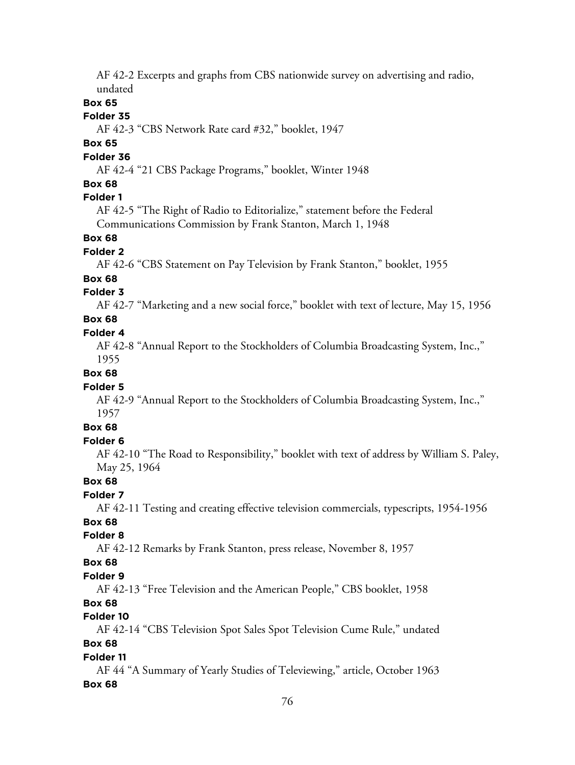AF 42-2 Excerpts and graphs from CBS nationwide survey on advertising and radio, undated

### **Box 65**

### **Folder 35**

AF 42-3 "CBS Network Rate card #32," booklet, 1947

# **Box 65**

### **Folder 36**

AF 42-4 "21 CBS Package Programs," booklet, Winter 1948

### **Box 68**

### **Folder 1**

AF 42-5 "The Right of Radio to Editorialize," statement before the Federal Communications Commission by Frank Stanton, March 1, 1948

### **Box 68**

#### **Folder 2**

AF 42-6 "CBS Statement on Pay Television by Frank Stanton," booklet, 1955

#### **Box 68**

### **Folder 3**

AF 42-7 "Marketing and a new social force," booklet with text of lecture, May 15, 1956

### **Box 68**

### **Folder 4**

AF 42-8 "Annual Report to the Stockholders of Columbia Broadcasting System, Inc.," 1955

### **Box 68**

#### **Folder 5**

AF 42-9 "Annual Report to the Stockholders of Columbia Broadcasting System, Inc.," 1957

# **Box 68**

### **Folder 6**

AF 42-10 "The Road to Responsibility," booklet with text of address by William S. Paley, May 25, 1964

### **Box 68**

# **Folder 7**

AF 42-11 Testing and creating effective television commercials, typescripts, 1954-1956

# **Box 68**

# **Folder 8**

AF 42-12 Remarks by Frank Stanton, press release, November 8, 1957

### **Box 68**

#### **Folder 9**

AF 42-13 "Free Television and the American People," CBS booklet, 1958

# **Box 68**

### **Folder 10**

AF 42-14 "CBS Television Spot Sales Spot Television Cume Rule," undated

### **Box 68**

### **Folder 11**

AF 44 "A Summary of Yearly Studies of Televiewing," article, October 1963 **Box 68**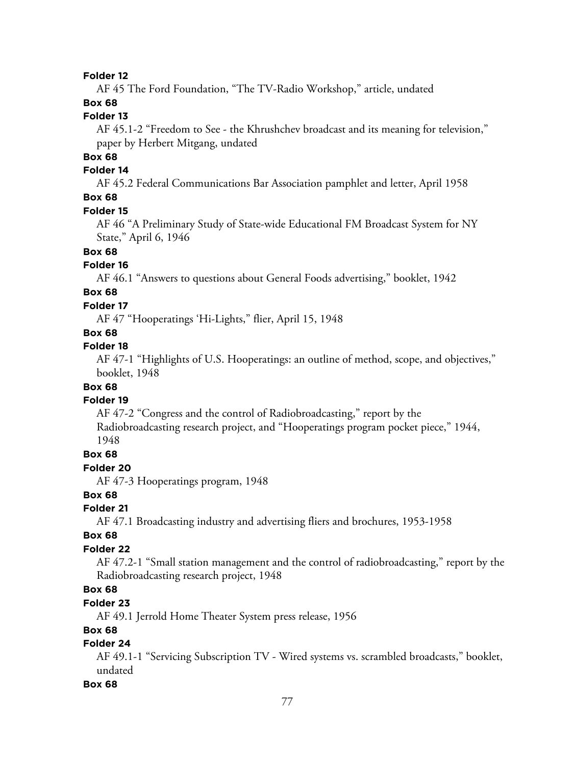AF 45 The Ford Foundation, "The TV-Radio Workshop," article, undated

# **Box 68**

# **Folder 13**

AF 45.1-2 "Freedom to See - the Khrushchev broadcast and its meaning for television," paper by Herbert Mitgang, undated

### **Box 68**

### **Folder 14**

AF 45.2 Federal Communications Bar Association pamphlet and letter, April 1958

# **Box 68**

### **Folder 15**

AF 46 "A Preliminary Study of State-wide Educational FM Broadcast System for NY State," April 6, 1946

### **Box 68**

#### **Folder 16**

AF 46.1 "Answers to questions about General Foods advertising," booklet, 1942

# **Box 68**

### **Folder 17**

AF 47 "Hooperatings 'Hi-Lights," flier, April 15, 1948

# **Box 68**

### **Folder 18**

AF 47-1 "Highlights of U.S. Hooperatings: an outline of method, scope, and objectives," booklet, 1948

### **Box 68**

#### **Folder 19**

AF 47-2 "Congress and the control of Radiobroadcasting," report by the

Radiobroadcasting research project, and "Hooperatings program pocket piece," 1944, 1948

#### **Box 68**

#### **Folder 20**

AF 47-3 Hooperatings program, 1948

#### **Box 68**

#### **Folder 21**

AF 47.1 Broadcasting industry and advertising fliers and brochures, 1953-1958

#### **Box 68**

### **Folder 22**

AF 47.2-1 "Small station management and the control of radiobroadcasting," report by the Radiobroadcasting research project, 1948

### **Box 68**

### **Folder 23**

AF 49.1 Jerrold Home Theater System press release, 1956

### **Box 68**

### **Folder 24**

AF 49.1-1 "Servicing Subscription TV - Wired systems vs. scrambled broadcasts," booklet, undated

#### **Box 68**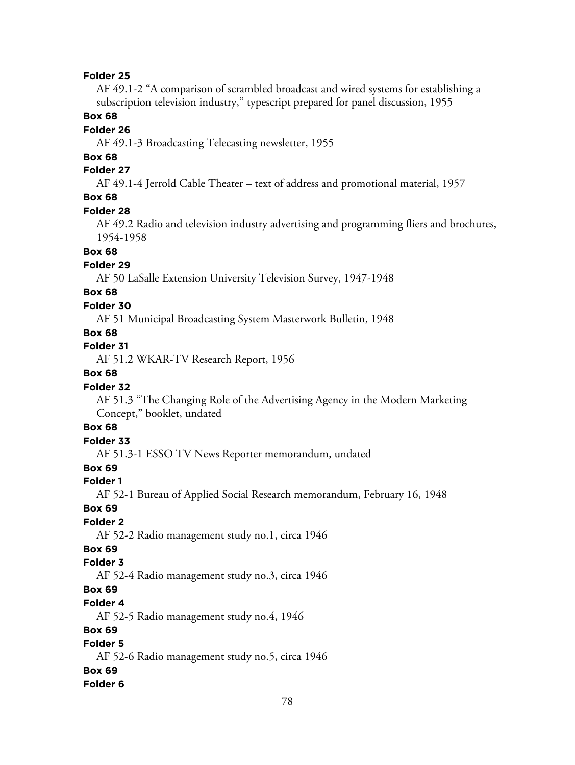AF 49.1-2 "A comparison of scrambled broadcast and wired systems for establishing a subscription television industry," typescript prepared for panel discussion, 1955

### **Box 68**

### **Folder 26**

AF 49.1-3 Broadcasting Telecasting newsletter, 1955

# **Box 68**

### **Folder 27**

AF 49.1-4 Jerrold Cable Theater – text of address and promotional material, 1957

### **Box 68**

#### **Folder 28**

AF 49.2 Radio and television industry advertising and programming fliers and brochures, 1954-1958

# **Box 68**

#### **Folder 29**

AF 50 LaSalle Extension University Television Survey, 1947-1948

# **Box 68**

### **Folder 30**

AF 51 Municipal Broadcasting System Masterwork Bulletin, 1948

# **Box 68**

### **Folder 31**

AF 51.2 WKAR-TV Research Report, 1956

### **Box 68**

#### **Folder 32**

AF 51.3 "The Changing Role of the Advertising Agency in the Modern Marketing Concept," booklet, undated

### **Box 68**

### **Folder 33**

AF 51.3-1 ESSO TV News Reporter memorandum, undated

### **Box 69**

### **Folder 1**

AF 52-1 Bureau of Applied Social Research memorandum, February 16, 1948

#### **Box 69**

### **Folder 2**

AF 52-2 Radio management study no.1, circa 1946

# **Box 69**

### **Folder 3**

AF 52-4 Radio management study no.3, circa 1946

### **Box 69**

### **Folder 4**

AF 52-5 Radio management study no.4, 1946

#### **Box 69**

# **Folder 5**

AF 52-6 Radio management study no.5, circa 1946

#### **Box 69**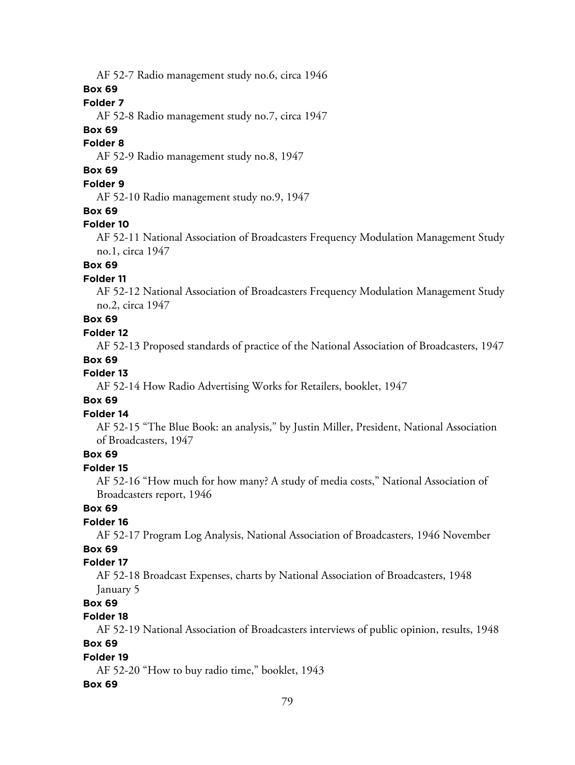AF 52-7 Radio management study no.6, circa 1946

**Box 69**

### **Folder 7**

AF 52-8 Radio management study no.7, circa 1947

### **Box 69**

### **Folder 8**

AF 52-9 Radio management study no.8, 1947

# **Box 69**

# **Folder 9**

AF 52-10 Radio management study no.9, 1947

#### **Box 69**

#### **Folder 10**

AF 52-11 National Association of Broadcasters Frequency Modulation Management Study no.1, circa 1947

### **Box 69**

### **Folder 11**

AF 52-12 National Association of Broadcasters Frequency Modulation Management Study no.2, circa 1947

### **Box 69**

### **Folder 12**

AF 52-13 Proposed standards of practice of the National Association of Broadcasters, 1947

#### **Box 69**

### **Folder 13**

AF 52-14 How Radio Advertising Works for Retailers, booklet, 1947

### **Box 69**

#### **Folder 14**

AF 52-15 "The Blue Book: an analysis," by Justin Miller, President, National Association of Broadcasters, 1947

### **Box 69**

### **Folder 15**

AF 52-16 "How much for how many? A study of media costs," National Association of Broadcasters report, 1946

### **Box 69**

#### **Folder 16**

AF 52-17 Program Log Analysis, National Association of Broadcasters, 1946 November

# **Box 69**

# **Folder 17**

AF 52-18 Broadcast Expenses, charts by National Association of Broadcasters, 1948 January 5

# **Box 69**

### **Folder 18**

AF 52-19 National Association of Broadcasters interviews of public opinion, results, 1948

# **Box 69**

#### **Folder 19**

AF 52-20 "How to buy radio time," booklet, 1943

#### **Box 69**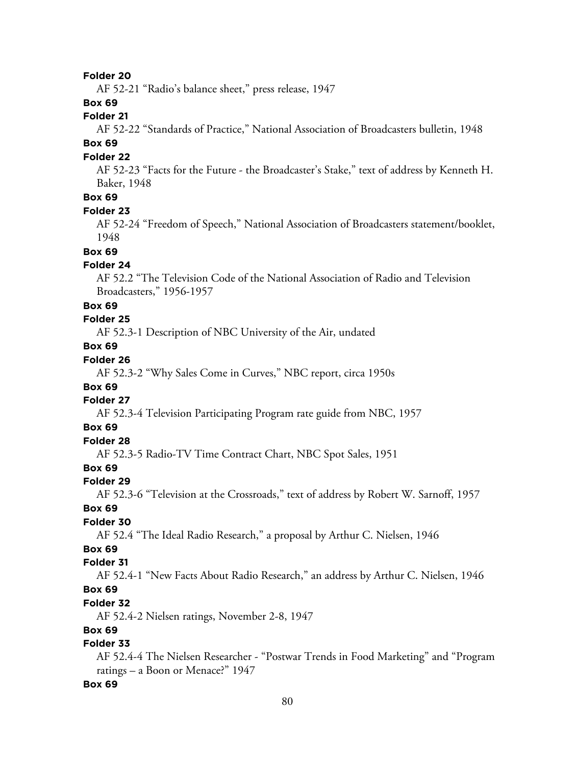AF 52-21 "Radio's balance sheet," press release, 1947

### **Box 69**

# **Folder 21**

AF 52-22 "Standards of Practice," National Association of Broadcasters bulletin, 1948

# **Box 69**

#### **Folder 22**

AF 52-23 "Facts for the Future - the Broadcaster's Stake," text of address by Kenneth H. Baker, 1948

# **Box 69**

#### **Folder 23**

AF 52-24 "Freedom of Speech," National Association of Broadcasters statement/booklet, 1948

#### **Box 69**

#### **Folder 24**

AF 52.2 "The Television Code of the National Association of Radio and Television Broadcasters," 1956-1957

#### **Box 69**

#### **Folder 25**

AF 52.3-1 Description of NBC University of the Air, undated

# **Box 69**

# **Folder 26**

AF 52.3-2 "Why Sales Come in Curves," NBC report, circa 1950s

### **Box 69**

### **Folder 27**

AF 52.3-4 Television Participating Program rate guide from NBC, 1957

### **Box 69**

# **Folder 28**

AF 52.3-5 Radio-TV Time Contract Chart, NBC Spot Sales, 1951

# **Box 69**

#### **Folder 29**

AF 52.3-6 "Television at the Crossroads," text of address by Robert W. Sarnoff, 1957

#### **Box 69**

#### **Folder 30**

AF 52.4 "The Ideal Radio Research," a proposal by Arthur C. Nielsen, 1946

# **Box 69**

### **Folder 31**

AF 52.4-1 "New Facts About Radio Research," an address by Arthur C. Nielsen, 1946

### **Box 69**

### **Folder 32**

AF 52.4-2 Nielsen ratings, November 2-8, 1947

### **Box 69**

# **Folder 33**

AF 52.4-4 The Nielsen Researcher - "Postwar Trends in Food Marketing" and "Program ratings – a Boon or Menace?" 1947

#### **Box 69**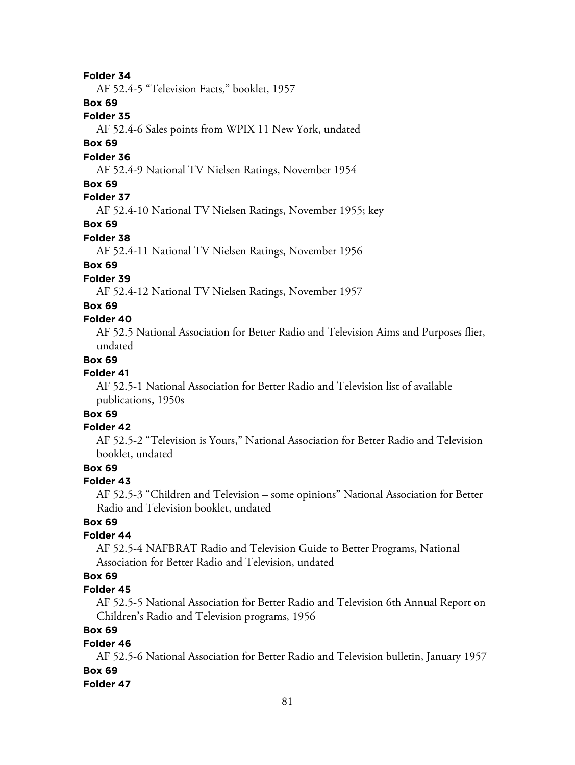AF 52.4-5 "Television Facts," booklet, 1957

#### **Box 69**

#### **Folder 35**

AF 52.4-6 Sales points from WPIX 11 New York, undated

### **Box 69**

#### **Folder 36**

AF 52.4-9 National TV Nielsen Ratings, November 1954

### **Box 69**

### **Folder 37**

AF 52.4-10 National TV Nielsen Ratings, November 1955; key

#### **Box 69**

#### **Folder 38**

AF 52.4-11 National TV Nielsen Ratings, November 1956

### **Box 69**

### **Folder 39**

AF 52.4-12 National TV Nielsen Ratings, November 1957

### **Box 69**

### **Folder 40**

AF 52.5 National Association for Better Radio and Television Aims and Purposes flier, undated

#### **Box 69**

#### **Folder 41**

AF 52.5-1 National Association for Better Radio and Television list of available publications, 1950s

# **Box 69**

# **Folder 42**

AF 52.5-2 "Television is Yours," National Association for Better Radio and Television booklet, undated

# **Box 69**

#### **Folder 43**

AF 52.5-3 "Children and Television – some opinions" National Association for Better Radio and Television booklet, undated

### **Box 69**

### **Folder 44**

AF 52.5-4 NAFBRAT Radio and Television Guide to Better Programs, National Association for Better Radio and Television, undated

### **Box 69**

### **Folder 45**

AF 52.5-5 National Association for Better Radio and Television 6th Annual Report on Children's Radio and Television programs, 1956

### **Box 69**

# **Folder 46**

AF 52.5-6 National Association for Better Radio and Television bulletin, January 1957 **Box 69**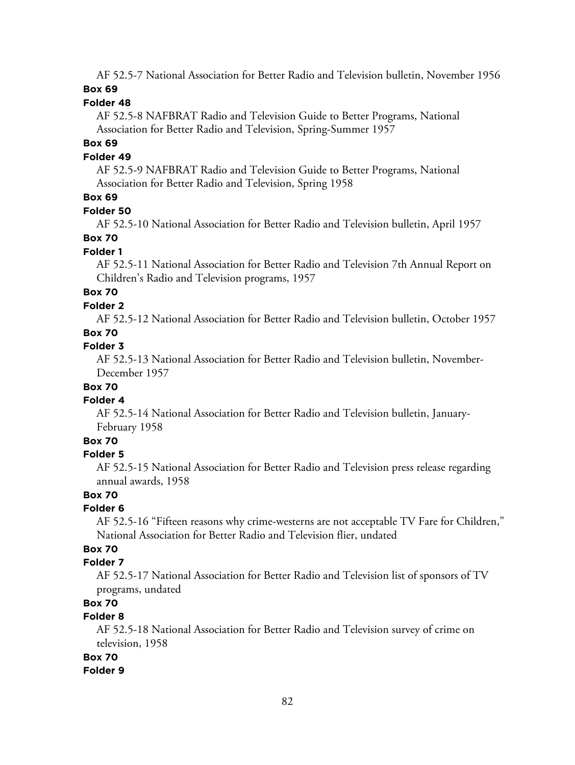AF 52.5-7 National Association for Better Radio and Television bulletin, November 1956 **Box 69**

# **Folder 48**

AF 52.5-8 NAFBRAT Radio and Television Guide to Better Programs, National Association for Better Radio and Television, Spring-Summer 1957

### **Box 69**

#### **Folder 49**

AF 52.5-9 NAFBRAT Radio and Television Guide to Better Programs, National Association for Better Radio and Television, Spring 1958

### **Box 69**

#### **Folder 50**

AF 52.5-10 National Association for Better Radio and Television bulletin, April 1957

#### **Box 70**

### **Folder 1**

AF 52.5-11 National Association for Better Radio and Television 7th Annual Report on Children's Radio and Television programs, 1957

# **Box 70**

### **Folder 2**

AF 52.5-12 National Association for Better Radio and Television bulletin, October 1957

### **Box 70**

### **Folder 3**

AF 52.5-13 National Association for Better Radio and Television bulletin, November-December 1957

### **Box 70**

#### **Folder 4**

AF 52.5-14 National Association for Better Radio and Television bulletin, January-February 1958

# **Box 70**

### **Folder 5**

AF 52.5-15 National Association for Better Radio and Television press release regarding annual awards, 1958

#### **Box 70**

#### **Folder 6**

AF 52.5-16 "Fifteen reasons why crime-westerns are not acceptable TV Fare for Children," National Association for Better Radio and Television flier, undated

# **Box 70**

### **Folder 7**

AF 52.5-17 National Association for Better Radio and Television list of sponsors of TV programs, undated

# **Box 70**

# **Folder 8**

AF 52.5-18 National Association for Better Radio and Television survey of crime on television, 1958

### **Box 70**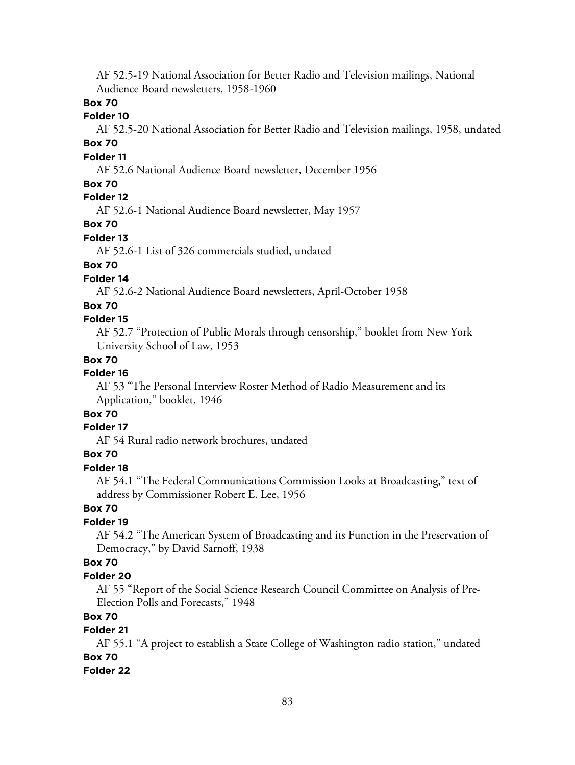AF 52.5-19 National Association for Better Radio and Television mailings, National Audience Board newsletters, 1958-1960

### **Box 70**

### **Folder 10**

AF 52.5-20 National Association for Better Radio and Television mailings, 1958, undated

# **Box 70**

### **Folder 11**

AF 52.6 National Audience Board newsletter, December 1956

### **Box 70**

# **Folder 12**

AF 52.6-1 National Audience Board newsletter, May 1957

# **Box 70**

### **Folder 13**

AF 52.6-1 List of 326 commercials studied, undated

# **Box 70**

# **Folder 14**

AF 52.6-2 National Audience Board newsletters, April-October 1958

### **Box 70**

### **Folder 15**

AF 52.7 "Protection of Public Morals through censorship," booklet from New York University School of Law, 1953

### **Box 70**

### **Folder 16**

AF 53 "The Personal Interview Roster Method of Radio Measurement and its Application," booklet, 1946

# **Box 70**

### **Folder 17**

AF 54 Rural radio network brochures, undated

### **Box 70**

### **Folder 18**

AF 54.1 "The Federal Communications Commission Looks at Broadcasting," text of address by Commissioner Robert E. Lee, 1956

### **Box 70**

### **Folder 19**

AF 54.2 "The American System of Broadcasting and its Function in the Preservation of Democracy," by David Sarnoff, 1938

### **Box 70**

### **Folder 20**

AF 55 "Report of the Social Science Research Council Committee on Analysis of Pre-Election Polls and Forecasts," 1948

# **Box 70**

### **Folder 21**

AF 55.1 "A project to establish a State College of Washington radio station," undated **Box 70**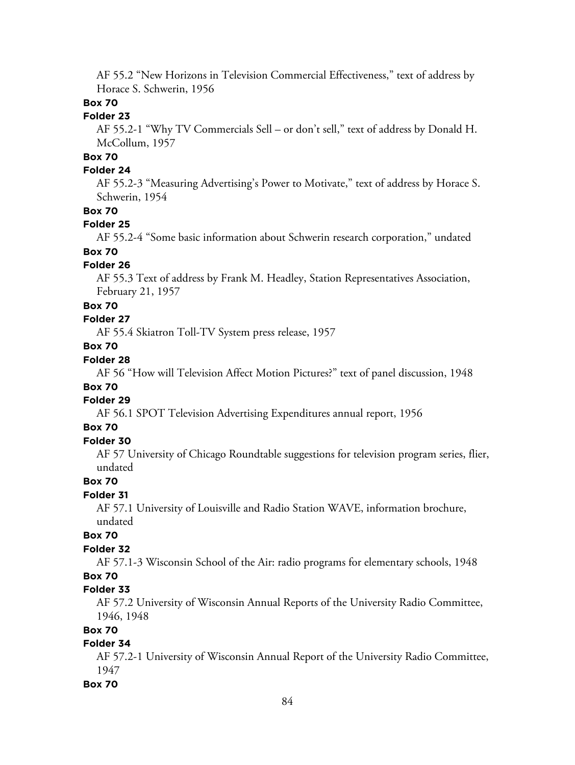AF 55.2 "New Horizons in Television Commercial Effectiveness," text of address by Horace S. Schwerin, 1956

### **Box 70**

### **Folder 23**

AF 55.2-1 "Why TV Commercials Sell – or don't sell," text of address by Donald H. McCollum, 1957

# **Box 70**

### **Folder 24**

AF 55.2-3 "Measuring Advertising's Power to Motivate," text of address by Horace S. Schwerin, 1954

### **Box 70**

#### **Folder 25**

AF 55.2-4 "Some basic information about Schwerin research corporation," undated

### **Box 70**

#### **Folder 26**

AF 55.3 Text of address by Frank M. Headley, Station Representatives Association, February 21, 1957

#### **Box 70**

### **Folder 27**

AF 55.4 Skiatron Toll-TV System press release, 1957

# **Box 70**

### **Folder 28**

AF 56 "How will Television Affect Motion Pictures?" text of panel discussion, 1948

### **Box 70**

### **Folder 29**

AF 56.1 SPOT Television Advertising Expenditures annual report, 1956

### **Box 70**

# **Folder 30**

AF 57 University of Chicago Roundtable suggestions for television program series, flier, undated

### **Box 70**

### **Folder 31**

AF 57.1 University of Louisville and Radio Station WAVE, information brochure, undated

# **Box 70**

### **Folder 32**

AF 57.1-3 Wisconsin School of the Air: radio programs for elementary schools, 1948

# **Box 70**

### **Folder 33**

AF 57.2 University of Wisconsin Annual Reports of the University Radio Committee, 1946, 1948

# **Box 70**

### **Folder 34**

AF 57.2-1 University of Wisconsin Annual Report of the University Radio Committee, 1947

#### **Box 70**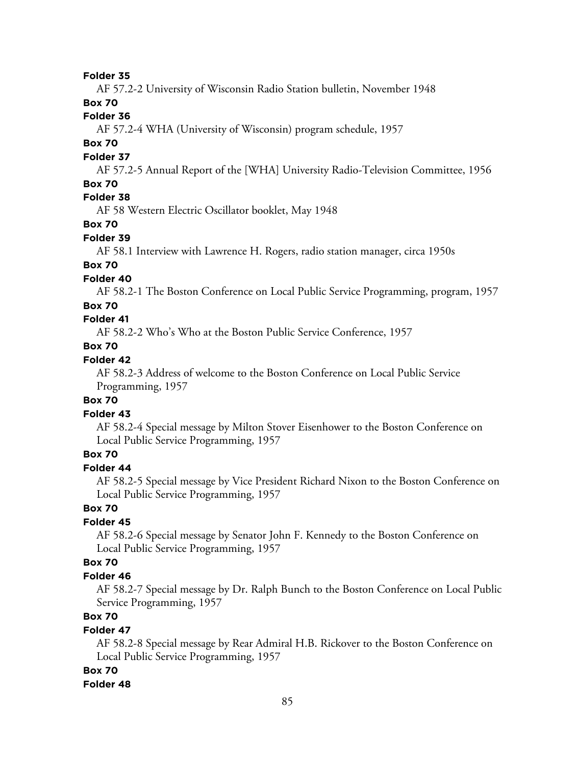AF 57.2-2 University of Wisconsin Radio Station bulletin, November 1948

# **Box 70**

# **Folder 36**

AF 57.2-4 WHA (University of Wisconsin) program schedule, 1957

# **Box 70**

#### **Folder 37**

AF 57.2-5 Annual Report of the [WHA] University Radio-Television Committee, 1956

### **Box 70**

# **Folder 38**

AF 58 Western Electric Oscillator booklet, May 1948

# **Box 70**

### **Folder 39**

AF 58.1 Interview with Lawrence H. Rogers, radio station manager, circa 1950s

### **Box 70**

### **Folder 40**

AF 58.2-1 The Boston Conference on Local Public Service Programming, program, 1957

### **Box 70**

# **Folder 41**

AF 58.2-2 Who's Who at the Boston Public Service Conference, 1957

# **Box 70**

### **Folder 42**

AF 58.2-3 Address of welcome to the Boston Conference on Local Public Service Programming, 1957

### **Box 70**

### **Folder 43**

AF 58.2-4 Special message by Milton Stover Eisenhower to the Boston Conference on Local Public Service Programming, 1957

# **Box 70**

# **Folder 44**

AF 58.2-5 Special message by Vice President Richard Nixon to the Boston Conference on Local Public Service Programming, 1957

# **Box 70**

### **Folder 45**

AF 58.2-6 Special message by Senator John F. Kennedy to the Boston Conference on Local Public Service Programming, 1957

### **Box 70**

#### **Folder 46**

AF 58.2-7 Special message by Dr. Ralph Bunch to the Boston Conference on Local Public Service Programming, 1957

# **Box 70**

#### **Folder 47**

AF 58.2-8 Special message by Rear Admiral H.B. Rickover to the Boston Conference on Local Public Service Programming, 1957

#### **Box 70**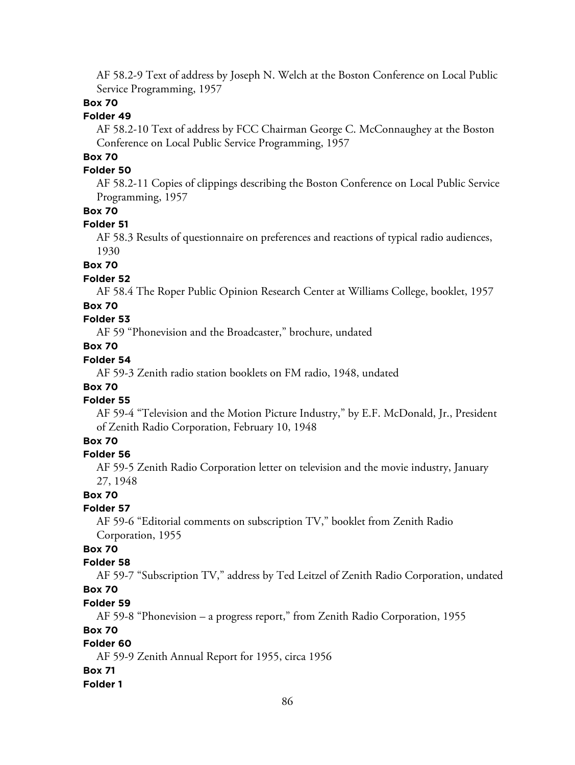AF 58.2-9 Text of address by Joseph N. Welch at the Boston Conference on Local Public Service Programming, 1957

### **Box 70**

### **Folder 49**

AF 58.2-10 Text of address by FCC Chairman George C. McConnaughey at the Boston Conference on Local Public Service Programming, 1957

# **Box 70**

### **Folder 50**

AF 58.2-11 Copies of clippings describing the Boston Conference on Local Public Service Programming, 1957

### **Box 70**

#### **Folder 51**

AF 58.3 Results of questionnaire on preferences and reactions of typical radio audiences, 1930

### **Box 70**

#### **Folder 52**

AF 58.4 The Roper Public Opinion Research Center at Williams College, booklet, 1957

### **Box 70**

# **Folder 53**

AF 59 "Phonevision and the Broadcaster," brochure, undated

# **Box 70**

### **Folder 54**

AF 59-3 Zenith radio station booklets on FM radio, 1948, undated

### **Box 70**

#### **Folder 55**

AF 59-4 "Television and the Motion Picture Industry," by E.F. McDonald, Jr., President of Zenith Radio Corporation, February 10, 1948

# **Box 70**

#### **Folder 56**

AF 59-5 Zenith Radio Corporation letter on television and the movie industry, January 27, 1948

#### **Box 70**

#### **Folder 57**

AF 59-6 "Editorial comments on subscription TV," booklet from Zenith Radio Corporation, 1955

# **Box 70**

#### **Folder 58**

AF 59-7 "Subscription TV," address by Ted Leitzel of Zenith Radio Corporation, undated

# **Box 70**

#### **Folder 59**

AF 59-8 "Phonevision – a progress report," from Zenith Radio Corporation, 1955

### **Box 70**

# **Folder 60**

AF 59-9 Zenith Annual Report for 1955, circa 1956

#### **Box 71**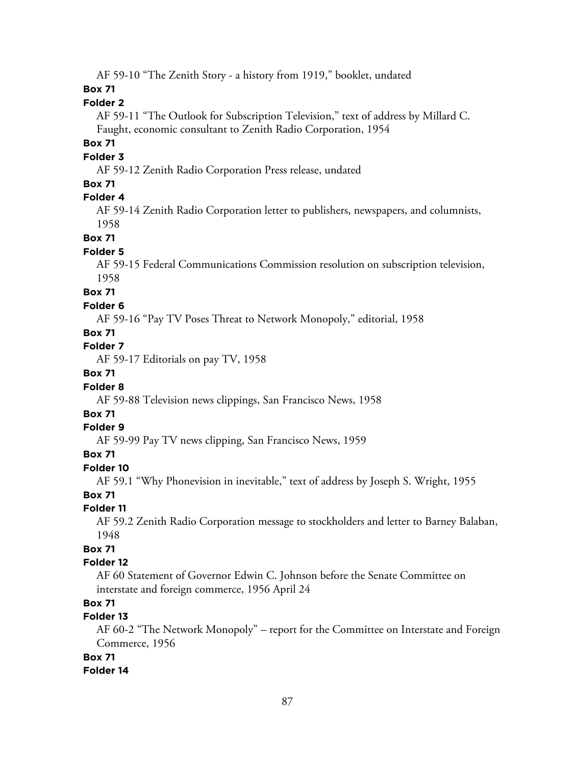AF 59-10 "The Zenith Story - a history from 1919," booklet, undated

### **Box 71**

### **Folder 2**

AF 59-11 "The Outlook for Subscription Television," text of address by Millard C. Faught, economic consultant to Zenith Radio Corporation, 1954

### **Box 71**

#### **Folder 3**

AF 59-12 Zenith Radio Corporation Press release, undated

### **Box 71**

### **Folder 4**

AF 59-14 Zenith Radio Corporation letter to publishers, newspapers, and columnists, 1958

**Box 71**

#### **Folder 5**

AF 59-15 Federal Communications Commission resolution on subscription television, 1958

### **Box 71**

#### **Folder 6**

AF 59-16 "Pay TV Poses Threat to Network Monopoly," editorial, 1958

### **Box 71**

### **Folder 7**

AF 59-17 Editorials on pay TV, 1958

### **Box 71**

### **Folder 8**

AF 59-88 Television news clippings, San Francisco News, 1958

### **Box 71**

#### **Folder 9**

AF 59-99 Pay TV news clipping, San Francisco News, 1959

### **Box 71**

# **Folder 10**

AF 59.1 "Why Phonevision in inevitable," text of address by Joseph S. Wright, 1955

#### **Box 71**

#### **Folder 11**

AF 59.2 Zenith Radio Corporation message to stockholders and letter to Barney Balaban, 1948

### **Box 71**

### **Folder 12**

AF 60 Statement of Governor Edwin C. Johnson before the Senate Committee on interstate and foreign commerce, 1956 April 24

# **Box 71**

### **Folder 13**

AF 60-2 "The Network Monopoly" – report for the Committee on Interstate and Foreign Commerce, 1956

### **Box 71**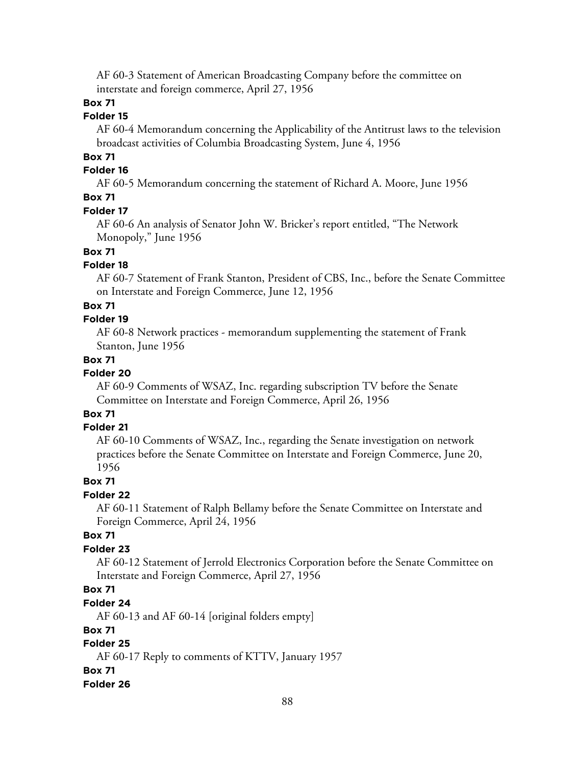AF 60-3 Statement of American Broadcasting Company before the committee on interstate and foreign commerce, April 27, 1956

### **Box 71**

### **Folder 15**

AF 60-4 Memorandum concerning the Applicability of the Antitrust laws to the television broadcast activities of Columbia Broadcasting System, June 4, 1956

### **Box 71**

# **Folder 16**

AF 60-5 Memorandum concerning the statement of Richard A. Moore, June 1956

### **Box 71**

#### **Folder 17**

AF 60-6 An analysis of Senator John W. Bricker's report entitled, "The Network Monopoly," June 1956

### **Box 71**

#### **Folder 18**

AF 60-7 Statement of Frank Stanton, President of CBS, Inc., before the Senate Committee on Interstate and Foreign Commerce, June 12, 1956

### **Box 71**

### **Folder 19**

AF 60-8 Network practices - memorandum supplementing the statement of Frank Stanton, June 1956

### **Box 71**

### **Folder 20**

AF 60-9 Comments of WSAZ, Inc. regarding subscription TV before the Senate Committee on Interstate and Foreign Commerce, April 26, 1956

# **Box 71**

#### **Folder 21**

AF 60-10 Comments of WSAZ, Inc., regarding the Senate investigation on network practices before the Senate Committee on Interstate and Foreign Commerce, June 20, 1956

### **Box 71**

#### **Folder 22**

AF 60-11 Statement of Ralph Bellamy before the Senate Committee on Interstate and Foreign Commerce, April 24, 1956

### **Box 71**

### **Folder 23**

AF 60-12 Statement of Jerrold Electronics Corporation before the Senate Committee on Interstate and Foreign Commerce, April 27, 1956

### **Box 71**

#### **Folder 24**

AF 60-13 and AF 60-14 [original folders empty]

### **Box 71**

# **Folder 25**

AF 60-17 Reply to comments of KTTV, January 1957

#### **Box 71**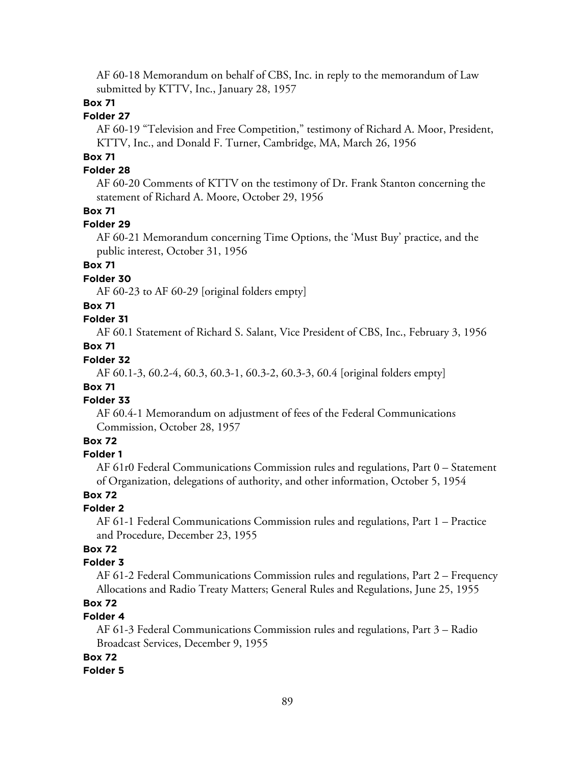AF 60-18 Memorandum on behalf of CBS, Inc. in reply to the memorandum of Law submitted by KTTV, Inc., January 28, 1957

# **Box 71**

# **Folder 27**

AF 60-19 "Television and Free Competition," testimony of Richard A. Moor, President, KTTV, Inc., and Donald F. Turner, Cambridge, MA, March 26, 1956

# **Box 71**

### **Folder 28**

AF 60-20 Comments of KTTV on the testimony of Dr. Frank Stanton concerning the statement of Richard A. Moore, October 29, 1956

### **Box 71**

#### **Folder 29**

AF 60-21 Memorandum concerning Time Options, the 'Must Buy' practice, and the public interest, October 31, 1956

### **Box 71**

### **Folder 30**

AF 60-23 to AF 60-29 [original folders empty]

### **Box 71**

### **Folder 31**

AF 60.1 Statement of Richard S. Salant, Vice President of CBS, Inc., February 3, 1956

# **Box 71**

# **Folder 32**

AF 60.1-3, 60.2-4, 60.3, 60.3-1, 60.3-2, 60.3-3, 60.4 [original folders empty]

### **Box 71**

### **Folder 33**

AF 60.4-1 Memorandum on adjustment of fees of the Federal Communications Commission, October 28, 1957

### **Box 72**

### **Folder 1**

AF 61r0 Federal Communications Commission rules and regulations, Part 0 – Statement of Organization, delegations of authority, and other information, October 5, 1954

### **Box 72**

### **Folder 2**

AF 61-1 Federal Communications Commission rules and regulations, Part 1 – Practice and Procedure, December 23, 1955

# **Box 72**

### **Folder 3**

AF 61-2 Federal Communications Commission rules and regulations, Part 2 – Frequency Allocations and Radio Treaty Matters; General Rules and Regulations, June 25, 1955

# **Box 72**

# **Folder 4**

AF 61-3 Federal Communications Commission rules and regulations, Part 3 – Radio Broadcast Services, December 9, 1955

### **Box 72**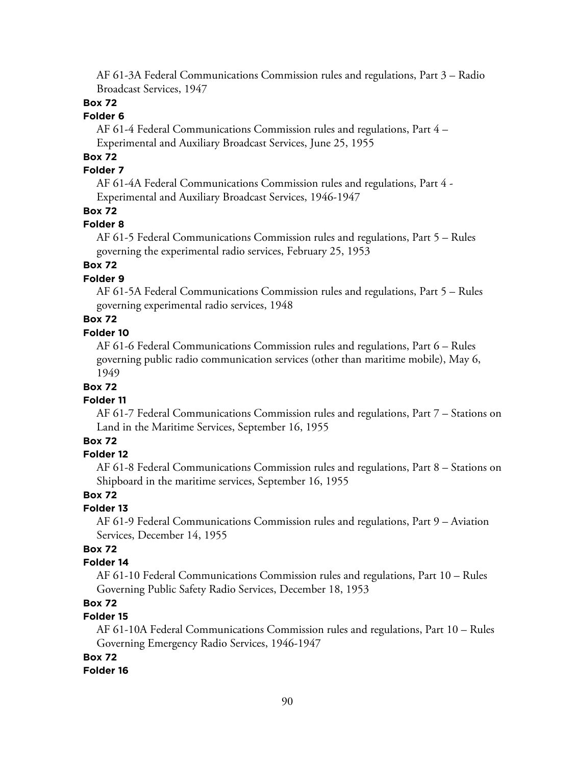AF 61-3A Federal Communications Commission rules and regulations, Part 3 – Radio Broadcast Services, 1947

# **Box 72**

### **Folder 6**

AF 61-4 Federal Communications Commission rules and regulations, Part 4 – Experimental and Auxiliary Broadcast Services, June 25, 1955

# **Box 72**

### **Folder 7**

AF 61-4A Federal Communications Commission rules and regulations, Part 4 - Experimental and Auxiliary Broadcast Services, 1946-1947

### **Box 72**

### **Folder 8**

AF 61-5 Federal Communications Commission rules and regulations, Part 5 – Rules governing the experimental radio services, February 25, 1953

# **Box 72**

### **Folder 9**

AF 61-5A Federal Communications Commission rules and regulations, Part 5 – Rules governing experimental radio services, 1948

# **Box 72**

# **Folder 10**

AF 61-6 Federal Communications Commission rules and regulations, Part 6 – Rules governing public radio communication services (other than maritime mobile), May 6, 1949

### **Box 72**

#### **Folder 11**

AF 61-7 Federal Communications Commission rules and regulations, Part 7 – Stations on Land in the Maritime Services, September 16, 1955

### **Box 72**

### **Folder 12**

AF 61-8 Federal Communications Commission rules and regulations, Part 8 – Stations on Shipboard in the maritime services, September 16, 1955

#### **Box 72**

### **Folder 13**

AF 61-9 Federal Communications Commission rules and regulations, Part 9 – Aviation Services, December 14, 1955

### **Box 72**

### **Folder 14**

AF 61-10 Federal Communications Commission rules and regulations, Part 10 – Rules Governing Public Safety Radio Services, December 18, 1953

# **Box 72**

### **Folder 15**

AF 61-10A Federal Communications Commission rules and regulations, Part 10 – Rules Governing Emergency Radio Services, 1946-1947

#### **Box 72**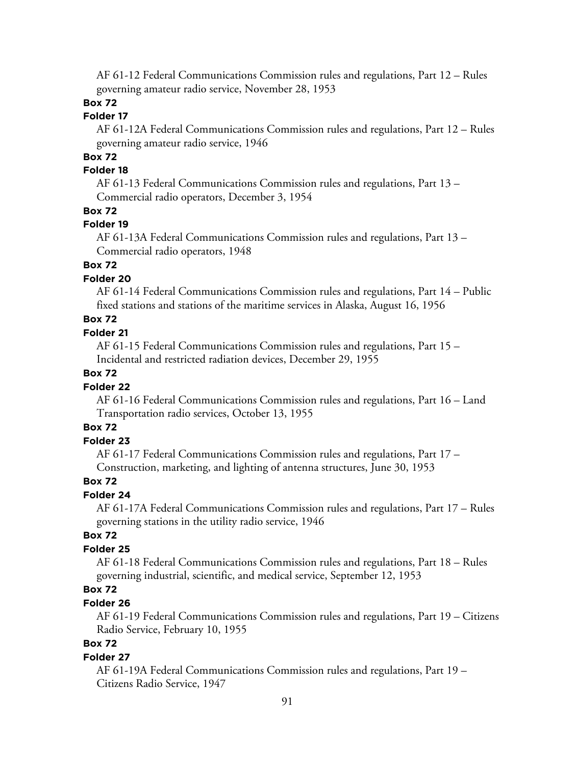AF 61-12 Federal Communications Commission rules and regulations, Part 12 – Rules governing amateur radio service, November 28, 1953

### **Box 72**

### **Folder 17**

AF 61-12A Federal Communications Commission rules and regulations, Part 12 – Rules governing amateur radio service, 1946

# **Box 72**

### **Folder 18**

AF 61-13 Federal Communications Commission rules and regulations, Part 13 – Commercial radio operators, December 3, 1954

#### **Box 72**

#### **Folder 19**

AF 61-13A Federal Communications Commission rules and regulations, Part 13 – Commercial radio operators, 1948

# **Box 72**

### **Folder 20**

AF 61-14 Federal Communications Commission rules and regulations, Part 14 – Public fixed stations and stations of the maritime services in Alaska, August 16, 1956

# **Box 72**

### **Folder 21**

AF 61-15 Federal Communications Commission rules and regulations, Part 15 – Incidental and restricted radiation devices, December 29, 1955

### **Box 72**

### **Folder 22**

AF 61-16 Federal Communications Commission rules and regulations, Part 16 – Land Transportation radio services, October 13, 1955

# **Box 72**

### **Folder 23**

AF 61-17 Federal Communications Commission rules and regulations, Part 17 – Construction, marketing, and lighting of antenna structures, June 30, 1953

#### **Box 72**

### **Folder 24**

AF 61-17A Federal Communications Commission rules and regulations, Part 17 – Rules governing stations in the utility radio service, 1946

### **Box 72**

### **Folder 25**

AF 61-18 Federal Communications Commission rules and regulations, Part 18 – Rules governing industrial, scientific, and medical service, September 12, 1953

# **Box 72**

### **Folder 26**

AF 61-19 Federal Communications Commission rules and regulations, Part 19 – Citizens Radio Service, February 10, 1955

# **Box 72**

#### **Folder 27**

AF 61-19A Federal Communications Commission rules and regulations, Part 19 – Citizens Radio Service, 1947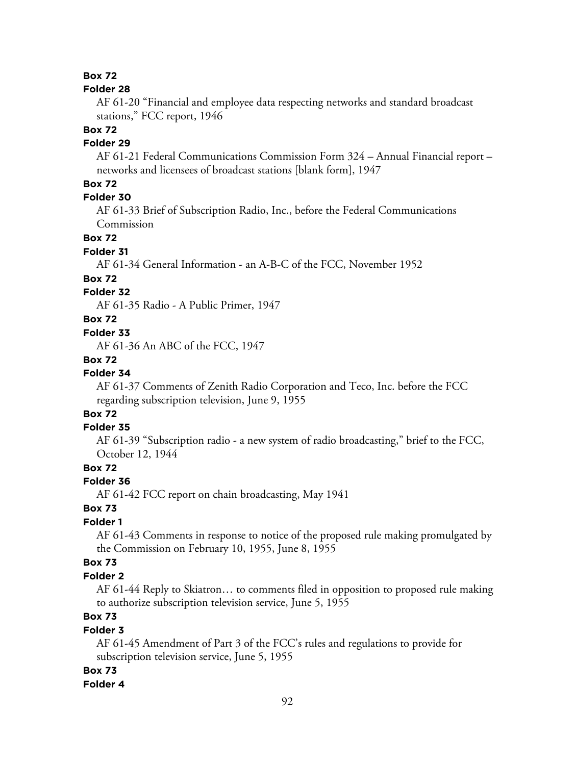# **Box 72**

#### **Folder 28**

AF 61-20 "Financial and employee data respecting networks and standard broadcast stations," FCC report, 1946

#### **Box 72**

### **Folder 29**

AF 61-21 Federal Communications Commission Form 324 – Annual Financial report – networks and licensees of broadcast stations [blank form], 1947

# **Box 72**

### **Folder 30**

AF 61-33 Brief of Subscription Radio, Inc., before the Federal Communications Commission

### **Box 72**

### **Folder 31**

AF 61-34 General Information - an A-B-C of the FCC, November 1952

### **Box 72**

### **Folder 32**

AF 61-35 Radio - A Public Primer, 1947

### **Box 72**

### **Folder 33**

AF 61-36 An ABC of the FCC, 1947

# **Box 72**

# **Folder 34**

AF 61-37 Comments of Zenith Radio Corporation and Teco, Inc. before the FCC regarding subscription television, June 9, 1955

# **Box 72**

### **Folder 35**

AF 61-39 "Subscription radio - a new system of radio broadcasting," brief to the FCC, October 12, 1944

### **Box 72**

#### **Folder 36**

AF 61-42 FCC report on chain broadcasting, May 1941

# **Box 73**

### **Folder 1**

AF 61-43 Comments in response to notice of the proposed rule making promulgated by the Commission on February 10, 1955, June 8, 1955

### **Box 73**

### **Folder 2**

AF 61-44 Reply to Skiatron… to comments filed in opposition to proposed rule making to authorize subscription television service, June 5, 1955

# **Box 73**

### **Folder 3**

AF 61-45 Amendment of Part 3 of the FCC's rules and regulations to provide for subscription television service, June 5, 1955

#### **Box 73**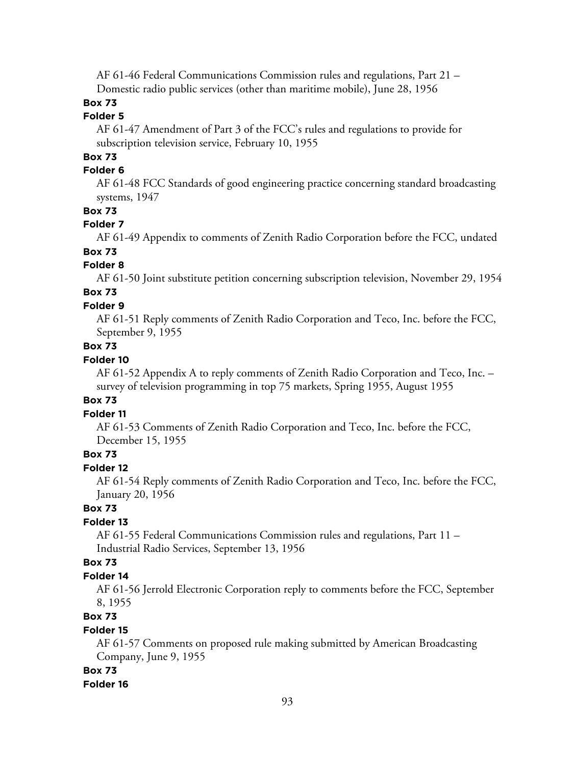AF 61-46 Federal Communications Commission rules and regulations, Part 21 – Domestic radio public services (other than maritime mobile), June 28, 1956

### **Box 73**

### **Folder 5**

AF 61-47 Amendment of Part 3 of the FCC's rules and regulations to provide for subscription television service, February 10, 1955

# **Box 73**

### **Folder 6**

AF 61-48 FCC Standards of good engineering practice concerning standard broadcasting systems, 1947

### **Box 73**

### **Folder 7**

AF 61-49 Appendix to comments of Zenith Radio Corporation before the FCC, undated

# **Box 73**

### **Folder 8**

AF 61-50 Joint substitute petition concerning subscription television, November 29, 1954

# **Box 73**

### **Folder 9**

AF 61-51 Reply comments of Zenith Radio Corporation and Teco, Inc. before the FCC, September 9, 1955

# **Box 73**

### **Folder 10**

AF 61-52 Appendix A to reply comments of Zenith Radio Corporation and Teco, Inc. – survey of television programming in top 75 markets, Spring 1955, August 1955

### **Box 73**

### **Folder 11**

AF 61-53 Comments of Zenith Radio Corporation and Teco, Inc. before the FCC, December 15, 1955

### **Box 73**

### **Folder 12**

AF 61-54 Reply comments of Zenith Radio Corporation and Teco, Inc. before the FCC, January 20, 1956

### **Box 73**

### **Folder 13**

AF 61-55 Federal Communications Commission rules and regulations, Part 11 – Industrial Radio Services, September 13, 1956

#### **Box 73**

### **Folder 14**

AF 61-56 Jerrold Electronic Corporation reply to comments before the FCC, September 8, 1955

### **Box 73**

### **Folder 15**

AF 61-57 Comments on proposed rule making submitted by American Broadcasting Company, June 9, 1955

#### **Box 73**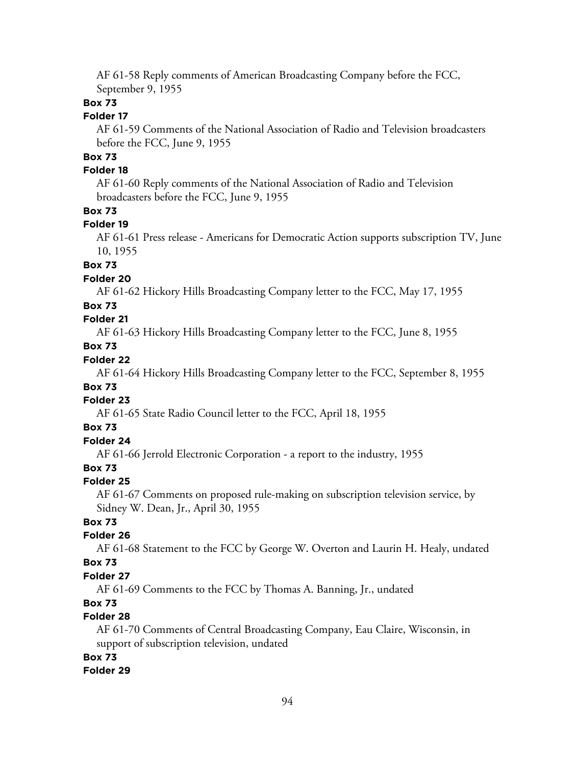AF 61-58 Reply comments of American Broadcasting Company before the FCC, September 9, 1955

### **Box 73**

# **Folder 17**

AF 61-59 Comments of the National Association of Radio and Television broadcasters before the FCC, June 9, 1955

# **Box 73**

### **Folder 18**

AF 61-60 Reply comments of the National Association of Radio and Television broadcasters before the FCC, June 9, 1955

### **Box 73**

#### **Folder 19**

AF 61-61 Press release - Americans for Democratic Action supports subscription TV, June 10, 1955

### **Box 73**

### **Folder 20**

AF 61-62 Hickory Hills Broadcasting Company letter to the FCC, May 17, 1955

### **Box 73**

### **Folder 21**

AF 61-63 Hickory Hills Broadcasting Company letter to the FCC, June 8, 1955

# **Box 73**

# **Folder 22**

AF 61-64 Hickory Hills Broadcasting Company letter to the FCC, September 8, 1955

### **Box 73**

### **Folder 23**

AF 61-65 State Radio Council letter to the FCC, April 18, 1955

### **Box 73**

# **Folder 24**

AF 61-66 Jerrold Electronic Corporation - a report to the industry, 1955

# **Box 73**

### **Folder 25**

AF 61-67 Comments on proposed rule-making on subscription television service, by Sidney W. Dean, Jr., April 30, 1955

### **Box 73**

### **Folder 26**

AF 61-68 Statement to the FCC by George W. Overton and Laurin H. Healy, undated

# **Box 73**

# **Folder 27**

AF 61-69 Comments to the FCC by Thomas A. Banning, Jr., undated

# **Box 73**

### **Folder 28**

AF 61-70 Comments of Central Broadcasting Company, Eau Claire, Wisconsin, in support of subscription television, undated

# **Box 73**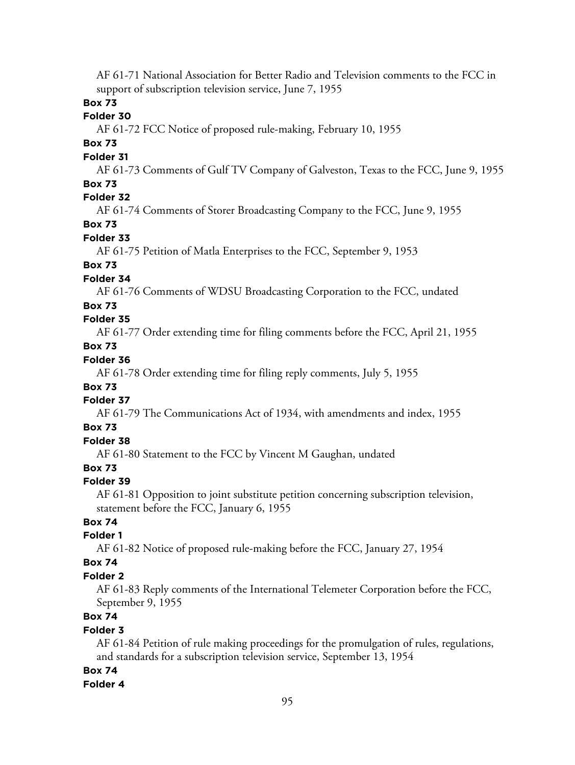AF 61-71 National Association for Better Radio and Television comments to the FCC in support of subscription television service, June 7, 1955

### **Box 73**

### **Folder 30**

AF 61-72 FCC Notice of proposed rule-making, February 10, 1955

### **Box 73**

### **Folder 31**

AF 61-73 Comments of Gulf TV Company of Galveston, Texas to the FCC, June 9, 1955 **Box 73**

### **Folder 32**

AF 61-74 Comments of Storer Broadcasting Company to the FCC, June 9, 1955

### **Box 73**

#### **Folder 33**

AF 61-75 Petition of Matla Enterprises to the FCC, September 9, 1953

# **Box 73**

### **Folder 34**

AF 61-76 Comments of WDSU Broadcasting Corporation to the FCC, undated

### **Box 73**

### **Folder 35**

AF 61-77 Order extending time for filing comments before the FCC, April 21, 1955

# **Box 73**

# **Folder 36**

AF 61-78 Order extending time for filing reply comments, July 5, 1955

# **Box 73**

### **Folder 37**

AF 61-79 The Communications Act of 1934, with amendments and index, 1955

### **Box 73**

# **Folder 38**

AF 61-80 Statement to the FCC by Vincent M Gaughan, undated

# **Box 73**

### **Folder 39**

AF 61-81 Opposition to joint substitute petition concerning subscription television, statement before the FCC, January 6, 1955

### **Box 74**

### **Folder 1**

AF 61-82 Notice of proposed rule-making before the FCC, January 27, 1954

### **Box 74**

### **Folder 2**

AF 61-83 Reply comments of the International Telemeter Corporation before the FCC, September 9, 1955

# **Box 74**

### **Folder 3**

AF 61-84 Petition of rule making proceedings for the promulgation of rules, regulations, and standards for a subscription television service, September 13, 1954

### **Box 74**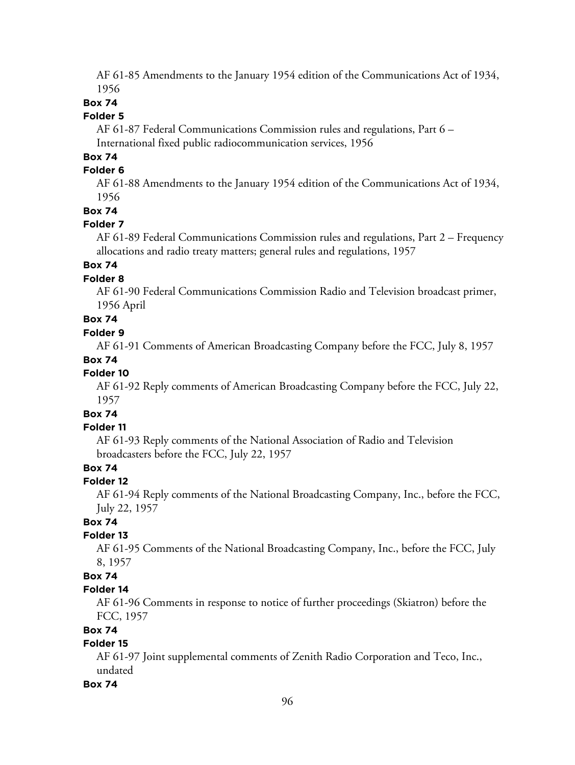AF 61-85 Amendments to the January 1954 edition of the Communications Act of 1934, 1956

### **Box 74**

### **Folder 5**

AF 61-87 Federal Communications Commission rules and regulations, Part 6 – International fixed public radiocommunication services, 1956

### **Box 74**

### **Folder 6**

AF 61-88 Amendments to the January 1954 edition of the Communications Act of 1934, 1956

### **Box 74**

#### **Folder 7**

AF 61-89 Federal Communications Commission rules and regulations, Part 2 – Frequency allocations and radio treaty matters; general rules and regulations, 1957

# **Box 74**

### **Folder 8**

AF 61-90 Federal Communications Commission Radio and Television broadcast primer, 1956 April

# **Box 74**

# **Folder 9**

AF 61-91 Comments of American Broadcasting Company before the FCC, July 8, 1957

### **Box 74**

### **Folder 10**

AF 61-92 Reply comments of American Broadcasting Company before the FCC, July 22, 1957

# **Box 74**

### **Folder 11**

AF 61-93 Reply comments of the National Association of Radio and Television broadcasters before the FCC, July 22, 1957

### **Box 74**

#### **Folder 12**

AF 61-94 Reply comments of the National Broadcasting Company, Inc., before the FCC, July 22, 1957

# **Box 74**

### **Folder 13**

AF 61-95 Comments of the National Broadcasting Company, Inc., before the FCC, July 8, 1957

### **Box 74**

#### **Folder 14**

AF 61-96 Comments in response to notice of further proceedings (Skiatron) before the FCC, 1957

#### **Box 74**

### **Folder 15**

AF 61-97 Joint supplemental comments of Zenith Radio Corporation and Teco, Inc., undated

#### **Box 74**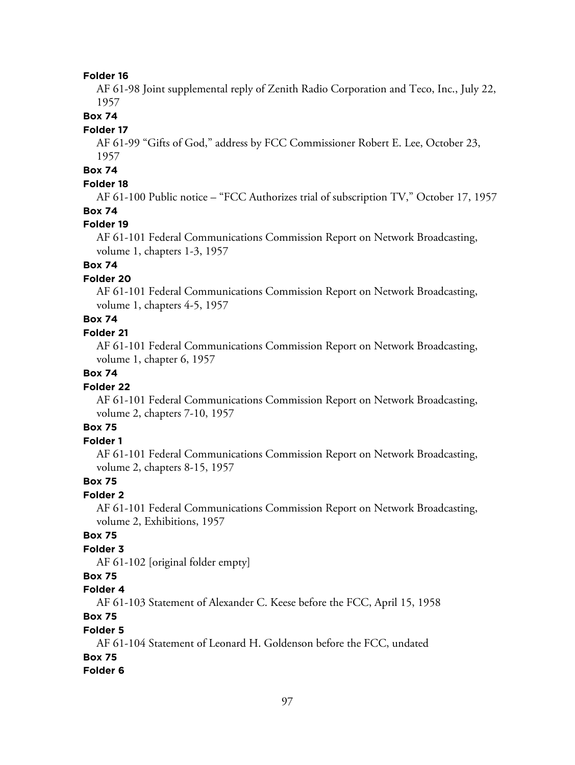AF 61-98 Joint supplemental reply of Zenith Radio Corporation and Teco, Inc., July 22, 1957

**Box 74**

#### **Folder 17**

AF 61-99 "Gifts of God," address by FCC Commissioner Robert E. Lee, October 23, 1957

# **Box 74**

### **Folder 18**

AF 61-100 Public notice – "FCC Authorizes trial of subscription TV," October 17, 1957 **Box 74**

#### **Folder 19**

AF 61-101 Federal Communications Commission Report on Network Broadcasting, volume 1, chapters 1-3, 1957

# **Box 74**

### **Folder 20**

AF 61-101 Federal Communications Commission Report on Network Broadcasting, volume 1, chapters 4-5, 1957

# **Box 74**

### **Folder 21**

AF 61-101 Federal Communications Commission Report on Network Broadcasting, volume 1, chapter 6, 1957

### **Box 74**

#### **Folder 22**

AF 61-101 Federal Communications Commission Report on Network Broadcasting, volume 2, chapters 7-10, 1957

# **Box 75**

#### **Folder 1**

AF 61-101 Federal Communications Commission Report on Network Broadcasting, volume 2, chapters 8-15, 1957

### **Box 75**

### **Folder 2**

AF 61-101 Federal Communications Commission Report on Network Broadcasting, volume 2, Exhibitions, 1957

### **Box 75**

# **Folder 3**

AF 61-102 [original folder empty]

### **Box 75**

### **Folder 4**

AF 61-103 Statement of Alexander C. Keese before the FCC, April 15, 1958

### **Box 75**

### **Folder 5**

AF 61-104 Statement of Leonard H. Goldenson before the FCC, undated

### **Box 75**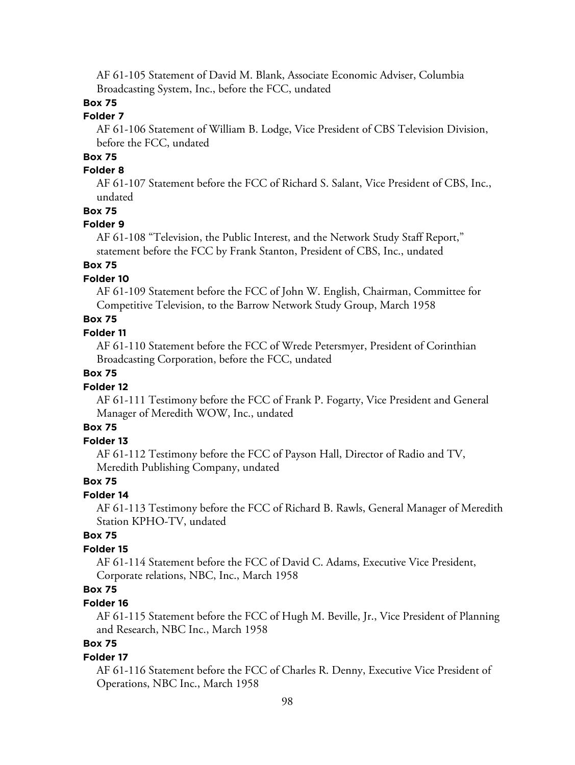AF 61-105 Statement of David M. Blank, Associate Economic Adviser, Columbia Broadcasting System, Inc., before the FCC, undated

# **Box 75**

### **Folder 7**

AF 61-106 Statement of William B. Lodge, Vice President of CBS Television Division, before the FCC, undated

# **Box 75**

### **Folder 8**

AF 61-107 Statement before the FCC of Richard S. Salant, Vice President of CBS, Inc., undated

### **Box 75**

### **Folder 9**

AF 61-108 "Television, the Public Interest, and the Network Study Staff Report," statement before the FCC by Frank Stanton, President of CBS, Inc., undated

# **Box 75**

### **Folder 10**

AF 61-109 Statement before the FCC of John W. English, Chairman, Committee for Competitive Television, to the Barrow Network Study Group, March 1958

# **Box 75**

#### **Folder 11**

AF 61-110 Statement before the FCC of Wrede Petersmyer, President of Corinthian Broadcasting Corporation, before the FCC, undated

### **Box 75**

#### **Folder 12**

AF 61-111 Testimony before the FCC of Frank P. Fogarty, Vice President and General Manager of Meredith WOW, Inc., undated

# **Box 75**

### **Folder 13**

AF 61-112 Testimony before the FCC of Payson Hall, Director of Radio and TV, Meredith Publishing Company, undated

### **Box 75**

### **Folder 14**

AF 61-113 Testimony before the FCC of Richard B. Rawls, General Manager of Meredith Station KPHO-TV, undated

### **Box 75**

### **Folder 15**

AF 61-114 Statement before the FCC of David C. Adams, Executive Vice President, Corporate relations, NBC, Inc., March 1958

# **Box 75**

### **Folder 16**

AF 61-115 Statement before the FCC of Hugh M. Beville, Jr., Vice President of Planning and Research, NBC Inc., March 1958

# **Box 75**

#### **Folder 17**

AF 61-116 Statement before the FCC of Charles R. Denny, Executive Vice President of Operations, NBC Inc., March 1958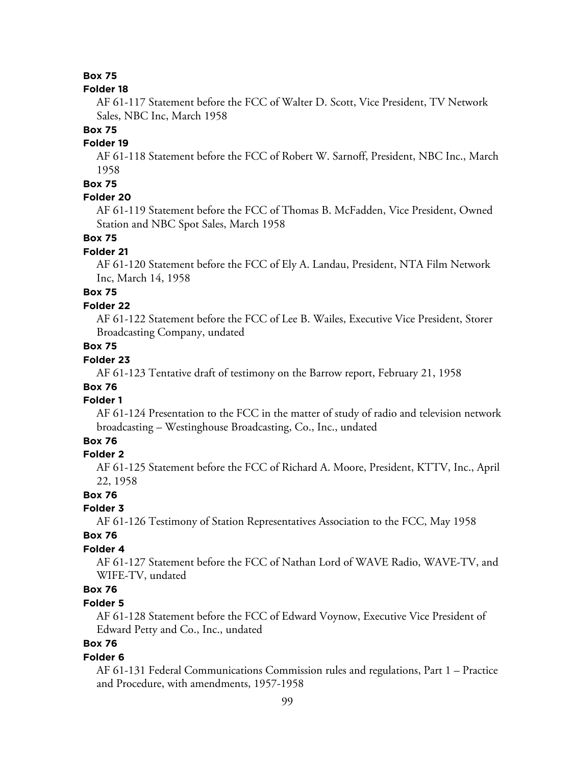### **Box 75**

#### **Folder 18**

AF 61-117 Statement before the FCC of Walter D. Scott, Vice President, TV Network Sales, NBC Inc, March 1958

#### **Box 75**

### **Folder 19**

AF 61-118 Statement before the FCC of Robert W. Sarnoff, President, NBC Inc., March 1958

### **Box 75**

### **Folder 20**

AF 61-119 Statement before the FCC of Thomas B. McFadden, Vice President, Owned Station and NBC Spot Sales, March 1958

### **Box 75**

#### **Folder 21**

AF 61-120 Statement before the FCC of Ely A. Landau, President, NTA Film Network Inc, March 14, 1958

# **Box 75**

#### **Folder 22**

AF 61-122 Statement before the FCC of Lee B. Wailes, Executive Vice President, Storer Broadcasting Company, undated

### **Box 75**

### **Folder 23**

AF 61-123 Tentative draft of testimony on the Barrow report, February 21, 1958

# **Box 76**

# **Folder 1**

AF 61-124 Presentation to the FCC in the matter of study of radio and television network broadcasting – Westinghouse Broadcasting, Co., Inc., undated

### **Box 76**

### **Folder 2**

AF 61-125 Statement before the FCC of Richard A. Moore, President, KTTV, Inc., April 22, 1958

### **Box 76**

# **Folder 3**

AF 61-126 Testimony of Station Representatives Association to the FCC, May 1958

### **Box 76**

### **Folder 4**

AF 61-127 Statement before the FCC of Nathan Lord of WAVE Radio, WAVE-TV, and WIFE-TV, undated

# **Box 76**

### **Folder 5**

AF 61-128 Statement before the FCC of Edward Voynow, Executive Vice President of Edward Petty and Co., Inc., undated

# **Box 76**

#### **Folder 6**

AF 61-131 Federal Communications Commission rules and regulations, Part 1 – Practice and Procedure, with amendments, 1957-1958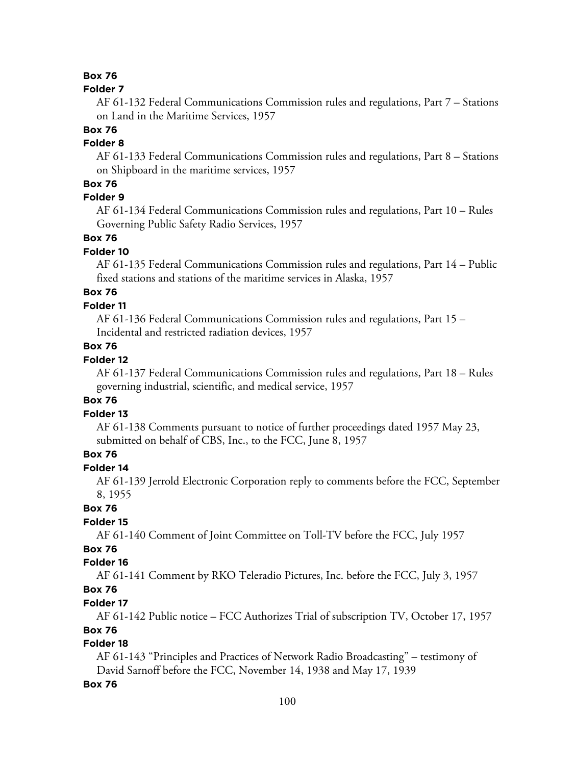### **Box 76**

#### **Folder 7**

AF 61-132 Federal Communications Commission rules and regulations, Part 7 – Stations on Land in the Maritime Services, 1957

### **Box 76**

### **Folder 8**

AF 61-133 Federal Communications Commission rules and regulations, Part 8 – Stations on Shipboard in the maritime services, 1957

### **Box 76**

### **Folder 9**

AF 61-134 Federal Communications Commission rules and regulations, Part 10 – Rules Governing Public Safety Radio Services, 1957

### **Box 76**

### **Folder 10**

AF 61-135 Federal Communications Commission rules and regulations, Part 14 – Public fixed stations and stations of the maritime services in Alaska, 1957

# **Box 76**

### **Folder 11**

AF 61-136 Federal Communications Commission rules and regulations, Part 15 – Incidental and restricted radiation devices, 1957

### **Box 76**

### **Folder 12**

AF 61-137 Federal Communications Commission rules and regulations, Part 18 – Rules governing industrial, scientific, and medical service, 1957

# **Box 76**

### **Folder 13**

AF 61-138 Comments pursuant to notice of further proceedings dated 1957 May 23, submitted on behalf of CBS, Inc., to the FCC, June 8, 1957

# **Box 76**

### **Folder 14**

AF 61-139 Jerrold Electronic Corporation reply to comments before the FCC, September 8, 1955

### **Box 76**

### **Folder 15**

AF 61-140 Comment of Joint Committee on Toll-TV before the FCC, July 1957

# **Box 76**

### **Folder 16**

AF 61-141 Comment by RKO Teleradio Pictures, Inc. before the FCC, July 3, 1957

# **Box 76**

### **Folder 17**

AF 61-142 Public notice – FCC Authorizes Trial of subscription TV, October 17, 1957

# **Box 76**

### **Folder 18**

AF 61-143 "Principles and Practices of Network Radio Broadcasting" – testimony of David Sarnoff before the FCC, November 14, 1938 and May 17, 1939

### **Box 76**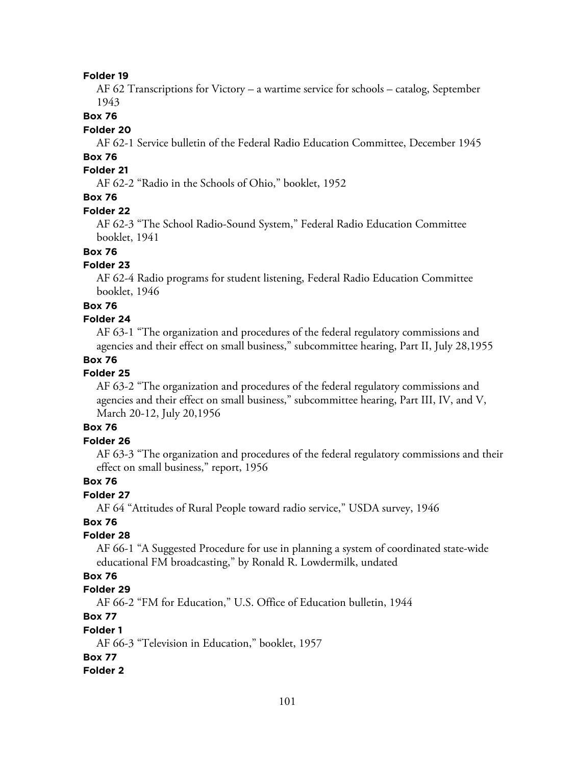AF 62 Transcriptions for Victory – a wartime service for schools – catalog, September 1943

#### **Box 76**

#### **Folder 20**

AF 62-1 Service bulletin of the Federal Radio Education Committee, December 1945

# **Box 76**

# **Folder 21**

AF 62-2 "Radio in the Schools of Ohio," booklet, 1952

# **Box 76**

#### **Folder 22**

AF 62-3 "The School Radio-Sound System," Federal Radio Education Committee booklet, 1941

# **Box 76**

### **Folder 23**

AF 62-4 Radio programs for student listening, Federal Radio Education Committee booklet, 1946

#### **Box 76**

#### **Folder 24**

AF 63-1 "The organization and procedures of the federal regulatory commissions and agencies and their effect on small business," subcommittee hearing, Part II, July 28,1955

### **Box 76**

### **Folder 25**

AF 63-2 "The organization and procedures of the federal regulatory commissions and agencies and their effect on small business," subcommittee hearing, Part III, IV, and V, March 20-12, July 20,1956

### **Box 76**

#### **Folder 26**

AF 63-3 "The organization and procedures of the federal regulatory commissions and their effect on small business," report, 1956

### **Box 76**

### **Folder 27**

AF 64 "Attitudes of Rural People toward radio service," USDA survey, 1946

### **Box 76**

### **Folder 28**

AF 66-1 "A Suggested Procedure for use in planning a system of coordinated state-wide educational FM broadcasting," by Ronald R. Lowdermilk, undated

# **Box 76**

### **Folder 29**

AF 66-2 "FM for Education," U.S. Office of Education bulletin, 1944

# **Box 77**

#### **Folder 1**

AF 66-3 "Television in Education," booklet, 1957

### **Box 77**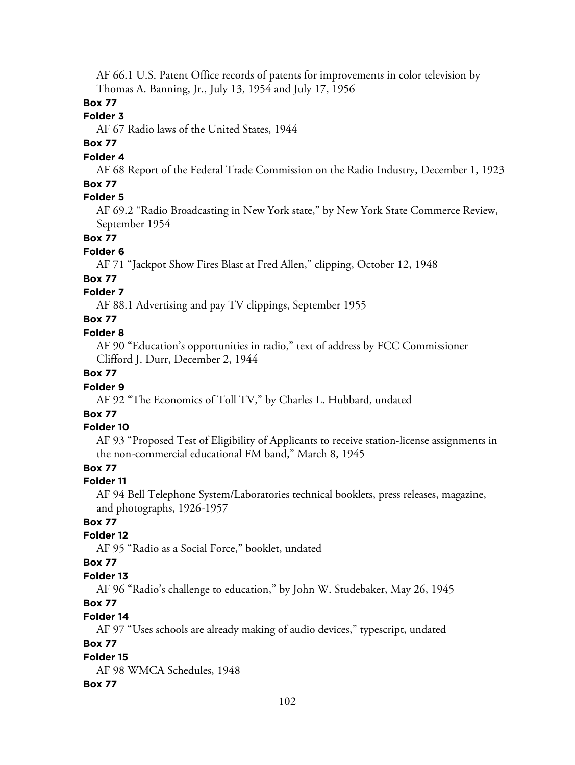AF 66.1 U.S. Patent Office records of patents for improvements in color television by Thomas A. Banning, Jr., July 13, 1954 and July 17, 1956

# **Box 77**

### **Folder 3**

AF 67 Radio laws of the United States, 1944

# **Box 77**

### **Folder 4**

AF 68 Report of the Federal Trade Commission on the Radio Industry, December 1, 1923

#### **Box 77 Folder 5**

AF 69.2 "Radio Broadcasting in New York state," by New York State Commerce Review, September 1954

### **Box 77**

### **Folder 6**

AF 71 "Jackpot Show Fires Blast at Fred Allen," clipping, October 12, 1948

### **Box 77**

### **Folder 7**

AF 88.1 Advertising and pay TV clippings, September 1955

# **Box 77**

### **Folder 8**

AF 90 "Education's opportunities in radio," text of address by FCC Commissioner Clifford J. Durr, December 2, 1944

# **Box 77**

### **Folder 9**

AF 92 "The Economics of Toll TV," by Charles L. Hubbard, undated

# **Box 77**

### **Folder 10**

AF 93 "Proposed Test of Eligibility of Applicants to receive station-license assignments in the non-commercial educational FM band," March 8, 1945

### **Box 77**

# **Folder 11**

AF 94 Bell Telephone System/Laboratories technical booklets, press releases, magazine, and photographs, 1926-1957

# **Box 77**

# **Folder 12**

AF 95 "Radio as a Social Force," booklet, undated

### **Box 77**

# **Folder 13**

AF 96 "Radio's challenge to education," by John W. Studebaker, May 26, 1945

# **Box 77**

# **Folder 14**

AF 97 "Uses schools are already making of audio devices," typescript, undated

### **Box 77**

**Folder 15** AF 98 WMCA Schedules, 1948

# **Box 77**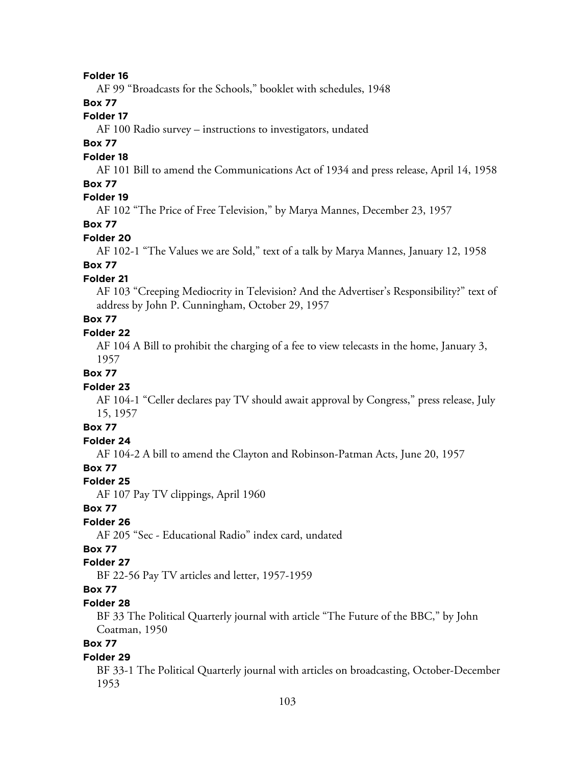AF 99 "Broadcasts for the Schools," booklet with schedules, 1948

# **Box 77**

### **Folder 17**

AF 100 Radio survey – instructions to investigators, undated

### **Box 77**

#### **Folder 18**

AF 101 Bill to amend the Communications Act of 1934 and press release, April 14, 1958

### **Box 77**

# **Folder 19**

AF 102 "The Price of Free Television," by Marya Mannes, December 23, 1957

# **Box 77**

#### **Folder 20**

AF 102-1 "The Values we are Sold," text of a talk by Marya Mannes, January 12, 1958

# **Box 77**

### **Folder 21**

AF 103 "Creeping Mediocrity in Television? And the Advertiser's Responsibility?" text of address by John P. Cunningham, October 29, 1957

# **Box 77**

### **Folder 22**

AF 104 A Bill to prohibit the charging of a fee to view telecasts in the home, January 3, 1957

### **Box 77**

### **Folder 23**

AF 104-1 "Celler declares pay TV should await approval by Congress," press release, July 15, 1957

# **Box 77**

# **Folder 24**

AF 104-2 A bill to amend the Clayton and Robinson-Patman Acts, June 20, 1957

### **Box 77**

### **Folder 25**

AF 107 Pay TV clippings, April 1960

### **Box 77**

### **Folder 26**

AF 205 "Sec - Educational Radio" index card, undated

### **Box 77**

### **Folder 27**

BF 22-56 Pay TV articles and letter, 1957-1959

# **Box 77**

### **Folder 28**

BF 33 The Political Quarterly journal with article "The Future of the BBC," by John Coatman, 1950

# **Box 77**

#### **Folder 29**

BF 33-1 The Political Quarterly journal with articles on broadcasting, October-December 1953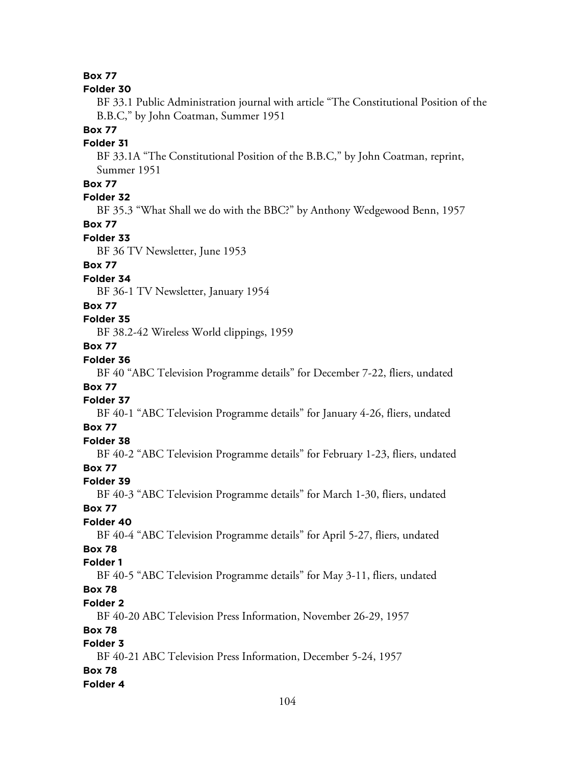### **Box 77**

#### **Folder 30**

BF 33.1 Public Administration journal with article "The Constitutional Position of the B.B.C," by John Coatman, Summer 1951

#### **Box 77**

### **Folder 31**

BF 33.1A "The Constitutional Position of the B.B.C," by John Coatman, reprint, Summer 1951

# **Box 77**

### **Folder 32**

BF 35.3 "What Shall we do with the BBC?" by Anthony Wedgewood Benn, 1957

### **Box 77**

#### **Folder 33**

BF 36 TV Newsletter, June 1953

### **Box 77**

### **Folder 34**

BF 36-1 TV Newsletter, January 1954

### **Box 77**

# **Folder 35**

BF 38.2-42 Wireless World clippings, 1959

# **Box 77**

### **Folder 36**

BF 40 "ABC Television Programme details" for December 7-22, fliers, undated **Box 77**

### **Folder 37**

BF 40-1 "ABC Television Programme details" for January 4-26, fliers, undated **Box 77**

# **Folder 38**

BF 40-2 "ABC Television Programme details" for February 1-23, fliers, undated **Box 77**

#### **Folder 39**

BF 40-3 "ABC Television Programme details" for March 1-30, fliers, undated **Box 77**

# **Folder 40**

BF 40-4 "ABC Television Programme details" for April 5-27, fliers, undated **Box 78**

### **Folder 1**

BF 40-5 "ABC Television Programme details" for May 3-11, fliers, undated **Box 78**

#### **Folder 2**

BF 40-20 ABC Television Press Information, November 26-29, 1957

### **Box 78**

# **Folder 3**

BF 40-21 ABC Television Press Information, December 5-24, 1957 **Box 78**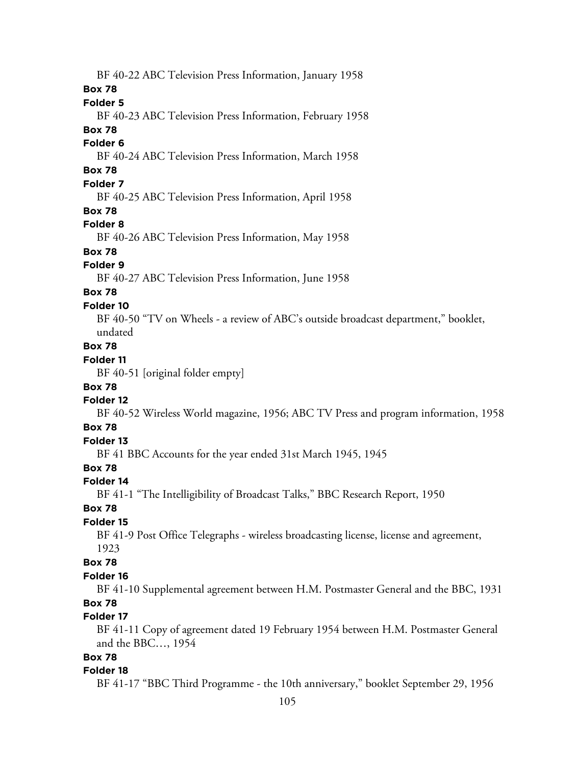BF 40-22 ABC Television Press Information, January 1958 **Box 78 Folder 5** BF 40-23 ABC Television Press Information, February 1958 **Box 78 Folder 6** BF 40-24 ABC Television Press Information, March 1958 **Box 78 Folder 7** BF 40-25 ABC Television Press Information, April 1958 **Box 78 Folder 8** BF 40-26 ABC Television Press Information, May 1958 **Box 78 Folder 9** BF 40-27 ABC Television Press Information, June 1958 **Box 78 Folder 10** BF 40-50 "TV on Wheels - a review of ABC's outside broadcast department," booklet, undated **Box 78 Folder 11** BF 40-51 [original folder empty] **Box 78 Folder 12** BF 40-52 Wireless World magazine, 1956; ABC TV Press and program information, 1958 **Box 78 Folder 13** BF 41 BBC Accounts for the year ended 31st March 1945, 1945 **Box 78 Folder 14** BF 41-1 "The Intelligibility of Broadcast Talks," BBC Research Report, 1950 **Box 78 Folder 15** BF 41-9 Post Office Telegraphs - wireless broadcasting license, license and agreement, 1923 **Box 78 Folder 16** BF 41-10 Supplemental agreement between H.M. Postmaster General and the BBC, 1931 **Box 78 Folder 17** BF 41-11 Copy of agreement dated 19 February 1954 between H.M. Postmaster General and the BBC…, 1954 **Box 78 Folder 18**

BF 41-17 "BBC Third Programme - the 10th anniversary," booklet September 29, 1956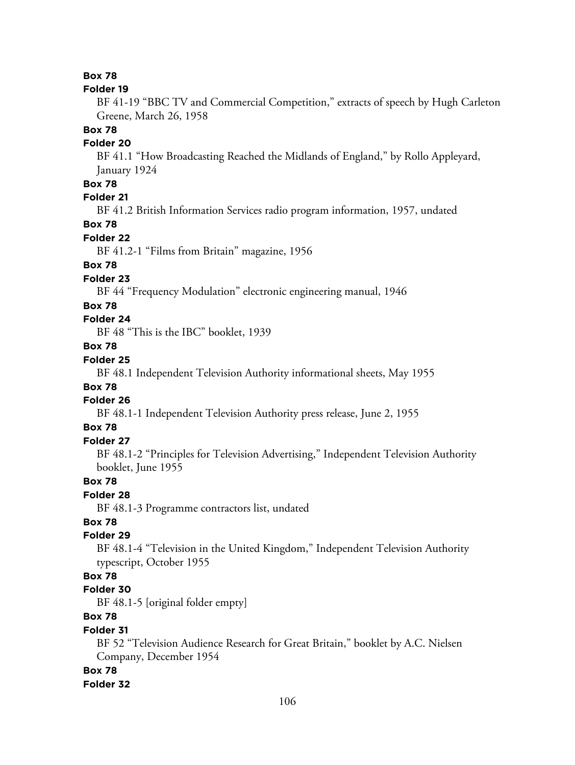### **Box 78**

#### **Folder 19**

BF 41-19 "BBC TV and Commercial Competition," extracts of speech by Hugh Carleton Greene, March 26, 1958

#### **Box 78**

### **Folder 20**

BF 41.1 "How Broadcasting Reached the Midlands of England," by Rollo Appleyard, January 1924

# **Box 78**

# **Folder 21**

BF 41.2 British Information Services radio program information, 1957, undated

### **Box 78**

#### **Folder 22**

BF 41.2-1 "Films from Britain" magazine, 1956

# **Box 78**

### **Folder 23**

BF 44 "Frequency Modulation" electronic engineering manual, 1946

### **Box 78**

# **Folder 24**

BF 48 "This is the IBC" booklet, 1939

# **Box 78**

# **Folder 25**

BF 48.1 Independent Television Authority informational sheets, May 1955

# **Box 78**

### **Folder 26**

BF 48.1-1 Independent Television Authority press release, June 2, 1955

### **Box 78**

### **Folder 27**

BF 48.1-2 "Principles for Television Advertising," Independent Television Authority booklet, June 1955

### **Box 78**

# **Folder 28**

BF 48.1-3 Programme contractors list, undated

# **Box 78**

### **Folder 29**

BF 48.1-4 "Television in the United Kingdom," Independent Television Authority typescript, October 1955

# **Box 78**

#### **Folder 30**

BF 48.1-5 [original folder empty]

# **Box 78**

#### **Folder 31**

BF 52 "Television Audience Research for Great Britain," booklet by A.C. Nielsen Company, December 1954

#### **Box 78**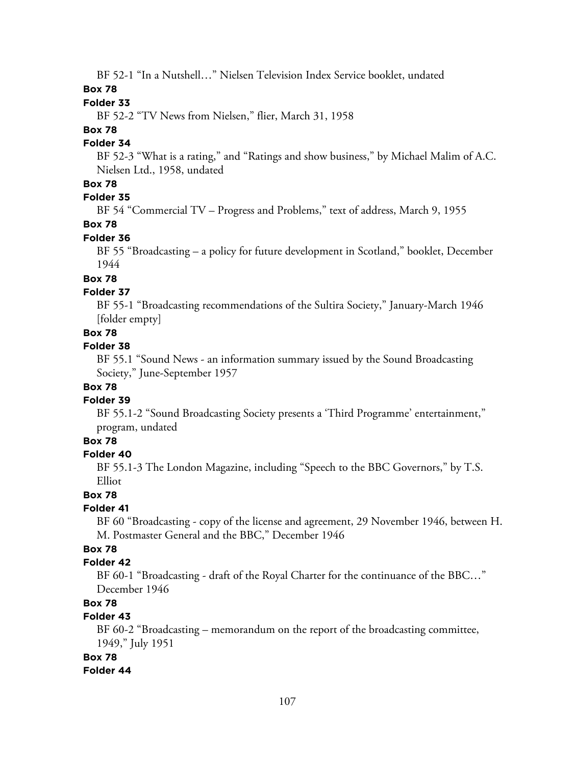BF 52-1 "In a Nutshell…" Nielsen Television Index Service booklet, undated

### **Box 78**

### **Folder 33**

BF 52-2 "TV News from Nielsen," flier, March 31, 1958

### **Box 78**

### **Folder 34**

BF 52-3 "What is a rating," and "Ratings and show business," by Michael Malim of A.C. Nielsen Ltd., 1958, undated

# **Box 78**

# **Folder 35**

BF 54 "Commercial TV – Progress and Problems," text of address, March 9, 1955

### **Box 78**

### **Folder 36**

BF 55 "Broadcasting – a policy for future development in Scotland," booklet, December 1944

# **Box 78**

### **Folder 37**

BF 55-1 "Broadcasting recommendations of the Sultira Society," January-March 1946 [folder empty]

### **Box 78**

### **Folder 38**

BF 55.1 "Sound News - an information summary issued by the Sound Broadcasting Society," June-September 1957

### **Box 78**

### **Folder 39**

BF 55.1-2 "Sound Broadcasting Society presents a 'Third Programme' entertainment," program, undated

# **Box 78**

### **Folder 40**

BF 55.1-3 The London Magazine, including "Speech to the BBC Governors," by T.S. Elliot

### **Box 78**

### **Folder 41**

BF 60 "Broadcasting - copy of the license and agreement, 29 November 1946, between H. M. Postmaster General and the BBC," December 1946

# **Box 78**

### **Folder 42**

BF 60-1 "Broadcasting - draft of the Royal Charter for the continuance of the BBC…" December 1946

# **Box 78**

# **Folder 43**

BF 60-2 "Broadcasting – memorandum on the report of the broadcasting committee, 1949," July 1951

### **Box 78**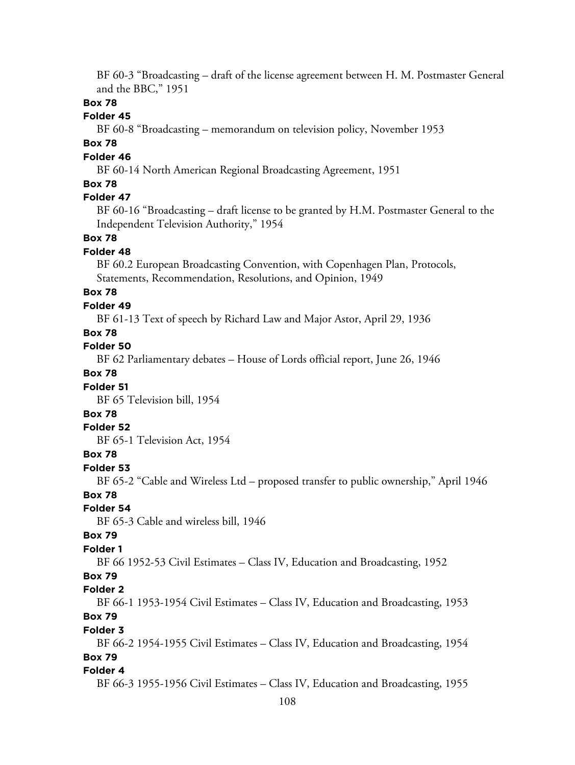BF 60-3 "Broadcasting – draft of the license agreement between H. M. Postmaster General and the BBC," 1951

### **Box 78**

### **Folder 45**

BF 60-8 "Broadcasting – memorandum on television policy, November 1953

#### **Box 78**

#### **Folder 46**

BF 60-14 North American Regional Broadcasting Agreement, 1951

### **Box 78**

### **Folder 47**

BF 60-16 "Broadcasting – draft license to be granted by H.M. Postmaster General to the Independent Television Authority," 1954

#### **Box 78**

#### **Folder 48**

BF 60.2 European Broadcasting Convention, with Copenhagen Plan, Protocols, Statements, Recommendation, Resolutions, and Opinion, 1949

### **Box 78**

#### **Folder 49**

BF 61-13 Text of speech by Richard Law and Major Astor, April 29, 1936

### **Box 78**

### **Folder 50**

BF 62 Parliamentary debates – House of Lords official report, June 26, 1946

#### **Box 78**

#### **Folder 51**

BF 65 Television bill, 1954

### **Box 78**

#### **Folder 52**

BF 65-1 Television Act, 1954

#### **Box 78**

#### **Folder 53**

BF 65-2 "Cable and Wireless Ltd – proposed transfer to public ownership," April 1946

#### **Box 78**

#### **Folder 54**

BF 65-3 Cable and wireless bill, 1946

#### **Box 79**

#### **Folder 1**

BF 66 1952-53 Civil Estimates – Class IV, Education and Broadcasting, 1952

#### **Box 79**

#### **Folder 2**

BF 66-1 1953-1954 Civil Estimates – Class IV, Education and Broadcasting, 1953 **Box 79**

### **Folder 3**

BF 66-2 1954-1955 Civil Estimates – Class IV, Education and Broadcasting, 1954 **Box 79**

#### **Folder 4**

BF 66-3 1955-1956 Civil Estimates – Class IV, Education and Broadcasting, 1955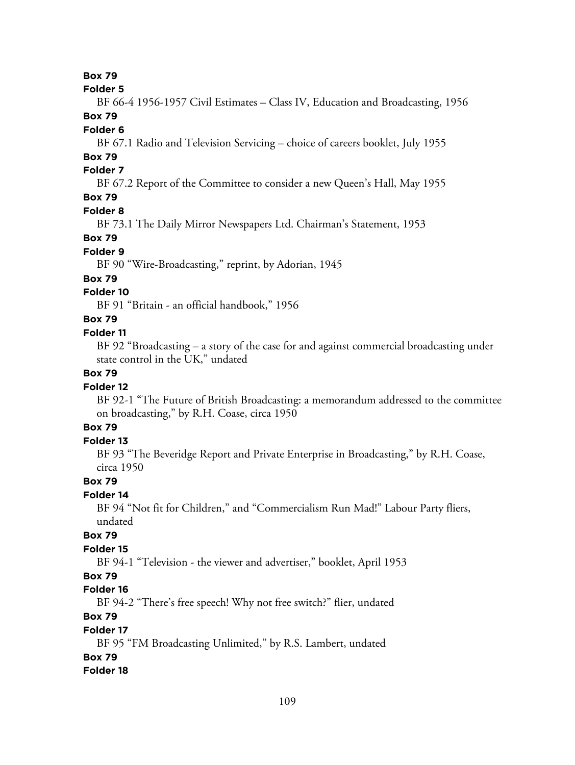#### **Folder 5**

BF 66-4 1956-1957 Civil Estimates – Class IV, Education and Broadcasting, 1956 **Box 79**

# **Folder 6**

BF 67.1 Radio and Television Servicing – choice of careers booklet, July 1955

# **Box 79**

# **Folder 7**

BF 67.2 Report of the Committee to consider a new Queen's Hall, May 1955

# **Box 79**

# **Folder 8**

BF 73.1 The Daily Mirror Newspapers Ltd. Chairman's Statement, 1953

### **Box 79**

### **Folder 9**

BF 90 "Wire-Broadcasting," reprint, by Adorian, 1945

## **Box 79**

# **Folder 10**

BF 91 "Britain - an official handbook," 1956

# **Box 79**

### **Folder 11**

BF 92 "Broadcasting – a story of the case for and against commercial broadcasting under state control in the UK," undated

# **Box 79**

## **Folder 12**

BF 92-1 "The Future of British Broadcasting: a memorandum addressed to the committee on broadcasting," by R.H. Coase, circa 1950

# **Box 79**

### **Folder 13**

BF 93 "The Beveridge Report and Private Enterprise in Broadcasting," by R.H. Coase, circa 1950

### **Box 79**

### **Folder 14**

BF 94 "Not fit for Children," and "Commercialism Run Mad!" Labour Party fliers, undated

# **Box 79**

# **Folder 15**

BF 94-1 "Television - the viewer and advertiser," booklet, April 1953

# **Box 79**

# **Folder 16**

BF 94-2 "There's free speech! Why not free switch?" flier, undated

# **Box 79**

### **Folder 17**

BF 95 "FM Broadcasting Unlimited," by R.S. Lambert, undated

## **Box 79**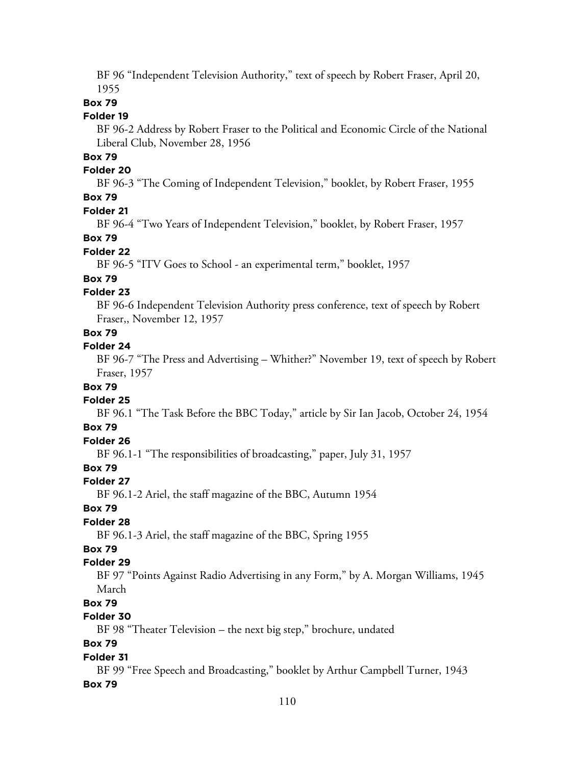BF 96 "Independent Television Authority," text of speech by Robert Fraser, April 20, 1955

# **Box 79**

#### **Folder 19**

BF 96-2 Address by Robert Fraser to the Political and Economic Circle of the National Liberal Club, November 28, 1956

# **Box 79**

#### **Folder 20**

BF 96-3 "The Coming of Independent Television," booklet, by Robert Fraser, 1955

# **Box 79**

# **Folder 21**

BF 96-4 "Two Years of Independent Television," booklet, by Robert Fraser, 1957

#### **Box 79**

#### **Folder 22**

BF 96-5 "ITV Goes to School - an experimental term," booklet, 1957

# **Box 79**

#### **Folder 23**

BF 96-6 Independent Television Authority press conference, text of speech by Robert Fraser,, November 12, 1957

#### **Box 79**

#### **Folder 24**

BF 96-7 "The Press and Advertising – Whither?" November 19, text of speech by Robert Fraser, 1957

#### **Box 79**

#### **Folder 25**

BF 96.1 "The Task Before the BBC Today," article by Sir Ian Jacob, October 24, 1954

# **Box 79**

# **Folder 26**

BF 96.1-1 "The responsibilities of broadcasting," paper, July 31, 1957

## **Box 79**

#### **Folder 27**

BF 96.1-2 Ariel, the staff magazine of the BBC, Autumn 1954

## **Box 79**

## **Folder 28**

BF 96.1-3 Ariel, the staff magazine of the BBC, Spring 1955

# **Box 79**

# **Folder 29**

BF 97 "Points Against Radio Advertising in any Form," by A. Morgan Williams, 1945 March

# **Box 79**

# **Folder 30**

BF 98 "Theater Television – the next big step," brochure, undated

## **Box 79**

#### **Folder 31**

BF 99 "Free Speech and Broadcasting," booklet by Arthur Campbell Turner, 1943 **Box 79**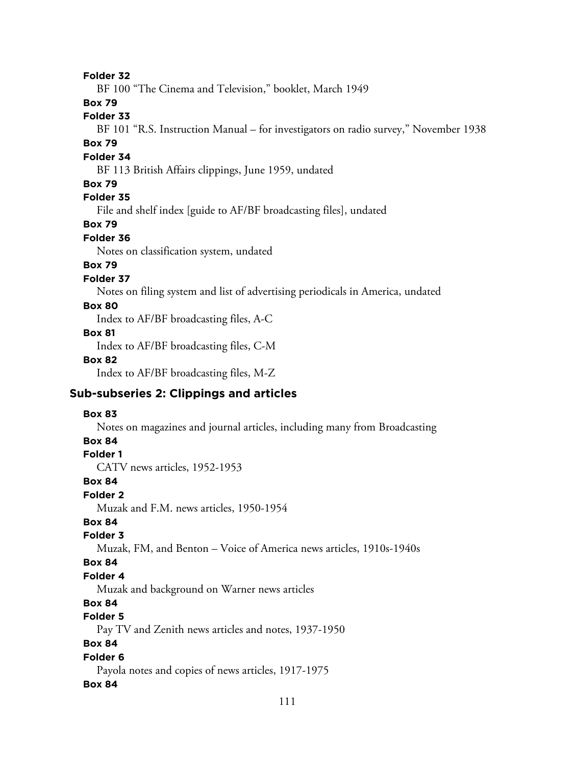**Folder 32**

BF 100 "The Cinema and Television," booklet, March 1949

**Box 79**

# **Folder 33**

BF 101 "R.S. Instruction Manual – for investigators on radio survey," November 1938

# **Box 79**

#### **Folder 34**

BF 113 British Affairs clippings, June 1959, undated

### **Box 79**

# **Folder 35**

File and shelf index [guide to AF/BF broadcasting files], undated

# **Box 79**

#### **Folder 36**

Notes on classification system, undated

# **Box 79**

### **Folder 37**

Notes on filing system and list of advertising periodicals in America, undated

### **Box 80**

Index to AF/BF broadcasting files, A-C

#### **Box 81**

Index to AF/BF broadcasting files, C-M

#### **Box 82**

Index to AF/BF broadcasting files, M-Z

# **Sub-subseries 2: Clippings and articles**

#### **Box 83**

Notes on magazines and journal articles, including many from Broadcasting

# **Box 84**

## **Folder 1**

CATV news articles, 1952-1953

#### **Box 84**

#### **Folder 2**

Muzak and F.M. news articles, 1950-1954

# **Box 84**

## **Folder 3**

Muzak, FM, and Benton – Voice of America news articles, 1910s-1940s

#### **Box 84**

#### **Folder 4**

Muzak and background on Warner news articles

# **Box 84**

# **Folder 5**

Pay TV and Zenith news articles and notes, 1937-1950

## **Box 84**

# **Folder 6**

Payola notes and copies of news articles, 1917-1975

#### **Box 84**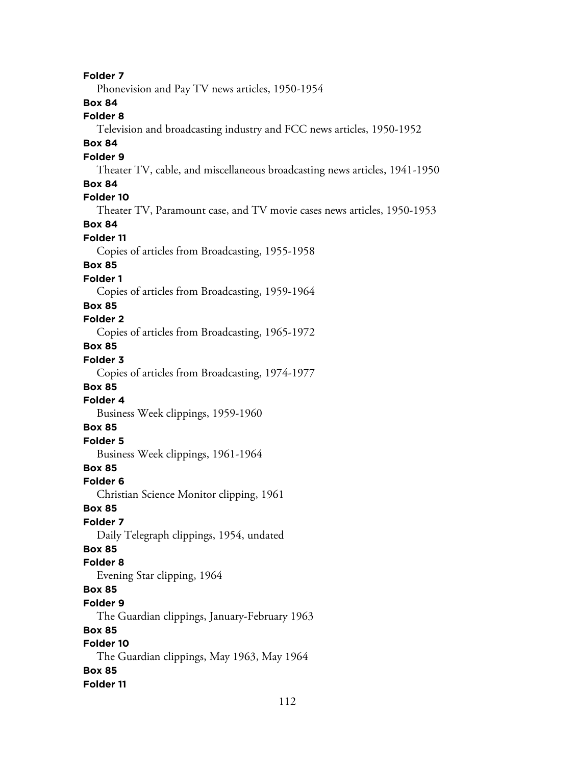**Folder 7** Phonevision and Pay TV news articles, 1950-1954 **Box 84 Folder 8** Television and broadcasting industry and FCC news articles, 1950-1952 **Box 84 Folder 9** Theater TV, cable, and miscellaneous broadcasting news articles, 1941-1950 **Box 84 Folder 10** Theater TV, Paramount case, and TV movie cases news articles, 1950-1953 **Box 84 Folder 11** Copies of articles from Broadcasting, 1955-1958 **Box 85 Folder 1** Copies of articles from Broadcasting, 1959-1964 **Box 85 Folder 2** Copies of articles from Broadcasting, 1965-1972 **Box 85 Folder 3** Copies of articles from Broadcasting, 1974-1977 **Box 85 Folder 4** Business Week clippings, 1959-1960 **Box 85 Folder 5** Business Week clippings, 1961-1964 **Box 85 Folder 6** Christian Science Monitor clipping, 1961 **Box 85 Folder 7** Daily Telegraph clippings, 1954, undated **Box 85 Folder 8** Evening Star clipping, 1964 **Box 85 Folder 9** The Guardian clippings, January-February 1963 **Box 85 Folder 10** The Guardian clippings, May 1963, May 1964 **Box 85 Folder 11**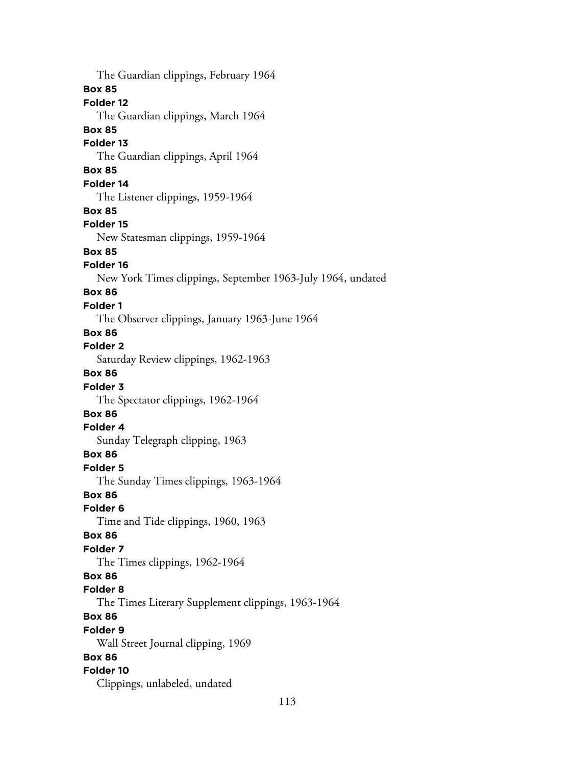The Guardian clippings, February 1964 **Box 85 Folder 12** The Guardian clippings, March 1964 **Box 85 Folder 13** The Guardian clippings, April 1964 **Box 85 Folder 14** The Listener clippings, 1959-1964 **Box 85 Folder 15** New Statesman clippings, 1959-1964 **Box 85 Folder 16** New York Times clippings, September 1963-July 1964, undated **Box 86 Folder 1** The Observer clippings, January 1963-June 1964 **Box 86 Folder 2** Saturday Review clippings, 1962-1963 **Box 86 Folder 3** The Spectator clippings, 1962-1964 **Box 86 Folder 4** Sunday Telegraph clipping, 1963 **Box 86 Folder 5** The Sunday Times clippings, 1963-1964 **Box 86 Folder 6** Time and Tide clippings, 1960, 1963 **Box 86 Folder 7** The Times clippings, 1962-1964 **Box 86 Folder 8** The Times Literary Supplement clippings, 1963-1964 **Box 86 Folder 9** Wall Street Journal clipping, 1969 **Box 86 Folder 10** Clippings, unlabeled, undated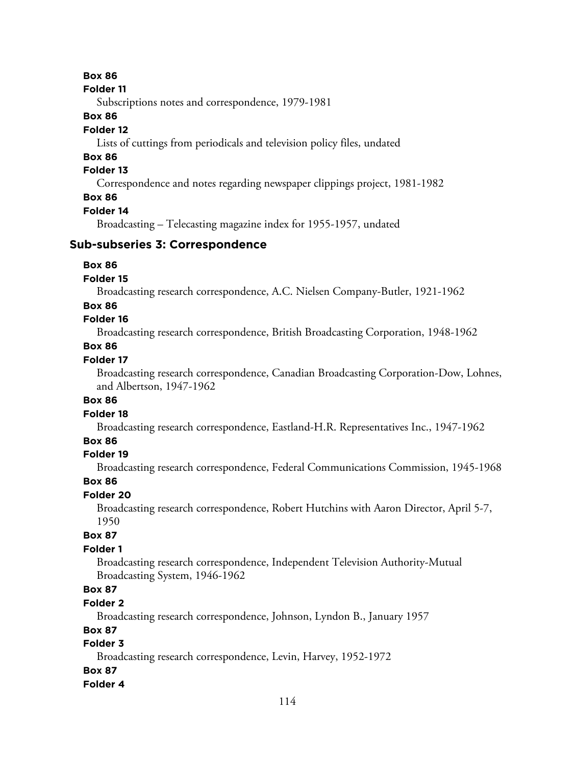#### **Folder 11**

Subscriptions notes and correspondence, 1979-1981

### **Box 86**

## **Folder 12**

Lists of cuttings from periodicals and television policy files, undated

# **Box 86**

## **Folder 13**

Correspondence and notes regarding newspaper clippings project, 1981-1982

# **Box 86**

#### **Folder 14**

Broadcasting – Telecasting magazine index for 1955-1957, undated

### **Sub-subseries 3: Correspondence**

#### **Box 86**

#### **Folder 15**

Broadcasting research correspondence, A.C. Nielsen Company-Butler, 1921-1962

#### **Box 86**

# **Folder 16**

Broadcasting research correspondence, British Broadcasting Corporation, 1948-1962

# **Box 86**

## **Folder 17**

Broadcasting research correspondence, Canadian Broadcasting Corporation-Dow, Lohnes, and Albertson, 1947-1962

#### **Box 86**

# **Folder 18**

Broadcasting research correspondence, Eastland-H.R. Representatives Inc., 1947-1962

#### **Box 86**

### **Folder 19**

Broadcasting research correspondence, Federal Communications Commission, 1945-1968

#### **Box 86**

### **Folder 20**

Broadcasting research correspondence, Robert Hutchins with Aaron Director, April 5-7, 1950

### **Box 87**

### **Folder 1**

Broadcasting research correspondence, Independent Television Authority-Mutual Broadcasting System, 1946-1962

# **Box 87**

#### **Folder 2**

Broadcasting research correspondence, Johnson, Lyndon B., January 1957

## **Box 87**

# **Folder 3**

Broadcasting research correspondence, Levin, Harvey, 1952-1972

#### **Box 87**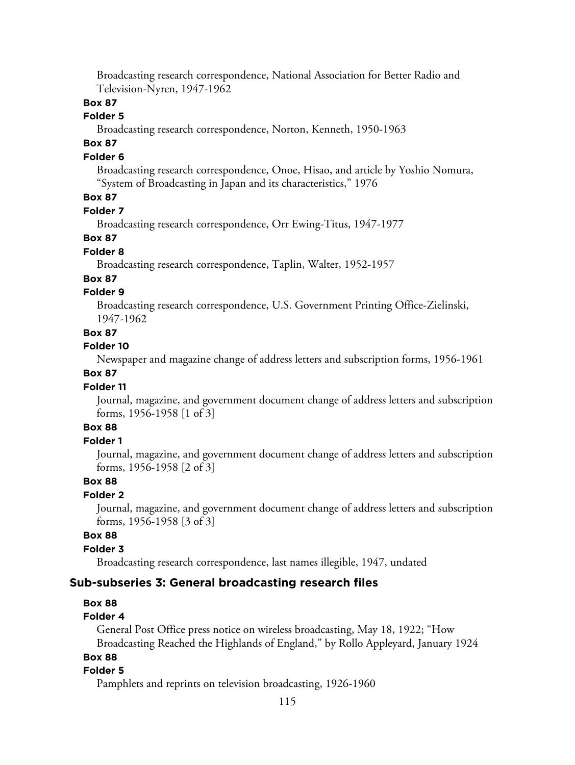Broadcasting research correspondence, National Association for Better Radio and Television-Nyren, 1947-1962

### **Box 87**

#### **Folder 5**

Broadcasting research correspondence, Norton, Kenneth, 1950-1963

# **Box 87**

#### **Folder 6**

Broadcasting research correspondence, Onoe, Hisao, and article by Yoshio Nomura, "System of Broadcasting in Japan and its characteristics," 1976

## **Box 87**

### **Folder 7**

Broadcasting research correspondence, Orr Ewing-Titus, 1947-1977

#### **Box 87**

## **Folder 8**

Broadcasting research correspondence, Taplin, Walter, 1952-1957

#### **Box 87**

#### **Folder 9**

Broadcasting research correspondence, U.S. Government Printing Office-Zielinski, 1947-1962

#### **Box 87**

#### **Folder 10**

Newspaper and magazine change of address letters and subscription forms, 1956-1961

## **Box 87**

#### **Folder 11**

Journal, magazine, and government document change of address letters and subscription forms, 1956-1958 [1 of 3]

# **Box 88**

# **Folder 1**

Journal, magazine, and government document change of address letters and subscription forms, 1956-1958 [2 of 3]

#### **Box 88**

# **Folder 2**

Journal, magazine, and government document change of address letters and subscription forms, 1956-1958 [3 of 3]

#### **Box 88**

#### **Folder 3**

Broadcasting research correspondence, last names illegible, 1947, undated

#### **Sub-subseries 3: General broadcasting research files**

#### **Box 88**

#### **Folder 4**

General Post Office press notice on wireless broadcasting, May 18, 1922; "How Broadcasting Reached the Highlands of England," by Rollo Appleyard, January 1924

#### **Box 88**

#### **Folder 5**

Pamphlets and reprints on television broadcasting, 1926-1960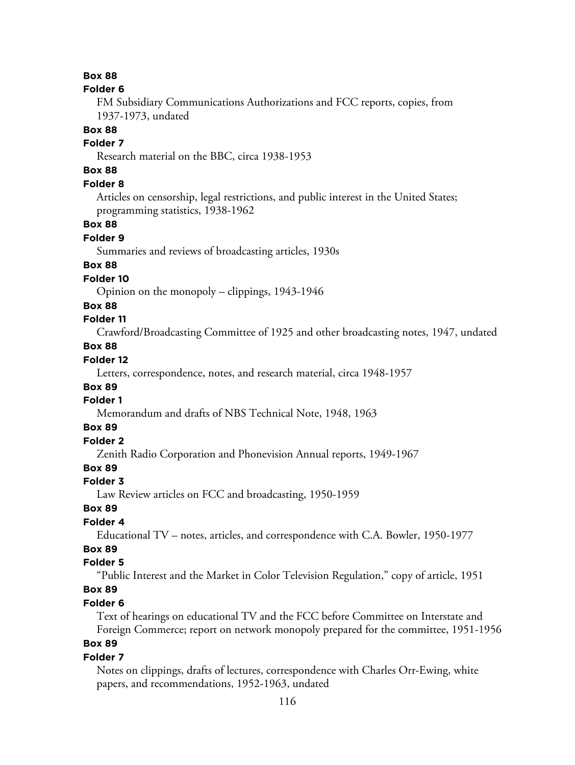#### **Folder 6**

FM Subsidiary Communications Authorizations and FCC reports, copies, from 1937-1973, undated

# **Box 88**

# **Folder 7**

Research material on the BBC, circa 1938-1953

# **Box 88**

# **Folder 8**

Articles on censorship, legal restrictions, and public interest in the United States; programming statistics, 1938-1962

#### **Box 88**

#### **Folder 9**

Summaries and reviews of broadcasting articles, 1930s

# **Box 88**

#### **Folder 10**

Opinion on the monopoly – clippings, 1943-1946

## **Box 88**

# **Folder 11**

Crawford/Broadcasting Committee of 1925 and other broadcasting notes, 1947, undated

# **Box 88**

# **Folder 12**

Letters, correspondence, notes, and research material, circa 1948-1957

# **Box 89**

# **Folder 1**

Memorandum and drafts of NBS Technical Note, 1948, 1963

# **Box 89**

# **Folder 2**

Zenith Radio Corporation and Phonevision Annual reports, 1949-1967

## **Box 89**

#### **Folder 3**

Law Review articles on FCC and broadcasting, 1950-1959

#### **Box 89**

# **Folder 4**

Educational TV – notes, articles, and correspondence with C.A. Bowler, 1950-1977

# **Box 89**

#### **Folder 5**

"Public Interest and the Market in Color Television Regulation," copy of article, 1951

# **Box 89**

### **Folder 6**

Text of hearings on educational TV and the FCC before Committee on Interstate and Foreign Commerce; report on network monopoly prepared for the committee, 1951-1956

# **Box 89**

#### **Folder 7**

Notes on clippings, drafts of lectures, correspondence with Charles Orr-Ewing, white papers, and recommendations, 1952-1963, undated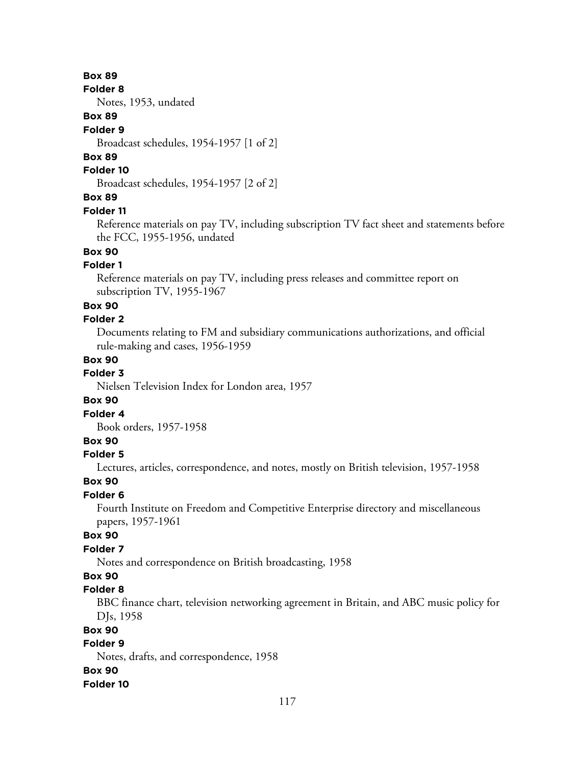**Folder 8**

Notes, 1953, undated

# **Box 89**

#### **Folder 9**

Broadcast schedules, 1954-1957 [1 of 2]

## **Box 89**

## **Folder 10**

Broadcast schedules, 1954-1957 [2 of 2]

# **Box 89**

#### **Folder 11**

Reference materials on pay TV, including subscription TV fact sheet and statements before the FCC, 1955-1956, undated

# **Box 90**

### **Folder 1**

Reference materials on pay TV, including press releases and committee report on subscription TV, 1955-1967

#### **Box 90**

# **Folder 2**

Documents relating to FM and subsidiary communications authorizations, and official rule-making and cases, 1956-1959

# **Box 90**

# **Folder 3**

Nielsen Television Index for London area, 1957

### **Box 90**

#### **Folder 4**

Book orders, 1957-1958

# **Box 90**

#### **Folder 5**

Lectures, articles, correspondence, and notes, mostly on British television, 1957-1958

#### **Box 90**

# **Folder 6**

Fourth Institute on Freedom and Competitive Enterprise directory and miscellaneous papers, 1957-1961

#### **Box 90**

# **Folder 7**

Notes and correspondence on British broadcasting, 1958

# **Box 90**

# **Folder 8**

BBC finance chart, television networking agreement in Britain, and ABC music policy for DJs, 1958

## **Box 90**

# **Folder 9**

Notes, drafts, and correspondence, 1958

#### **Box 90**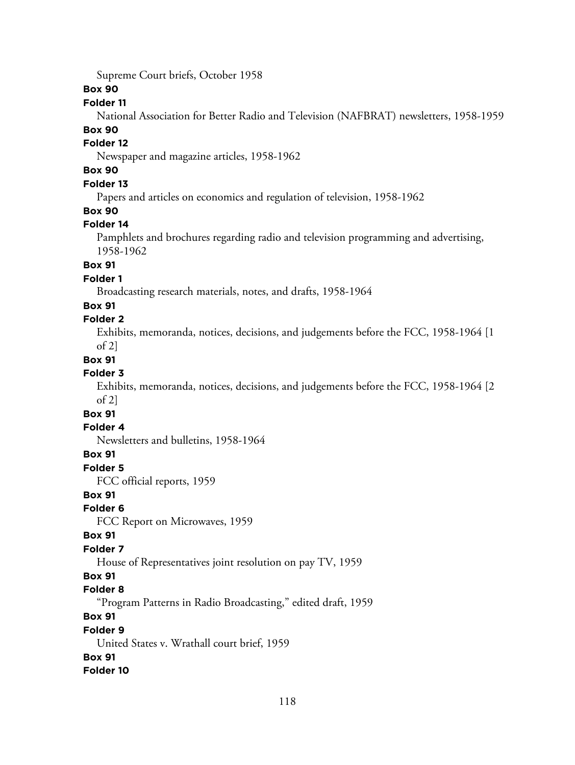Supreme Court briefs, October 1958

#### **Box 90**

#### **Folder 11**

National Association for Better Radio and Television (NAFBRAT) newsletters, 1958-1959

## **Box 90**

# **Folder 12**

Newspaper and magazine articles, 1958-1962

# **Box 90**

# **Folder 13**

Papers and articles on economics and regulation of television, 1958-1962

# **Box 90**

# **Folder 14**

Pamphlets and brochures regarding radio and television programming and advertising, 1958-1962

### **Box 91**

# **Folder 1**

Broadcasting research materials, notes, and drafts, 1958-1964

# **Box 91**

# **Folder 2**

Exhibits, memoranda, notices, decisions, and judgements before the FCC, 1958-1964 [1 of 2]

# **Box 91**

# **Folder 3**

Exhibits, memoranda, notices, decisions, and judgements before the FCC, 1958-1964 [2 of 2]

# **Box 91**

# **Folder 4**

Newsletters and bulletins, 1958-1964

### **Box 91**

**Folder 5**

FCC official reports, 1959

### **Box 91**

### **Folder 6**

FCC Report on Microwaves, 1959

### **Box 91**

# **Folder 7**

House of Representatives joint resolution on pay TV, 1959

# **Box 91**

### **Folder 8**

"Program Patterns in Radio Broadcasting," edited draft, 1959

# **Box 91**

### **Folder 9**

United States v. Wrathall court brief, 1959

# **Box 91**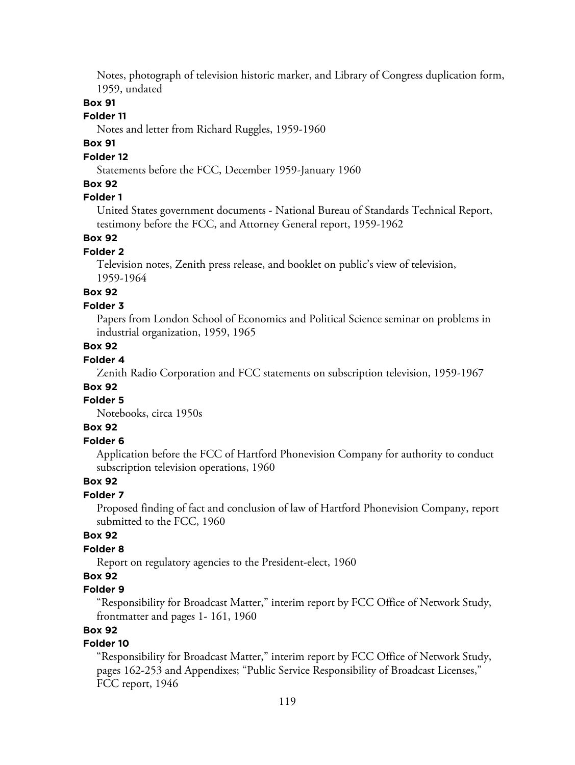Notes, photograph of television historic marker, and Library of Congress duplication form, 1959, undated

#### **Box 91**

#### **Folder 11**

Notes and letter from Richard Ruggles, 1959-1960

# **Box 91**

## **Folder 12**

Statements before the FCC, December 1959-January 1960

## **Box 92**

# **Folder 1**

United States government documents - National Bureau of Standards Technical Report, testimony before the FCC, and Attorney General report, 1959-1962

#### **Box 92**

#### **Folder 2**

Television notes, Zenith press release, and booklet on public's view of television, 1959-1964

# **Box 92**

#### **Folder 3**

Papers from London School of Economics and Political Science seminar on problems in industrial organization, 1959, 1965

# **Box 92**

# **Folder 4**

Zenith Radio Corporation and FCC statements on subscription television, 1959-1967

# **Box 92**

# **Folder 5**

Notebooks, circa 1950s

# **Box 92**

#### **Folder 6**

Application before the FCC of Hartford Phonevision Company for authority to conduct subscription television operations, 1960

# **Box 92**

### **Folder 7**

Proposed finding of fact and conclusion of law of Hartford Phonevision Company, report submitted to the FCC, 1960

#### **Box 92**

## **Folder 8**

Report on regulatory agencies to the President-elect, 1960

# **Box 92**

#### **Folder 9**

"Responsibility for Broadcast Matter," interim report by FCC Office of Network Study, frontmatter and pages 1- 161, 1960

# **Box 92**

## **Folder 10**

"Responsibility for Broadcast Matter," interim report by FCC Office of Network Study, pages 162-253 and Appendixes; "Public Service Responsibility of Broadcast Licenses," FCC report, 1946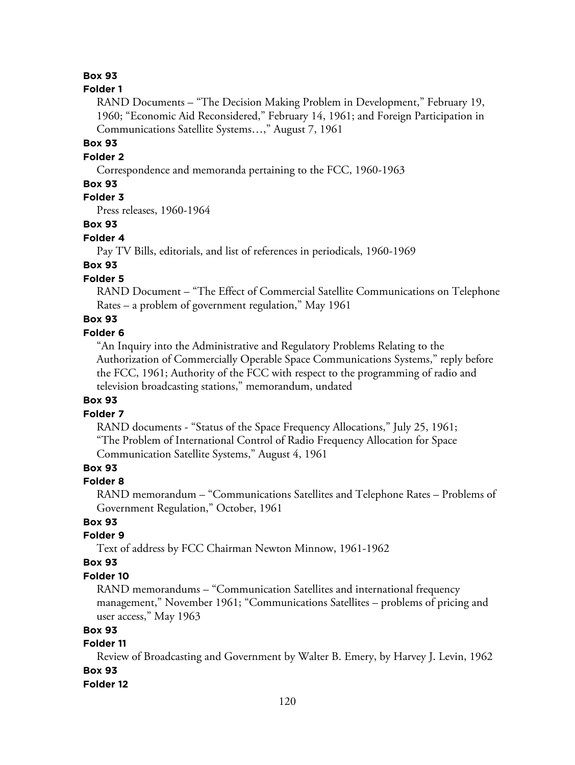#### **Folder 1**

RAND Documents – "The Decision Making Problem in Development," February 19, 1960; "Economic Aid Reconsidered," February 14, 1961; and Foreign Participation in Communications Satellite Systems…," August 7, 1961

#### **Box 93**

### **Folder 2**

Correspondence and memoranda pertaining to the FCC, 1960-1963

#### **Box 93**

# **Folder 3**

Press releases, 1960-1964

#### **Box 93**

#### **Folder 4**

Pay TV Bills, editorials, and list of references in periodicals, 1960-1969

# **Box 93**

# **Folder 5**

RAND Document – "The Effect of Commercial Satellite Communications on Telephone Rates – a problem of government regulation," May 1961

# **Box 93**

# **Folder 6**

"An Inquiry into the Administrative and Regulatory Problems Relating to the Authorization of Commercially Operable Space Communications Systems," reply before the FCC, 1961; Authority of the FCC with respect to the programming of radio and television broadcasting stations," memorandum, undated

#### **Box 93**

## **Folder 7**

RAND documents - "Status of the Space Frequency Allocations," July 25, 1961; "The Problem of International Control of Radio Frequency Allocation for Space Communication Satellite Systems," August 4, 1961

### **Box 93**

#### **Folder 8**

RAND memorandum – "Communications Satellites and Telephone Rates – Problems of Government Regulation," October, 1961

# **Box 93**

# **Folder 9**

Text of address by FCC Chairman Newton Minnow, 1961-1962

#### **Box 93**

#### **Folder 10**

RAND memorandums – "Communication Satellites and international frequency management," November 1961; "Communications Satellites – problems of pricing and user access," May 1963

#### **Box 93**

## **Folder 11**

Review of Broadcasting and Government by Walter B. Emery, by Harvey J. Levin, 1962 **Box 93**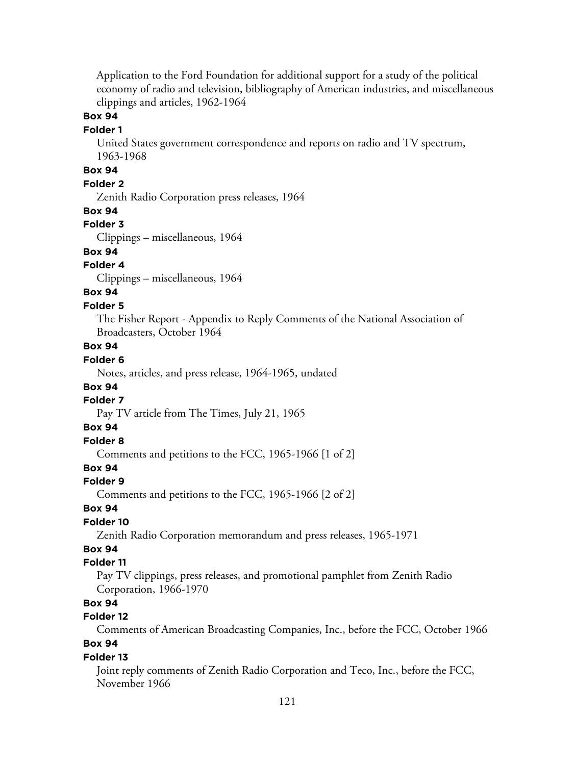Application to the Ford Foundation for additional support for a study of the political economy of radio and television, bibliography of American industries, and miscellaneous clippings and articles, 1962-1964

## **Box 94**

#### **Folder 1**

United States government correspondence and reports on radio and TV spectrum, 1963-1968

# **Box 94**

#### **Folder 2**

Zenith Radio Corporation press releases, 1964

#### **Box 94**

#### **Folder 3**

Clippings – miscellaneous, 1964

## **Box 94**

#### **Folder 4**

Clippings – miscellaneous, 1964

# **Box 94**

#### **Folder 5**

The Fisher Report - Appendix to Reply Comments of the National Association of Broadcasters, October 1964

# **Box 94**

# **Folder 6**

Notes, articles, and press release, 1964-1965, undated

#### **Box 94**

#### **Folder 7**

Pay TV article from The Times, July 21, 1965

## **Box 94**

# **Folder 8**

Comments and petitions to the FCC, 1965-1966 [1 of 2]

## **Box 94**

#### **Folder 9**

Comments and petitions to the FCC, 1965-1966 [2 of 2]

#### **Box 94**

#### **Folder 10**

Zenith Radio Corporation memorandum and press releases, 1965-1971

# **Box 94**

#### **Folder 11**

Pay TV clippings, press releases, and promotional pamphlet from Zenith Radio Corporation, 1966-1970

### **Box 94**

## **Folder 12**

Comments of American Broadcasting Companies, Inc., before the FCC, October 1966 **Box 94**

# **Folder 13**

Joint reply comments of Zenith Radio Corporation and Teco, Inc., before the FCC, November 1966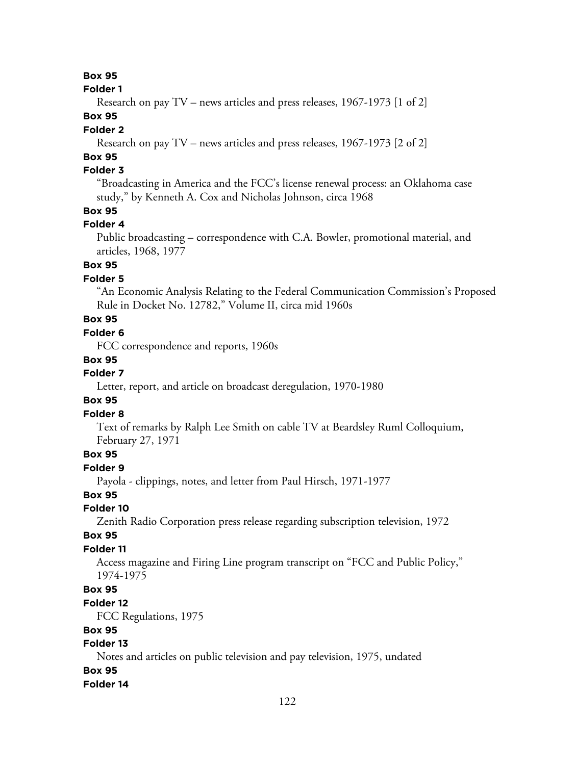#### **Folder 1**

Research on pay TV – news articles and press releases, 1967-1973 [1 of 2]

# **Box 95**

#### **Folder 2**

Research on pay TV – news articles and press releases, 1967-1973 [2 of 2]

# **Box 95**

# **Folder 3**

"Broadcasting in America and the FCC's license renewal process: an Oklahoma case study," by Kenneth A. Cox and Nicholas Johnson, circa 1968

# **Box 95**

### **Folder 4**

Public broadcasting – correspondence with C.A. Bowler, promotional material, and articles, 1968, 1977

# **Box 95**

### **Folder 5**

"An Economic Analysis Relating to the Federal Communication Commission's Proposed Rule in Docket No. 12782," Volume II, circa mid 1960s

# **Box 95**

# **Folder 6**

FCC correspondence and reports, 1960s

### **Box 95**

# **Folder 7**

Letter, report, and article on broadcast deregulation, 1970-1980

# **Box 95**

### **Folder 8**

Text of remarks by Ralph Lee Smith on cable TV at Beardsley Ruml Colloquium, February 27, 1971

## **Box 95**

#### **Folder 9**

Payola - clippings, notes, and letter from Paul Hirsch, 1971-1977

#### **Box 95**

### **Folder 10**

Zenith Radio Corporation press release regarding subscription television, 1972

### **Box 95**

### **Folder 11**

Access magazine and Firing Line program transcript on "FCC and Public Policy," 1974-1975

# **Box 95**

#### **Folder 12**

FCC Regulations, 1975

### **Box 95**

# **Folder 13**

Notes and articles on public television and pay television, 1975, undated

## **Box 95**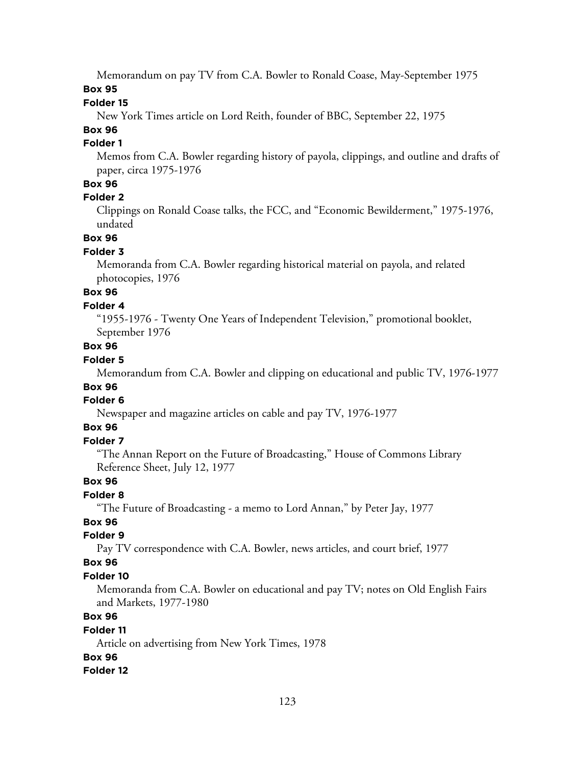Memorandum on pay TV from C.A. Bowler to Ronald Coase, May-September 1975

# **Box 95**

### **Folder 15**

New York Times article on Lord Reith, founder of BBC, September 22, 1975

# **Box 96**

# **Folder 1**

Memos from C.A. Bowler regarding history of payola, clippings, and outline and drafts of paper, circa 1975-1976

# **Box 96**

### **Folder 2**

Clippings on Ronald Coase talks, the FCC, and "Economic Bewilderment," 1975-1976, undated

### **Box 96**

### **Folder 3**

Memoranda from C.A. Bowler regarding historical material on payola, and related photocopies, 1976

# **Box 96**

### **Folder 4**

"1955-1976 - Twenty One Years of Independent Television," promotional booklet, September 1976

# **Box 96**

# **Folder 5**

Memorandum from C.A. Bowler and clipping on educational and public TV, 1976-1977

# **Box 96**

### **Folder 6**

Newspaper and magazine articles on cable and pay TV, 1976-1977

# **Box 96**

# **Folder 7**

"The Annan Report on the Future of Broadcasting," House of Commons Library Reference Sheet, July 12, 1977

# **Box 96**

### **Folder 8**

"The Future of Broadcasting - a memo to Lord Annan," by Peter Jay, 1977

# **Box 96**

### **Folder 9**

Pay TV correspondence with C.A. Bowler, news articles, and court brief, 1977

### **Box 96**

# **Folder 10**

Memoranda from C.A. Bowler on educational and pay TV; notes on Old English Fairs and Markets, 1977-1980

# **Box 96**

# **Folder 11**

Article on advertising from New York Times, 1978

# **Box 96**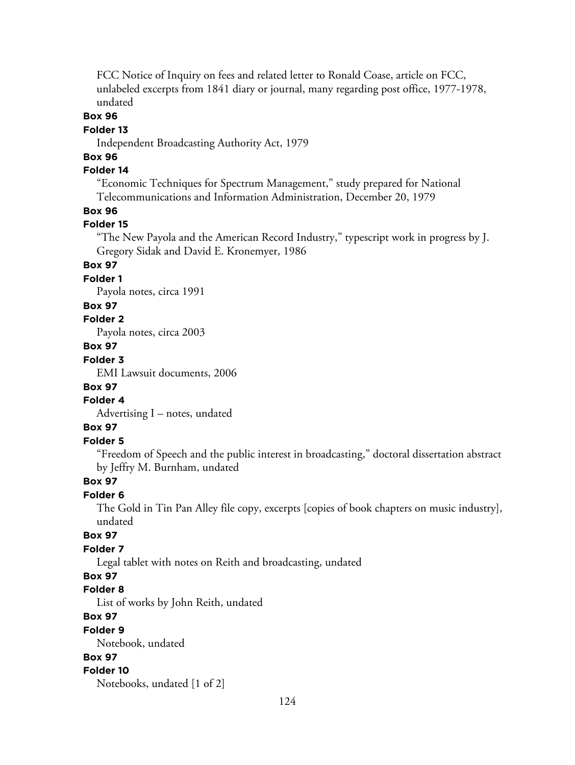FCC Notice of Inquiry on fees and related letter to Ronald Coase, article on FCC, unlabeled excerpts from 1841 diary or journal, many regarding post office, 1977-1978, undated

## **Box 96**

#### **Folder 13**

Independent Broadcasting Authority Act, 1979

# **Box 96**

# **Folder 14**

"Economic Techniques for Spectrum Management," study prepared for National Telecommunications and Information Administration, December 20, 1979

#### **Box 96**

#### **Folder 15**

"The New Payola and the American Record Industry," typescript work in progress by J. Gregory Sidak and David E. Kronemyer, 1986

# **Box 97**

#### **Folder 1**

Payola notes, circa 1991

#### **Box 97**

## **Folder 2**

Payola notes, circa 2003

#### **Box 97**

## **Folder 3**

EMI Lawsuit documents, 2006

### **Box 97**

# **Folder 4**

Advertising I – notes, undated

# **Box 97**

# **Folder 5**

"Freedom of Speech and the public interest in broadcasting," doctoral dissertation abstract by Jeffry M. Burnham, undated

# **Box 97**

### **Folder 6**

The Gold in Tin Pan Alley file copy, excerpts [copies of book chapters on music industry], undated

# **Box 97**

## **Folder 7**

Legal tablet with notes on Reith and broadcasting, undated

# **Box 97**

### **Folder 8**

List of works by John Reith, undated

# **Box 97**

#### **Folder 9**

Notebook, undated

# **Box 97**

#### **Folder 10**

Notebooks, undated [1 of 2]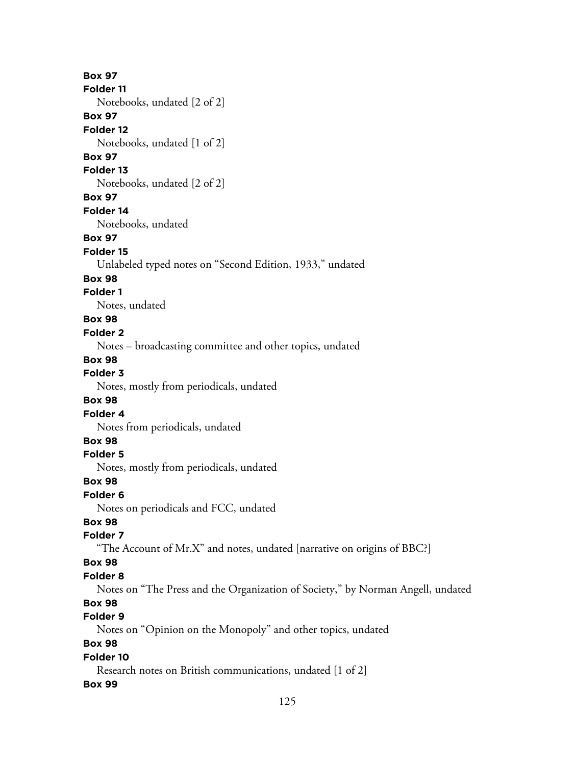125 **Box 97 Folder 11** Notebooks, undated [2 of 2] **Box 97 Folder 12** Notebooks, undated [1 of 2] **Box 97 Folder 13** Notebooks, undated [2 of 2] **Box 97 Folder 14** Notebooks, undated **Box 97 Folder 15** Unlabeled typed notes on "Second Edition, 1933," undated **Box 98 Folder 1** Notes, undated **Box 98 Folder 2** Notes – broadcasting committee and other topics, undated **Box 98 Folder 3** Notes, mostly from periodicals, undated **Box 98 Folder 4** Notes from periodicals, undated **Box 98 Folder 5** Notes, mostly from periodicals, undated **Box 98 Folder 6** Notes on periodicals and FCC, undated **Box 98 Folder 7** "The Account of Mr.X" and notes, undated [narrative on origins of BBC?] **Box 98 Folder 8** Notes on "The Press and the Organization of Society," by Norman Angell, undated **Box 98 Folder 9** Notes on "Opinion on the Monopoly" and other topics, undated **Box 98 Folder 10** Research notes on British communications, undated [1 of 2] **Box 99**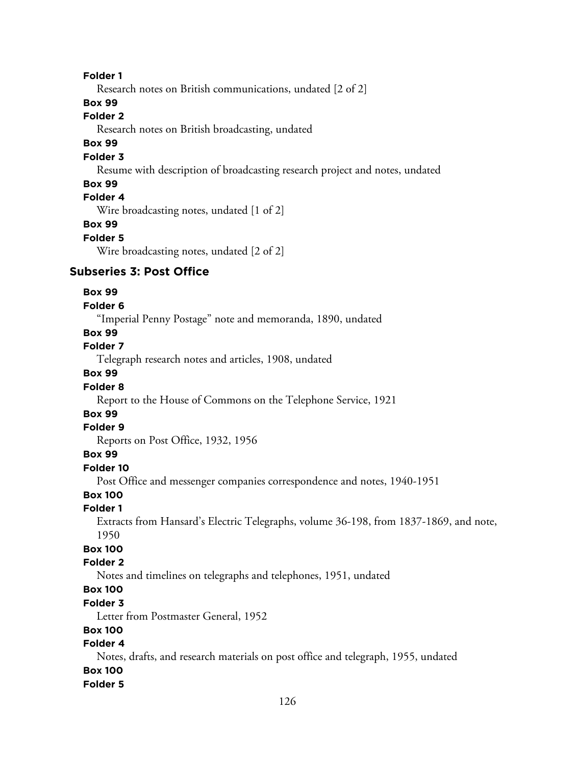#### **Folder 1**

Research notes on British communications, undated [2 of 2]

#### **Box 99**

#### **Folder 2**

Research notes on British broadcasting, undated

# **Box 99**

#### **Folder 3**

Resume with description of broadcasting research project and notes, undated

#### **Box 99**

# **Folder 4**

Wire broadcasting notes, undated [1 of 2]

#### **Box 99**

#### **Folder 5**

Wire broadcasting notes, undated [2 of 2]

# **Subseries 3: Post Office**

#### **Box 99**

#### **Folder 6**

"Imperial Penny Postage" note and memoranda, 1890, undated

# **Box 99**

# **Folder 7**

Telegraph research notes and articles, 1908, undated

# **Box 99**

#### **Folder 8**

Report to the House of Commons on the Telephone Service, 1921

# **Box 99**

#### **Folder 9**

Reports on Post Office, 1932, 1956

#### **Box 99**

#### **Folder 10**

Post Office and messenger companies correspondence and notes, 1940-1951

#### **Box 100**

#### **Folder 1**

Extracts from Hansard's Electric Telegraphs, volume 36-198, from 1837-1869, and note, 1950

# **Box 100**

# **Folder 2**

Notes and timelines on telegraphs and telephones, 1951, undated

# **Box 100**

# **Folder 3**

Letter from Postmaster General, 1952

## **Box 100**

# **Folder 4**

Notes, drafts, and research materials on post office and telegraph, 1955, undated

# **Box 100**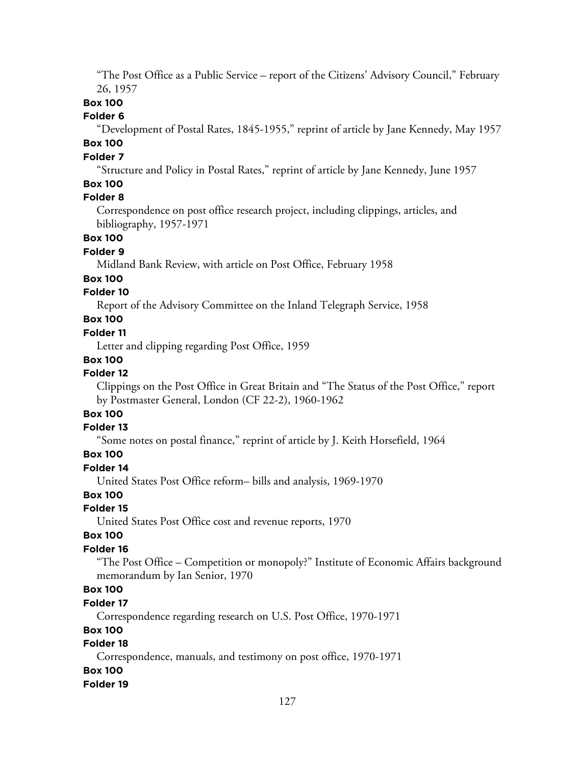"The Post Office as a Public Service – report of the Citizens' Advisory Council," February 26, 1957

# **Box 100**

#### **Folder 6**

"Development of Postal Rates, 1845-1955," reprint of article by Jane Kennedy, May 1957

# **Box 100**

# **Folder 7**

"Structure and Policy in Postal Rates," reprint of article by Jane Kennedy, June 1957

# **Box 100**

# **Folder 8**

Correspondence on post office research project, including clippings, articles, and bibliography, 1957-1971

# **Box 100**

#### **Folder 9**

Midland Bank Review, with article on Post Office, February 1958

### **Box 100**

## **Folder 10**

Report of the Advisory Committee on the Inland Telegraph Service, 1958

# **Box 100**

#### **Folder 11**

Letter and clipping regarding Post Office, 1959

### **Box 100**

#### **Folder 12**

Clippings on the Post Office in Great Britain and "The Status of the Post Office," report by Postmaster General, London (CF 22-2), 1960-1962

# **Box 100**

## **Folder 13**

"Some notes on postal finance," reprint of article by J. Keith Horsefield, 1964

#### **Box 100**

#### **Folder 14**

United States Post Office reform– bills and analysis, 1969-1970

### **Box 100**

#### **Folder 15**

United States Post Office cost and revenue reports, 1970

#### **Box 100**

## **Folder 16**

"The Post Office – Competition or monopoly?" Institute of Economic Affairs background memorandum by Ian Senior, 1970

# **Box 100**

#### **Folder 17**

Correspondence regarding research on U.S. Post Office, 1970-1971

### **Box 100**

# **Folder 18**

Correspondence, manuals, and testimony on post office, 1970-1971

#### **Box 100**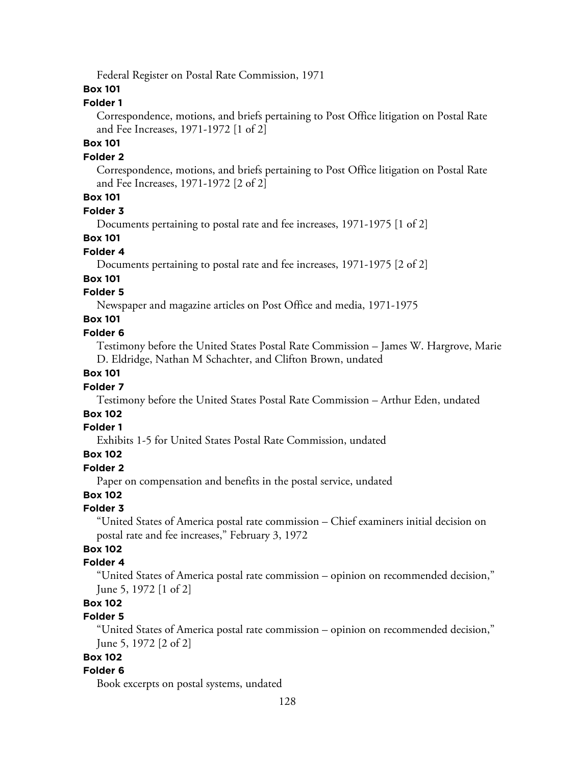Federal Register on Postal Rate Commission, 1971

#### **Box 101**

# **Folder 1**

Correspondence, motions, and briefs pertaining to Post Office litigation on Postal Rate and Fee Increases, 1971-1972 [1 of 2]

## **Box 101**

#### **Folder 2**

Correspondence, motions, and briefs pertaining to Post Office litigation on Postal Rate and Fee Increases, 1971-1972 [2 of 2]

# **Box 101**

#### **Folder 3**

Documents pertaining to postal rate and fee increases, 1971-1975 [1 of 2]

## **Box 101**

#### **Folder 4**

Documents pertaining to postal rate and fee increases, 1971-1975 [2 of 2]

#### **Box 101**

# **Folder 5**

Newspaper and magazine articles on Post Office and media, 1971-1975

# **Box 101**

# **Folder 6**

Testimony before the United States Postal Rate Commission – James W. Hargrove, Marie D. Eldridge, Nathan M Schachter, and Clifton Brown, undated

# **Box 101**

#### **Folder 7**

Testimony before the United States Postal Rate Commission – Arthur Eden, undated

# **Box 102**

## **Folder 1**

Exhibits 1-5 for United States Postal Rate Commission, undated

## **Box 102**

#### **Folder 2**

Paper on compensation and benefits in the postal service, undated

# **Box 102**

### **Folder 3**

"United States of America postal rate commission – Chief examiners initial decision on postal rate and fee increases," February 3, 1972

# **Box 102**

#### **Folder 4**

"United States of America postal rate commission – opinion on recommended decision," June 5, 1972 [1 of 2]

# **Box 102**

# **Folder 5**

"United States of America postal rate commission – opinion on recommended decision," June 5, 1972 [2 of 2]

#### **Box 102**

#### **Folder 6**

Book excerpts on postal systems, undated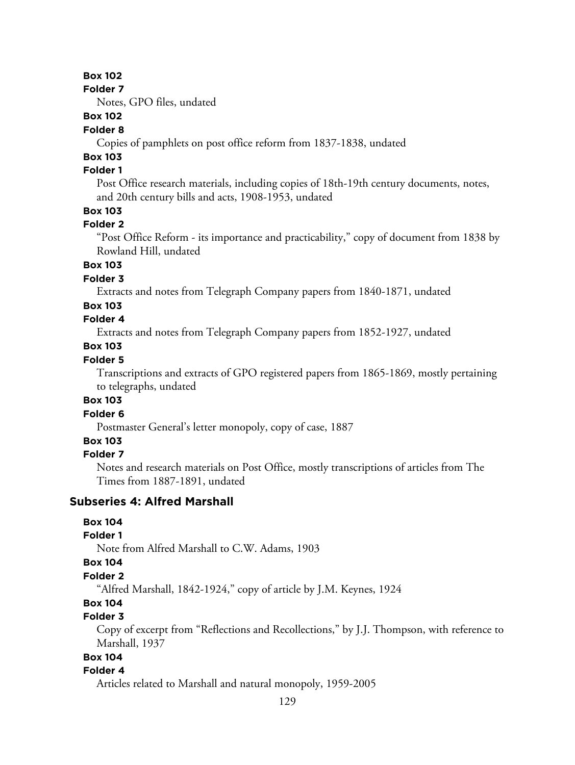**Folder 7**

Notes, GPO files, undated

# **Box 102**

#### **Folder 8**

Copies of pamphlets on post office reform from 1837-1838, undated

# **Box 103**

# **Folder 1**

Post Office research materials, including copies of 18th-19th century documents, notes, and 20th century bills and acts, 1908-1953, undated

## **Box 103**

#### **Folder 2**

"Post Office Reform - its importance and practicability," copy of document from 1838 by Rowland Hill, undated

# **Box 103**

# **Folder 3**

Extracts and notes from Telegraph Company papers from 1840-1871, undated

## **Box 103**

# **Folder 4**

Extracts and notes from Telegraph Company papers from 1852-1927, undated

#### **Box 103**

## **Folder 5**

Transcriptions and extracts of GPO registered papers from 1865-1869, mostly pertaining to telegraphs, undated

### **Box 103**

#### **Folder 6**

Postmaster General's letter monopoly, copy of case, 1887

# **Box 103**

# **Folder 7**

Notes and research materials on Post Office, mostly transcriptions of articles from The Times from 1887-1891, undated

# **Subseries 4: Alfred Marshall**

#### **Box 104**

#### **Folder 1**

Note from Alfred Marshall to C.W. Adams, 1903

#### **Box 104**

# **Folder 2**

"Alfred Marshall, 1842-1924," copy of article by J.M. Keynes, 1924

# **Box 104**

# **Folder 3**

Copy of excerpt from "Reflections and Recollections," by J.J. Thompson, with reference to Marshall, 1937

# **Box 104**

#### **Folder 4**

Articles related to Marshall and natural monopoly, 1959-2005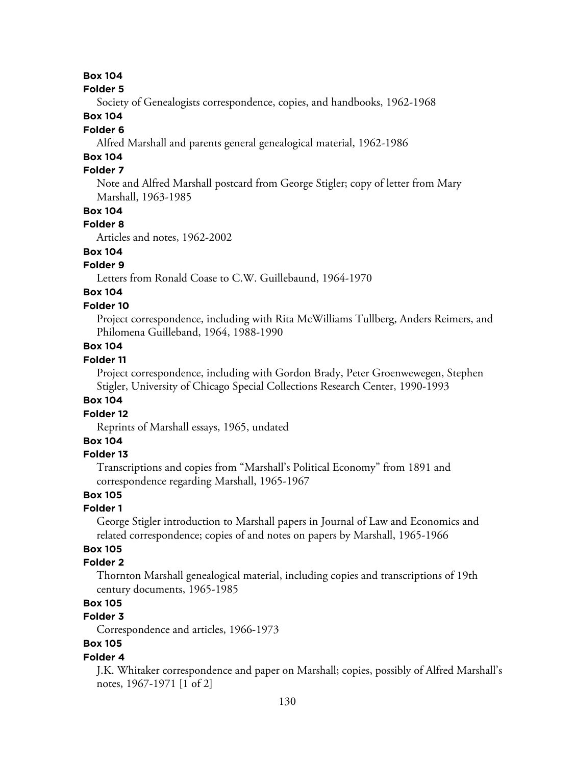#### **Folder 5**

Society of Genealogists correspondence, copies, and handbooks, 1962-1968

# **Box 104**

## **Folder 6**

Alfred Marshall and parents general genealogical material, 1962-1986

# **Box 104**

# **Folder 7**

Note and Alfred Marshall postcard from George Stigler; copy of letter from Mary Marshall, 1963-1985

# **Box 104**

#### **Folder 8**

Articles and notes, 1962-2002

# **Box 104**

# **Folder 9**

Letters from Ronald Coase to C.W. Guillebaund, 1964-1970

# **Box 104**

#### **Folder 10**

Project correspondence, including with Rita McWilliams Tullberg, Anders Reimers, and Philomena Guilleband, 1964, 1988-1990

## **Box 104**

## **Folder 11**

Project correspondence, including with Gordon Brady, Peter Groenwewegen, Stephen Stigler, University of Chicago Special Collections Research Center, 1990-1993

#### **Box 104**

#### **Folder 12**

Reprints of Marshall essays, 1965, undated

## **Box 104**

#### **Folder 13**

Transcriptions and copies from "Marshall's Political Economy" from 1891 and correspondence regarding Marshall, 1965-1967

# **Box 105**

#### **Folder 1**

George Stigler introduction to Marshall papers in Journal of Law and Economics and related correspondence; copies of and notes on papers by Marshall, 1965-1966

# **Box 105**

#### **Folder 2**

Thornton Marshall genealogical material, including copies and transcriptions of 19th century documents, 1965-1985

### **Box 105**

# **Folder 3**

Correspondence and articles, 1966-1973

# **Box 105**

#### **Folder 4**

J.K. Whitaker correspondence and paper on Marshall; copies, possibly of Alfred Marshall's notes, 1967-1971 [1 of 2]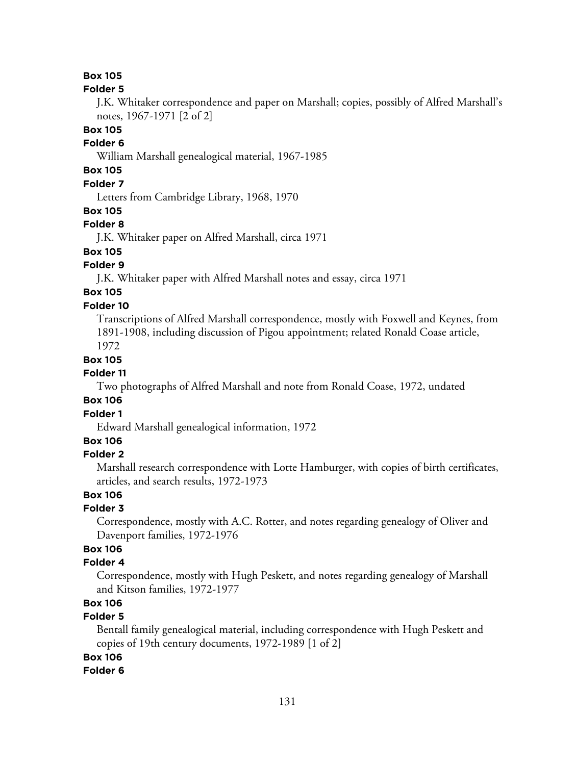#### **Folder 5**

J.K. Whitaker correspondence and paper on Marshall; copies, possibly of Alfred Marshall's notes, 1967-1971 [2 of 2]

## **Box 105**

# **Folder 6**

William Marshall genealogical material, 1967-1985

# **Box 105**

# **Folder 7**

Letters from Cambridge Library, 1968, 1970

#### **Box 105**

#### **Folder 8**

J.K. Whitaker paper on Alfred Marshall, circa 1971

# **Box 105**

# **Folder 9**

J.K. Whitaker paper with Alfred Marshall notes and essay, circa 1971

#### **Box 105 Folder 10**

Transcriptions of Alfred Marshall correspondence, mostly with Foxwell and Keynes, from 1891-1908, including discussion of Pigou appointment; related Ronald Coase article, 1972

#### **Box 105**

#### **Folder 11**

Two photographs of Alfred Marshall and note from Ronald Coase, 1972, undated

#### **Box 106**

#### **Folder 1**

Edward Marshall genealogical information, 1972

#### **Box 106**

#### **Folder 2**

Marshall research correspondence with Lotte Hamburger, with copies of birth certificates, articles, and search results, 1972-1973

### **Box 106**

### **Folder 3**

Correspondence, mostly with A.C. Rotter, and notes regarding genealogy of Oliver and Davenport families, 1972-1976

# **Box 106**

#### **Folder 4**

Correspondence, mostly with Hugh Peskett, and notes regarding genealogy of Marshall and Kitson families, 1972-1977

# **Box 106**

## **Folder 5**

Bentall family genealogical material, including correspondence with Hugh Peskett and copies of 19th century documents, 1972-1989 [1 of 2]

#### **Box 106**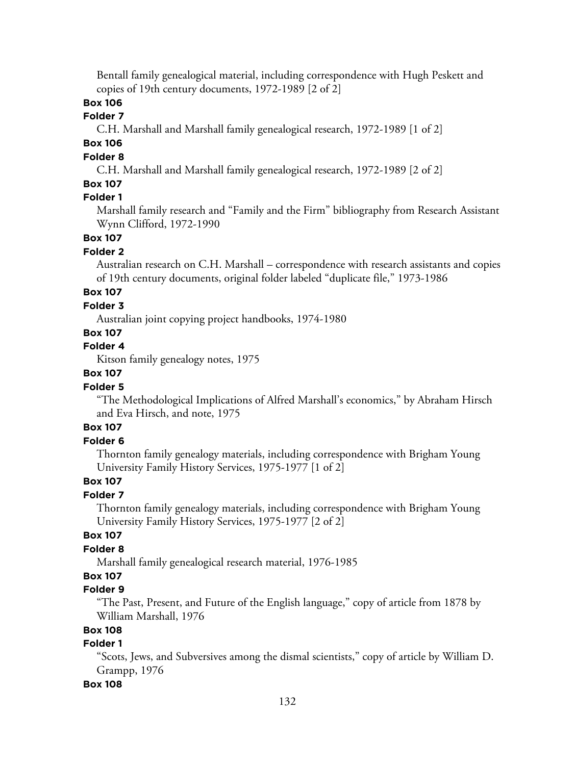Bentall family genealogical material, including correspondence with Hugh Peskett and copies of 19th century documents, 1972-1989 [2 of 2]

# **Box 106**

#### **Folder 7**

C.H. Marshall and Marshall family genealogical research, 1972-1989 [1 of 2]

# **Box 106**

#### **Folder 8**

C.H. Marshall and Marshall family genealogical research, 1972-1989 [2 of 2]

## **Box 107**

# **Folder 1**

Marshall family research and "Family and the Firm" bibliography from Research Assistant Wynn Clifford, 1972-1990

#### **Box 107**

#### **Folder 2**

Australian research on C.H. Marshall – correspondence with research assistants and copies of 19th century documents, original folder labeled "duplicate file," 1973-1986

# **Box 107**

# **Folder 3**

Australian joint copying project handbooks, 1974-1980

# **Box 107**

### **Folder 4**

Kitson family genealogy notes, 1975

# **Box 107**

# **Folder 5**

"The Methodological Implications of Alfred Marshall's economics," by Abraham Hirsch and Eva Hirsch, and note, 1975

# **Box 107**

## **Folder 6**

Thornton family genealogy materials, including correspondence with Brigham Young University Family History Services, 1975-1977 [1 of 2]

# **Box 107**

### **Folder 7**

Thornton family genealogy materials, including correspondence with Brigham Young University Family History Services, 1975-1977 [2 of 2]

#### **Box 107**

# **Folder 8**

Marshall family genealogical research material, 1976-1985

# **Box 107**

### **Folder 9**

"The Past, Present, and Future of the English language," copy of article from 1878 by William Marshall, 1976

## **Box 108**

#### **Folder 1**

"Scots, Jews, and Subversives among the dismal scientists," copy of article by William D. Grampp, 1976

#### **Box 108**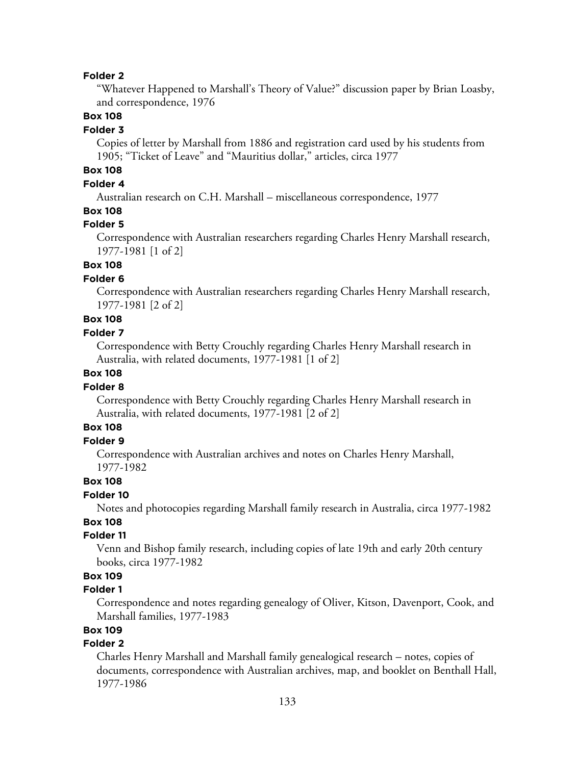#### **Folder 2**

"Whatever Happened to Marshall's Theory of Value?" discussion paper by Brian Loasby, and correspondence, 1976

## **Box 108**

#### **Folder 3**

Copies of letter by Marshall from 1886 and registration card used by his students from 1905; "Ticket of Leave" and "Mauritius dollar," articles, circa 1977

# **Box 108**

#### **Folder 4**

Australian research on C.H. Marshall – miscellaneous correspondence, 1977

## **Box 108**

#### **Folder 5**

Correspondence with Australian researchers regarding Charles Henry Marshall research, 1977-1981 [1 of 2]

# **Box 108**

#### **Folder 6**

Correspondence with Australian researchers regarding Charles Henry Marshall research, 1977-1981 [2 of 2]

# **Box 108**

#### **Folder 7**

Correspondence with Betty Crouchly regarding Charles Henry Marshall research in Australia, with related documents, 1977-1981 [1 of 2]

## **Box 108**

#### **Folder 8**

Correspondence with Betty Crouchly regarding Charles Henry Marshall research in Australia, with related documents, 1977-1981 [2 of 2]

## **Box 108**

#### **Folder 9**

Correspondence with Australian archives and notes on Charles Henry Marshall, 1977-1982

#### **Box 108**

#### **Folder 10**

Notes and photocopies regarding Marshall family research in Australia, circa 1977-1982

# **Box 108**

## **Folder 11**

Venn and Bishop family research, including copies of late 19th and early 20th century books, circa 1977-1982

# **Box 109**

#### **Folder 1**

Correspondence and notes regarding genealogy of Oliver, Kitson, Davenport, Cook, and Marshall families, 1977-1983

# **Box 109**

## **Folder 2**

Charles Henry Marshall and Marshall family genealogical research – notes, copies of documents, correspondence with Australian archives, map, and booklet on Benthall Hall, 1977-1986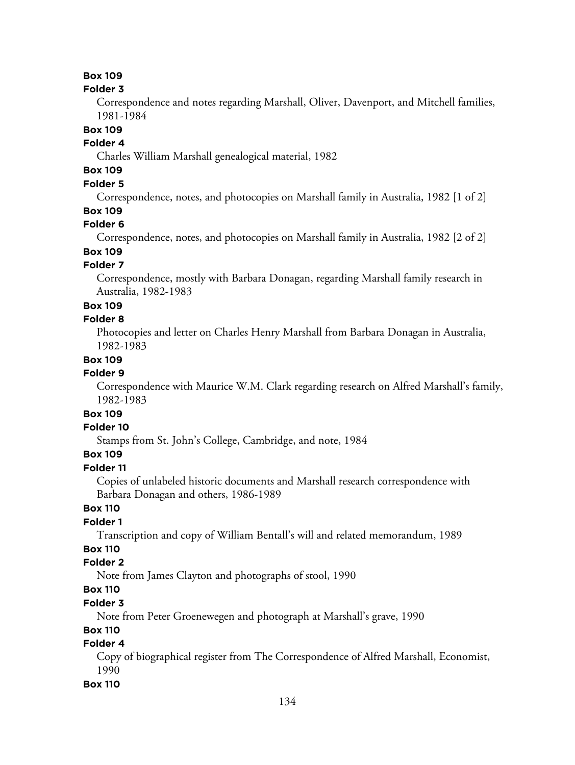#### **Folder 3**

Correspondence and notes regarding Marshall, Oliver, Davenport, and Mitchell families, 1981-1984

## **Box 109**

# **Folder 4**

Charles William Marshall genealogical material, 1982

# **Box 109**

# **Folder 5**

Correspondence, notes, and photocopies on Marshall family in Australia, 1982 [1 of 2]

## **Box 109**

#### **Folder 6**

Correspondence, notes, and photocopies on Marshall family in Australia, 1982 [2 of 2]

# **Box 109**

# **Folder 7**

Correspondence, mostly with Barbara Donagan, regarding Marshall family research in Australia, 1982-1983

#### **Box 109**

#### **Folder 8**

Photocopies and letter on Charles Henry Marshall from Barbara Donagan in Australia, 1982-1983

## **Box 109**

# **Folder 9**

Correspondence with Maurice W.M. Clark regarding research on Alfred Marshall's family, 1982-1983

# **Box 109**

# **Folder 10**

Stamps from St. John's College, Cambridge, and note, 1984

# **Box 109**

#### **Folder 11**

Copies of unlabeled historic documents and Marshall research correspondence with Barbara Donagan and others, 1986-1989

# **Box 110**

# **Folder 1**

Transcription and copy of William Bentall's will and related memorandum, 1989

# **Box 110**

# **Folder 2**

Note from James Clayton and photographs of stool, 1990

# **Box 110**

#### **Folder 3**

Note from Peter Groenewegen and photograph at Marshall's grave, 1990

## **Box 110**

# **Folder 4**

Copy of biographical register from The Correspondence of Alfred Marshall, Economist, 1990

### **Box 110**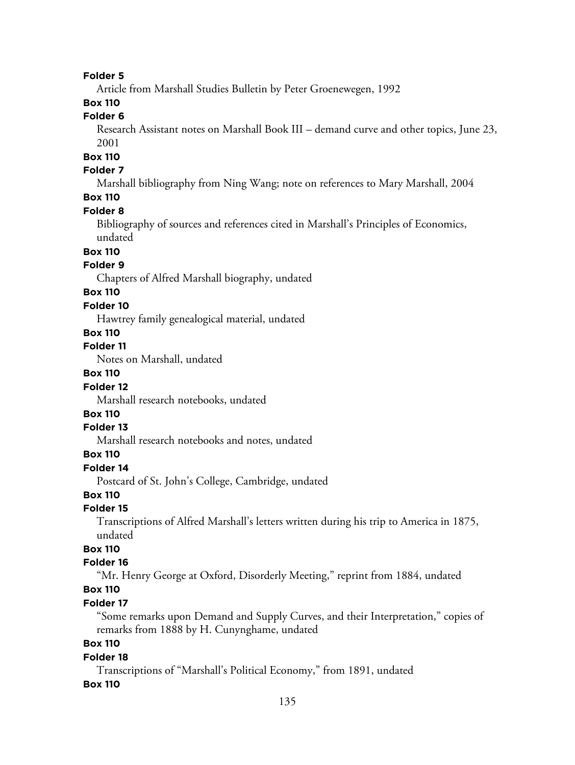#### **Folder 5**

Article from Marshall Studies Bulletin by Peter Groenewegen, 1992

# **Box 110**

# **Folder 6**

Research Assistant notes on Marshall Book III – demand curve and other topics, June 23, 2001

# **Box 110**

# **Folder 7**

Marshall bibliography from Ning Wang; note on references to Mary Marshall, 2004

# **Box 110**

#### **Folder 8**

Bibliography of sources and references cited in Marshall's Principles of Economics, undated

### **Box 110**

### **Folder 9**

Chapters of Alfred Marshall biography, undated

### **Box 110**

#### **Folder 10**

Hawtrey family genealogical material, undated

#### **Box 110**

# **Folder 11**

Notes on Marshall, undated

# **Box 110**

#### **Folder 12**

Marshall research notebooks, undated

# **Box 110**

#### **Folder 13**

Marshall research notebooks and notes, undated

#### **Box 110**

## **Folder 14**

Postcard of St. John's College, Cambridge, undated

# **Box 110**

#### **Folder 15**

Transcriptions of Alfred Marshall's letters written during his trip to America in 1875, undated

## **Box 110**

#### **Folder 16**

"Mr. Henry George at Oxford, Disorderly Meeting," reprint from 1884, undated

# **Box 110**

#### **Folder 17**

"Some remarks upon Demand and Supply Curves, and their Interpretation," copies of remarks from 1888 by H. Cunynghame, undated

# **Box 110**

#### **Folder 18**

Transcriptions of "Marshall's Political Economy," from 1891, undated

#### **Box 110**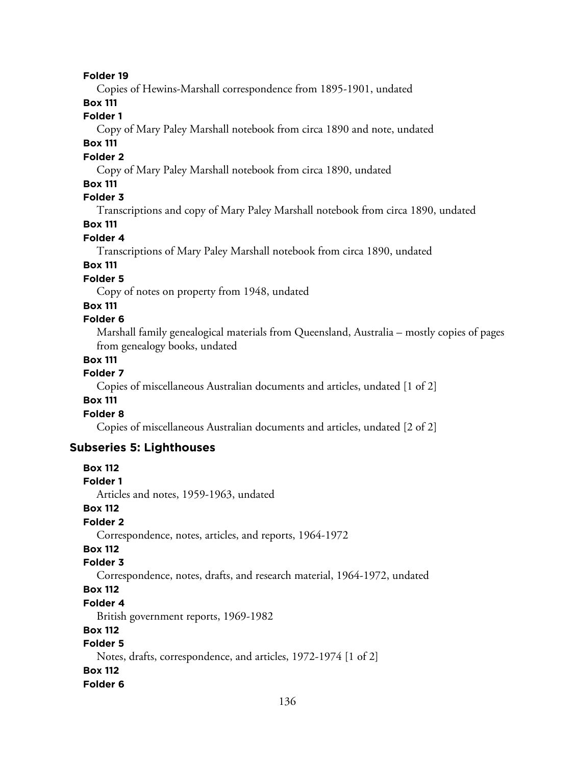#### **Folder 19**

Copies of Hewins-Marshall correspondence from 1895-1901, undated

# **Box 111**

## **Folder 1**

Copy of Mary Paley Marshall notebook from circa 1890 and note, undated

# **Box 111**

### **Folder 2**

Copy of Mary Paley Marshall notebook from circa 1890, undated

#### **Box 111**

# **Folder 3**

Transcriptions and copy of Mary Paley Marshall notebook from circa 1890, undated

# **Box 111**

### **Folder 4**

Transcriptions of Mary Paley Marshall notebook from circa 1890, undated

# **Box 111**

# **Folder 5**

Copy of notes on property from 1948, undated

# **Box 111**

#### **Folder 6**

Marshall family genealogical materials from Queensland, Australia – mostly copies of pages from genealogy books, undated

#### **Box 111**

### **Folder 7**

Copies of miscellaneous Australian documents and articles, undated [1 of 2]

#### **Box 111**

## **Folder 8**

Copies of miscellaneous Australian documents and articles, undated [2 of 2]

# **Subseries 5: Lighthouses**

# **Box 112 Folder 1** Articles and notes, 1959-1963, undated **Box 112 Folder 2** Correspondence, notes, articles, and reports, 1964-1972 **Box 112 Folder 3** Correspondence, notes, drafts, and research material, 1964-1972, undated **Box 112 Folder 4** British government reports, 1969-1982 **Box 112 Folder 5** Notes, drafts, correspondence, and articles, 1972-1974 [1 of 2] **Box 112 Folder 6**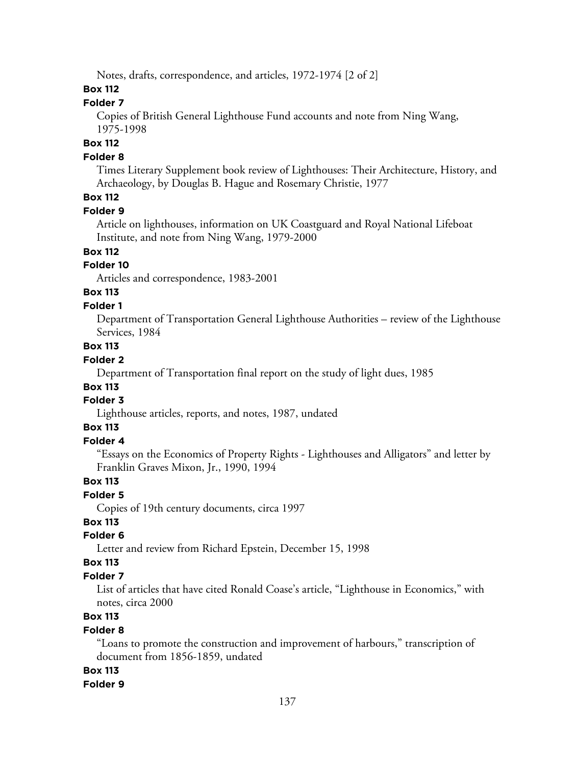Notes, drafts, correspondence, and articles, 1972-1974 [2 of 2]

# **Box 112**

# **Folder 7**

Copies of British General Lighthouse Fund accounts and note from Ning Wang, 1975-1998

# **Box 112**

#### **Folder 8**

Times Literary Supplement book review of Lighthouses: Their Architecture, History, and Archaeology, by Douglas B. Hague and Rosemary Christie, 1977

# **Box 112**

#### **Folder 9**

Article on lighthouses, information on UK Coastguard and Royal National Lifeboat Institute, and note from Ning Wang, 1979-2000

# **Box 112**

# **Folder 10**

Articles and correspondence, 1983-2001

# **Box 113**

#### **Folder 1**

Department of Transportation General Lighthouse Authorities – review of the Lighthouse Services, 1984

# **Box 113**

# **Folder 2**

Department of Transportation final report on the study of light dues, 1985

# **Box 113**

# **Folder 3**

Lighthouse articles, reports, and notes, 1987, undated

# **Box 113**

## **Folder 4**

"Essays on the Economics of Property Rights - Lighthouses and Alligators" and letter by Franklin Graves Mixon, Jr., 1990, 1994

### **Box 113**

#### **Folder 5**

Copies of 19th century documents, circa 1997

### **Box 113**

#### **Folder 6**

Letter and review from Richard Epstein, December 15, 1998

#### **Box 113**

### **Folder 7**

List of articles that have cited Ronald Coase's article, "Lighthouse in Economics," with notes, circa 2000

# **Box 113**

### **Folder 8**

"Loans to promote the construction and improvement of harbours," transcription of document from 1856-1859, undated

#### **Box 113**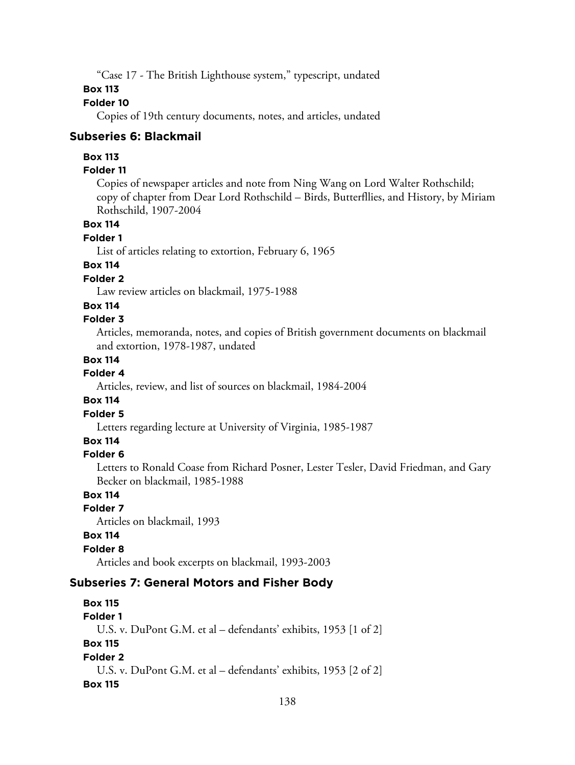"Case 17 - The British Lighthouse system," typescript, undated

### **Box 113**

# **Folder 10**

Copies of 19th century documents, notes, and articles, undated

#### **Subseries 6: Blackmail**

#### **Box 113**

#### **Folder 11**

Copies of newspaper articles and note from Ning Wang on Lord Walter Rothschild; copy of chapter from Dear Lord Rothschild – Birds, Butterfllies, and History, by Miriam Rothschild, 1907-2004

## **Box 114**

#### **Folder 1**

List of articles relating to extortion, February 6, 1965

# **Box 114**

# **Folder 2**

Law review articles on blackmail, 1975-1988

#### **Box 114**

# **Folder 3**

Articles, memoranda, notes, and copies of British government documents on blackmail and extortion, 1978-1987, undated

## **Box 114**

# **Folder 4**

Articles, review, and list of sources on blackmail, 1984-2004

# **Box 114**

# **Folder 5**

Letters regarding lecture at University of Virginia, 1985-1987

# **Box 114**

#### **Folder 6**

Letters to Ronald Coase from Richard Posner, Lester Tesler, David Friedman, and Gary Becker on blackmail, 1985-1988

# **Box 114**

#### **Folder 7**

Articles on blackmail, 1993

#### **Box 114**

#### **Folder 8**

Articles and book excerpts on blackmail, 1993-2003

#### **Subseries 7: General Motors and Fisher Body**

**Box 115 Folder 1** U.S. v. DuPont G.M. et al – defendants' exhibits, 1953 [1 of 2] **Box 115 Folder 2** U.S. v. DuPont G.M. et al – defendants' exhibits, 1953 [2 of 2] **Box 115**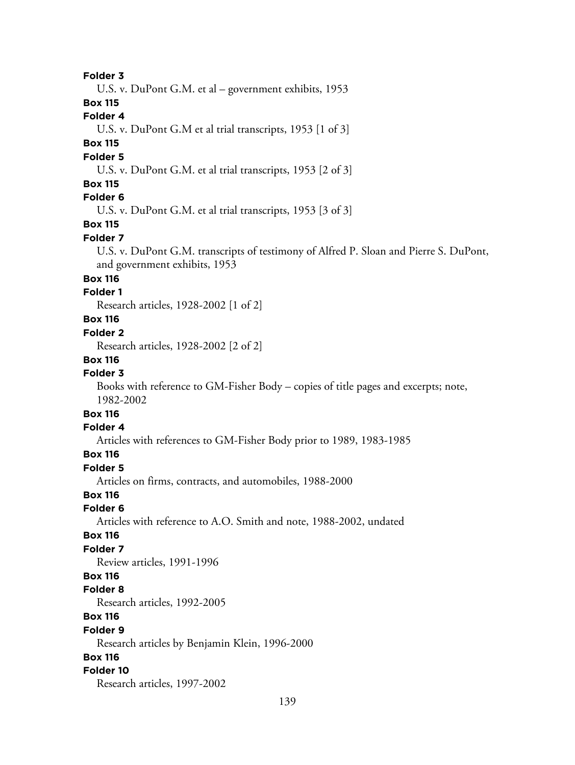#### **Folder 3**

U.S. v. DuPont G.M. et al – government exhibits, 1953

**Box 115**

# **Folder 4**

U.S. v. DuPont G.M et al trial transcripts, 1953 [1 of 3]

# **Box 115**

#### **Folder 5**

U.S. v. DuPont G.M. et al trial transcripts, 1953 [2 of 3]

### **Box 115**

# **Folder 6**

U.S. v. DuPont G.M. et al trial transcripts, 1953 [3 of 3]

# **Box 115**

#### **Folder 7**

U.S. v. DuPont G.M. transcripts of testimony of Alfred P. Sloan and Pierre S. DuPont, and government exhibits, 1953

## **Box 116**

## **Folder 1**

Research articles, 1928-2002 [1 of 2]

# **Box 116**

#### **Folder 2**

Research articles, 1928-2002 [2 of 2]

#### **Box 116**

## **Folder 3**

Books with reference to GM-Fisher Body – copies of title pages and excerpts; note, 1982-2002

# **Box 116**

# **Folder 4**

Articles with references to GM-Fisher Body prior to 1989, 1983-1985

#### **Box 116**

#### **Folder 5**

Articles on firms, contracts, and automobiles, 1988-2000

# **Box 116**

# **Folder 6**

Articles with reference to A.O. Smith and note, 1988-2002, undated

#### **Box 116**

#### **Folder 7**

Review articles, 1991-1996

#### **Box 116**

#### **Folder 8**

Research articles, 1992-2005

## **Box 116**

#### **Folder 9**

Research articles by Benjamin Klein, 1996-2000

#### **Box 116**

#### **Folder 10**

Research articles, 1997-2002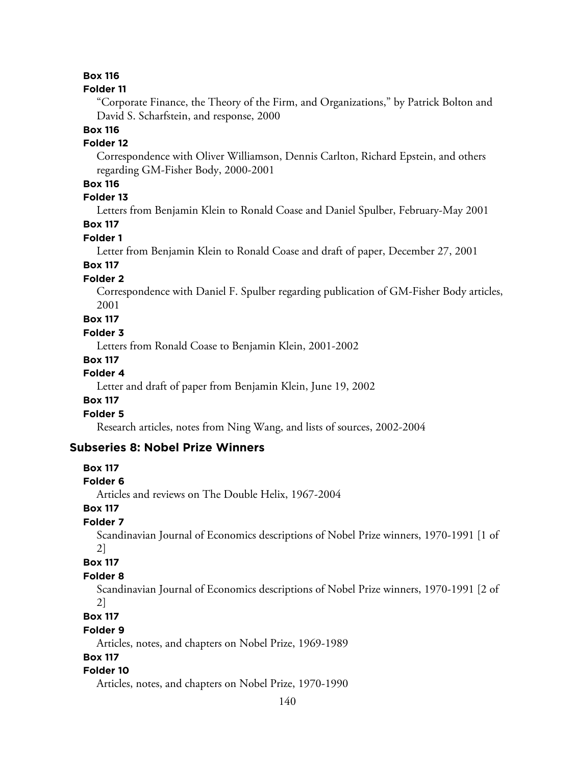#### **Folder 11**

"Corporate Finance, the Theory of the Firm, and Organizations," by Patrick Bolton and David S. Scharfstein, and response, 2000

# **Box 116**

## **Folder 12**

Correspondence with Oliver Williamson, Dennis Carlton, Richard Epstein, and others regarding GM-Fisher Body, 2000-2001

# **Box 116**

# **Folder 13**

Letters from Benjamin Klein to Ronald Coase and Daniel Spulber, February-May 2001

# **Box 117**

#### **Folder 1**

Letter from Benjamin Klein to Ronald Coase and draft of paper, December 27, 2001

# **Box 117**

#### **Folder 2**

Correspondence with Daniel F. Spulber regarding publication of GM-Fisher Body articles, 2001

**Box 117**

#### **Folder 3**

Letters from Ronald Coase to Benjamin Klein, 2001-2002

#### **Box 117**

### **Folder 4**

Letter and draft of paper from Benjamin Klein, June 19, 2002

### **Box 117**

# **Folder 5**

Research articles, notes from Ning Wang, and lists of sources, 2002-2004

### **Subseries 8: Nobel Prize Winners**

#### **Box 117**

#### **Folder 6**

Articles and reviews on The Double Helix, 1967-2004

#### **Box 117**

## **Folder 7**

Scandinavian Journal of Economics descriptions of Nobel Prize winners, 1970-1991 [1 of 2]

#### **Box 117**

#### **Folder 8**

Scandinavian Journal of Economics descriptions of Nobel Prize winners, 1970-1991 [2 of 2]

#### **Box 117**

#### **Folder 9**

Articles, notes, and chapters on Nobel Prize, 1969-1989

#### **Box 117**

#### **Folder 10**

Articles, notes, and chapters on Nobel Prize, 1970-1990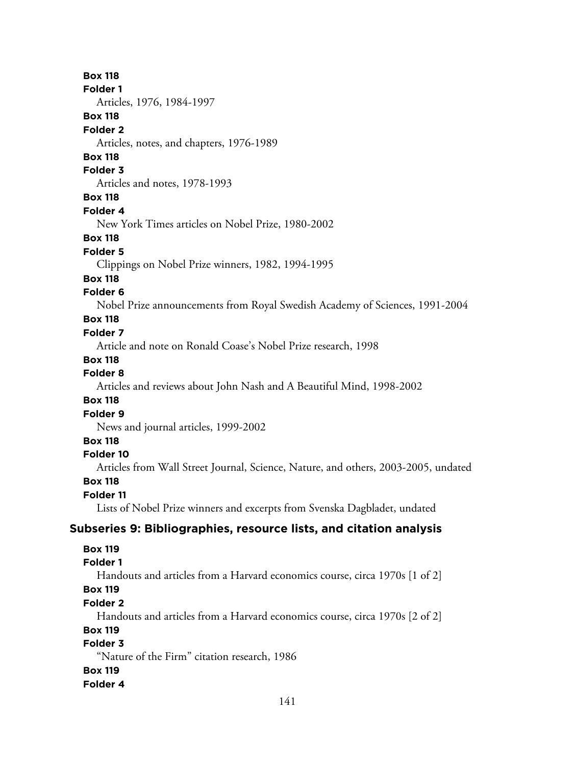#### **Folder 1**

Articles, 1976, 1984-1997

### **Box 118**

#### **Folder 2**

Articles, notes, and chapters, 1976-1989

#### **Box 118**

#### **Folder 3**

Articles and notes, 1978-1993

#### **Box 118**

#### **Folder 4**

New York Times articles on Nobel Prize, 1980-2002

#### **Box 118**

#### **Folder 5**

Clippings on Nobel Prize winners, 1982, 1994-1995

#### **Box 118**

#### **Folder 6**

Nobel Prize announcements from Royal Swedish Academy of Sciences, 1991-2004

# **Box 118**

#### **Folder 7**

Article and note on Ronald Coase's Nobel Prize research, 1998

#### **Box 118**

#### **Folder 8**

Articles and reviews about John Nash and A Beautiful Mind, 1998-2002

#### **Box 118**

#### **Folder 9**

News and journal articles, 1999-2002

#### **Box 118**

#### **Folder 10**

Articles from Wall Street Journal, Science, Nature, and others, 2003-2005, undated

#### **Box 118**

#### **Folder 11**

Lists of Nobel Prize winners and excerpts from Svenska Dagbladet, undated

#### **Subseries 9: Bibliographies, resource lists, and citation analysis**

#### **Box 119**

#### **Folder 1**

Handouts and articles from a Harvard economics course, circa 1970s [1 of 2]

# **Box 119**

# **Folder 2**

Handouts and articles from a Harvard economics course, circa 1970s [2 of 2]

#### **Box 119**

## **Folder 3**

"Nature of the Firm" citation research, 1986

#### **Box 119**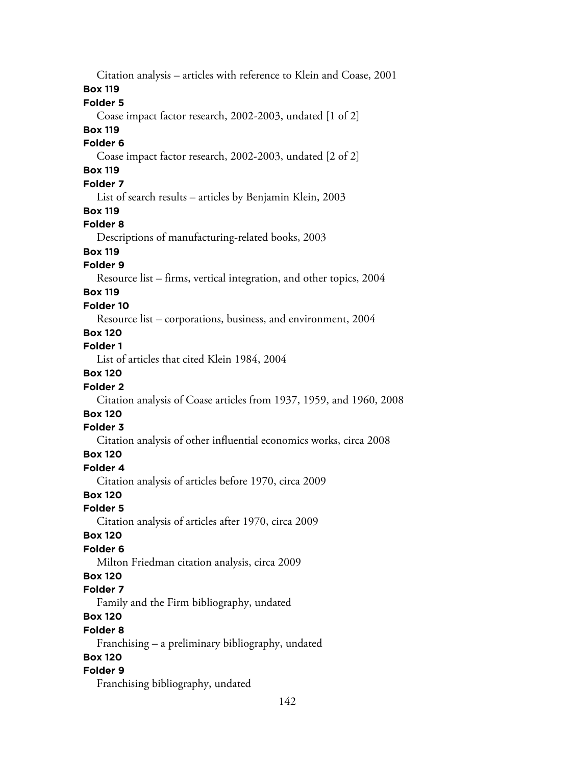142 Citation analysis – articles with reference to Klein and Coase, 2001 **Box 119 Folder 5** Coase impact factor research, 2002-2003, undated [1 of 2] **Box 119 Folder 6** Coase impact factor research, 2002-2003, undated [2 of 2] **Box 119 Folder 7** List of search results – articles by Benjamin Klein, 2003 **Box 119 Folder 8** Descriptions of manufacturing-related books, 2003 **Box 119 Folder 9** Resource list – firms, vertical integration, and other topics, 2004 **Box 119 Folder 10** Resource list – corporations, business, and environment, 2004 **Box 120 Folder 1** List of articles that cited Klein 1984, 2004 **Box 120 Folder 2** Citation analysis of Coase articles from 1937, 1959, and 1960, 2008 **Box 120 Folder 3** Citation analysis of other influential economics works, circa 2008 **Box 120 Folder 4** Citation analysis of articles before 1970, circa 2009 **Box 120 Folder 5** Citation analysis of articles after 1970, circa 2009 **Box 120 Folder 6** Milton Friedman citation analysis, circa 2009 **Box 120 Folder 7** Family and the Firm bibliography, undated **Box 120 Folder 8** Franchising – a preliminary bibliography, undated **Box 120 Folder 9** Franchising bibliography, undated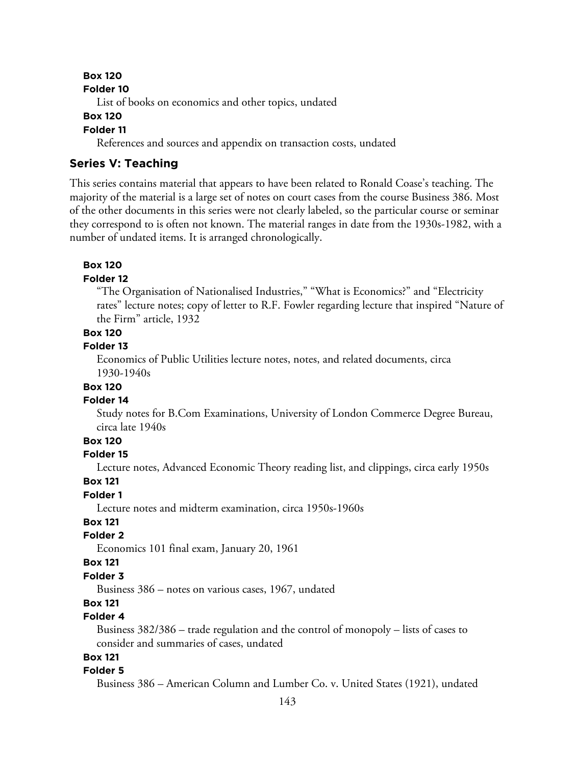#### **Folder 10**

List of books on economics and other topics, undated

#### **Box 120**

#### **Folder 11**

References and sources and appendix on transaction costs, undated

#### **Series V: Teaching**

This series contains material that appears to have been related to Ronald Coase's teaching. The majority of the material is a large set of notes on court cases from the course Business 386. Most of the other documents in this series were not clearly labeled, so the particular course or seminar they correspond to is often not known. The material ranges in date from the 1930s-1982, with a number of undated items. It is arranged chronologically.

#### **Box 120**

#### **Folder 12**

"The Organisation of Nationalised Industries," "What is Economics?" and "Electricity rates" lecture notes; copy of letter to R.F. Fowler regarding lecture that inspired "Nature of the Firm" article, 1932

## **Box 120**

### **Folder 13**

Economics of Public Utilities lecture notes, notes, and related documents, circa 1930-1940s

#### **Box 120**

#### **Folder 14**

Study notes for B.Com Examinations, University of London Commerce Degree Bureau, circa late 1940s

# **Box 120**

#### **Folder 15**

Lecture notes, Advanced Economic Theory reading list, and clippings, circa early 1950s

#### **Box 121**

#### **Folder 1**

Lecture notes and midterm examination, circa 1950s-1960s

#### **Box 121**

#### **Folder 2**

Economics 101 final exam, January 20, 1961

#### **Box 121**

#### **Folder 3**

Business 386 – notes on various cases, 1967, undated

# **Box 121**

# **Folder 4**

Business 382/386 – trade regulation and the control of monopoly – lists of cases to consider and summaries of cases, undated

# **Box 121**

#### **Folder 5**

Business 386 – American Column and Lumber Co. v. United States (1921), undated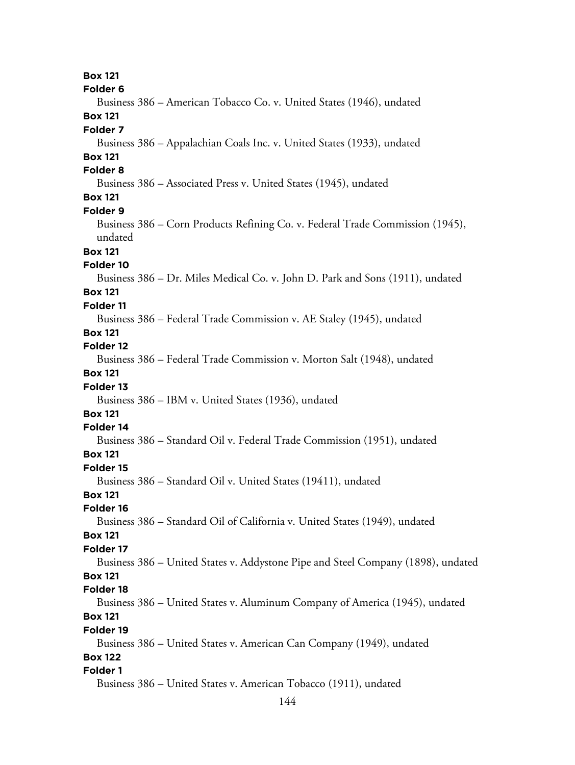144 **Box 121 Folder 6** Business 386 – American Tobacco Co. v. United States (1946), undated **Box 121 Folder 7** Business 386 – Appalachian Coals Inc. v. United States (1933), undated **Box 121 Folder 8** Business 386 – Associated Press v. United States (1945), undated **Box 121 Folder 9** Business 386 – Corn Products Refining Co. v. Federal Trade Commission (1945), undated **Box 121 Folder 10** Business 386 – Dr. Miles Medical Co. v. John D. Park and Sons (1911), undated **Box 121 Folder 11** Business 386 – Federal Trade Commission v. AE Staley (1945), undated **Box 121 Folder 12** Business 386 – Federal Trade Commission v. Morton Salt (1948), undated **Box 121 Folder 13** Business 386 – IBM v. United States (1936), undated **Box 121 Folder 14** Business 386 – Standard Oil v. Federal Trade Commission (1951), undated **Box 121 Folder 15** Business 386 – Standard Oil v. United States (19411), undated **Box 121 Folder 16** Business 386 – Standard Oil of California v. United States (1949), undated **Box 121 Folder 17** Business 386 – United States v. Addystone Pipe and Steel Company (1898), undated **Box 121 Folder 18** Business 386 – United States v. Aluminum Company of America (1945), undated **Box 121 Folder 19** Business 386 – United States v. American Can Company (1949), undated **Box 122 Folder 1** Business 386 – United States v. American Tobacco (1911), undated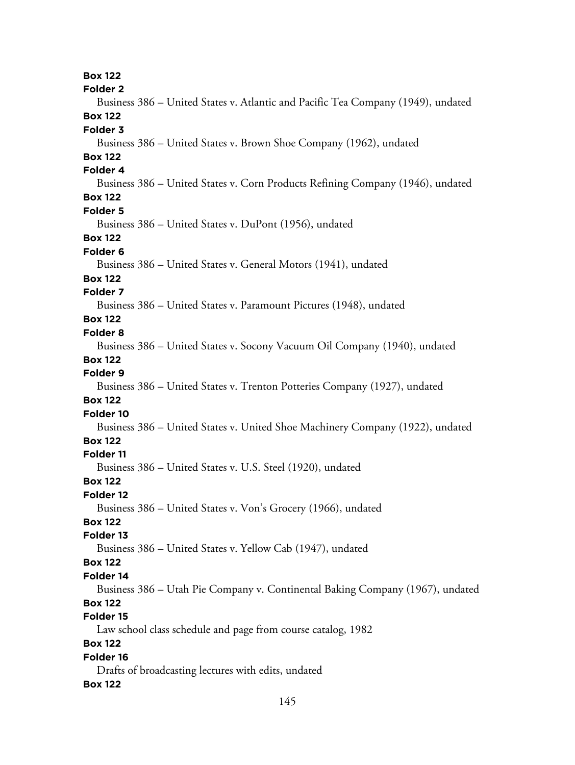**Box 122 Folder 2** Business 386 – United States v. Atlantic and Pacific Tea Company (1949), undated **Box 122 Folder 3** Business 386 – United States v. Brown Shoe Company (1962), undated **Box 122 Folder 4** Business 386 – United States v. Corn Products Refining Company (1946), undated **Box 122 Folder 5** Business 386 – United States v. DuPont (1956), undated **Box 122 Folder 6** Business 386 – United States v. General Motors (1941), undated **Box 122 Folder 7** Business 386 – United States v. Paramount Pictures (1948), undated **Box 122 Folder 8** Business 386 – United States v. Socony Vacuum Oil Company (1940), undated **Box 122 Folder 9** Business 386 – United States v. Trenton Potteries Company (1927), undated **Box 122 Folder 10** Business 386 – United States v. United Shoe Machinery Company (1922), undated **Box 122 Folder 11** Business 386 – United States v. U.S. Steel (1920), undated **Box 122 Folder 12** Business 386 – United States v. Von's Grocery (1966), undated **Box 122 Folder 13** Business 386 – United States v. Yellow Cab (1947), undated **Box 122 Folder 14** Business 386 – Utah Pie Company v. Continental Baking Company (1967), undated **Box 122 Folder 15** Law school class schedule and page from course catalog, 1982 **Box 122 Folder 16** Drafts of broadcasting lectures with edits, undated **Box 122**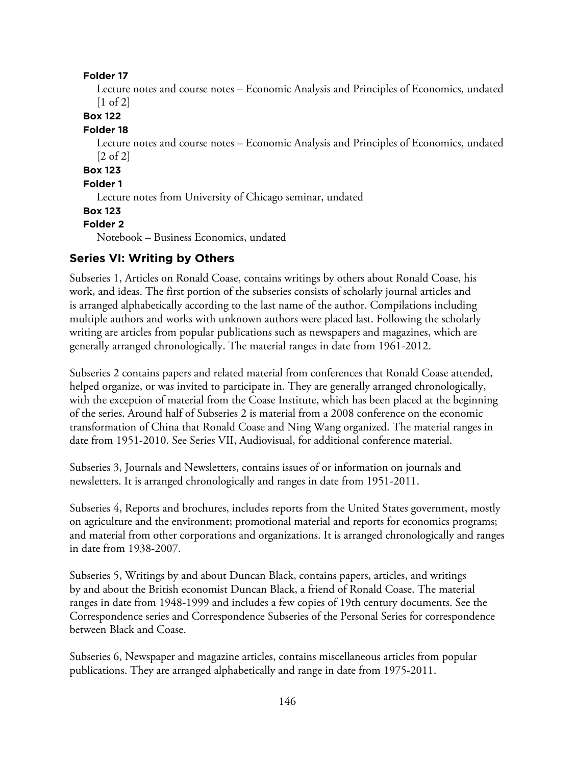#### **Folder 17**

Lecture notes and course notes – Economic Analysis and Principles of Economics, undated [1 of 2]

**Box 122**

#### **Folder 18**

Lecture notes and course notes – Economic Analysis and Principles of Economics, undated [2 of 2]

# **Box 123**

### **Folder 1**

Lecture notes from University of Chicago seminar, undated

#### **Box 123**

#### **Folder 2**

Notebook – Business Economics, undated

# **Series VI: Writing by Others**

Subseries 1, Articles on Ronald Coase, contains writings by others about Ronald Coase, his work, and ideas. The first portion of the subseries consists of scholarly journal articles and is arranged alphabetically according to the last name of the author. Compilations including multiple authors and works with unknown authors were placed last. Following the scholarly writing are articles from popular publications such as newspapers and magazines, which are generally arranged chronologically. The material ranges in date from 1961-2012.

Subseries 2 contains papers and related material from conferences that Ronald Coase attended, helped organize, or was invited to participate in. They are generally arranged chronologically, with the exception of material from the Coase Institute, which has been placed at the beginning of the series. Around half of Subseries 2 is material from a 2008 conference on the economic transformation of China that Ronald Coase and Ning Wang organized. The material ranges in date from 1951-2010. See Series VII, Audiovisual, for additional conference material.

Subseries 3, Journals and Newsletters, contains issues of or information on journals and newsletters. It is arranged chronologically and ranges in date from 1951-2011.

Subseries 4, Reports and brochures, includes reports from the United States government, mostly on agriculture and the environment; promotional material and reports for economics programs; and material from other corporations and organizations. It is arranged chronologically and ranges in date from 1938-2007.

Subseries 5, Writings by and about Duncan Black, contains papers, articles, and writings by and about the British economist Duncan Black, a friend of Ronald Coase. The material ranges in date from 1948-1999 and includes a few copies of 19th century documents. See the Correspondence series and Correspondence Subseries of the Personal Series for correspondence between Black and Coase.

Subseries 6, Newspaper and magazine articles, contains miscellaneous articles from popular publications. They are arranged alphabetically and range in date from 1975-2011.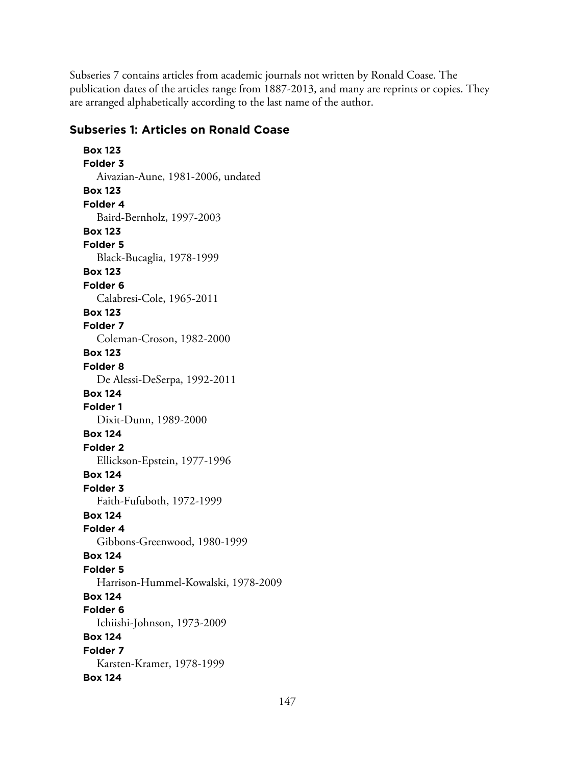Subseries 7 contains articles from academic journals not written by Ronald Coase. The publication dates of the articles range from 1887-2013, and many are reprints or copies. They are arranged alphabetically according to the last name of the author.

# **Subseries 1: Articles on Ronald Coase**

**Box 123 Folder 3** Aivazian-Aune, 1981-2006, undated **Box 123 Folder 4** Baird-Bernholz, 1997-2003 **Box 123 Folder 5** Black-Bucaglia, 1978-1999 **Box 123 Folder 6** Calabresi-Cole, 1965-2011 **Box 123 Folder 7** Coleman-Croson, 1982-2000 **Box 123 Folder 8** De Alessi-DeSerpa, 1992-2011 **Box 124 Folder 1** Dixit-Dunn, 1989-2000 **Box 124 Folder 2** Ellickson-Epstein, 1977-1996 **Box 124 Folder 3** Faith-Fufuboth, 1972-1999 **Box 124 Folder 4** Gibbons-Greenwood, 1980-1999 **Box 124 Folder 5** Harrison-Hummel-Kowalski, 1978-2009 **Box 124 Folder 6** Ichiishi-Johnson, 1973-2009 **Box 124 Folder 7** Karsten-Kramer, 1978-1999 **Box 124**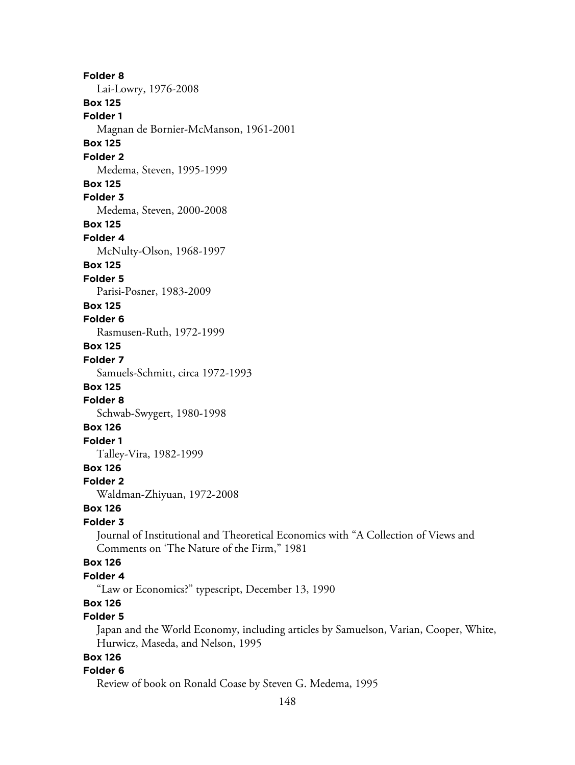**Folder 8** Lai-Lowry, 1976-2008 **Box 125 Folder 1** Magnan de Bornier-McManson, 1961-2001 **Box 125 Folder 2** Medema, Steven, 1995-1999 **Box 125 Folder 3** Medema, Steven, 2000-2008 **Box 125 Folder 4** McNulty-Olson, 1968-1997 **Box 125 Folder 5** Parisi-Posner, 1983-2009 **Box 125 Folder 6** Rasmusen-Ruth, 1972-1999 **Box 125 Folder 7** Samuels-Schmitt, circa 1972-1993 **Box 125 Folder 8** Schwab-Swygert, 1980-1998 **Box 126 Folder 1** Talley-Vira, 1982-1999 **Box 126 Folder 2** Waldman-Zhiyuan, 1972-2008 **Box 126 Folder 3** Journal of Institutional and Theoretical Economics with "A Collection of Views and Comments on 'The Nature of the Firm," 1981 **Box 126 Folder 4** "Law or Economics?" typescript, December 13, 1990 **Box 126 Folder 5** Japan and the World Economy, including articles by Samuelson, Varian, Cooper, White,

Hurwicz, Maseda, and Nelson, 1995

# **Box 126**

#### **Folder 6**

Review of book on Ronald Coase by Steven G. Medema, 1995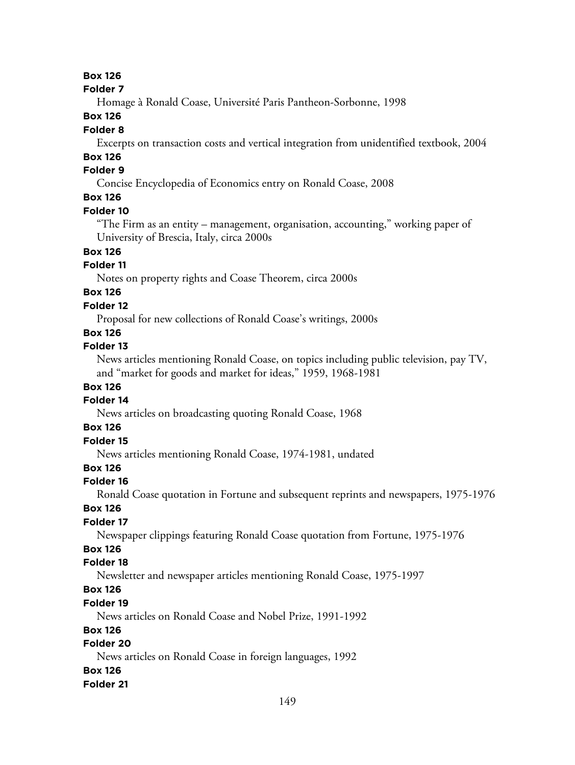#### **Folder 7**

Homage à Ronald Coase, Université Paris Pantheon-Sorbonne, 1998

### **Box 126**

### **Folder 8**

Excerpts on transaction costs and vertical integration from unidentified textbook, 2004

# **Box 126**

# **Folder 9**

Concise Encyclopedia of Economics entry on Ronald Coase, 2008

# **Box 126**

### **Folder 10**

"The Firm as an entity – management, organisation, accounting," working paper of University of Brescia, Italy, circa 2000s

# **Box 126**

### **Folder 11**

Notes on property rights and Coase Theorem, circa 2000s

# **Box 126**

### **Folder 12**

Proposal for new collections of Ronald Coase's writings, 2000s

### **Box 126**

### **Folder 13**

News articles mentioning Ronald Coase, on topics including public television, pay TV, and "market for goods and market for ideas," 1959, 1968-1981

### **Box 126**

#### **Folder 14**

News articles on broadcasting quoting Ronald Coase, 1968

### **Box 126**

# **Folder 15**

News articles mentioning Ronald Coase, 1974-1981, undated

### **Box 126**

#### **Folder 16**

Ronald Coase quotation in Fortune and subsequent reprints and newspapers, 1975-1976

### **Box 126**

# **Folder 17**

Newspaper clippings featuring Ronald Coase quotation from Fortune, 1975-1976

# **Box 126**

### **Folder 18**

Newsletter and newspaper articles mentioning Ronald Coase, 1975-1997

# **Box 126**

### **Folder 19**

News articles on Ronald Coase and Nobel Prize, 1991-1992

### **Box 126**

### **Folder 20**

News articles on Ronald Coase in foreign languages, 1992

#### **Box 126**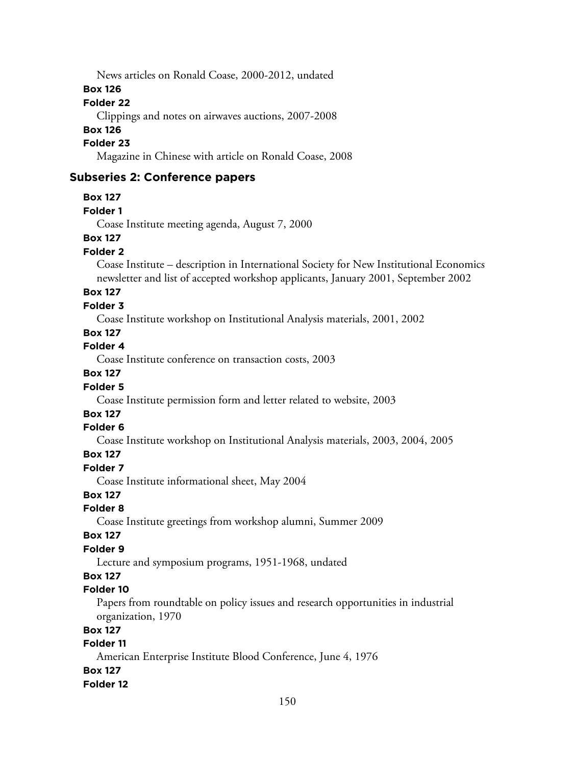News articles on Ronald Coase, 2000-2012, undated

#### **Box 126**

### **Folder 22**

Clippings and notes on airwaves auctions, 2007-2008

### **Box 126**

### **Folder 23**

Magazine in Chinese with article on Ronald Coase, 2008

### **Subseries 2: Conference papers**

#### **Box 127**

#### **Folder 1**

Coase Institute meeting agenda, August 7, 2000

### **Box 127**

#### **Folder 2**

Coase Institute – description in International Society for New Institutional Economics newsletter and list of accepted workshop applicants, January 2001, September 2002

# **Box 127**

#### **Folder 3**

Coase Institute workshop on Institutional Analysis materials, 2001, 2002

### **Box 127**

**Folder 4**

Coase Institute conference on transaction costs, 2003

### **Box 127**

#### **Folder 5**

Coase Institute permission form and letter related to website, 2003

# **Box 127**

# **Folder 6**

Coase Institute workshop on Institutional Analysis materials, 2003, 2004, 2005

### **Box 127**

#### **Folder 7**

Coase Institute informational sheet, May 2004

### **Box 127**

# **Folder 8**

Coase Institute greetings from workshop alumni, Summer 2009

#### **Box 127**

### **Folder 9**

Lecture and symposium programs, 1951-1968, undated

# **Box 127**

### **Folder 10**

Papers from roundtable on policy issues and research opportunities in industrial organization, 1970

#### **Box 127**

### **Folder 11**

American Enterprise Institute Blood Conference, June 4, 1976 **Box 127**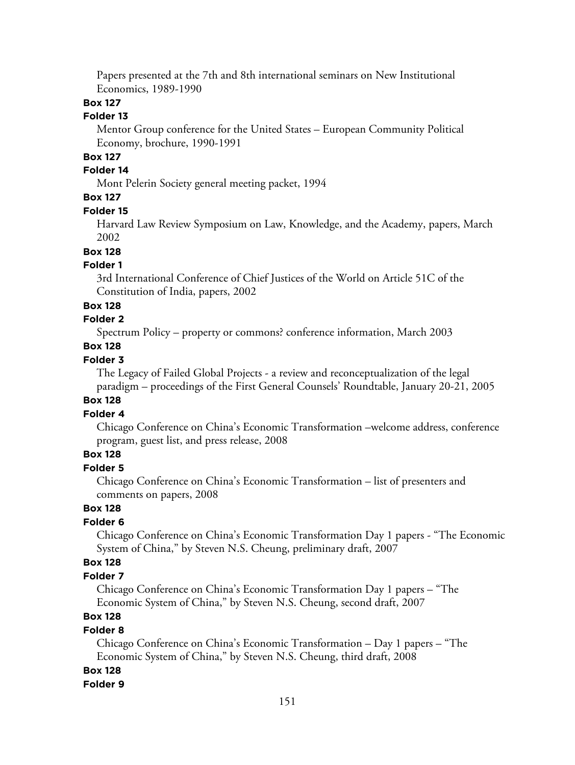Papers presented at the 7th and 8th international seminars on New Institutional Economics, 1989-1990

### **Box 127**

#### **Folder 13**

Mentor Group conference for the United States – European Community Political Economy, brochure, 1990-1991

## **Box 127**

### **Folder 14**

Mont Pelerin Society general meeting packet, 1994

### **Box 127**

#### **Folder 15**

Harvard Law Review Symposium on Law, Knowledge, and the Academy, papers, March 2002

### **Box 128**

### **Folder 1**

3rd International Conference of Chief Justices of the World on Article 51C of the Constitution of India, papers, 2002

#### **Box 128**

# **Folder 2**

Spectrum Policy – property or commons? conference information, March 2003

#### **Box 128**

#### **Folder 3**

The Legacy of Failed Global Projects - a review and reconceptualization of the legal paradigm – proceedings of the First General Counsels' Roundtable, January 20-21, 2005

### **Box 128**

### **Folder 4**

Chicago Conference on China's Economic Transformation –welcome address, conference program, guest list, and press release, 2008

# **Box 128**

## **Folder 5**

Chicago Conference on China's Economic Transformation – list of presenters and comments on papers, 2008

# **Box 128**

### **Folder 6**

Chicago Conference on China's Economic Transformation Day 1 papers - "The Economic System of China," by Steven N.S. Cheung, preliminary draft, 2007

### **Box 128**

#### **Folder 7**

Chicago Conference on China's Economic Transformation Day 1 papers – "The Economic System of China," by Steven N.S. Cheung, second draft, 2007

# **Box 128**

#### **Folder 8**

Chicago Conference on China's Economic Transformation – Day 1 papers – "The Economic System of China," by Steven N.S. Cheung, third draft, 2008

#### **Box 128**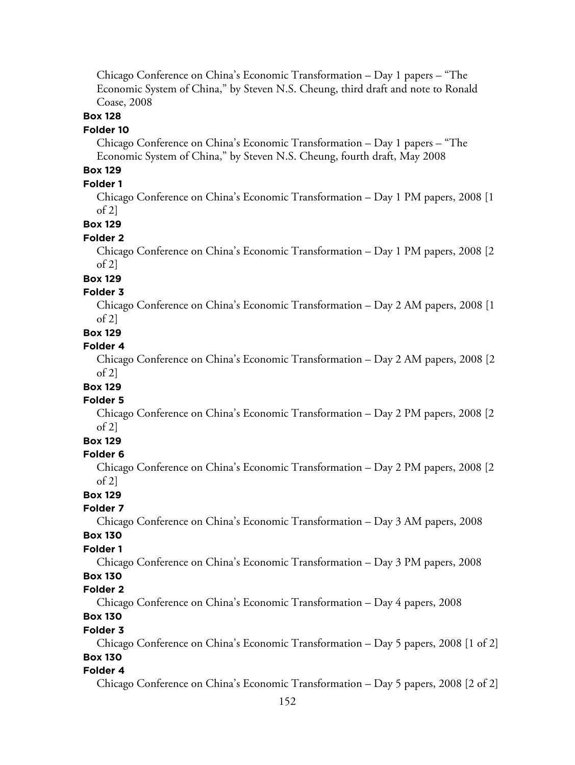Chicago Conference on China's Economic Transformation – Day 1 papers – "The Economic System of China," by Steven N.S. Cheung, third draft and note to Ronald Coase, 2008

### **Box 128**

#### **Folder 10**

Chicago Conference on China's Economic Transformation – Day 1 papers – "The Economic System of China," by Steven N.S. Cheung, fourth draft, May 2008

# **Box 129**

#### **Folder 1**

Chicago Conference on China's Economic Transformation – Day 1 PM papers, 2008 [1 of  $2$ ]

#### **Box 129**

#### **Folder 2**

Chicago Conference on China's Economic Transformation – Day 1 PM papers, 2008 [2  $of 2]$ 

# **Box 129**

#### **Folder 3**

Chicago Conference on China's Economic Transformation – Day 2 AM papers, 2008 [1 of 2]

#### **Box 129**

#### **Folder 4**

Chicago Conference on China's Economic Transformation – Day 2 AM papers, 2008 [2 of 2]

# **Box 129**

### **Folder 5**

Chicago Conference on China's Economic Transformation – Day 2 PM papers, 2008 [2  $of 2]$ 

# **Box 129**

#### **Folder 6**

Chicago Conference on China's Economic Transformation – Day 2 PM papers, 2008 [2 of 2]

### **Box 129**

#### **Folder 7**

Chicago Conference on China's Economic Transformation – Day 3 AM papers, 2008 **Box 130**

# **Folder 1**

Chicago Conference on China's Economic Transformation – Day 3 PM papers, 2008

#### **Box 130**

#### **Folder 2**

Chicago Conference on China's Economic Transformation – Day 4 papers, 2008

### **Box 130**

#### **Folder 3**

Chicago Conference on China's Economic Transformation – Day 5 papers, 2008 [1 of 2] **Box 130**

#### **Folder 4**

Chicago Conference on China's Economic Transformation – Day 5 papers, 2008 [2 of 2]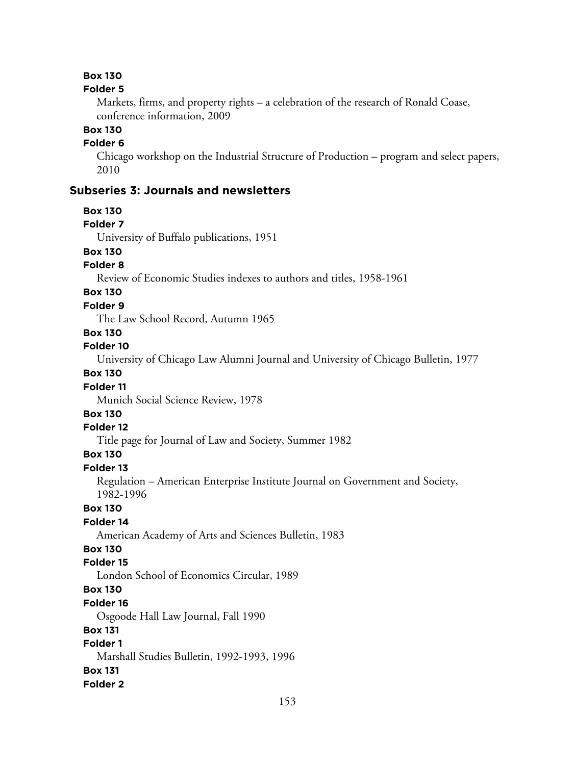#### **Folder 5**

Markets, firms, and property rights – a celebration of the research of Ronald Coase, conference information, 2009

### **Box 130**

#### **Folder 6**

Chicago workshop on the Industrial Structure of Production – program and select papers, 2010

### **Subseries 3: Journals and newsletters**

#### **Box 130**

#### **Folder 7**

University of Buffalo publications, 1951

# **Box 130**

# **Folder 8**

Review of Economic Studies indexes to authors and titles, 1958-1961

# **Box 130**

# **Folder 9**

The Law School Record, Autumn 1965

# **Box 130**

#### **Folder 10**

University of Chicago Law Alumni Journal and University of Chicago Bulletin, 1977

### **Box 130**

#### **Folder 11**

Munich Social Science Review, 1978

# **Box 130**

#### **Folder 12**

Title page for Journal of Law and Society, Summer 1982

### **Box 130**

**Folder 13**

Regulation – American Enterprise Institute Journal on Government and Society, 1982-1996

### **Box 130**

#### **Folder 14**

American Academy of Arts and Sciences Bulletin, 1983

### **Box 130**

#### **Folder 15**

London School of Economics Circular, 1989

### **Box 130**

#### **Folder 16**

Osgoode Hall Law Journal, Fall 1990

#### **Box 131**

### **Folder 1**

Marshall Studies Bulletin, 1992-1993, 1996

#### **Box 131**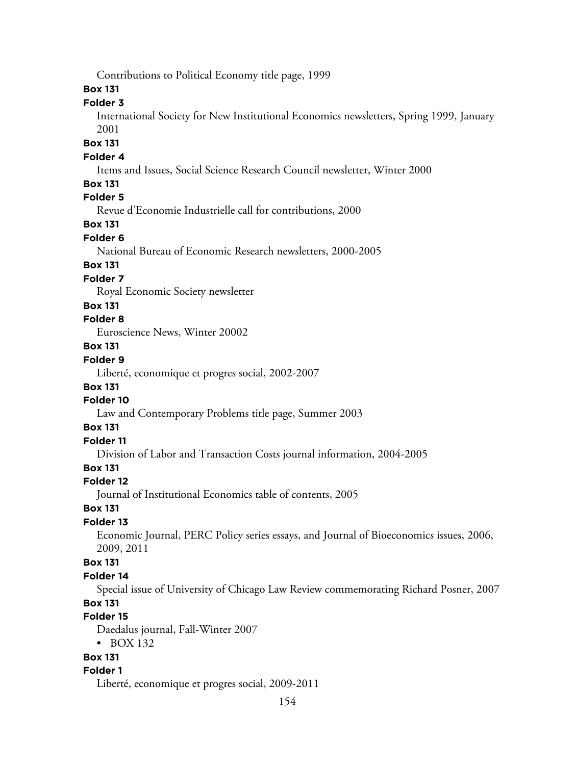Contributions to Political Economy title page, 1999

### **Box 131**

### **Folder 3**

International Society for New Institutional Economics newsletters, Spring 1999, January 2001

#### **Box 131**

#### **Folder 4**

Items and Issues, Social Science Research Council newsletter, Winter 2000

#### **Box 131**

### **Folder 5**

Revue d'Economie Industrielle call for contributions, 2000

# **Box 131**

### **Folder 6**

National Bureau of Economic Research newsletters, 2000-2005

### **Box 131**

#### **Folder 7**

Royal Economic Society newsletter

#### **Box 131**

### **Folder 8**

Euroscience News, Winter 20002

# **Box 131**

# **Folder 9**

Liberté, economique et progres social, 2002-2007

### **Box 131**

# **Folder 10**

Law and Contemporary Problems title page, Summer 2003

### **Box 131**

# **Folder 11**

Division of Labor and Transaction Costs journal information, 2004-2005

## **Box 131**

### **Folder 12**

Journal of Institutional Economics table of contents, 2005

#### **Box 131**

### **Folder 13**

Economic Journal, PERC Policy series essays, and Journal of Bioeconomics issues, 2006, 2009, 2011

#### **Box 131**

#### **Folder 14**

Special issue of University of Chicago Law Review commemorating Richard Posner, 2007

# **Box 131**

# **Folder 15**

Daedalus journal, Fall-Winter 2007

• BOX 132

# **Box 131**

### **Folder 1**

Liberté, economique et progres social, 2009-2011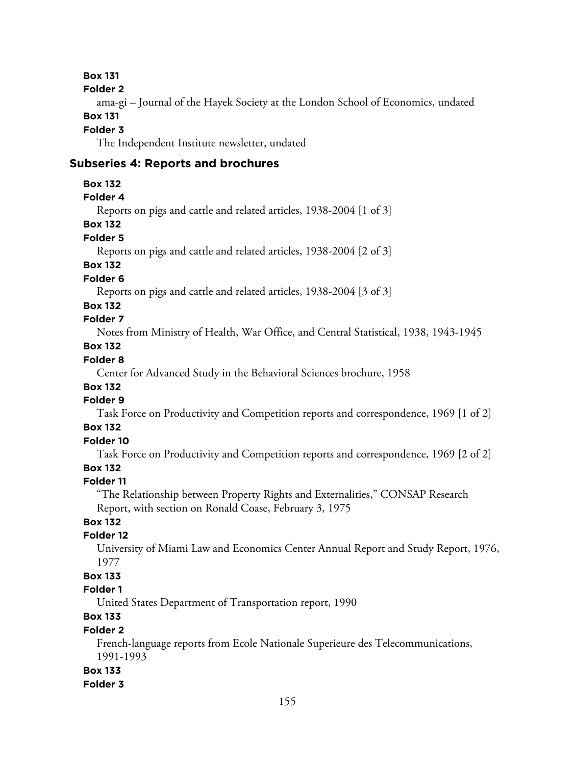**Folder 2**

ama-gi – Journal of the Hayek Society at the London School of Economics, undated **Box 131**

# **Folder 3**

The Independent Institute newsletter, undated

#### **Subseries 4: Reports and brochures**

**Box 132**

### **Folder 4**

Reports on pigs and cattle and related articles, 1938-2004 [1 of 3]

# **Box 132**

### **Folder 5**

Reports on pigs and cattle and related articles, 1938-2004 [2 of 3]

# **Box 132**

**Folder 6**

Reports on pigs and cattle and related articles, 1938-2004 [3 of 3]

### **Box 132**

## **Folder 7**

Notes from Ministry of Health, War Office, and Central Statistical, 1938, 1943-1945

# **Box 132**

# **Folder 8**

Center for Advanced Study in the Behavioral Sciences brochure, 1958

### **Box 132**

# **Folder 9**

Task Force on Productivity and Competition reports and correspondence, 1969 [1 of 2]

# **Box 132**

# **Folder 10**

Task Force on Productivity and Competition reports and correspondence, 1969 [2 of 2]

## **Box 132**

### **Folder 11**

"The Relationship between Property Rights and Externalities," CONSAP Research Report, with section on Ronald Coase, February 3, 1975

### **Box 132**

#### **Folder 12**

University of Miami Law and Economics Center Annual Report and Study Report, 1976, 1977

## **Box 133**

### **Folder 1**

United States Department of Transportation report, 1990

# **Box 133**

### **Folder 2**

French-language reports from Ecole Nationale Superieure des Telecommunications, 1991-1993

### **Box 133**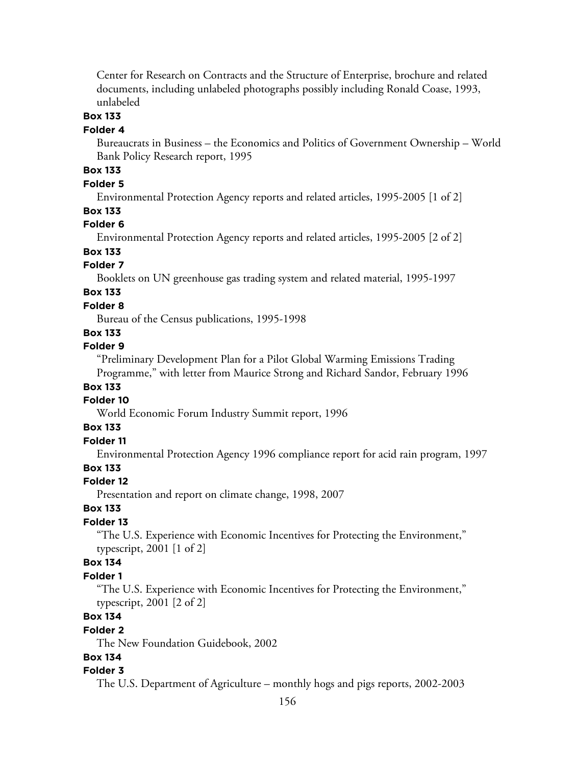Center for Research on Contracts and the Structure of Enterprise, brochure and related documents, including unlabeled photographs possibly including Ronald Coase, 1993, unlabeled

### **Box 133**

#### **Folder 4**

Bureaucrats in Business – the Economics and Politics of Government Ownership – World Bank Policy Research report, 1995

# **Box 133**

### **Folder 5**

Environmental Protection Agency reports and related articles, 1995-2005 [1 of 2]

#### **Box 133**

### **Folder 6**

Environmental Protection Agency reports and related articles, 1995-2005 [2 of 2]

### **Box 133**

### **Folder 7**

Booklets on UN greenhouse gas trading system and related material, 1995-1997

# **Box 133**

#### **Folder 8**

Bureau of the Census publications, 1995-1998

### **Box 133**

#### **Folder 9**

"Preliminary Development Plan for a Pilot Global Warming Emissions Trading Programme," with letter from Maurice Strong and Richard Sandor, February 1996

#### **Box 133**

#### **Folder 10**

World Economic Forum Industry Summit report, 1996

#### **Box 133**

### **Folder 11**

Environmental Protection Agency 1996 compliance report for acid rain program, 1997

### **Box 133**

#### **Folder 12**

Presentation and report on climate change, 1998, 2007

#### **Box 133**

#### **Folder 13**

"The U.S. Experience with Economic Incentives for Protecting the Environment," typescript, 2001 [1 of 2]

#### **Box 134**

#### **Folder 1**

"The U.S. Experience with Economic Incentives for Protecting the Environment," typescript, 2001 [2 of 2]

# **Box 134**

#### **Folder 2**

The New Foundation Guidebook, 2002

### **Box 134**

#### **Folder 3**

The U.S. Department of Agriculture – monthly hogs and pigs reports, 2002-2003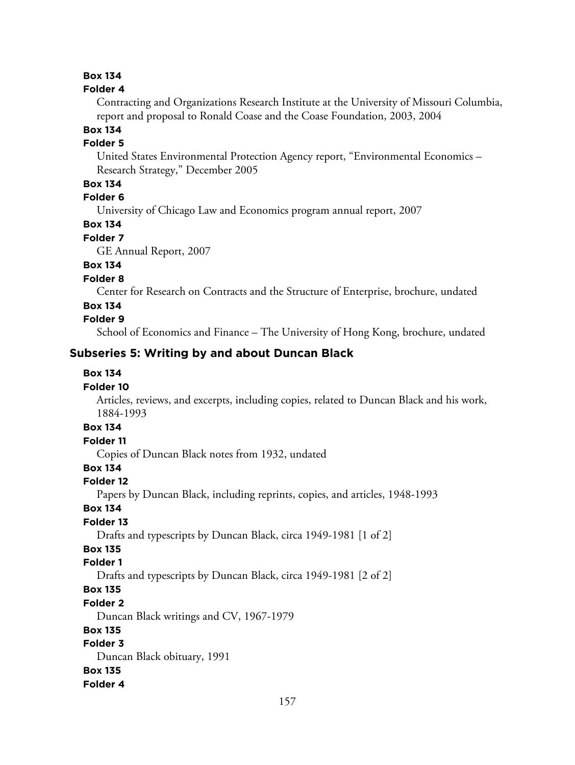#### **Folder 4**

Contracting and Organizations Research Institute at the University of Missouri Columbia, report and proposal to Ronald Coase and the Coase Foundation, 2003, 2004

#### **Box 134**

#### **Folder 5**

United States Environmental Protection Agency report, "Environmental Economics – Research Strategy," December 2005

### **Box 134**

# **Folder 6**

University of Chicago Law and Economics program annual report, 2007

# **Box 134**

#### **Folder 7**

GE Annual Report, 2007

## **Box 134**

#### **Folder 8**

Center for Research on Contracts and the Structure of Enterprise, brochure, undated

### **Box 134**

### **Folder 9**

School of Economics and Finance – The University of Hong Kong, brochure, undated

# **Subseries 5: Writing by and about Duncan Black**

### **Box 134**

#### **Folder 10**

Articles, reviews, and excerpts, including copies, related to Duncan Black and his work, 1884-1993

# **Box 134**

### **Folder 11**

Copies of Duncan Black notes from 1932, undated

## **Box 134**

#### **Folder 12**

Papers by Duncan Black, including reprints, copies, and articles, 1948-1993

### **Box 134**

### **Folder 13**

Drafts and typescripts by Duncan Black, circa 1949-1981 [1 of 2]

# **Box 135**

# **Folder 1**

Drafts and typescripts by Duncan Black, circa 1949-1981 [2 of 2]

# **Box 135**

#### **Folder 2**

Duncan Black writings and CV, 1967-1979

### **Box 135**

### **Folder 3**

Duncan Black obituary, 1991 **Box 135 Folder 4**

#### 157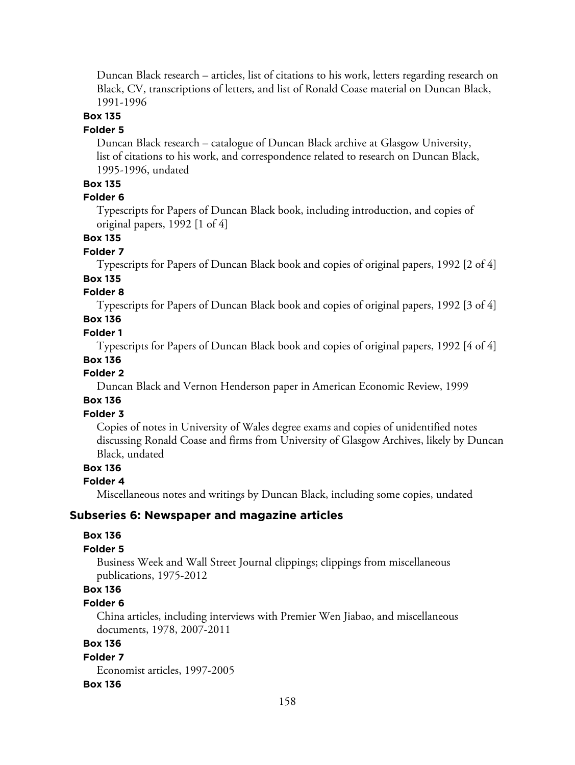Duncan Black research – articles, list of citations to his work, letters regarding research on Black, CV, transcriptions of letters, and list of Ronald Coase material on Duncan Black, 1991-1996

## **Box 135**

#### **Folder 5**

Duncan Black research – catalogue of Duncan Black archive at Glasgow University, list of citations to his work, and correspondence related to research on Duncan Black, 1995-1996, undated

### **Box 135**

#### **Folder 6**

Typescripts for Papers of Duncan Black book, including introduction, and copies of original papers, 1992 [1 of 4]

### **Box 135**

#### **Folder 7**

Typescripts for Papers of Duncan Black book and copies of original papers, 1992 [2 of 4] **Box 135**

#### **Folder 8**

Typescripts for Papers of Duncan Black book and copies of original papers, 1992 [3 of 4]

### **Box 136**

#### **Folder 1**

Typescripts for Papers of Duncan Black book and copies of original papers, 1992 [4 of 4]

#### **Box 136**

#### **Folder 2**

Duncan Black and Vernon Henderson paper in American Economic Review, 1999

### **Box 136**

### **Folder 3**

Copies of notes in University of Wales degree exams and copies of unidentified notes discussing Ronald Coase and firms from University of Glasgow Archives, likely by Duncan Black, undated

### **Box 136**

#### **Folder 4**

Miscellaneous notes and writings by Duncan Black, including some copies, undated

#### **Subseries 6: Newspaper and magazine articles**

#### **Box 136**

#### **Folder 5**

Business Week and Wall Street Journal clippings; clippings from miscellaneous publications, 1975-2012

# **Box 136**

### **Folder 6**

China articles, including interviews with Premier Wen Jiabao, and miscellaneous documents, 1978, 2007-2011

### **Box 136**

**Folder 7** Economist articles, 1997-2005

#### **Box 136**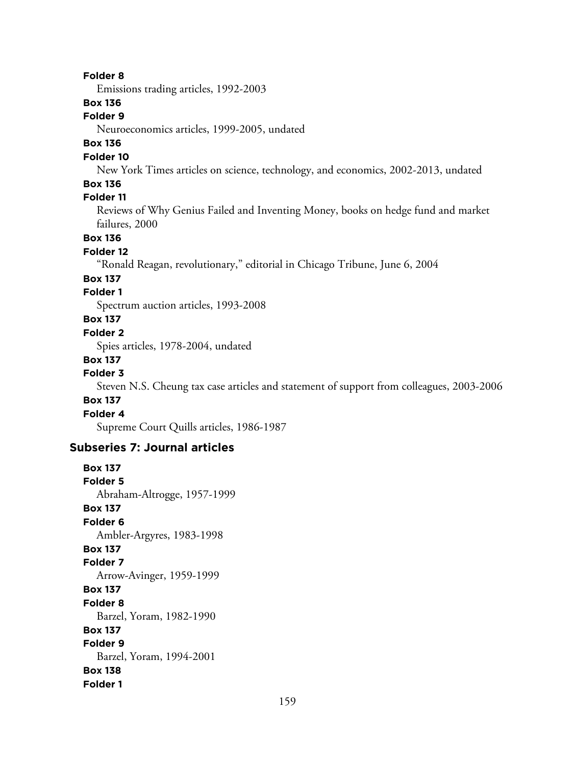#### **Folder 8**

Emissions trading articles, 1992-2003

### **Box 136**

### **Folder 9**

Neuroeconomics articles, 1999-2005, undated

### **Box 136**

#### **Folder 10**

New York Times articles on science, technology, and economics, 2002-2013, undated

### **Box 136**

### **Folder 11**

Reviews of Why Genius Failed and Inventing Money, books on hedge fund and market failures, 2000

#### **Box 136**

#### **Folder 12**

"Ronald Reagan, revolutionary," editorial in Chicago Tribune, June 6, 2004

#### **Box 137**

### **Folder 1**

Spectrum auction articles, 1993-2008

### **Box 137**

#### **Folder 2**

Spies articles, 1978-2004, undated

#### **Box 137**

#### **Folder 3**

Steven N.S. Cheung tax case articles and statement of support from colleagues, 2003-2006

#### **Box 137**

#### **Folder 4**

Supreme Court Quills articles, 1986-1987

### **Subseries 7: Journal articles**

# **Box 137 Folder 5** Abraham-Altrogge, 1957-1999 **Box 137 Folder 6** Ambler-Argyres, 1983-1998 **Box 137 Folder 7** Arrow-Avinger, 1959-1999 **Box 137 Folder 8** Barzel, Yoram, 1982-1990 **Box 137 Folder 9** Barzel, Yoram, 1994-2001 **Box 138 Folder 1**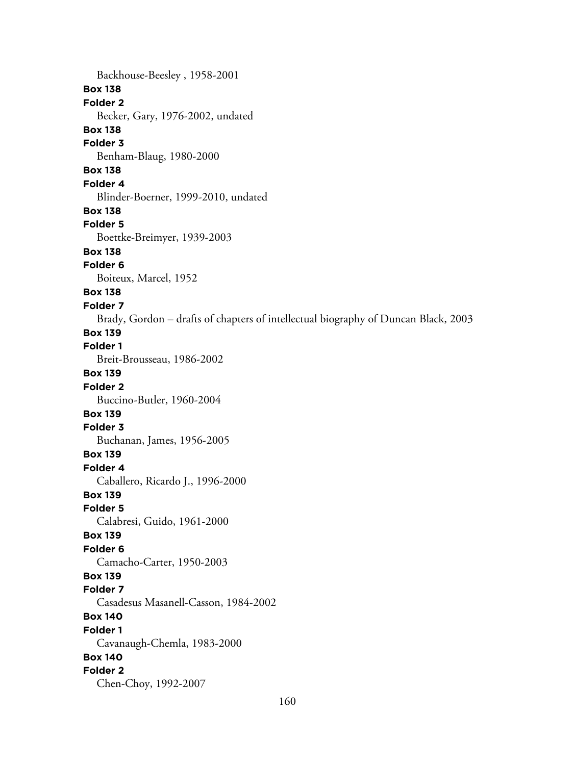Backhouse-Beesley , 1958-2001 **Box 138 Folder 2** Becker, Gary, 1976-2002, undated **Box 138 Folder 3** Benham-Blaug, 1980-2000 **Box 138 Folder 4** Blinder-Boerner, 1999-2010, undated **Box 138 Folder 5** Boettke-Breimyer, 1939-2003 **Box 138 Folder 6** Boiteux, Marcel, 1952 **Box 138 Folder 7** Brady, Gordon – drafts of chapters of intellectual biography of Duncan Black, 2003 **Box 139 Folder 1** Breit-Brousseau, 1986-2002 **Box 139 Folder 2** Buccino-Butler, 1960-2004 **Box 139 Folder 3** Buchanan, James, 1956-2005 **Box 139 Folder 4** Caballero, Ricardo J., 1996-2000 **Box 139 Folder 5** Calabresi, Guido, 1961-2000 **Box 139 Folder 6** Camacho-Carter, 1950-2003 **Box 139 Folder 7** Casadesus Masanell-Casson, 1984-2002 **Box 140 Folder 1** Cavanaugh-Chemla, 1983-2000 **Box 140 Folder 2** Chen-Choy, 1992-2007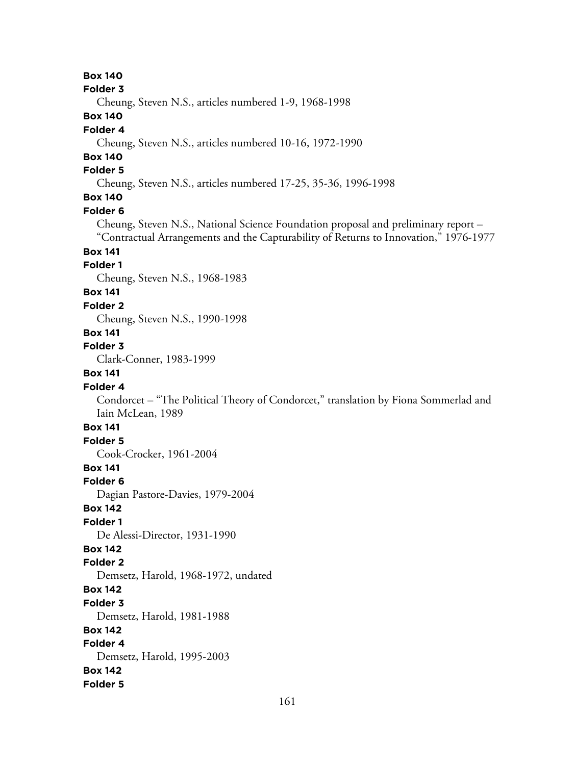**Folder 3**

Cheung, Steven N.S., articles numbered 1-9, 1968-1998

### **Box 140**

#### **Folder 4**

Cheung, Steven N.S., articles numbered 10-16, 1972-1990

# **Box 140**

### **Folder 5**

Cheung, Steven N.S., articles numbered 17-25, 35-36, 1996-1998

# **Box 140**

### **Folder 6**

Cheung, Steven N.S., National Science Foundation proposal and preliminary report – "Contractual Arrangements and the Capturability of Returns to Innovation," 1976-1977

# **Box 141**

### **Folder 1**

Cheung, Steven N.S., 1968-1983

### **Box 141**

#### **Folder 2**

Cheung, Steven N.S., 1990-1998

# **Box 141**

# **Folder 3**

Clark-Conner, 1983-1999

### **Box 141**

### **Folder 4**

Condorcet – "The Political Theory of Condorcet," translation by Fiona Sommerlad and Iain McLean, 1989

# **Box 141**

### **Folder 5**

Cook-Crocker, 1961-2004

### **Box 141**

**Folder 6**

Dagian Pastore-Davies, 1979-2004

#### **Box 142**

### **Folder 1**

De Alessi-Director, 1931-1990

### **Box 142**

# **Folder 2**

Demsetz, Harold, 1968-1972, undated

### **Box 142**

**Folder 3**

Demsetz, Harold, 1981-1988

# **Box 142**

**Folder 4** Demsetz, Harold, 1995-2003 **Box 142**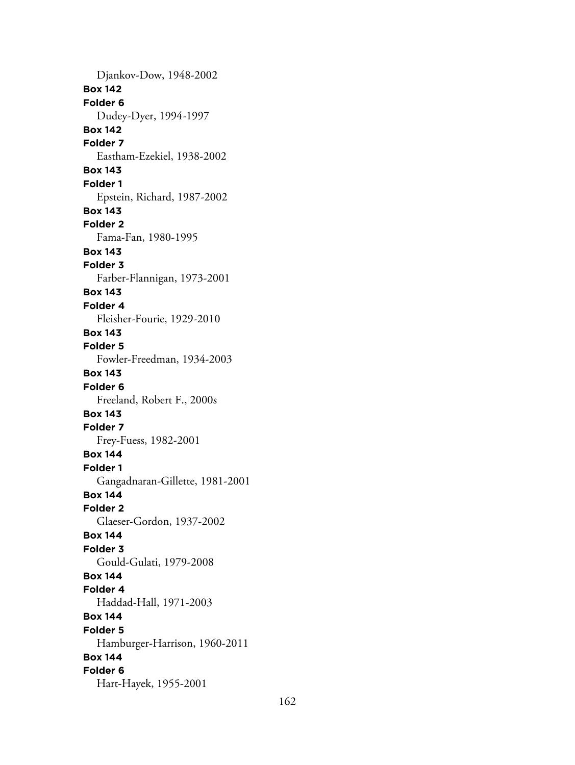Djankov-Dow, 1948-2002 **Box 142 Folder 6** Dudey-Dyer, 1994-1997 **Box 142 Folder 7** Eastham-Ezekiel, 1938-2002 **Box 143 Folder 1** Epstein, Richard, 1987-2002 **Box 143 Folder 2** Fama-Fan, 1980-1995 **Box 143 Folder 3** Farber-Flannigan, 1973-2001 **Box 143 Folder 4** Fleisher-Fourie, 1929-2010 **Box 143 Folder 5** Fowler-Freedman, 1934-2003 **Box 143 Folder 6** Freeland, Robert F., 2000s **Box 143 Folder 7** Frey-Fuess, 1982-2001 **Box 144 Folder 1** Gangadnaran-Gillette, 1981-2001 **Box 144 Folder 2** Glaeser-Gordon, 1937-2002 **Box 144 Folder 3** Gould-Gulati, 1979-2008 **Box 144 Folder 4** Haddad-Hall, 1971-2003 **Box 144 Folder 5** Hamburger-Harrison, 1960-2011 **Box 144 Folder 6** Hart-Hayek, 1955-2001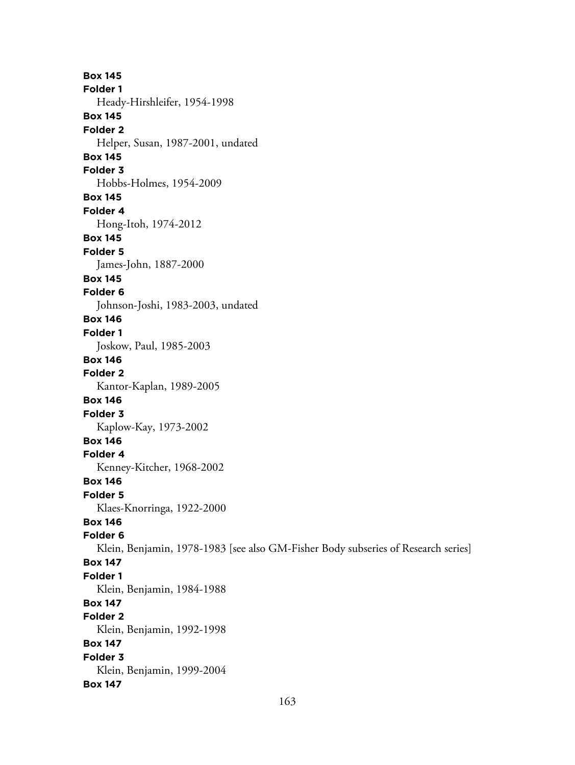**Box 145 Folder 1** Heady-Hirshleifer, 1954-1998 **Box 145 Folder 2** Helper, Susan, 1987-2001, undated **Box 145 Folder 3** Hobbs-Holmes, 1954-2009 **Box 145 Folder 4** Hong-Itoh, 1974-2012 **Box 145 Folder 5** James-John, 1887-2000 **Box 145 Folder 6** Johnson-Joshi, 1983-2003, undated **Box 146 Folder 1** Joskow, Paul, 1985-2003 **Box 146 Folder 2** Kantor-Kaplan, 1989-2005 **Box 146 Folder 3** Kaplow-Kay, 1973-2002 **Box 146 Folder 4** Kenney-Kitcher, 1968-2002 **Box 146 Folder 5** Klaes-Knorringa, 1922-2000 **Box 146 Folder 6** Klein, Benjamin, 1978-1983 [see also GM-Fisher Body subseries of Research series] **Box 147 Folder 1** Klein, Benjamin, 1984-1988 **Box 147 Folder 2** Klein, Benjamin, 1992-1998 **Box 147 Folder 3** Klein, Benjamin, 1999-2004 **Box 147**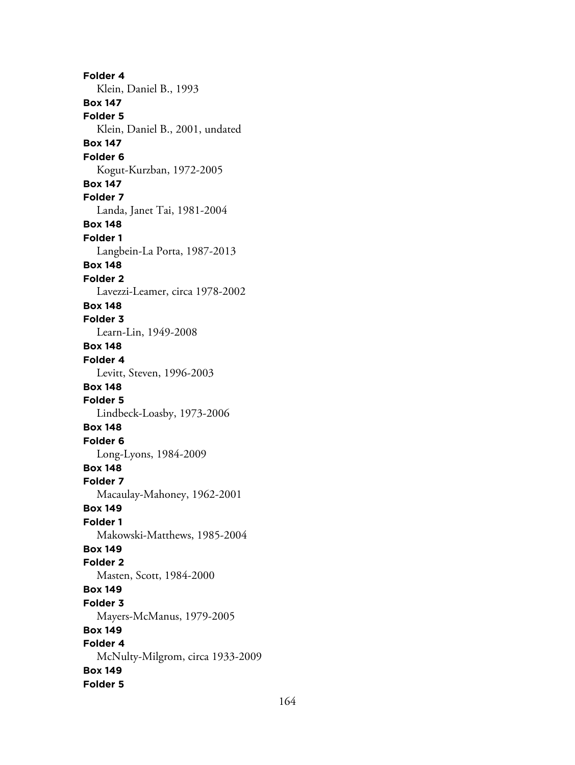**Folder 4** Klein, Daniel B., 1993 **Box 147 Folder 5** Klein, Daniel B., 2001, undated **Box 147 Folder 6** Kogut-Kurzban, 1972-2005 **Box 147 Folder 7** Landa, Janet Tai, 1981-2004 **Box 148 Folder 1** Langbein-La Porta, 1987-2013 **Box 148 Folder 2** Lavezzi-Leamer, circa 1978-2002 **Box 148 Folder 3** Learn-Lin, 1949-2008 **Box 148 Folder 4** Levitt, Steven, 1996-2003 **Box 148 Folder 5** Lindbeck-Loasby, 1973-2006 **Box 148 Folder 6** Long-Lyons, 1984-2009 **Box 148 Folder 7** Macaulay-Mahoney, 1962-2001 **Box 149 Folder 1** Makowski-Matthews, 1985-2004 **Box 149 Folder 2** Masten, Scott, 1984-2000 **Box 149 Folder 3** Mayers-McManus, 1979-2005 **Box 149 Folder 4** McNulty-Milgrom, circa 1933-2009 **Box 149 Folder 5**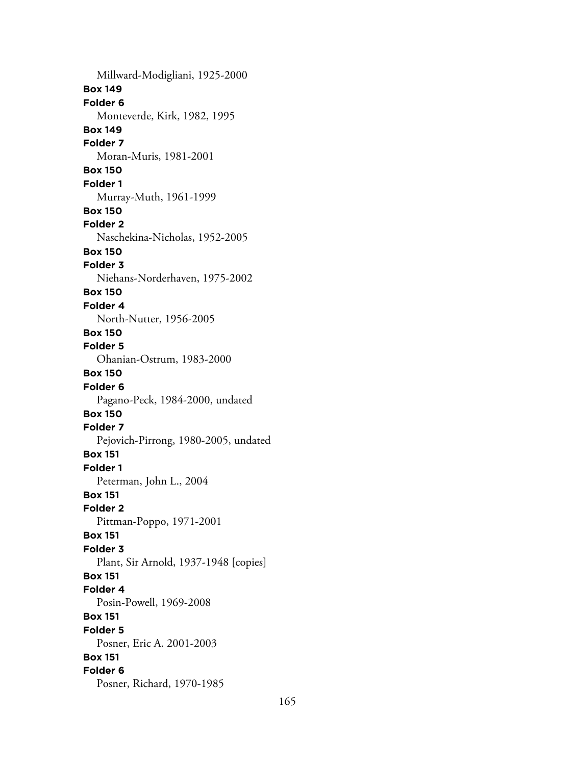Millward-Modigliani, 1925-2000 **Box 149 Folder 6** Monteverde, Kirk, 1982, 1995 **Box 149 Folder 7** Moran-Muris, 1981-2001 **Box 150 Folder 1** Murray-Muth, 1961-1999 **Box 150 Folder 2** Naschekina-Nicholas, 1952-2005 **Box 150 Folder 3** Niehans-Norderhaven, 1975-2002 **Box 150 Folder 4** North-Nutter, 1956-2005 **Box 150 Folder 5** Ohanian-Ostrum, 1983-2000 **Box 150 Folder 6** Pagano-Peck, 1984-2000, undated **Box 150 Folder 7** Pejovich-Pirrong, 1980-2005, undated **Box 151 Folder 1** Peterman, John L., 2004 **Box 151 Folder 2** Pittman-Poppo, 1971-2001 **Box 151 Folder 3** Plant, Sir Arnold, 1937-1948 [copies] **Box 151 Folder 4** Posin-Powell, 1969-2008 **Box 151 Folder 5** Posner, Eric A. 2001-2003 **Box 151 Folder 6** Posner, Richard, 1970-1985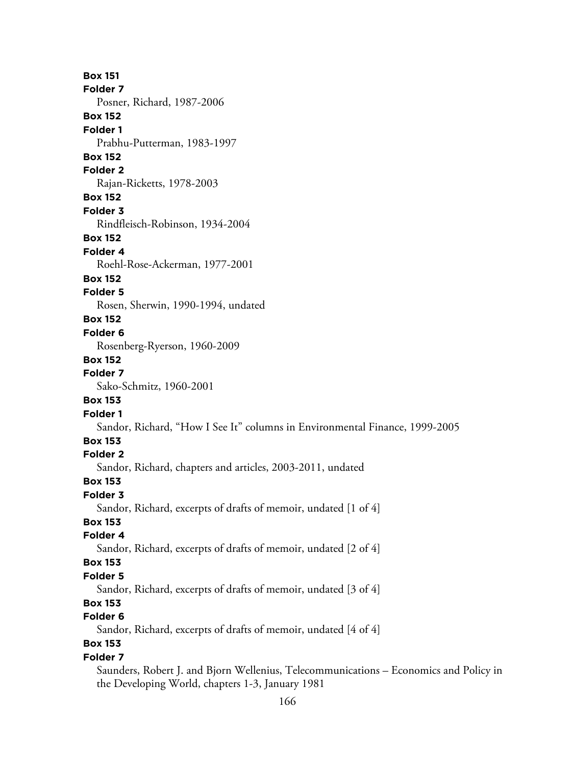**Box 151 Folder 7** Posner, Richard, 1987-2006 **Box 152 Folder 1** Prabhu-Putterman, 1983-1997 **Box 152 Folder 2** Rajan-Ricketts, 1978-2003 **Box 152 Folder 3** Rindfleisch-Robinson, 1934-2004 **Box 152 Folder 4** Roehl-Rose-Ackerman, 1977-2001 **Box 152 Folder 5** Rosen, Sherwin, 1990-1994, undated **Box 152 Folder 6** Rosenberg-Ryerson, 1960-2009 **Box 152 Folder 7** Sako-Schmitz, 1960-2001 **Box 153 Folder 1** Sandor, Richard, "How I See It" columns in Environmental Finance, 1999-2005 **Box 153 Folder 2** Sandor, Richard, chapters and articles, 2003-2011, undated **Box 153 Folder 3** Sandor, Richard, excerpts of drafts of memoir, undated [1 of 4] **Box 153 Folder 4** Sandor, Richard, excerpts of drafts of memoir, undated [2 of 4] **Box 153 Folder 5** Sandor, Richard, excerpts of drafts of memoir, undated [3 of 4] **Box 153 Folder 6** Sandor, Richard, excerpts of drafts of memoir, undated [4 of 4] **Box 153 Folder 7** Saunders, Robert J. and Bjorn Wellenius, Telecommunications – Economics and Policy in

the Developing World, chapters 1-3, January 1981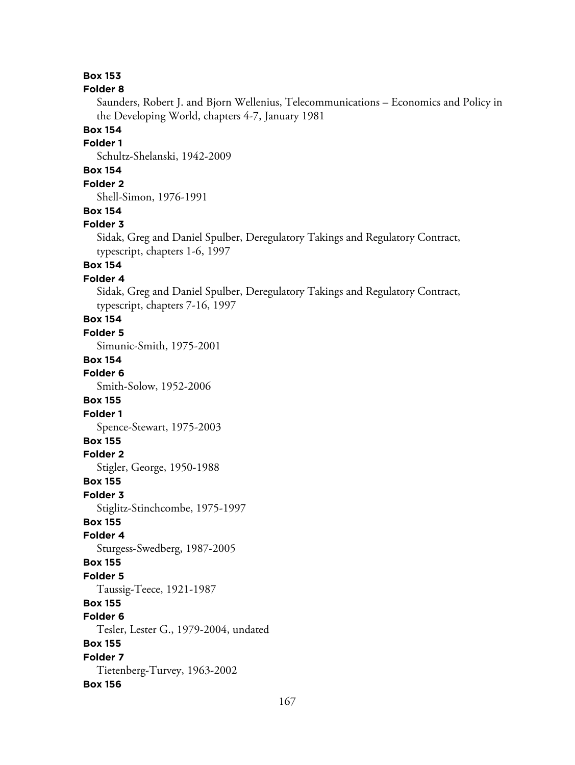#### **Folder 8**

Saunders, Robert J. and Bjorn Wellenius, Telecommunications – Economics and Policy in the Developing World, chapters 4-7, January 1981

# **Box 154**

#### **Folder 1**

Schultz-Shelanski, 1942-2009

### **Box 154**

**Folder 2**

Shell-Simon, 1976-1991

#### **Box 154**

#### **Folder 3**

Sidak, Greg and Daniel Spulber, Deregulatory Takings and Regulatory Contract, typescript, chapters 1-6, 1997

# **Box 154**

### **Folder 4**

Sidak, Greg and Daniel Spulber, Deregulatory Takings and Regulatory Contract, typescript, chapters 7-16, 1997

# **Box 154**

#### **Folder 5**

Simunic-Smith, 1975-2001

#### **Box 154**

**Folder 6**

Smith-Solow, 1952-2006

#### **Box 155**

**Folder 1**

Spence-Stewart, 1975-2003

### **Box 155**

**Folder 2**

Stigler, George, 1950-1988

#### **Box 155**

**Folder 3**

Stiglitz-Stinchcombe, 1975-1997

### **Box 155**

**Folder 4**

Sturgess-Swedberg, 1987-2005

#### **Box 155**

**Folder 5**

Taussig-Teece, 1921-1987

### **Box 155**

**Folder 6**

Tesler, Lester G., 1979-2004, undated

# **Box 155**

**Folder 7** Tietenberg-Turvey, 1963-2002 **Box 156**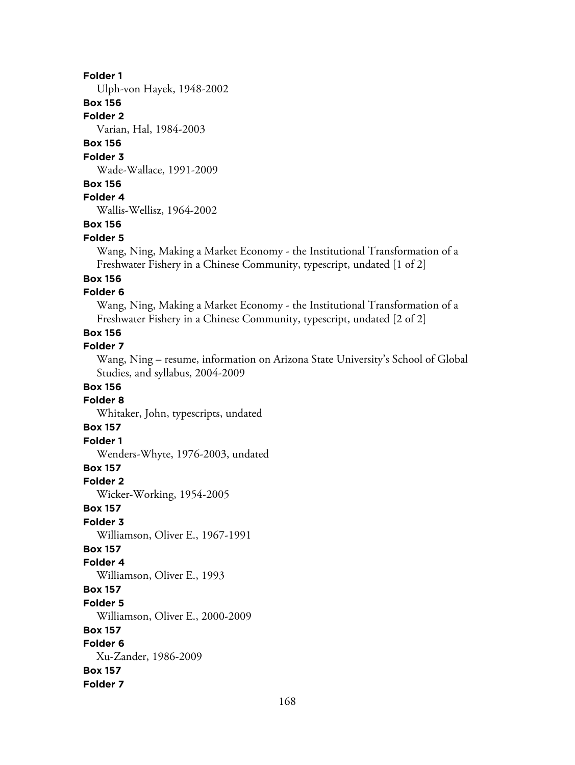#### **Folder 1**

Ulph-von Hayek, 1948-2002

### **Box 156**

**Folder 2**

Varian, Hal, 1984-2003

# **Box 156**

#### **Folder 3**

Wade-Wallace, 1991-2009

### **Box 156**

### **Folder 4**

Wallis-Wellisz, 1964-2002

### **Box 156**

#### **Folder 5**

Wang, Ning, Making a Market Economy - the Institutional Transformation of a Freshwater Fishery in a Chinese Community, typescript, undated [1 of 2]

### **Box 156**

### **Folder 6**

Wang, Ning, Making a Market Economy - the Institutional Transformation of a Freshwater Fishery in a Chinese Community, typescript, undated [2 of 2]

# **Box 156**

### **Folder 7**

Wang, Ning – resume, information on Arizona State University's School of Global Studies, and syllabus, 2004-2009

#### **Box 156**

#### **Folder 8**

Whitaker, John, typescripts, undated

### **Box 157**

#### **Folder 1**

Wenders-Whyte, 1976-2003, undated

#### **Box 157**

**Folder 2**

Wicker-Working, 1954-2005

#### **Box 157**

**Folder 3**

Williamson, Oliver E., 1967-1991

### **Box 157**

**Folder 4** Williamson, Oliver E., 1993

#### **Box 157**

**Folder 5**

Williamson, Oliver E., 2000-2009

#### **Box 157**

#### **Folder 6**

Xu-Zander, 1986-2009 **Box 157**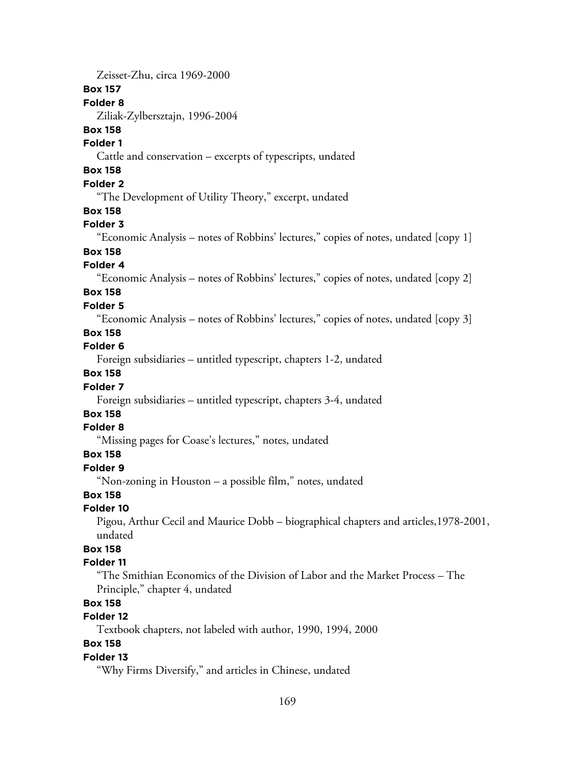Zeisset-Zhu, circa 1969-2000 **Box 157 Folder 8** Ziliak-Zylbersztajn, 1996-2004 **Box 158 Folder 1** Cattle and conservation – excerpts of typescripts, undated **Box 158 Folder 2** "The Development of Utility Theory," excerpt, undated **Box 158 Folder 3** "Economic Analysis – notes of Robbins' lectures," copies of notes, undated [copy 1] **Box 158 Folder 4** "Economic Analysis – notes of Robbins' lectures," copies of notes, undated [copy 2] **Box 158 Folder 5** "Economic Analysis – notes of Robbins' lectures," copies of notes, undated [copy 3] **Box 158 Folder 6** Foreign subsidiaries – untitled typescript, chapters 1-2, undated **Box 158 Folder 7** Foreign subsidiaries – untitled typescript, chapters 3-4, undated **Box 158 Folder 8** "Missing pages for Coase's lectures," notes, undated **Box 158 Folder 9** "Non-zoning in Houston – a possible film," notes, undated **Box 158 Folder 10** Pigou, Arthur Cecil and Maurice Dobb – biographical chapters and articles,1978-2001, undated **Box 158 Folder 11** "The Smithian Economics of the Division of Labor and the Market Process – The Principle," chapter 4, undated **Box 158 Folder 12**

Textbook chapters, not labeled with author, 1990, 1994, 2000

### **Box 158**

#### **Folder 13**

"Why Firms Diversify," and articles in Chinese, undated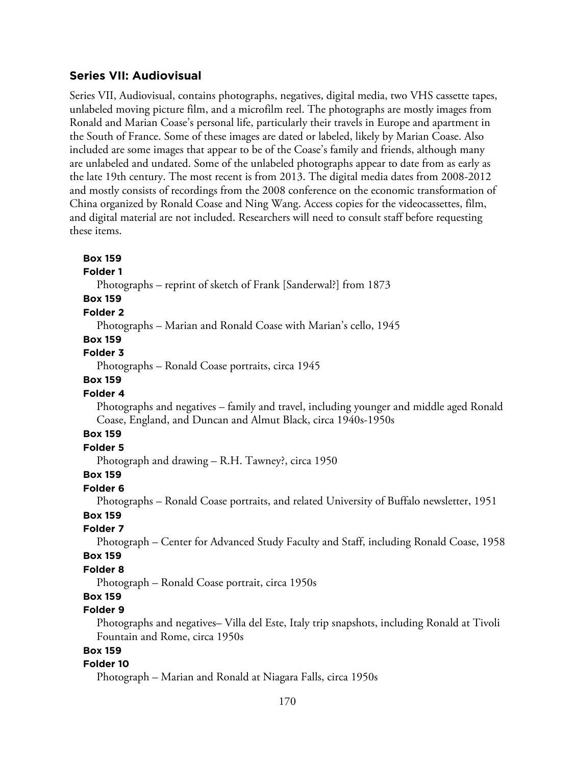# **Series VII: Audiovisual**

**Box 159**

Series VII, Audiovisual, contains photographs, negatives, digital media, two VHS cassette tapes, unlabeled moving picture film, and a microfilm reel. The photographs are mostly images from Ronald and Marian Coase's personal life, particularly their travels in Europe and apartment in the South of France. Some of these images are dated or labeled, likely by Marian Coase. Also included are some images that appear to be of the Coase's family and friends, although many are unlabeled and undated. Some of the unlabeled photographs appear to date from as early as the late 19th century. The most recent is from 2013. The digital media dates from 2008-2012 and mostly consists of recordings from the 2008 conference on the economic transformation of China organized by Ronald Coase and Ning Wang. Access copies for the videocassettes, film, and digital material are not included. Researchers will need to consult staff before requesting these items.

**Folder 1** Photographs – reprint of sketch of Frank [Sanderwal?] from 1873 **Box 159 Folder 2** Photographs – Marian and Ronald Coase with Marian's cello, 1945 **Box 159 Folder 3** Photographs – Ronald Coase portraits, circa 1945 **Box 159 Folder 4** Photographs and negatives – family and travel, including younger and middle aged Ronald Coase, England, and Duncan and Almut Black, circa 1940s-1950s **Box 159 Folder 5** Photograph and drawing – R.H. Tawney?, circa 1950 **Box 159 Folder 6** Photographs – Ronald Coase portraits, and related University of Buffalo newsletter, 1951 **Box 159 Folder 7** Photograph – Center for Advanced Study Faculty and Staff, including Ronald Coase, 1958 **Box 159 Folder 8** Photograph – Ronald Coase portrait, circa 1950s **Box 159 Folder 9** Photographs and negatives– Villa del Este, Italy trip snapshots, including Ronald at Tivoli Fountain and Rome, circa 1950s **Box 159 Folder 10** Photograph – Marian and Ronald at Niagara Falls, circa 1950s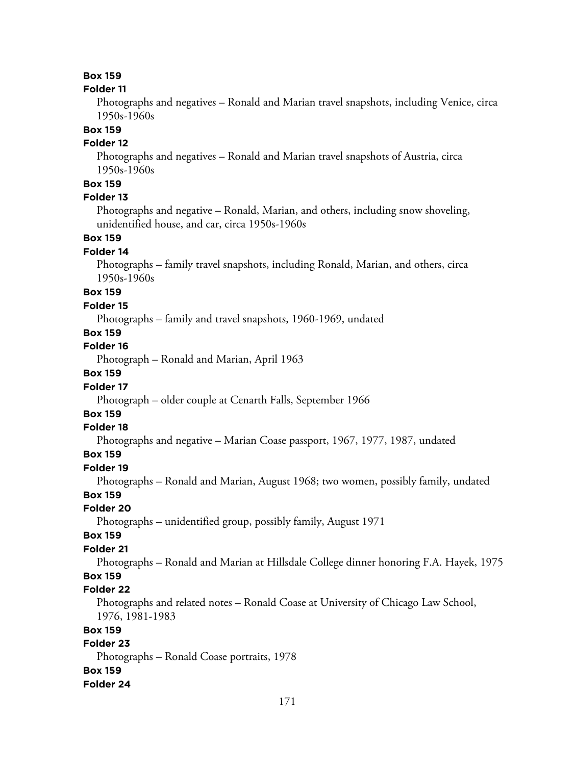#### **Folder 11**

Photographs and negatives – Ronald and Marian travel snapshots, including Venice, circa 1950s-1960s

### **Box 159**

### **Folder 12**

Photographs and negatives – Ronald and Marian travel snapshots of Austria, circa 1950s-1960s

### **Box 159**

### **Folder 13**

Photographs and negative – Ronald, Marian, and others, including snow shoveling, unidentified house, and car, circa 1950s-1960s

### **Box 159**

#### **Folder 14**

Photographs – family travel snapshots, including Ronald, Marian, and others, circa 1950s-1960s

# **Box 159**

#### **Folder 15**

Photographs – family and travel snapshots, 1960-1969, undated

# **Box 159**

### **Folder 16**

Photograph – Ronald and Marian, April 1963

### **Box 159**

#### **Folder 17**

Photograph – older couple at Cenarth Falls, September 1966

# **Box 159**

### **Folder 18**

Photographs and negative – Marian Coase passport, 1967, 1977, 1987, undated

### **Box 159**

#### **Folder 19**

Photographs – Ronald and Marian, August 1968; two women, possibly family, undated

### **Box 159**

#### **Folder 20**

Photographs – unidentified group, possibly family, August 1971

#### **Box 159**

### **Folder 21**

Photographs – Ronald and Marian at Hillsdale College dinner honoring F.A. Hayek, 1975

# **Box 159**

### **Folder 22**

Photographs and related notes – Ronald Coase at University of Chicago Law School, 1976, 1981-1983

#### **Box 159**

### **Folder 23**

Photographs – Ronald Coase portraits, 1978 **Box 159**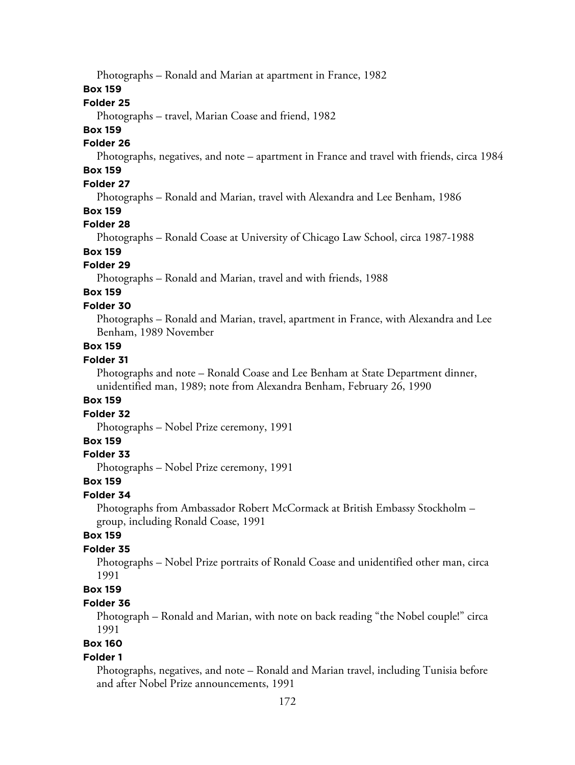Photographs – Ronald and Marian at apartment in France, 1982

### **Box 159**

#### **Folder 25**

Photographs – travel, Marian Coase and friend, 1982

#### **Box 159**

#### **Folder 26**

Photographs, negatives, and note – apartment in France and travel with friends, circa 1984

# **Box 159**

# **Folder 27**

Photographs – Ronald and Marian, travel with Alexandra and Lee Benham, 1986

#### **Box 159**

#### **Folder 28**

Photographs – Ronald Coase at University of Chicago Law School, circa 1987-1988

# **Box 159**

#### **Folder 29**

Photographs – Ronald and Marian, travel and with friends, 1988

# **Box 159**

### **Folder 30**

Photographs – Ronald and Marian, travel, apartment in France, with Alexandra and Lee Benham, 1989 November

### **Box 159**

### **Folder 31**

Photographs and note – Ronald Coase and Lee Benham at State Department dinner, unidentified man, 1989; note from Alexandra Benham, February 26, 1990

#### **Box 159**

#### **Folder 32**

Photographs – Nobel Prize ceremony, 1991

### **Box 159**

#### **Folder 33**

Photographs – Nobel Prize ceremony, 1991

#### **Box 159**

### **Folder 34**

Photographs from Ambassador Robert McCormack at British Embassy Stockholm – group, including Ronald Coase, 1991

### **Box 159**

### **Folder 35**

Photographs – Nobel Prize portraits of Ronald Coase and unidentified other man, circa 1991

#### **Box 159**

#### **Folder 36**

Photograph – Ronald and Marian, with note on back reading "the Nobel couple!" circa 1991

# **Box 160**

#### **Folder 1**

Photographs, negatives, and note – Ronald and Marian travel, including Tunisia before and after Nobel Prize announcements, 1991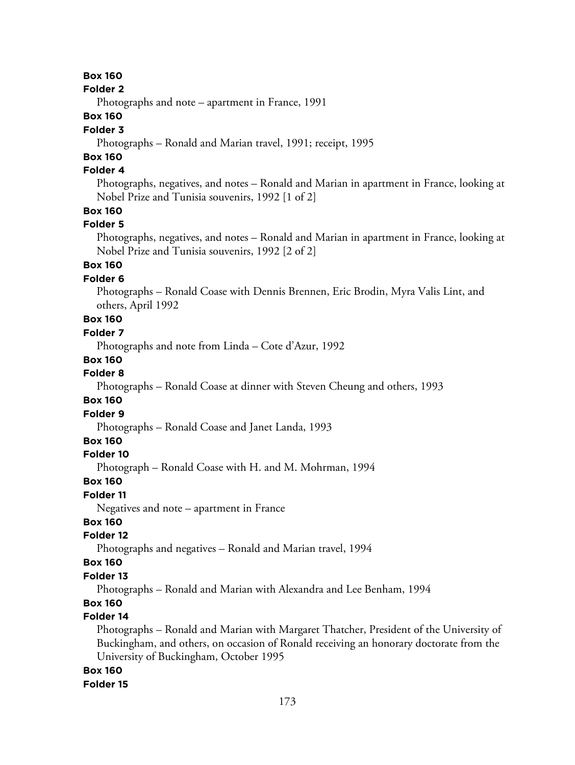#### **Folder 2**

Photographs and note – apartment in France, 1991

### **Box 160**

#### **Folder 3**

Photographs – Ronald and Marian travel, 1991; receipt, 1995

# **Box 160**

# **Folder 4**

Photographs, negatives, and notes – Ronald and Marian in apartment in France, looking at Nobel Prize and Tunisia souvenirs, 1992 [1 of 2]

### **Box 160**

#### **Folder 5**

Photographs, negatives, and notes – Ronald and Marian in apartment in France, looking at Nobel Prize and Tunisia souvenirs, 1992 [2 of 2]

### **Box 160**

#### **Folder 6**

Photographs – Ronald Coase with Dennis Brennen, Eric Brodin, Myra Valis Lint, and others, April 1992

# **Box 160**

### **Folder 7**

Photographs and note from Linda – Cote d'Azur, 1992

#### **Box 160**

#### **Folder 8**

Photographs – Ronald Coase at dinner with Steven Cheung and others, 1993

#### **Box 160**

#### **Folder 9**

Photographs – Ronald Coase and Janet Landa, 1993

### **Box 160**

#### **Folder 10**

Photograph – Ronald Coase with H. and M. Mohrman, 1994

#### **Box 160**

#### **Folder 11**

Negatives and note – apartment in France

### **Box 160**

#### **Folder 12**

Photographs and negatives – Ronald and Marian travel, 1994

#### **Box 160**

#### **Folder 13**

Photographs – Ronald and Marian with Alexandra and Lee Benham, 1994

# **Box 160**

### **Folder 14**

Photographs – Ronald and Marian with Margaret Thatcher, President of the University of Buckingham, and others, on occasion of Ronald receiving an honorary doctorate from the University of Buckingham, October 1995

### **Box 160**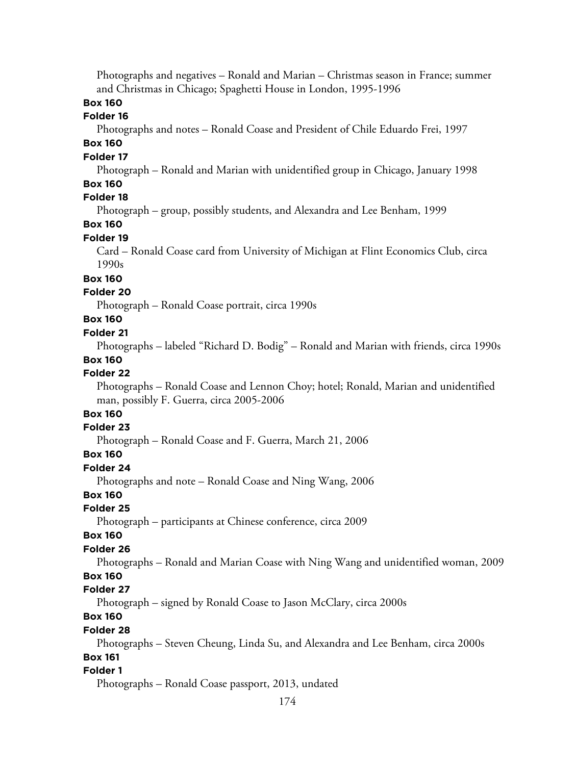Photographs and negatives – Ronald and Marian – Christmas season in France; summer and Christmas in Chicago; Spaghetti House in London, 1995-1996

### **Box 160**

#### **Folder 16**

Photographs and notes – Ronald Coase and President of Chile Eduardo Frei, 1997

### **Box 160**

#### **Folder 17**

Photograph – Ronald and Marian with unidentified group in Chicago, January 1998

### **Box 160**

# **Folder 18**

Photograph – group, possibly students, and Alexandra and Lee Benham, 1999

### **Box 160**

#### **Folder 19**

Card – Ronald Coase card from University of Michigan at Flint Economics Club, circa 1990s

### **Box 160**

#### **Folder 20**

Photograph – Ronald Coase portrait, circa 1990s

# **Box 160**

#### **Folder 21**

Photographs – labeled "Richard D. Bodig" – Ronald and Marian with friends, circa 1990s **Box 160**

#### **Folder 22**

Photographs – Ronald Coase and Lennon Choy; hotel; Ronald, Marian and unidentified man, possibly F. Guerra, circa 2005-2006

# **Box 160**

### **Folder 23**

Photograph – Ronald Coase and F. Guerra, March 21, 2006

#### **Box 160**

#### **Folder 24**

Photographs and note – Ronald Coase and Ning Wang, 2006

#### **Box 160**

#### **Folder 25**

Photograph – participants at Chinese conference, circa 2009

#### **Box 160**

#### **Folder 26**

Photographs – Ronald and Marian Coase with Ning Wang and unidentified woman, 2009

#### **Box 160**

#### **Folder 27**

Photograph – signed by Ronald Coase to Jason McClary, circa 2000s

# **Box 160**

#### **Folder 28**

Photographs – Steven Cheung, Linda Su, and Alexandra and Lee Benham, circa 2000s

# **Box 161**

### **Folder 1**

Photographs – Ronald Coase passport, 2013, undated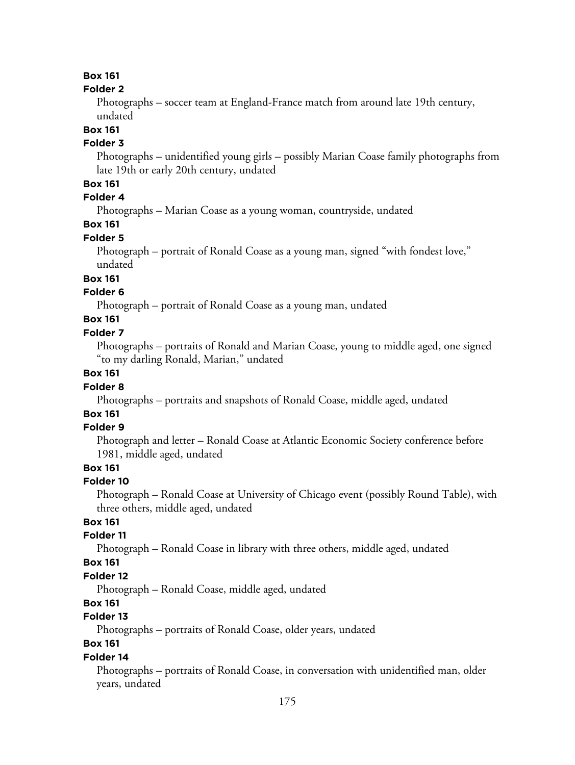### **Folder 2**

Photographs – soccer team at England-France match from around late 19th century, undated

# **Box 161**

# **Folder 3**

Photographs – unidentified young girls – possibly Marian Coase family photographs from late 19th or early 20th century, undated

### **Box 161**

# **Folder 4**

Photographs – Marian Coase as a young woman, countryside, undated

# **Box 161**

# **Folder 5**

Photograph – portrait of Ronald Coase as a young man, signed "with fondest love," undated

# **Box 161**

# **Folder 6**

Photograph – portrait of Ronald Coase as a young man, undated

# **Box 161**

### **Folder 7**

Photographs – portraits of Ronald and Marian Coase, young to middle aged, one signed "to my darling Ronald, Marian," undated

### **Box 161**

#### **Folder 8**

Photographs – portraits and snapshots of Ronald Coase, middle aged, undated

# **Box 161**

### **Folder 9**

Photograph and letter – Ronald Coase at Atlantic Economic Society conference before 1981, middle aged, undated

### **Box 161**

#### **Folder 10**

Photograph – Ronald Coase at University of Chicago event (possibly Round Table), with three others, middle aged, undated

### **Box 161**

### **Folder 11**

Photograph – Ronald Coase in library with three others, middle aged, undated

#### **Box 161**

#### **Folder 12**

Photograph – Ronald Coase, middle aged, undated

# **Box 161**

### **Folder 13**

Photographs – portraits of Ronald Coase, older years, undated

# **Box 161**

#### **Folder 14**

Photographs – portraits of Ronald Coase, in conversation with unidentified man, older years, undated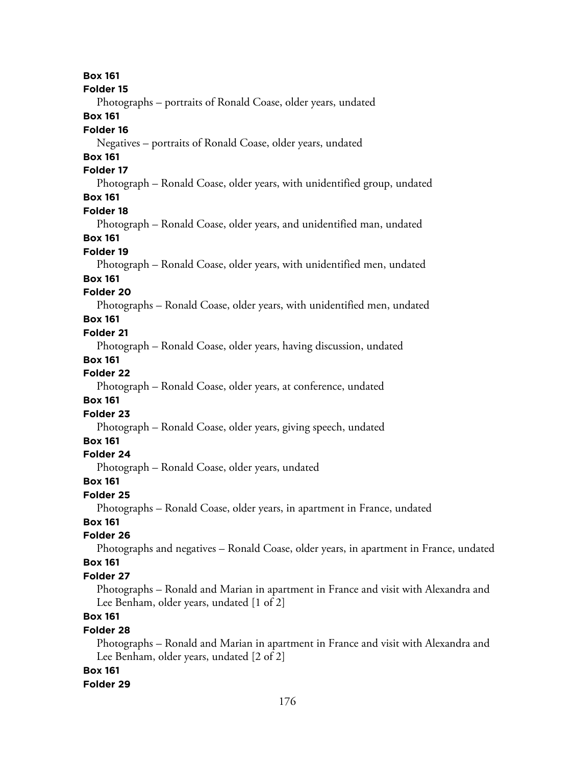**Box 161 Folder 15** Photographs – portraits of Ronald Coase, older years, undated **Box 161 Folder 16** Negatives – portraits of Ronald Coase, older years, undated **Box 161 Folder 17** Photograph – Ronald Coase, older years, with unidentified group, undated **Box 161 Folder 18** Photograph – Ronald Coase, older years, and unidentified man, undated **Box 161 Folder 19** Photograph – Ronald Coase, older years, with unidentified men, undated **Box 161 Folder 20** Photographs – Ronald Coase, older years, with unidentified men, undated **Box 161 Folder 21** Photograph – Ronald Coase, older years, having discussion, undated **Box 161 Folder 22** Photograph – Ronald Coase, older years, at conference, undated **Box 161 Folder 23** Photograph – Ronald Coase, older years, giving speech, undated **Box 161 Folder 24** Photograph – Ronald Coase, older years, undated **Box 161 Folder 25** Photographs – Ronald Coase, older years, in apartment in France, undated **Box 161 Folder 26** Photographs and negatives – Ronald Coase, older years, in apartment in France, undated **Box 161 Folder 27** Photographs – Ronald and Marian in apartment in France and visit with Alexandra and Lee Benham, older years, undated [1 of 2] **Box 161 Folder 28** Photographs – Ronald and Marian in apartment in France and visit with Alexandra and Lee Benham, older years, undated [2 of 2] **Box 161**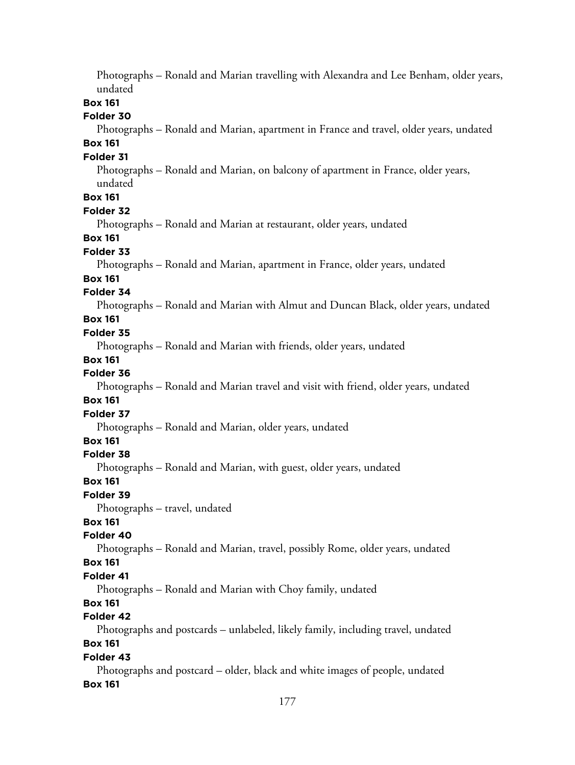Photographs – Ronald and Marian travelling with Alexandra and Lee Benham, older years, undated **Box 161 Folder 30** Photographs – Ronald and Marian, apartment in France and travel, older years, undated **Box 161 Folder 31** Photographs – Ronald and Marian, on balcony of apartment in France, older years, undated **Box 161 Folder 32** Photographs – Ronald and Marian at restaurant, older years, undated **Box 161 Folder 33** Photographs – Ronald and Marian, apartment in France, older years, undated **Box 161 Folder 34** Photographs – Ronald and Marian with Almut and Duncan Black, older years, undated **Box 161 Folder 35** Photographs – Ronald and Marian with friends, older years, undated **Box 161 Folder 36** Photographs – Ronald and Marian travel and visit with friend, older years, undated **Box 161 Folder 37** Photographs – Ronald and Marian, older years, undated **Box 161 Folder 38** Photographs – Ronald and Marian, with guest, older years, undated **Box 161 Folder 39** Photographs – travel, undated **Box 161 Folder 40** Photographs – Ronald and Marian, travel, possibly Rome, older years, undated **Box 161 Folder 41** Photographs – Ronald and Marian with Choy family, undated **Box 161 Folder 42** Photographs and postcards – unlabeled, likely family, including travel, undated **Box 161 Folder 43** Photographs and postcard – older, black and white images of people, undated **Box 161**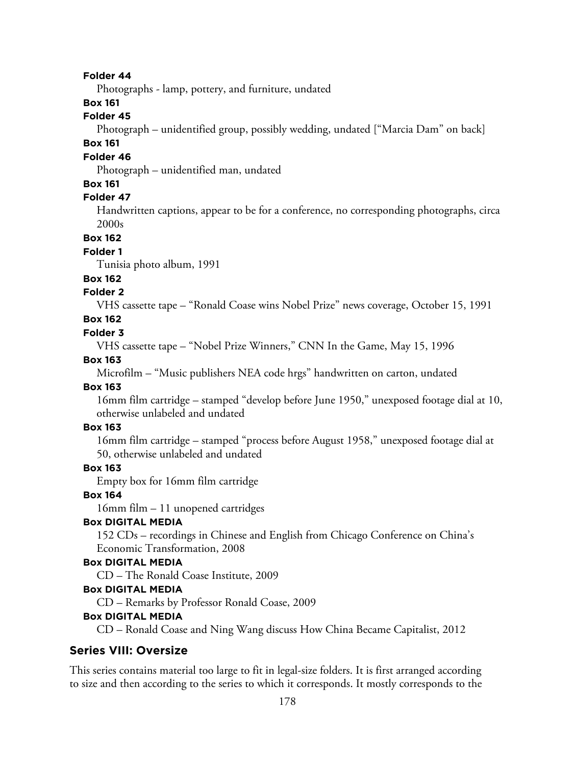#### **Folder 44**

Photographs - lamp, pottery, and furniture, undated

### **Box 161**

### **Folder 45**

Photograph – unidentified group, possibly wedding, undated ["Marcia Dam" on back]

# **Box 161**

### **Folder 46**

Photograph – unidentified man, undated

### **Box 161**

### **Folder 47**

Handwritten captions, appear to be for a conference, no corresponding photographs, circa 2000s

#### **Box 162**

#### **Folder 1**

Tunisia photo album, 1991

#### **Box 162**

### **Folder 2**

VHS cassette tape – "Ronald Coase wins Nobel Prize" news coverage, October 15, 1991

# **Box 162**

#### **Folder 3**

VHS cassette tape – "Nobel Prize Winners," CNN In the Game, May 15, 1996

#### **Box 163**

Microfilm – "Music publishers NEA code hrgs" handwritten on carton, undated

#### **Box 163**

16mm film cartridge – stamped "develop before June 1950," unexposed footage dial at 10, otherwise unlabeled and undated

#### **Box 163**

16mm film cartridge – stamped "process before August 1958," unexposed footage dial at 50, otherwise unlabeled and undated

#### **Box 163**

Empty box for 16mm film cartridge

#### **Box 164**

16mm film – 11 unopened cartridges

### **Box DIGITAL MEDIA**

152 CDs – recordings in Chinese and English from Chicago Conference on China's Economic Transformation, 2008

#### **Box DIGITAL MEDIA**

CD – The Ronald Coase Institute, 2009

#### **Box DIGITAL MEDIA**

CD – Remarks by Professor Ronald Coase, 2009

#### **Box DIGITAL MEDIA**

CD – Ronald Coase and Ning Wang discuss How China Became Capitalist, 2012

#### **Series VIII: Oversize**

This series contains material too large to fit in legal-size folders. It is first arranged according to size and then according to the series to which it corresponds. It mostly corresponds to the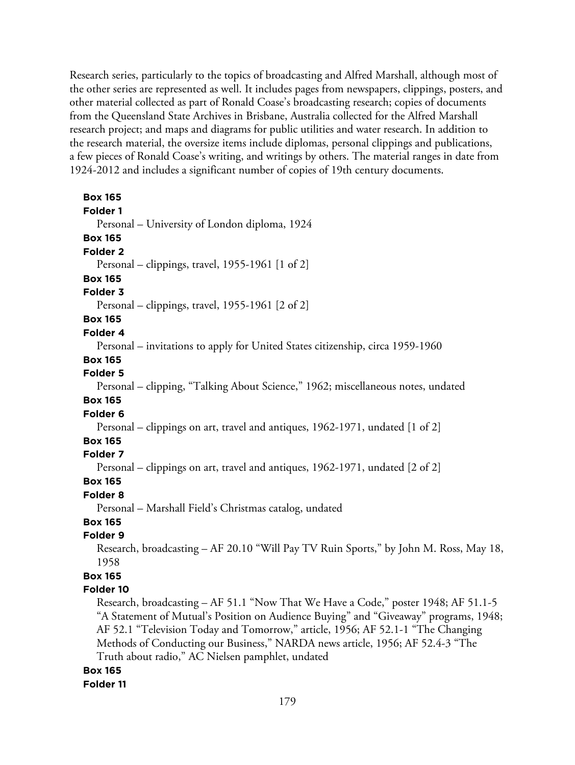Research series, particularly to the topics of broadcasting and Alfred Marshall, although most of the other series are represented as well. It includes pages from newspapers, clippings, posters, and other material collected as part of Ronald Coase's broadcasting research; copies of documents from the Queensland State Archives in Brisbane, Australia collected for the Alfred Marshall research project; and maps and diagrams for public utilities and water research. In addition to the research material, the oversize items include diplomas, personal clippings and publications, a few pieces of Ronald Coase's writing, and writings by others. The material ranges in date from 1924-2012 and includes a significant number of copies of 19th century documents.

| <b>Box 165</b>                                                                        |
|---------------------------------------------------------------------------------------|
| Folder 1                                                                              |
| Personal - University of London diploma, 1924                                         |
| <b>Box 165</b>                                                                        |
| Folder <sub>2</sub>                                                                   |
| Personal – clippings, travel, 1955-1961 [1 of 2]                                      |
| <b>Box 165</b>                                                                        |
| Folder 3                                                                              |
| Personal – clippings, travel, 1955-1961 [2 of 2]                                      |
| <b>Box 165</b>                                                                        |
| Folder 4                                                                              |
| Personal - invitations to apply for United States citizenship, circa 1959-1960        |
| <b>Box 165</b>                                                                        |
| Folder 5                                                                              |
| Personal – clipping, "Talking About Science," 1962; miscellaneous notes, undated      |
| <b>Box 165</b>                                                                        |
| Folder 6                                                                              |
| Personal – clippings on art, travel and antiques, 1962-1971, undated [1 of 2]         |
| <b>Box 165</b>                                                                        |
| Folder 7                                                                              |
| Personal – clippings on art, travel and antiques, 1962-1971, undated [2 of 2]         |
| <b>Box 165</b>                                                                        |
| Folder 8                                                                              |
| Personal - Marshall Field's Christmas catalog, undated                                |
| <b>Box 165</b>                                                                        |
| Folder 9                                                                              |
| Research, broadcasting - AF 20.10 "Will Pay TV Ruin Sports," by John M. Ross, May 18, |
| 1958                                                                                  |
| <b>Box 165</b>                                                                        |
| Folder 10                                                                             |
| Research, broadcasting - AF 51.1 "Now That We Have a Code," poster 1948; AF 51.1-5    |
| "A Statement of Mutual's Position on Audience Buying" and "Giveaway" programs, 1948;  |
| AF 52.1 "Television Today and Tomorrow," article, 1956; AF 52.1-1 "The Changing       |
| Methods of Conducting our Business," NARDA news article, 1956; AF 52.4-3 "The         |
| Truth about radio," AC Nielsen pamphlet, undated                                      |

#### **Box 165**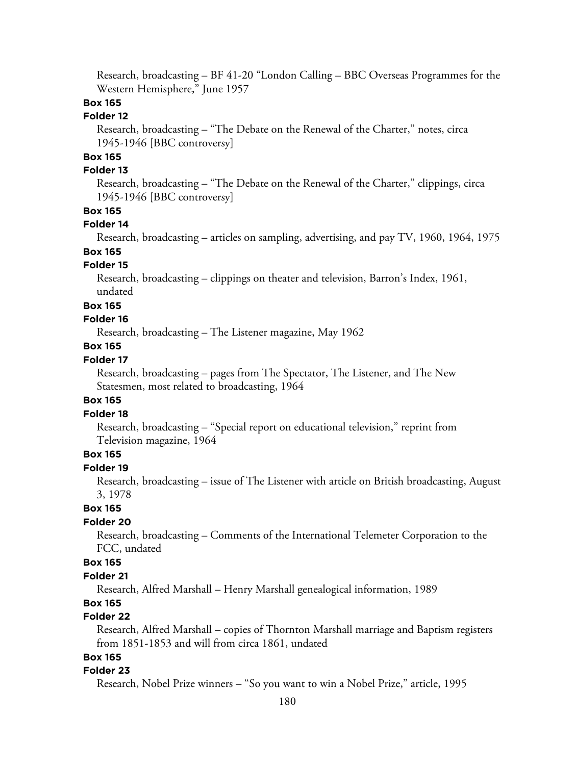Research, broadcasting – BF 41-20 "London Calling – BBC Overseas Programmes for the Western Hemisphere," June 1957

### **Box 165**

#### **Folder 12**

Research, broadcasting – "The Debate on the Renewal of the Charter," notes, circa 1945-1946 [BBC controversy]

### **Box 165**

#### **Folder 13**

Research, broadcasting – "The Debate on the Renewal of the Charter," clippings, circa 1945-1946 [BBC controversy]

#### **Box 165**

#### **Folder 14**

Research, broadcasting – articles on sampling, advertising, and pay TV, 1960, 1964, 1975

# **Box 165**

#### **Folder 15**

Research, broadcasting – clippings on theater and television, Barron's Index, 1961, undated

#### **Box 165**

#### **Folder 16**

Research, broadcasting – The Listener magazine, May 1962

#### **Box 165**

### **Folder 17**

Research, broadcasting – pages from The Spectator, The Listener, and The New Statesmen, most related to broadcasting, 1964

#### **Box 165**

#### **Folder 18**

Research, broadcasting – "Special report on educational television," reprint from Television magazine, 1964

### **Box 165**

#### **Folder 19**

Research, broadcasting – issue of The Listener with article on British broadcasting, August 3, 1978

### **Box 165**

### **Folder 20**

Research, broadcasting – Comments of the International Telemeter Corporation to the FCC, undated

### **Box 165**

#### **Folder 21**

Research, Alfred Marshall – Henry Marshall genealogical information, 1989

# **Box 165**

### **Folder 22**

Research, Alfred Marshall – copies of Thornton Marshall marriage and Baptism registers from 1851-1853 and will from circa 1861, undated

### **Box 165**

#### **Folder 23**

Research, Nobel Prize winners – "So you want to win a Nobel Prize," article, 1995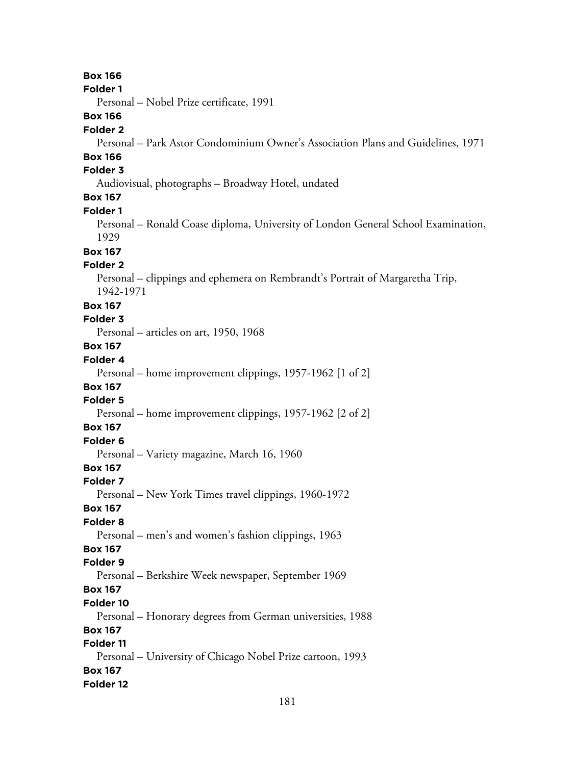**Box 166 Folder 1** Personal – Nobel Prize certificate, 1991 **Box 166 Folder 2** Personal – Park Astor Condominium Owner's Association Plans and Guidelines, 1971 **Box 166 Folder 3** Audiovisual, photographs – Broadway Hotel, undated **Box 167 Folder 1** Personal – Ronald Coase diploma, University of London General School Examination, 1929 **Box 167 Folder 2** Personal – clippings and ephemera on Rembrandt's Portrait of Margaretha Trip, 1942-1971 **Box 167 Folder 3** Personal – articles on art, 1950, 1968 **Box 167 Folder 4** Personal – home improvement clippings, 1957-1962 [1 of 2] **Box 167 Folder 5** Personal – home improvement clippings, 1957-1962 [2 of 2] **Box 167 Folder 6** Personal – Variety magazine, March 16, 1960 **Box 167 Folder 7** Personal – New York Times travel clippings, 1960-1972 **Box 167 Folder 8** Personal – men's and women's fashion clippings, 1963 **Box 167 Folder 9** Personal – Berkshire Week newspaper, September 1969 **Box 167 Folder 10** Personal – Honorary degrees from German universities, 1988 **Box 167 Folder 11** Personal – University of Chicago Nobel Prize cartoon, 1993 **Box 167 Folder 12**

181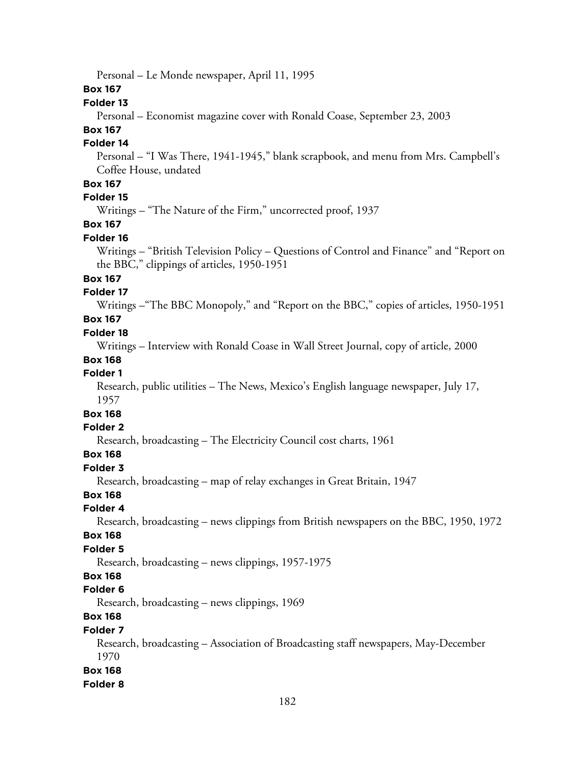Personal – Le Monde newspaper, April 11, 1995

### **Box 167**

# **Folder 13**

Personal – Economist magazine cover with Ronald Coase, September 23, 2003

# **Box 167**

# **Folder 14**

Personal – "I Was There, 1941-1945," blank scrapbook, and menu from Mrs. Campbell's Coffee House, undated

# **Box 167**

# **Folder 15**

Writings – "The Nature of the Firm," uncorrected proof, 1937

# **Box 167**

### **Folder 16**

Writings – "British Television Policy – Questions of Control and Finance" and "Report on the BBC," clippings of articles, 1950-1951

# **Box 167**

### **Folder 17**

Writings –"The BBC Monopoly," and "Report on the BBC," copies of articles, 1950-1951

# **Box 167**

#### **Folder 18**

Writings – Interview with Ronald Coase in Wall Street Journal, copy of article, 2000

### **Box 168**

### **Folder 1**

Research, public utilities – The News, Mexico's English language newspaper, July 17, 1957

# **Box 168**

# **Folder 2**

Research, broadcasting – The Electricity Council cost charts, 1961

# **Box 168**

### **Folder 3**

Research, broadcasting – map of relay exchanges in Great Britain, 1947

# **Box 168**

#### **Folder 4**

Research, broadcasting – news clippings from British newspapers on the BBC, 1950, 1972

#### **Box 168**

### **Folder 5**

Research, broadcasting – news clippings, 1957-1975

# **Box 168**

#### **Folder 6**

Research, broadcasting – news clippings, 1969

# **Box 168**

# **Folder 7**

Research, broadcasting – Association of Broadcasting staff newspapers, May-December 1970

#### **Box 168**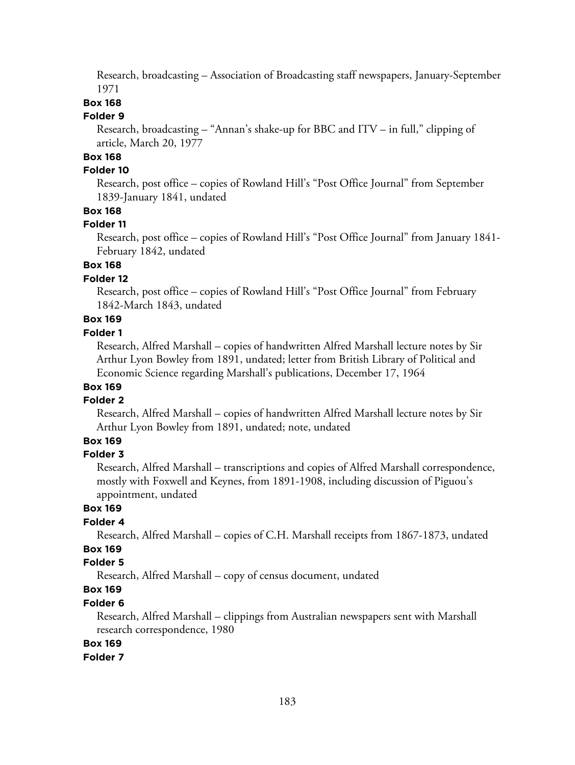Research, broadcasting – Association of Broadcasting staff newspapers, January-September 1971

# **Box 168**

#### **Folder 9**

Research, broadcasting – "Annan's shake-up for BBC and ITV – in full," clipping of article, March 20, 1977

# **Box 168**

### **Folder 10**

Research, post office – copies of Rowland Hill's "Post Office Journal" from September 1839-January 1841, undated

### **Box 168**

#### **Folder 11**

Research, post office – copies of Rowland Hill's "Post Office Journal" from January 1841- February 1842, undated

# **Box 168**

# **Folder 12**

Research, post office – copies of Rowland Hill's "Post Office Journal" from February 1842-March 1843, undated

# **Box 169**

#### **Folder 1**

Research, Alfred Marshall – copies of handwritten Alfred Marshall lecture notes by Sir Arthur Lyon Bowley from 1891, undated; letter from British Library of Political and Economic Science regarding Marshall's publications, December 17, 1964

# **Box 169**

#### **Folder 2**

Research, Alfred Marshall – copies of handwritten Alfred Marshall lecture notes by Sir Arthur Lyon Bowley from 1891, undated; note, undated

# **Box 169**

#### **Folder 3**

Research, Alfred Marshall – transcriptions and copies of Alfred Marshall correspondence, mostly with Foxwell and Keynes, from 1891-1908, including discussion of Piguou's appointment, undated

### **Box 169**

### **Folder 4**

Research, Alfred Marshall – copies of C.H. Marshall receipts from 1867-1873, undated

# **Box 169**

# **Folder 5**

Research, Alfred Marshall – copy of census document, undated

# **Box 169**

# **Folder 6**

Research, Alfred Marshall – clippings from Australian newspapers sent with Marshall research correspondence, 1980

# **Box 169**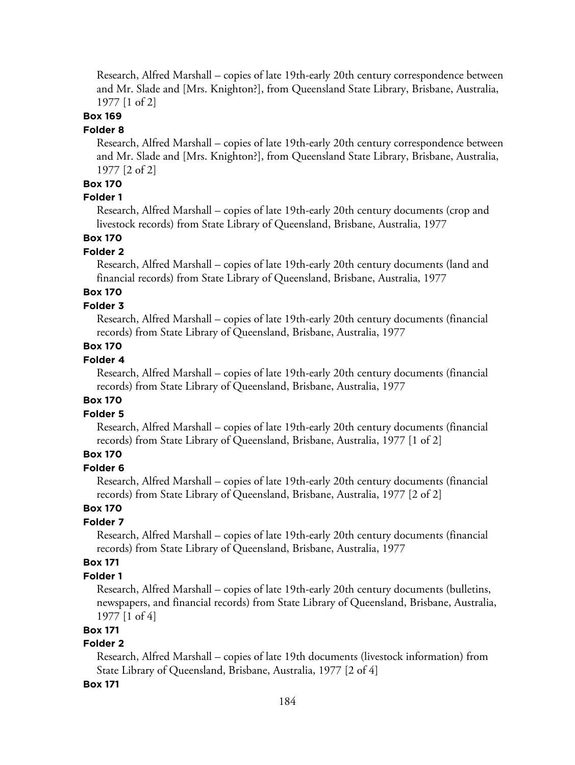Research, Alfred Marshall – copies of late 19th-early 20th century correspondence between and Mr. Slade and [Mrs. Knighton?], from Queensland State Library, Brisbane, Australia, 1977 [1 of 2]

# **Box 169**

#### **Folder 8**

Research, Alfred Marshall – copies of late 19th-early 20th century correspondence between and Mr. Slade and [Mrs. Knighton?], from Queensland State Library, Brisbane, Australia, 1977 [2 of 2]

# **Box 170**

# **Folder 1**

Research, Alfred Marshall – copies of late 19th-early 20th century documents (crop and livestock records) from State Library of Queensland, Brisbane, Australia, 1977

# **Box 170**

### **Folder 2**

Research, Alfred Marshall – copies of late 19th-early 20th century documents (land and financial records) from State Library of Queensland, Brisbane, Australia, 1977

# **Box 170**

# **Folder 3**

Research, Alfred Marshall – copies of late 19th-early 20th century documents (financial records) from State Library of Queensland, Brisbane, Australia, 1977

# **Box 170**

# **Folder 4**

Research, Alfred Marshall – copies of late 19th-early 20th century documents (financial records) from State Library of Queensland, Brisbane, Australia, 1977

### **Box 170**

### **Folder 5**

Research, Alfred Marshall – copies of late 19th-early 20th century documents (financial records) from State Library of Queensland, Brisbane, Australia, 1977 [1 of 2]

# **Box 170**

### **Folder 6**

Research, Alfred Marshall – copies of late 19th-early 20th century documents (financial records) from State Library of Queensland, Brisbane, Australia, 1977 [2 of 2]

# **Box 170**

### **Folder 7**

Research, Alfred Marshall – copies of late 19th-early 20th century documents (financial records) from State Library of Queensland, Brisbane, Australia, 1977

# **Box 171**

#### **Folder 1**

Research, Alfred Marshall – copies of late 19th-early 20th century documents (bulletins, newspapers, and financial records) from State Library of Queensland, Brisbane, Australia, 1977 [1 of 4]

# **Box 171**

# **Folder 2**

Research, Alfred Marshall – copies of late 19th documents (livestock information) from State Library of Queensland, Brisbane, Australia, 1977 [2 of 4]

#### **Box 171**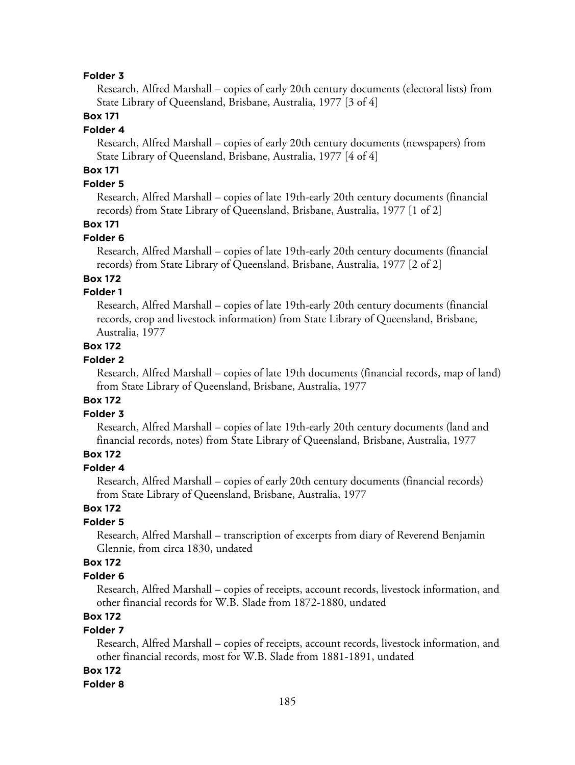#### **Folder 3**

Research, Alfred Marshall – copies of early 20th century documents (electoral lists) from State Library of Queensland, Brisbane, Australia, 1977 [3 of 4]

# **Box 171**

#### **Folder 4**

Research, Alfred Marshall – copies of early 20th century documents (newspapers) from State Library of Queensland, Brisbane, Australia, 1977 [4 of 4]

# **Box 171**

# **Folder 5**

Research, Alfred Marshall – copies of late 19th-early 20th century documents (financial records) from State Library of Queensland, Brisbane, Australia, 1977 [1 of 2]

# **Box 171**

#### **Folder 6**

Research, Alfred Marshall – copies of late 19th-early 20th century documents (financial records) from State Library of Queensland, Brisbane, Australia, 1977 [2 of 2]

# **Box 172**

# **Folder 1**

Research, Alfred Marshall – copies of late 19th-early 20th century documents (financial records, crop and livestock information) from State Library of Queensland, Brisbane, Australia, 1977

# **Box 172**

### **Folder 2**

Research, Alfred Marshall – copies of late 19th documents (financial records, map of land) from State Library of Queensland, Brisbane, Australia, 1977

### **Box 172**

# **Folder 3**

Research, Alfred Marshall – copies of late 19th-early 20th century documents (land and financial records, notes) from State Library of Queensland, Brisbane, Australia, 1977

# **Box 172**

# **Folder 4**

Research, Alfred Marshall – copies of early 20th century documents (financial records) from State Library of Queensland, Brisbane, Australia, 1977

# **Box 172**

# **Folder 5**

Research, Alfred Marshall – transcription of excerpts from diary of Reverend Benjamin Glennie, from circa 1830, undated

# **Box 172**

#### **Folder 6**

Research, Alfred Marshall – copies of receipts, account records, livestock information, and other financial records for W.B. Slade from 1872-1880, undated

# **Box 172**

# **Folder 7**

Research, Alfred Marshall – copies of receipts, account records, livestock information, and other financial records, most for W.B. Slade from 1881-1891, undated

#### **Box 172**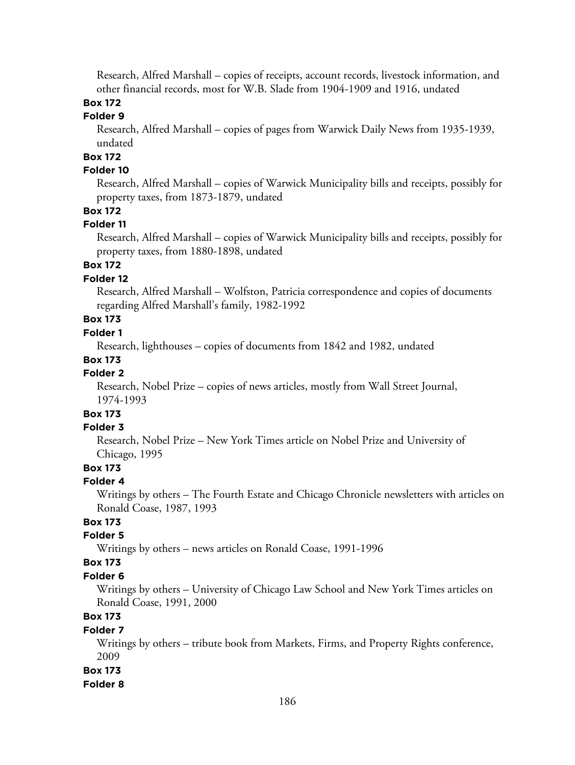Research, Alfred Marshall – copies of receipts, account records, livestock information, and other financial records, most for W.B. Slade from 1904-1909 and 1916, undated

# **Box 172**

# **Folder 9**

Research, Alfred Marshall – copies of pages from Warwick Daily News from 1935-1939, undated

# **Box 172**

# **Folder 10**

Research, Alfred Marshall – copies of Warwick Municipality bills and receipts, possibly for property taxes, from 1873-1879, undated

# **Box 172**

### **Folder 11**

Research, Alfred Marshall – copies of Warwick Municipality bills and receipts, possibly for property taxes, from 1880-1898, undated

# **Box 172**

# **Folder 12**

Research, Alfred Marshall – Wolfston, Patricia correspondence and copies of documents regarding Alfred Marshall's family, 1982-1992

# **Box 173**

# **Folder 1**

Research, lighthouses – copies of documents from 1842 and 1982, undated

### **Box 173**

### **Folder 2**

Research, Nobel Prize – copies of news articles, mostly from Wall Street Journal, 1974-1993

#### **Box 173 Folder 3**

Research, Nobel Prize – New York Times article on Nobel Prize and University of Chicago, 1995

# **Box 173**

#### **Folder 4**

Writings by others – The Fourth Estate and Chicago Chronicle newsletters with articles on Ronald Coase, 1987, 1993

# **Box 173**

# **Folder 5**

Writings by others – news articles on Ronald Coase, 1991-1996

### **Box 173**

#### **Folder 6**

Writings by others – University of Chicago Law School and New York Times articles on Ronald Coase, 1991, 2000

# **Box 173**

#### **Folder 7**

Writings by others – tribute book from Markets, Firms, and Property Rights conference, 2009

#### **Box 173**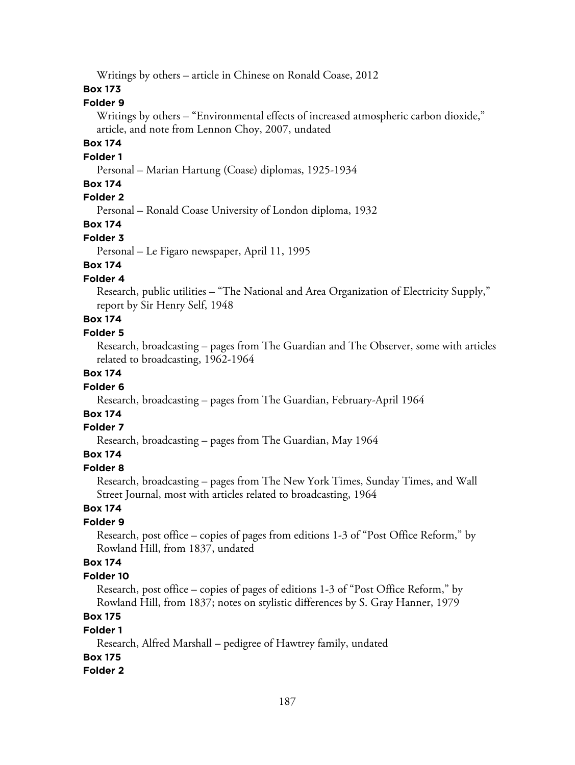Writings by others – article in Chinese on Ronald Coase, 2012

# **Box 173**

### **Folder 9**

Writings by others – "Environmental effects of increased atmospheric carbon dioxide," article, and note from Lennon Choy, 2007, undated

# **Box 174**

#### **Folder 1**

Personal – Marian Hartung (Coase) diplomas, 1925-1934

# **Box 174**

# **Folder 2**

Personal – Ronald Coase University of London diploma, 1932

**Box 174**

# **Folder 3**

Personal – Le Figaro newspaper, April 11, 1995

# **Box 174**

# **Folder 4**

Research, public utilities – "The National and Area Organization of Electricity Supply," report by Sir Henry Self, 1948

# **Box 174**

# **Folder 5**

Research, broadcasting – pages from The Guardian and The Observer, some with articles related to broadcasting, 1962-1964

# **Box 174**

#### **Folder 6**

Research, broadcasting – pages from The Guardian, February-April 1964

# **Box 174**

# **Folder 7**

Research, broadcasting – pages from The Guardian, May 1964

# **Box 174**

# **Folder 8**

Research, broadcasting – pages from The New York Times, Sunday Times, and Wall Street Journal, most with articles related to broadcasting, 1964

# **Box 174**

# **Folder 9**

Research, post office – copies of pages from editions 1-3 of "Post Office Reform," by Rowland Hill, from 1837, undated

# **Box 174**

#### **Folder 10**

Research, post office – copies of pages of editions 1-3 of "Post Office Reform," by Rowland Hill, from 1837; notes on stylistic differences by S. Gray Hanner, 1979

# **Box 175**

#### **Folder 1**

Research, Alfred Marshall – pedigree of Hawtrey family, undated **Box 175**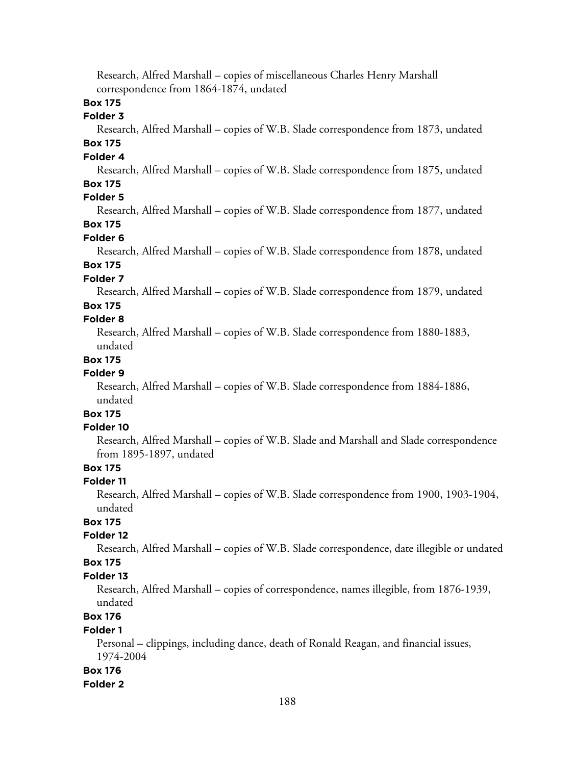Research, Alfred Marshall – copies of miscellaneous Charles Henry Marshall correspondence from 1864-1874, undated

# **Box 175**

#### **Folder 3**

Research, Alfred Marshall – copies of W.B. Slade correspondence from 1873, undated **Box 175**

# **Folder 4**

Research, Alfred Marshall – copies of W.B. Slade correspondence from 1875, undated **Box 175**

#### **Folder 5**

Research, Alfred Marshall – copies of W.B. Slade correspondence from 1877, undated

# **Box 175**

**Folder 6**

Research, Alfred Marshall – copies of W.B. Slade correspondence from 1878, undated **Box 175**

#### **Folder 7**

Research, Alfred Marshall – copies of W.B. Slade correspondence from 1879, undated

### **Box 175**

# **Folder 8**

Research, Alfred Marshall – copies of W.B. Slade correspondence from 1880-1883, undated

# **Box 175**

# **Folder 9**

Research, Alfred Marshall – copies of W.B. Slade correspondence from 1884-1886, undated

# **Box 175**

# **Folder 10**

Research, Alfred Marshall – copies of W.B. Slade and Marshall and Slade correspondence from 1895-1897, undated

# **Box 175**

### **Folder 11**

Research, Alfred Marshall – copies of W.B. Slade correspondence from 1900, 1903-1904, undated

# **Box 175**

# **Folder 12**

Research, Alfred Marshall – copies of W.B. Slade correspondence, date illegible or undated **Box 175**

#### **Folder 13**

Research, Alfred Marshall – copies of correspondence, names illegible, from 1876-1939, undated

# **Box 176**

### **Folder 1**

Personal – clippings, including dance, death of Ronald Reagan, and financial issues, 1974-2004

#### **Box 176**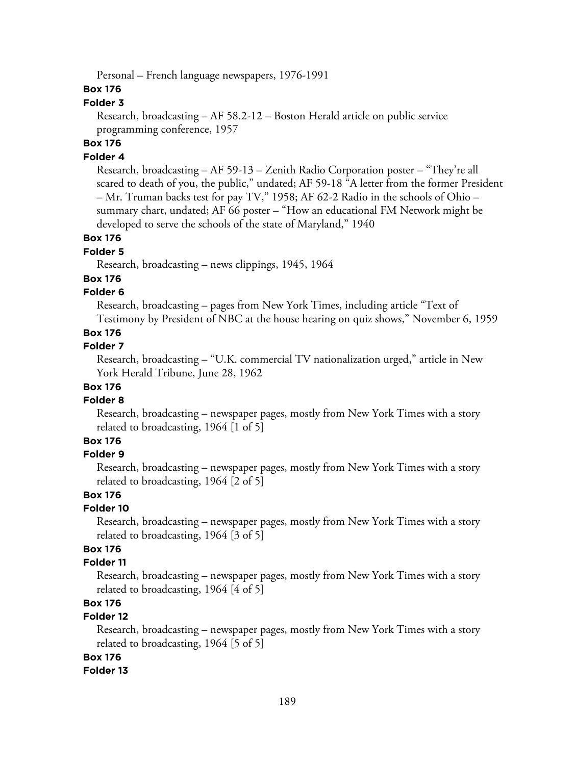Personal – French language newspapers, 1976-1991

# **Box 176**

### **Folder 3**

Research, broadcasting – AF 58.2-12 – Boston Herald article on public service programming conference, 1957

# **Box 176**

# **Folder 4**

Research, broadcasting – AF 59-13 – Zenith Radio Corporation poster – "They're all scared to death of you, the public," undated; AF 59-18 "A letter from the former President – Mr. Truman backs test for pay TV," 1958; AF 62-2 Radio in the schools of Ohio – summary chart, undated; AF 66 poster – "How an educational FM Network might be developed to serve the schools of the state of Maryland," 1940

# **Box 176**

# **Folder 5**

Research, broadcasting – news clippings, 1945, 1964

### **Box 176**

# **Folder 6**

Research, broadcasting – pages from New York Times, including article "Text of Testimony by President of NBC at the house hearing on quiz shows," November 6, 1959

# **Box 176**

#### **Folder 7**

Research, broadcasting – "U.K. commercial TV nationalization urged," article in New York Herald Tribune, June 28, 1962

# **Box 176**

### **Folder 8**

Research, broadcasting – newspaper pages, mostly from New York Times with a story related to broadcasting, 1964 [1 of 5]

# **Box 176**

### **Folder 9**

Research, broadcasting – newspaper pages, mostly from New York Times with a story related to broadcasting, 1964 [2 of 5]

### **Box 176**

#### **Folder 10**

Research, broadcasting – newspaper pages, mostly from New York Times with a story related to broadcasting, 1964 [3 of 5]

# **Box 176**

### **Folder 11**

Research, broadcasting – newspaper pages, mostly from New York Times with a story related to broadcasting, 1964 [4 of 5]

# **Box 176**

#### **Folder 12**

Research, broadcasting – newspaper pages, mostly from New York Times with a story related to broadcasting, 1964 [5 of 5]

#### **Box 176**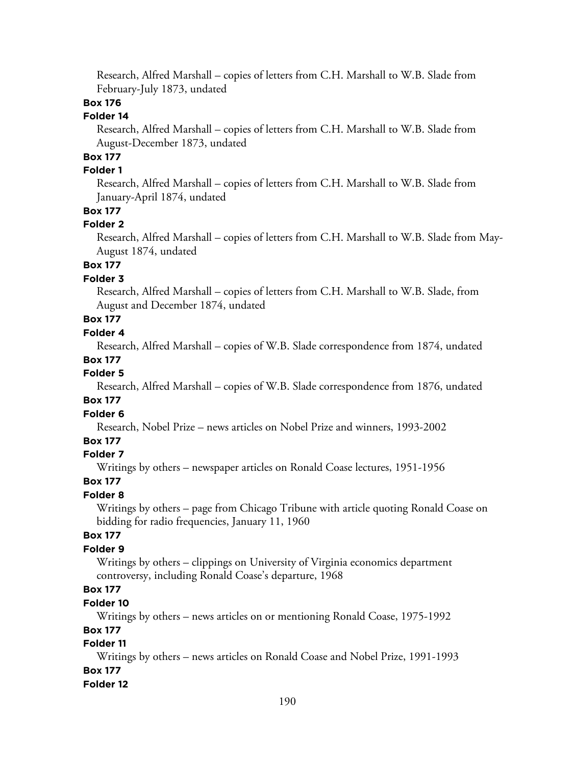Research, Alfred Marshall – copies of letters from C.H. Marshall to W.B. Slade from February-July 1873, undated

# **Box 176**

# **Folder 14**

Research, Alfred Marshall – copies of letters from C.H. Marshall to W.B. Slade from August-December 1873, undated

# **Box 177**

# **Folder 1**

Research, Alfred Marshall – copies of letters from C.H. Marshall to W.B. Slade from January-April 1874, undated

# **Box 177**

#### **Folder 2**

Research, Alfred Marshall – copies of letters from C.H. Marshall to W.B. Slade from May-August 1874, undated

# **Box 177**

# **Folder 3**

Research, Alfred Marshall – copies of letters from C.H. Marshall to W.B. Slade, from August and December 1874, undated

#### **Box 177 Folder 4**

Research, Alfred Marshall – copies of W.B. Slade correspondence from 1874, undated

#### **Box 177**

#### **Folder 5**

Research, Alfred Marshall – copies of W.B. Slade correspondence from 1876, undated

# **Box 177**

#### **Folder 6**

Research, Nobel Prize – news articles on Nobel Prize and winners, 1993-2002

# **Box 177**

### **Folder 7**

Writings by others – newspaper articles on Ronald Coase lectures, 1951-1956

#### **Box 177**

#### **Folder 8**

Writings by others – page from Chicago Tribune with article quoting Ronald Coase on bidding for radio frequencies, January 11, 1960

# **Box 177**

# **Folder 9**

Writings by others – clippings on University of Virginia economics department controversy, including Ronald Coase's departure, 1968

# **Box 177**

# **Folder 10**

Writings by others – news articles on or mentioning Ronald Coase, 1975-1992

### **Box 177**

# **Folder 11**

Writings by others – news articles on Ronald Coase and Nobel Prize, 1991-1993 **Box 177**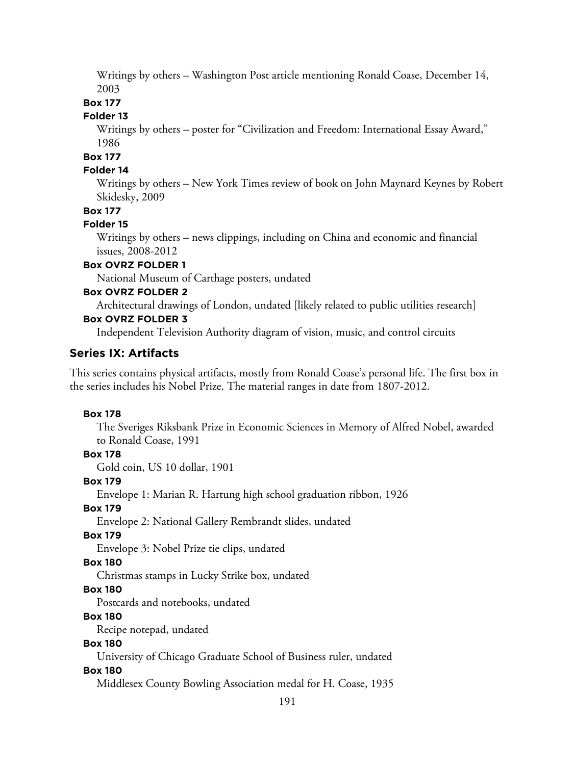Writings by others – Washington Post article mentioning Ronald Coase, December 14, 2003

# **Box 177**

# **Folder 13**

Writings by others – poster for "Civilization and Freedom: International Essay Award," 1986

#### **Box 177**

#### **Folder 14**

Writings by others – New York Times review of book on John Maynard Keynes by Robert Skidesky, 2009

### **Box 177**

#### **Folder 15**

Writings by others – news clippings, including on China and economic and financial issues, 2008-2012

### **Box OVRZ FOLDER 1**

National Museum of Carthage posters, undated

### **Box OVRZ FOLDER 2**

Architectural drawings of London, undated [likely related to public utilities research]

# **Box OVRZ FOLDER 3**

Independent Television Authority diagram of vision, music, and control circuits

# **Series IX: Artifacts**

This series contains physical artifacts, mostly from Ronald Coase's personal life. The first box in the series includes his Nobel Prize. The material ranges in date from 1807-2012.

#### **Box 178**

The Sveriges Riksbank Prize in Economic Sciences in Memory of Alfred Nobel, awarded to Ronald Coase, 1991

#### **Box 178**

Gold coin, US 10 dollar, 1901

#### **Box 179**

Envelope 1: Marian R. Hartung high school graduation ribbon, 1926

# **Box 179**

Envelope 2: National Gallery Rembrandt slides, undated

#### **Box 179**

Envelope 3: Nobel Prize tie clips, undated

#### **Box 180**

Christmas stamps in Lucky Strike box, undated

# **Box 180**

Postcards and notebooks, undated

# **Box 180**

Recipe notepad, undated

# **Box 180**

University of Chicago Graduate School of Business ruler, undated

#### **Box 180**

Middlesex County Bowling Association medal for H. Coase, 1935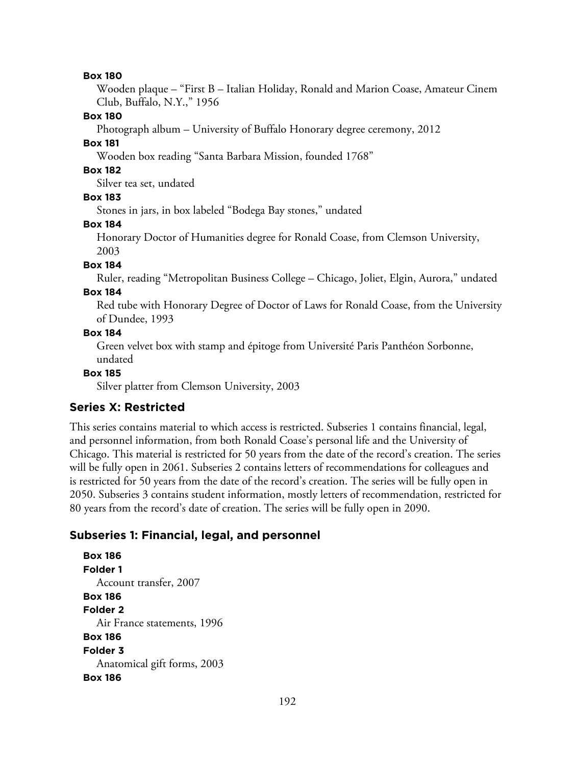#### **Box 180**

Wooden plaque – "First B – Italian Holiday, Ronald and Marion Coase, Amateur Cinem Club, Buffalo, N.Y.," 1956

#### **Box 180**

Photograph album – University of Buffalo Honorary degree ceremony, 2012

### **Box 181**

Wooden box reading "Santa Barbara Mission, founded 1768"

# **Box 182**

Silver tea set, undated

# **Box 183**

Stones in jars, in box labeled "Bodega Bay stones," undated

#### **Box 184**

Honorary Doctor of Humanities degree for Ronald Coase, from Clemson University, 2003

### **Box 184**

Ruler, reading "Metropolitan Business College – Chicago, Joliet, Elgin, Aurora," undated

#### **Box 184**

Red tube with Honorary Degree of Doctor of Laws for Ronald Coase, from the University of Dundee, 1993

### **Box 184**

Green velvet box with stamp and épitoge from Université Paris Panthéon Sorbonne, undated

### **Box 185**

Silver platter from Clemson University, 2003

# **Series X: Restricted**

This series contains material to which access is restricted. Subseries 1 contains financial, legal, and personnel information, from both Ronald Coase's personal life and the University of Chicago. This material is restricted for 50 years from the date of the record's creation. The series will be fully open in 2061. Subseries 2 contains letters of recommendations for colleagues and is restricted for 50 years from the date of the record's creation. The series will be fully open in 2050. Subseries 3 contains student information, mostly letters of recommendation, restricted for 80 years from the record's date of creation. The series will be fully open in 2090.

# **Subseries 1: Financial, legal, and personnel**

**Box 186 Folder 1** Account transfer, 2007 **Box 186 Folder 2** Air France statements, 1996 **Box 186 Folder 3** Anatomical gift forms, 2003 **Box 186**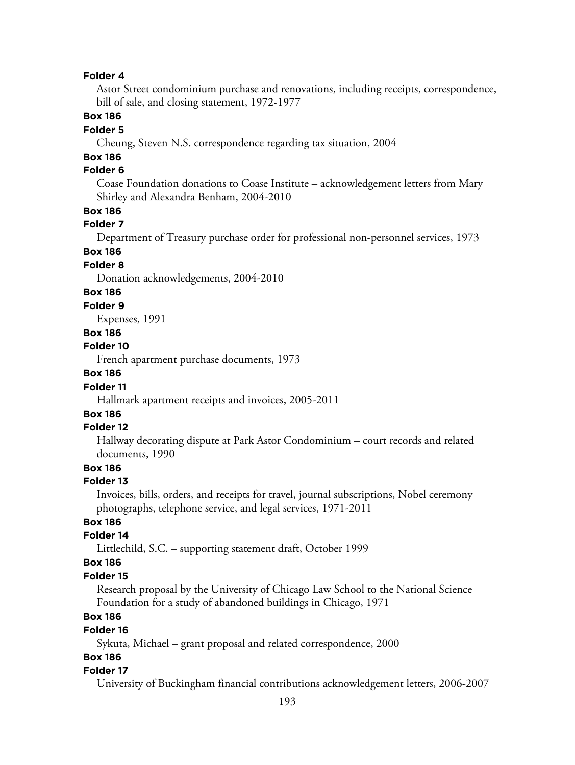#### **Folder 4**

Astor Street condominium purchase and renovations, including receipts, correspondence, bill of sale, and closing statement, 1972-1977

### **Box 186**

#### **Folder 5**

Cheung, Steven N.S. correspondence regarding tax situation, 2004

# **Box 186**

# **Folder 6**

Coase Foundation donations to Coase Institute – acknowledgement letters from Mary Shirley and Alexandra Benham, 2004-2010

### **Box 186**

# **Folder 7**

Department of Treasury purchase order for professional non-personnel services, 1973

# **Box 186**

# **Folder 8**

Donation acknowledgements, 2004-2010

# **Box 186**

#### **Folder 9**

Expenses, 1991

# **Box 186**

#### **Folder 10**

French apartment purchase documents, 1973

#### **Box 186**

#### **Folder 11**

Hallmark apartment receipts and invoices, 2005-2011

# **Box 186**

#### **Folder 12**

Hallway decorating dispute at Park Astor Condominium – court records and related documents, 1990

# **Box 186**

#### **Folder 13**

Invoices, bills, orders, and receipts for travel, journal subscriptions, Nobel ceremony photographs, telephone service, and legal services, 1971-2011

# **Box 186**

# **Folder 14**

Littlechild, S.C. – supporting statement draft, October 1999

#### **Box 186**

#### **Folder 15**

Research proposal by the University of Chicago Law School to the National Science Foundation for a study of abandoned buildings in Chicago, 1971

# **Box 186**

#### **Folder 16**

Sykuta, Michael – grant proposal and related correspondence, 2000

# **Box 186**

#### **Folder 17**

University of Buckingham financial contributions acknowledgement letters, 2006-2007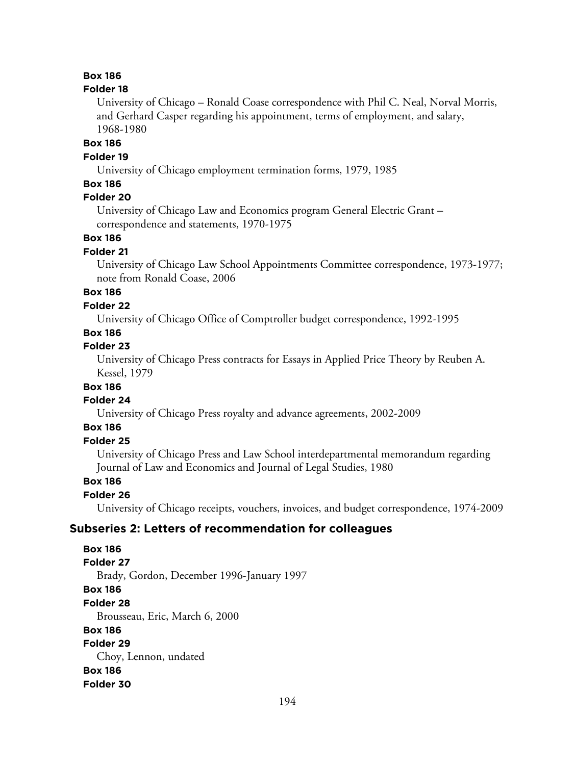# **Box 186**

#### **Folder 18**

University of Chicago – Ronald Coase correspondence with Phil C. Neal, Norval Morris, and Gerhard Casper regarding his appointment, terms of employment, and salary, 1968-1980

# **Box 186**

#### **Folder 19**

University of Chicago employment termination forms, 1979, 1985

# **Box 186**

# **Folder 20**

University of Chicago Law and Economics program General Electric Grant – correspondence and statements, 1970-1975

# **Box 186**

#### **Folder 21**

University of Chicago Law School Appointments Committee correspondence, 1973-1977; note from Ronald Coase, 2006

# **Box 186**

#### **Folder 22**

University of Chicago Office of Comptroller budget correspondence, 1992-1995

### **Box 186**

#### **Folder 23**

University of Chicago Press contracts for Essays in Applied Price Theory by Reuben A. Kessel, 1979

# **Box 186**

#### **Folder 24**

University of Chicago Press royalty and advance agreements, 2002-2009

### **Box 186**

# **Folder 25**

University of Chicago Press and Law School interdepartmental memorandum regarding Journal of Law and Economics and Journal of Legal Studies, 1980

### **Box 186**

#### **Folder 26**

University of Chicago receipts, vouchers, invoices, and budget correspondence, 1974-2009

#### **Subseries 2: Letters of recommendation for colleagues**

**Box 186 Folder 27** Brady, Gordon, December 1996-January 1997 **Box 186 Folder 28** Brousseau, Eric, March 6, 2000 **Box 186 Folder 29** Choy, Lennon, undated **Box 186 Folder 30**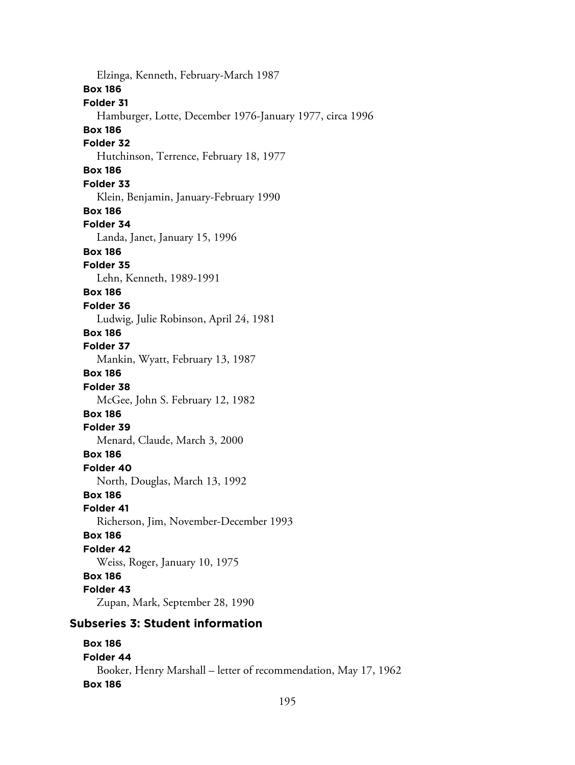Elzinga, Kenneth, February-March 1987 **Box 186 Folder 31** Hamburger, Lotte, December 1976-January 1977, circa 1996 **Box 186 Folder 32** Hutchinson, Terrence, February 18, 1977 **Box 186 Folder 33** Klein, Benjamin, January-February 1990 **Box 186 Folder 34** Landa, Janet, January 15, 1996 **Box 186 Folder 35** Lehn, Kenneth, 1989-1991 **Box 186 Folder 36** Ludwig, Julie Robinson, April 24, 1981 **Box 186 Folder 37** Mankin, Wyatt, February 13, 1987 **Box 186 Folder 38** McGee, John S. February 12, 1982 **Box 186 Folder 39** Menard, Claude, March 3, 2000 **Box 186 Folder 40** North, Douglas, March 13, 1992 **Box 186 Folder 41** Richerson, Jim, November-December 1993 **Box 186 Folder 42** Weiss, Roger, January 10, 1975 **Box 186 Folder 43** Zupan, Mark, September 28, 1990

# **Subseries 3: Student information**

# **Box 186 Folder 44** Booker, Henry Marshall – letter of recommendation, May 17, 1962 **Box 186**